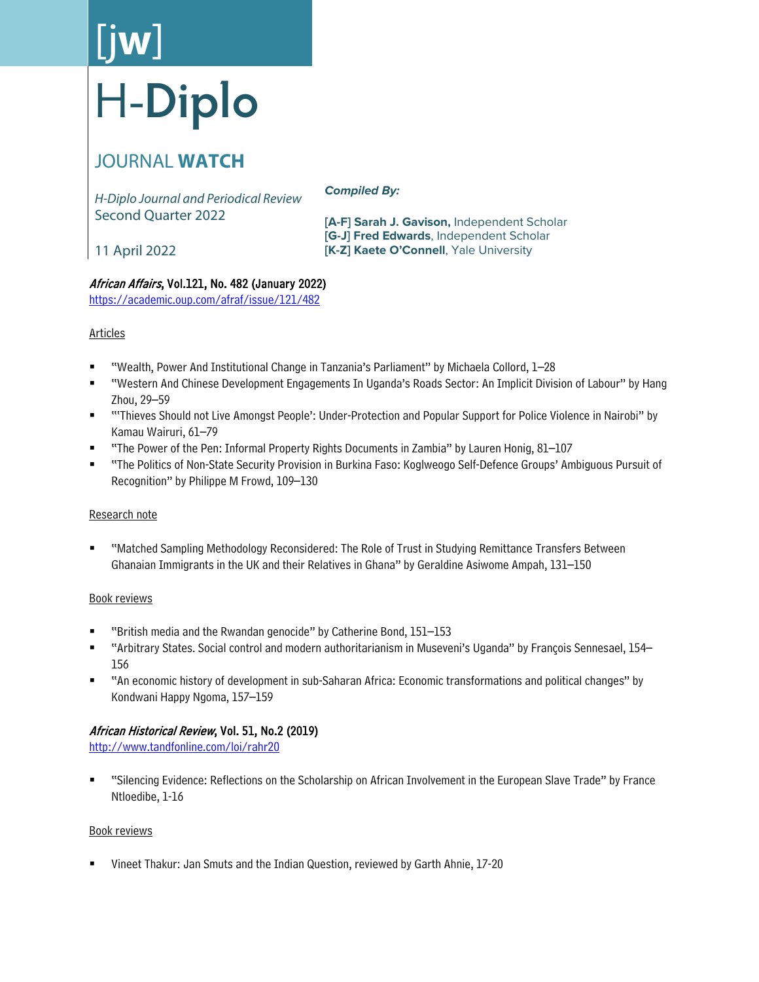# [j**w**] H-**Diplo**

# JOURNAL **WATCH**

*H-Diplo Journal and Periodical Review* Second Quarter 2022

*Compiled By:*

**[A-F] Sarah J. Gavison,** Independent Scholar **[G-J] Fred Edwards**, Independent Scholar **[K-Z] Kaete O'Connell**, Yale University

11 April 2022

# African Affairs, Vol.121, No. 482 (January 2022)

<https://academic.oup.com/afraf/issue/121/482>

# Articles

- "Wealth, Power And Institutional Change in Tanzania's Parliament" by Michaela Collord, 1–28
- "Western And Chinese Development Engagements In Uganda's Roads Sector: An Implicit Division of Labour" by Hang Zhou, 29–59
- "'Thieves Should not Live Amongst People': Under-Protection and Popular Support for Police Violence in Nairobi" by Kamau Wairuri, 61–79
- "The Power of the Pen: Informal Property Rights Documents in Zambia" by Lauren Honig, 81–107
- "The Politics of Non-State Security Provision in Burkina Faso: Koglweogo Self-Defence Groups' Ambiguous Pursuit of Recognition" by Philippe M Frowd, 109–130

# Research note

 "Matched Sampling Methodology Reconsidered: The Role of Trust in Studying Remittance Transfers Between Ghanaian Immigrants in the UK and their Relatives in Ghana" by Geraldine Asiwome Ampah, 131–150

# Book reviews

- "British media and the Rwandan genocide" by Catherine Bond, 151–153
- "Arbitrary States. Social control and modern authoritarianism in Museveni's Uganda" by François Sennesael, 154– 156
- "An economic history of development in sub-Saharan Africa: Economic transformations and political changes" by Kondwani Happy Ngoma, 157–159

# African Historical Review, Vol. 51, No.2 (2019)

<http://www.tandfonline.com/loi/rahr20>

 "Silencing Evidence: Reflections on the Scholarship on African Involvement in the European Slave Trade" by France Ntloedibe, 1-16

# Book reviews

Vineet Thakur: Jan Smuts and the Indian Question, reviewed by Garth Ahnie, 17-20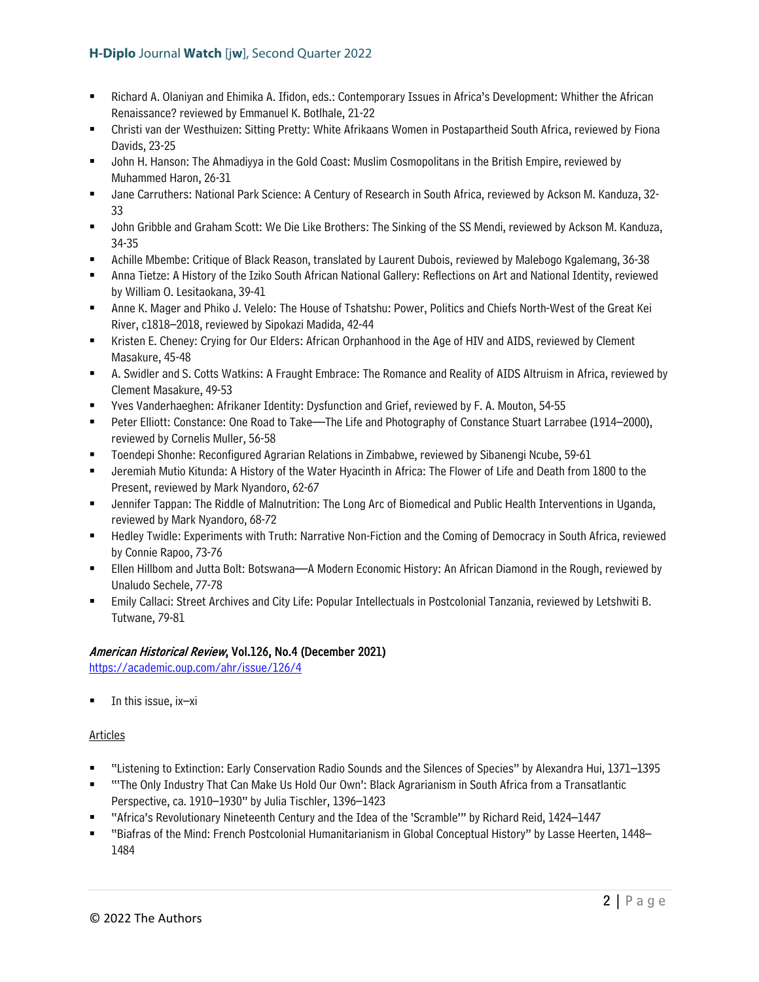- Richard A. Olaniyan and Ehimika A. Ifidon, eds.: Contemporary Issues in Africa's Development: Whither the African Renaissance? reviewed by Emmanuel K. Botlhale, 21-22
- Christi van der Westhuizen: Sitting Pretty: White Afrikaans Women in Postapartheid South Africa, reviewed by Fiona Davids, 23-25
- John H. Hanson: The Ahmadiyya in the Gold Coast: Muslim Cosmopolitans in the British Empire, reviewed by Muhammed Haron, 26-31
- Jane Carruthers: National Park Science: A Century of Research in South Africa, reviewed by Ackson M. Kanduza, 32- 33
- John Gribble and Graham Scott: We Die Like Brothers: The Sinking of the SS Mendi, reviewed by Ackson M. Kanduza, 34-35
- Achille Mbembe: Critique of Black Reason, translated by Laurent Dubois, reviewed by Malebogo Kgalemang, 36-38
- Anna Tietze: A History of the Iziko South African National Gallery: Reflections on Art and National Identity, reviewed by William O. Lesitaokana, 39-41
- Anne K. Mager and Phiko J. Velelo: The House of Tshatshu: Power, Politics and Chiefs North-West of the Great Kei River, c1818–2018, reviewed by Sipokazi Madida, 42-44
- Kristen E. Cheney: Crying for Our Elders: African Orphanhood in the Age of HIV and AIDS, reviewed by Clement Masakure, 45-48
- A. Swidler and S. Cotts Watkins: A Fraught Embrace: The Romance and Reality of AIDS Altruism in Africa, reviewed by Clement Masakure, 49-53
- Yves Vanderhaeghen: Afrikaner Identity: Dysfunction and Grief, reviewed by F. A. Mouton, 54-55
- Peter Elliott: Constance: One Road to Take—The Life and Photography of Constance Stuart Larrabee (1914–2000), reviewed by Cornelis Muller, 56-58
- Toendepi Shonhe: Reconfigured Agrarian Relations in Zimbabwe, reviewed by Sibanengi Ncube, 59-61
- Jeremiah Mutio Kitunda: A History of the Water Hyacinth in Africa: The Flower of Life and Death from 1800 to the Present, reviewed by Mark Nyandoro, 62-67
- Jennifer Tappan: The Riddle of Malnutrition: The Long Arc of Biomedical and Public Health Interventions in Uganda, reviewed by Mark Nyandoro, 68-72
- Hedley Twidle: Experiments with Truth: Narrative Non-Fiction and the Coming of Democracy in South Africa, reviewed by Connie Rapoo, 73-76
- Ellen Hillbom and Jutta Bolt: Botswana—A Modern Economic History: An African Diamond in the Rough, reviewed by Unaludo Sechele, 77-78
- Emily Callaci: Street Archives and City Life: Popular Intellectuals in Postcolonial Tanzania, reviewed by Letshwiti B. Tutwane, 79-81

# American Historical Review, Vol.126, No.4 (December 2021)

<https://academic.oup.com/ahr/issue/126/4>

In this issue, ix–xi

# Articles

- "Listening to Extinction: Early Conservation Radio Sounds and the Silences of Species" by Alexandra Hui, 1371–1395
- "'The Only Industry That Can Make Us Hold Our Own': Black Agrarianism in South Africa from a Transatlantic Perspective, ca. 1910–1930" by Julia Tischler, 1396–1423
- "Africa's Revolutionary Nineteenth Century and the Idea of the 'Scramble'" by Richard Reid, 1424–1447
- "Biafras of the Mind: French Postcolonial Humanitarianism in Global Conceptual History" by Lasse Heerten, 1448– 1484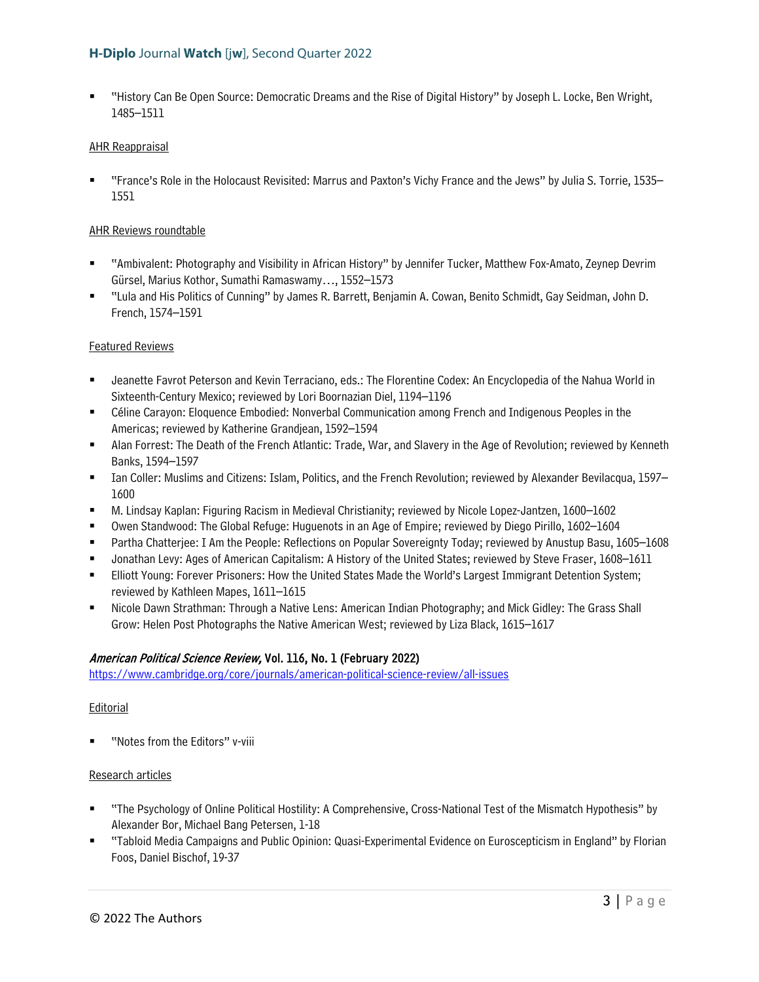"History Can Be Open Source: Democratic Dreams and the Rise of Digital History" by Joseph L. Locke, Ben Wright, 1485–1511

#### AHR Reappraisal

 "France's Role in the Holocaust Revisited: Marrus and Paxton's Vichy France and the Jews" by Julia S. Torrie, 1535– 1551

#### AHR Reviews roundtable

- "Ambivalent: Photography and Visibility in African History" by Jennifer Tucker, Matthew Fox-Amato, Zeynep Devrim Gürsel, Marius Kothor, Sumathi Ramaswamy…, 1552–1573
- "Lula and His Politics of Cunning" by James R. Barrett, Benjamin A. Cowan, Benito Schmidt, Gay Seidman, John D. French, 1574–1591

#### Featured Reviews

- Jeanette Favrot Peterson and Kevin Terraciano, eds.: The Florentine Codex: An Encyclopedia of the Nahua World in Sixteenth-Century Mexico; reviewed by Lori Boornazian Diel, 1194–1196
- Céline Carayon: Eloquence Embodied: Nonverbal Communication among French and Indigenous Peoples in the Americas; reviewed by Katherine Grandjean, 1592–1594
- Alan Forrest: The Death of the French Atlantic: Trade, War, and Slavery in the Age of Revolution; reviewed by Kenneth Banks, 1594–1597
- Ian Coller: Muslims and Citizens: Islam, Politics, and the French Revolution; reviewed by Alexander Bevilacqua, 1597– 1600
- M. Lindsay Kaplan: Figuring Racism in Medieval Christianity; reviewed by Nicole Lopez-Jantzen, 1600–1602
- Owen Standwood: The Global Refuge: Huguenots in an Age of Empire; reviewed by Diego Pirillo, 1602–1604
- Partha Chatterjee: I Am the People: Reflections on Popular Sovereignty Today; reviewed by Anustup Basu, 1605–1608
- Jonathan Levy: Ages of American Capitalism: A History of the United States; reviewed by Steve Fraser, 1608–1611
- Elliott Young: Forever Prisoners: How the United States Made the World's Largest Immigrant Detention System; reviewed by Kathleen Mapes, 1611–1615
- Nicole Dawn Strathman: Through a Native Lens: American Indian Photography; and Mick Gidley: The Grass Shall Grow: Helen Post Photographs the Native American West; reviewed by Liza Black, 1615–1617

#### American Political Science Review, Vol. 116, No. 1 (February 2022)

<https://www.cambridge.org/core/journals/american-political-science-review/all-issues>

#### **Editorial**

"Notes from the Editors" v-viii

#### Research articles

- "The Psychology of Online Political Hostility: A Comprehensive, Cross-National Test of the Mismatch Hypothesis" by Alexander Bor, Michael Bang Petersen, 1-18
- "Tabloid Media Campaigns and Public Opinion: Quasi-Experimental Evidence on Euroscepticism in England" by Florian Foos, Daniel Bischof, 19-37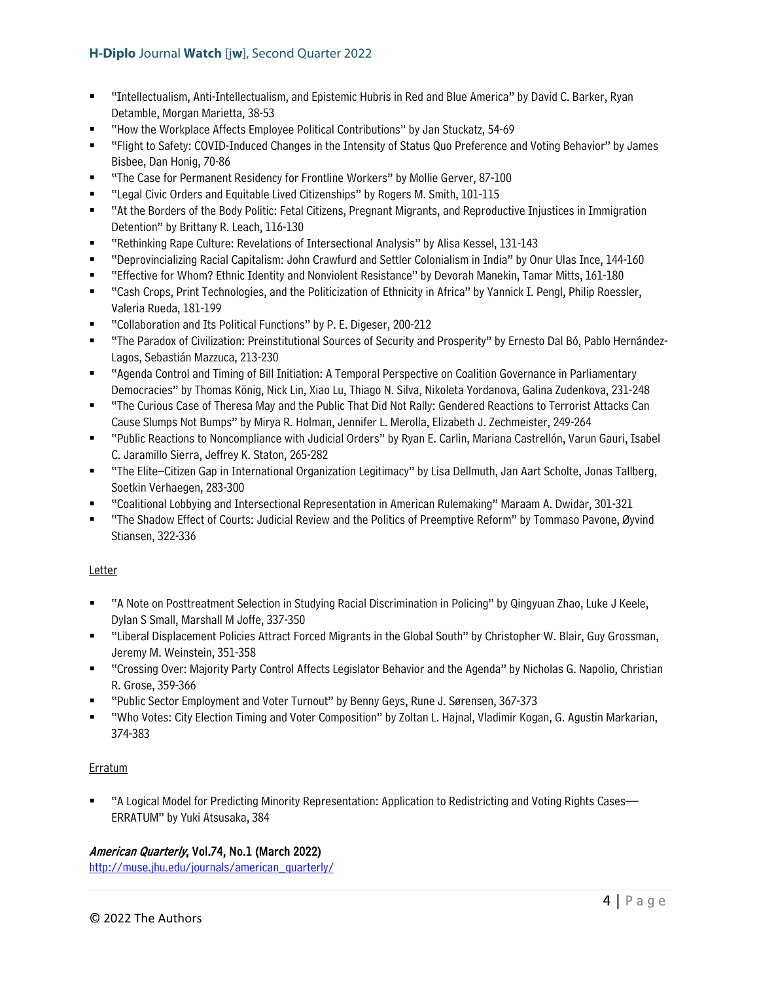- "Intellectualism, Anti-Intellectualism, and Epistemic Hubris in Red and Blue America" by David C. Barker, Ryan Detamble, Morgan Marietta, 38-53
- "How the Workplace Affects Employee Political Contributions" by Jan Stuckatz, 54-69
- "Flight to Safety: COVID-Induced Changes in the Intensity of Status Quo Preference and Voting Behavior" by James Bisbee, Dan Honig, 70-86
- "The Case for Permanent Residency for Frontline Workers" by Mollie Gerver, 87-100
- "Legal Civic Orders and Equitable Lived Citizenships" by Rogers M. Smith, 101-115
- "At the Borders of the Body Politic: Fetal Citizens, Pregnant Migrants, and Reproductive Injustices in Immigration Detention" by Brittany R. Leach, 116-130
- "Rethinking Rape Culture: Revelations of Intersectional Analysis" by Alisa Kessel, 131-143
- "Deprovincializing Racial Capitalism: John Crawfurd and Settler Colonialism in India" by Onur Ulas Ince, 144-160
- "Effective for Whom? Ethnic Identity and Nonviolent Resistance" by Devorah Manekin, Tamar Mitts, 161-180
- "Cash Crops, Print Technologies, and the Politicization of Ethnicity in Africa" by Yannick I. Pengl, Philip Roessler, Valeria Rueda, 181-199
- "Collaboration and Its Political Functions" by P. E. Digeser, 200-212
- "The Paradox of Civilization: Preinstitutional Sources of Security and Prosperity" by Ernesto Dal Bó, Pablo Hernández-Lagos, Sebastián Mazzuca, 213-230
- "Agenda Control and Timing of Bill Initiation: A Temporal Perspective on Coalition Governance in Parliamentary Democracies" by Thomas König, Nick Lin, Xiao Lu, Thiago N. Silva, Nikoleta Yordanova, Galina Zudenkova, 231-248
- "The Curious Case of Theresa May and the Public That Did Not Rally: Gendered Reactions to Terrorist Attacks Can Cause Slumps Not Bumps" by Mirya R. Holman, Jennifer L. Merolla, Elizabeth J. Zechmeister, 249-264
- "Public Reactions to Noncompliance with Judicial Orders" by Ryan E. Carlin, Mariana Castrellón, Varun Gauri, Isabel C. Jaramillo Sierra, Jeffrey K. Staton, 265-282
- "The Elite–Citizen Gap in International Organization Legitimacy" by Lisa Dellmuth, Jan Aart Scholte, Jonas Tallberg, Soetkin Verhaegen, 283-300
- "Coalitional Lobbying and Intersectional Representation in American Rulemaking" Maraam A. Dwidar, 301-321
- "The Shadow Effect of Courts: Judicial Review and the Politics of Preemptive Reform" by Tommaso Pavone, Øyvind Stiansen, 322-336

# Letter

- "A Note on Posttreatment Selection in Studying Racial Discrimination in Policing" by Qingyuan Zhao, Luke J Keele, Dylan S Small, Marshall M Joffe, 337-350
- "Liberal Displacement Policies Attract Forced Migrants in the Global South" by Christopher W. Blair, Guy Grossman, Jeremy M. Weinstein, 351-358
- "Crossing Over: Majority Party Control Affects Legislator Behavior and the Agenda" by Nicholas G. Napolio, Christian R. Grose, 359-366
- "Public Sector Employment and Voter Turnout" by Benny Geys, Rune J. Sørensen, 367-373
- "Who Votes: City Election Timing and Voter Composition" by Zoltan L. Hajnal, Vladimir Kogan, G. Agustin Markarian, 374-383

# **Erratum**

 "A Logical Model for Predicting Minority Representation: Application to Redistricting and Voting Rights Cases— ERRATUM" by Yuki Atsusaka, 384

# American Quarterly, Vol.74, No.1 (March 2022)

[http://muse.jhu.edu/journals/american\\_quarterly/](http://muse.jhu.edu/journals/american_quarterly/)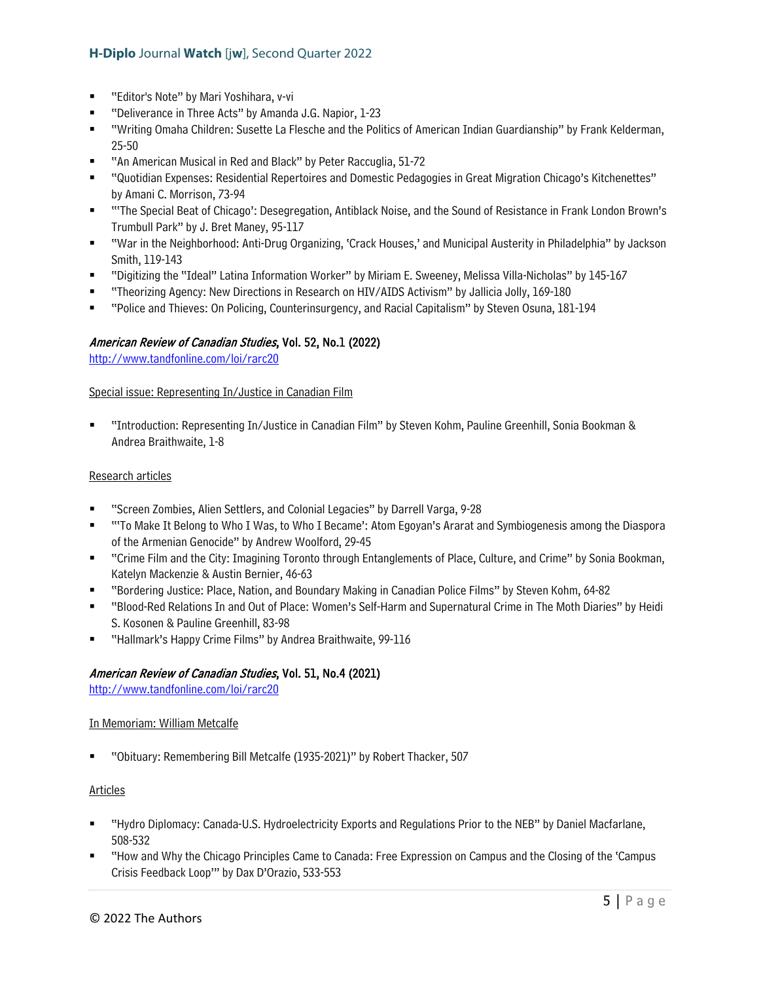- "Editor's Note" by Mari Yoshihara, v-vi
- "Deliverance in Three Acts" by Amanda J.G. Napior, 1-23
- "Writing Omaha Children: Susette La Flesche and the Politics of American Indian Guardianship" by Frank Kelderman, 25-50
- "An American Musical in Red and Black" by Peter Raccuglia, 51-72
- "Quotidian Expenses: Residential Repertoires and Domestic Pedagogies in Great Migration Chicago's Kitchenettes" by Amani C. Morrison, 73-94
- "'The Special Beat of Chicago': Desegregation, Antiblack Noise, and the Sound of Resistance in Frank London Brown's Trumbull Park" by J. Bret Maney, 95-117
- "War in the Neighborhood: Anti-Drug Organizing, 'Crack Houses,' and Municipal Austerity in Philadelphia" by Jackson Smith, 119-143
- "Digitizing the "Ideal" Latina Information Worker" by Miriam E. Sweeney, Melissa Villa-Nicholas" by 145-167
- "Theorizing Agency: New Directions in Research on HIV/AIDS Activism" by Jallicia Jolly, 169-180
- "Police and Thieves: On Policing, Counterinsurgency, and Racial Capitalism" by Steven Osuna, 181-194

# American Review of Canadian Studies, Vol. 52, No.1 (2022)

<http://www.tandfonline.com/loi/rarc20>

#### Special issue: Representing In/Justice in Canadian Film

 "Introduction: Representing In/Justice in Canadian Film" by Steven Kohm, Pauline Greenhill, Sonia Bookman & Andrea Braithwaite, 1-8

#### Research articles

- "Screen Zombies, Alien Settlers, and Colonial Legacies" by Darrell Varga, 9-28
- ""To Make It Belong to Who I Was, to Who I Became': Atom Egoyan's Ararat and Symbiogenesis among the Diaspora of the Armenian Genocide" by Andrew Woolford, 29-45
- "Crime Film and the City: Imagining Toronto through Entanglements of Place, Culture, and Crime" by Sonia Bookman, Katelyn Mackenzie & Austin Bernier, 46-63
- "Bordering Justice: Place, Nation, and Boundary Making in Canadian Police Films" by Steven Kohm, 64-82
- "Blood-Red Relations In and Out of Place: Women's Self-Harm and Supernatural Crime in The Moth Diaries" by Heidi S. Kosonen & Pauline Greenhill, 83-98
- "Hallmark's Happy Crime Films" by Andrea Braithwaite, 99-116

# American Review of Canadian Studies, Vol. 51, No.4 (2021)

<http://www.tandfonline.com/loi/rarc20>

#### In Memoriam: William Metcalfe

"Obituary: Remembering Bill Metcalfe (1935-2021)" by Robert Thacker, 507

#### Articles

- "Hydro Diplomacy: Canada-U.S. Hydroelectricity Exports and Regulations Prior to the NEB" by Daniel Macfarlane, 508-532
- "How and Why the Chicago Principles Came to Canada: Free Expression on Campus and the Closing of the 'Campus Crisis Feedback Loop'" by Dax D'Orazio, 533-553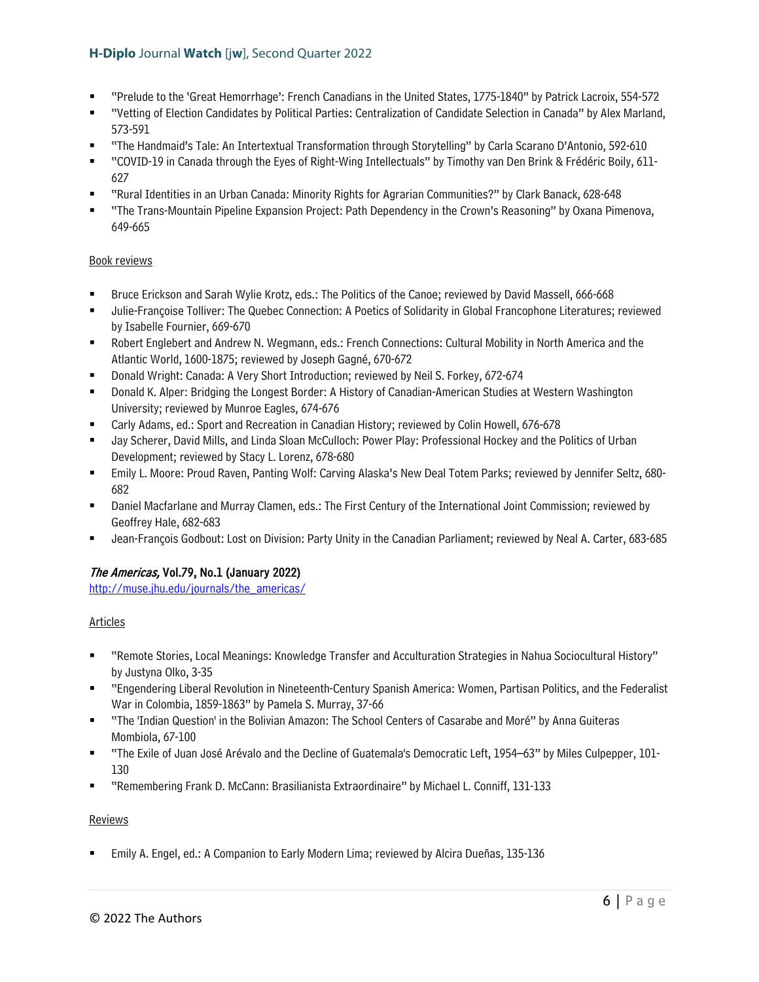- "Prelude to the 'Great Hemorrhage': French Canadians in the United States, 1775-1840" by Patrick Lacroix, 554-572
- "Vetting of Election Candidates by Political Parties: Centralization of Candidate Selection in Canada" by Alex Marland, 573-591
- "The Handmaid's Tale: An Intertextual Transformation through Storytelling" by Carla Scarano D'Antonio, 592-610
- "COVID-19 in Canada through the Eyes of Right-Wing Intellectuals" by Timothy van Den Brink & Frédéric Boily, 611- 627
- "Rural Identities in an Urban Canada: Minority Rights for Agrarian Communities?" by Clark Banack, 628-648
- "The Trans-Mountain Pipeline Expansion Project: Path Dependency in the Crown's Reasoning" by Oxana Pimenova, 649-665

#### Book reviews

- Bruce Erickson and Sarah Wylie Krotz, eds.: The Politics of the Canoe; reviewed by David Massell, 666-668
- Julie-Françoise Tolliver: The Quebec Connection: A Poetics of Solidarity in Global Francophone Literatures; reviewed by Isabelle Fournier, 669-670
- Robert Englebert and Andrew N. Wegmann, eds.: French Connections: Cultural Mobility in North America and the Atlantic World, 1600-1875; reviewed by Joseph Gagné, 670-672
- Donald Wright: Canada: A Very Short Introduction; reviewed by Neil S. Forkey, 672-674
- Donald K. Alper: Bridging the Longest Border: A History of Canadian-American Studies at Western Washington University; reviewed by Munroe Eagles, 674-676
- Carly Adams, ed.: Sport and Recreation in Canadian History; reviewed by Colin Howell, 676-678
- Jay Scherer, David Mills, and Linda Sloan McCulloch: Power Play: Professional Hockey and the Politics of Urban Development; reviewed by Stacy L. Lorenz, 678-680
- Emily L. Moore: Proud Raven, Panting Wolf: Carving Alaska's New Deal Totem Parks; reviewed by Jennifer Seltz, 680- 682
- Daniel Macfarlane and Murray Clamen, eds.: The First Century of the International Joint Commission; reviewed by Geoffrey Hale, 682-683
- Jean-François Godbout: Lost on Division: Party Unity in the Canadian Parliament; reviewed by Neal A. Carter, 683-685

# The Americas, Vol.79, No.1 (January 2022)

[http://muse.jhu.edu/journals/the\\_americas/](http://muse.jhu.edu/journals/the_americas/) 

# Articles

- "Remote Stories, Local Meanings: Knowledge Transfer and Acculturation Strategies in Nahua Sociocultural History" by Justyna Olko, 3-35
- "Engendering Liberal Revolution in Nineteenth-Century Spanish America: Women, Partisan Politics, and the Federalist War in Colombia, 1859-1863" by Pamela S. Murray, 37-66
- "The 'Indian Question' in the Bolivian Amazon: The School Centers of Casarabe and Moré" by Anna Guiteras Mombiola, 67-100
- "The Exile of Juan José Arévalo and the Decline of Guatemala's Democratic Left, 1954–63" by Miles Culpepper, 101- 130
- "Remembering Frank D. McCann: Brasilianista Extraordinaire" by Michael L. Conniff, 131-133

#### Reviews

Emily A. Engel, ed.: A Companion to Early Modern Lima; reviewed by Alcira Dueñas, 135-136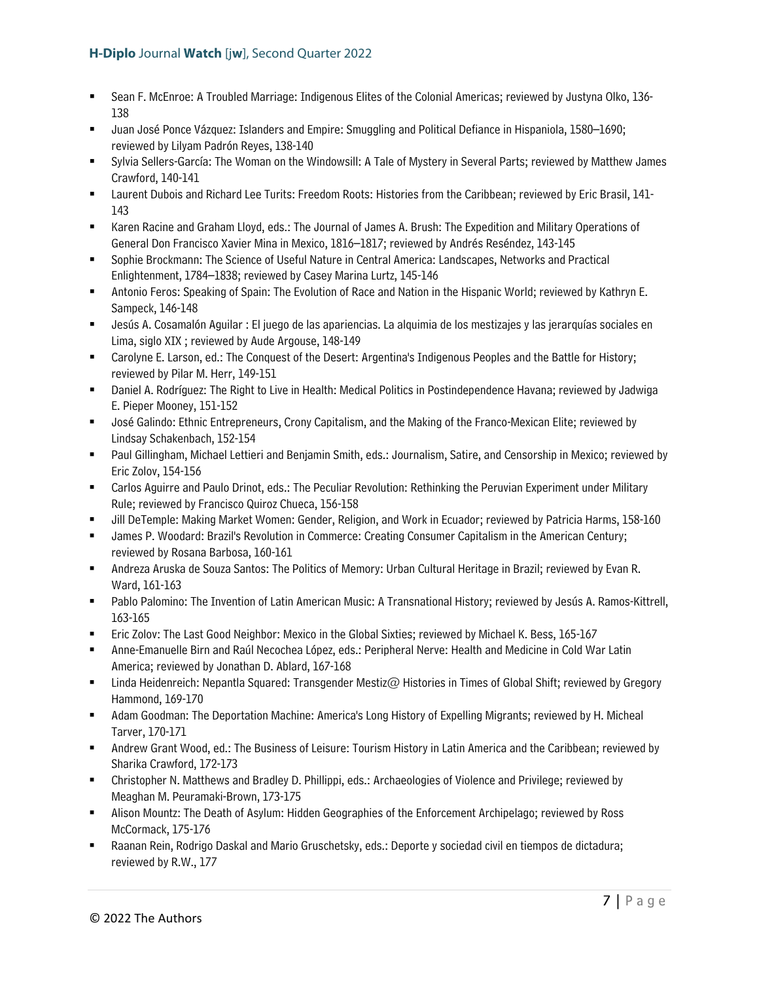- Sean F. McEnroe: A Troubled Marriage: Indigenous Elites of the Colonial Americas; reviewed by Justyna Olko, 136- 138
- Juan José Ponce Vázquez: Islanders and Empire: Smuggling and Political Defiance in Hispaniola, 1580–1690; reviewed by Lilyam Padrón Reyes, 138-140
- Sylvia Sellers-García: The Woman on the Windowsill: A Tale of Mystery in Several Parts; reviewed by Matthew James Crawford, 140-141
- Laurent Dubois and Richard Lee Turits: Freedom Roots: Histories from the Caribbean; reviewed by Eric Brasil, 141- 143
- Karen Racine and Graham Lloyd, eds.: The Journal of James A. Brush: The Expedition and Military Operations of General Don Francisco Xavier Mina in Mexico, 1816–1817; reviewed by Andrés Reséndez, 143-145
- Sophie Brockmann: The Science of Useful Nature in Central America: Landscapes, Networks and Practical Enlightenment, 1784–1838; reviewed by Casey Marina Lurtz, 145-146
- Antonio Feros: Speaking of Spain: The Evolution of Race and Nation in the Hispanic World; reviewed by Kathryn E. Sampeck, 146-148
- Jesús A. Cosamalón Aguilar : El juego de las apariencias. La alquimia de los mestizajes y las jerarquías sociales en Lima, siglo XIX ; reviewed by Aude Argouse, 148-149
- Carolyne E. Larson, ed.: The Conquest of the Desert: Argentina's Indigenous Peoples and the Battle for History; reviewed by Pilar M. Herr, 149-151
- Daniel A. Rodríguez: The Right to Live in Health: Medical Politics in Postindependence Havana; reviewed by Jadwiga E. Pieper Mooney, 151-152
- José Galindo: Ethnic Entrepreneurs, Crony Capitalism, and the Making of the Franco-Mexican Elite; reviewed by Lindsay Schakenbach, 152-154
- Paul Gillingham, Michael Lettieri and Benjamin Smith, eds.: Journalism, Satire, and Censorship in Mexico; reviewed by Eric Zolov, 154-156
- Carlos Aguirre and Paulo Drinot, eds.: The Peculiar Revolution: Rethinking the Peruvian Experiment under Military Rule; reviewed by Francisco Quiroz Chueca, 156-158
- Jill DeTemple: Making Market Women: Gender, Religion, and Work in Ecuador; reviewed by Patricia Harms, 158-160
- James P. Woodard: Brazil's Revolution in Commerce: Creating Consumer Capitalism in the American Century; reviewed by Rosana Barbosa, 160-161
- Andreza Aruska de Souza Santos: The Politics of Memory: Urban Cultural Heritage in Brazil; reviewed by Evan R. Ward, 161-163
- Pablo Palomino: The Invention of Latin American Music: A Transnational History; reviewed by Jesús A. Ramos-Kittrell, 163-165
- Eric Zolov: The Last Good Neighbor: Mexico in the Global Sixties; reviewed by Michael K. Bess, 165-167
- Anne-Emanuelle Birn and Raúl Necochea López, eds.: Peripheral Nerve: Health and Medicine in Cold War Latin America; reviewed by Jonathan D. Ablard, 167-168
- Linda Heidenreich: Nepantla Squared: Transgender Mestiz@ Histories in Times of Global Shift; reviewed by Gregory Hammond, 169-170
- Adam Goodman: The Deportation Machine: America's Long History of Expelling Migrants; reviewed by H. Micheal Tarver, 170-171
- Andrew Grant Wood, ed.: The Business of Leisure: Tourism History in Latin America and the Caribbean; reviewed by Sharika Crawford, 172-173
- Christopher N. Matthews and Bradley D. Phillippi, eds.: Archaeologies of Violence and Privilege; reviewed by Meaghan M. Peuramaki-Brown, 173-175
- Alison Mountz: The Death of Asylum: Hidden Geographies of the Enforcement Archipelago; reviewed by Ross McCormack, 175-176
- Raanan Rein, Rodrigo Daskal and Mario Gruschetsky, eds.: Deporte y sociedad civil en tiempos de dictadura; reviewed by R.W., 177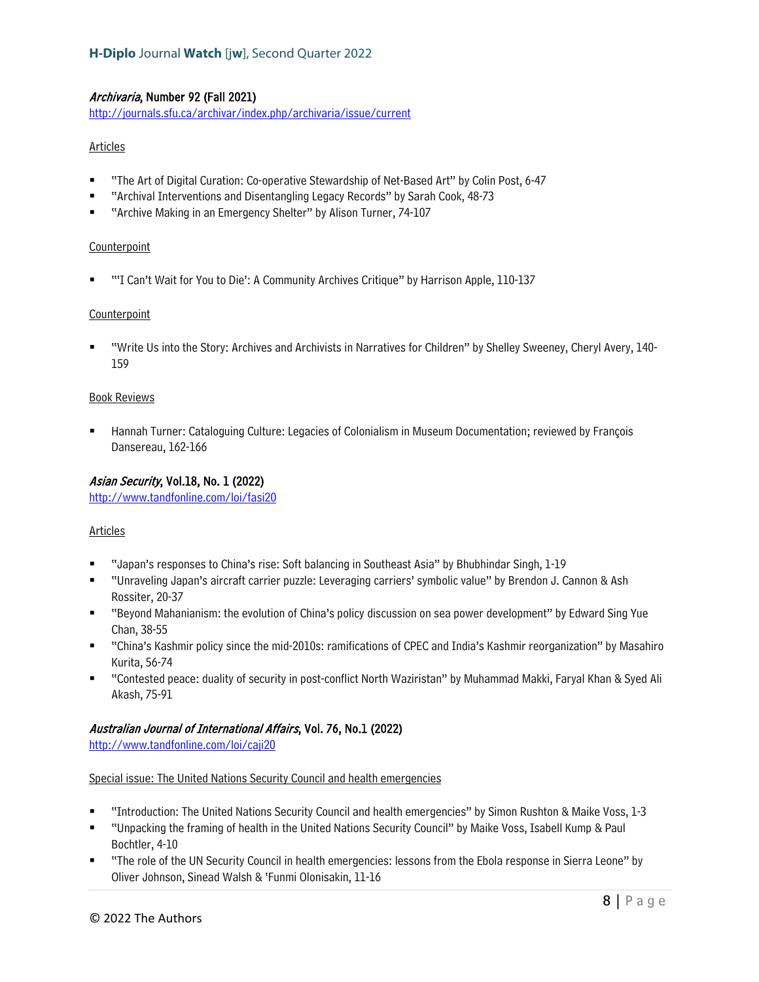# Archivaria, Number 92 (Fall 2021)

<http://journals.sfu.ca/archivar/index.php/archivaria/issue/current>

# Articles

- "The Art of Digital Curation: Co-operative Stewardship of Net-Based Art" by Colin Post, 6-47
- "Archival Interventions and Disentangling Legacy Records" by Sarah Cook, 48-73
- "Archive Making in an Emergency Shelter" by Alison Turner, 74-107

#### **Counterpoint**

"'I Can't Wait for You to Die': A Community Archives Critique" by Harrison Apple, 110-137

# Counterpoint

 "Write Us into the Story: Archives and Archivists in Narratives for Children" by Shelley Sweeney, Cheryl Avery, 140- 159

# Book Reviews

 Hannah Turner: Cataloguing Culture: Legacies of Colonialism in Museum Documentation; reviewed by François Dansereau, 162-166

# Asian Security, Vol.18, No. 1 (2022)

<http://www.tandfonline.com/loi/fasi20>

# Articles

- "Japan's responses to China's rise: Soft balancing in Southeast Asia" by Bhubhindar Singh, 1-19
- "Unraveling Japan's aircraft carrier puzzle: Leveraging carriers' symbolic value" by Brendon J. Cannon & Ash Rossiter, 20-37
- "Beyond Mahanianism: the evolution of China's policy discussion on sea power development" by Edward Sing Yue Chan, 38-55
- "China's Kashmir policy since the mid-2010s: ramifications of CPEC and India's Kashmir reorganization" by Masahiro Kurita, 56-74
- "Contested peace: duality of security in post-conflict North Waziristan" by Muhammad Makki, Faryal Khan & Syed Ali Akash, 75-91

# Australian Journal of International Affairs, Vol. 76, No.1 (2022)

<http://www.tandfonline.com/loi/caji20>

#### Special issue: The United Nations Security Council and health emergencies

- "Introduction: The United Nations Security Council and health emergencies" by Simon Rushton & Maike Voss, 1-3
- "Unpacking the framing of health in the United Nations Security Council" by Maike Voss, Isabell Kump & Paul Bochtler, 4-10
- "The role of the UN Security Council in health emergencies: lessons from the Ebola response in Sierra Leone" by Oliver Johnson, Sinead Walsh & 'Funmi Olonisakin, 11-16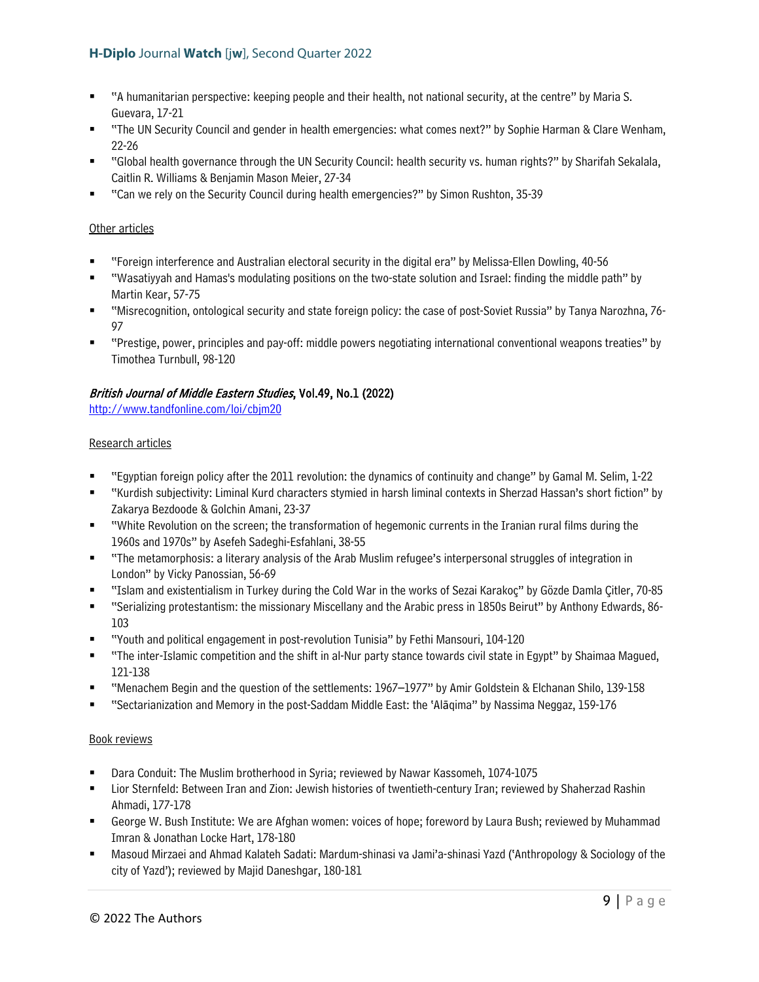- "A humanitarian perspective: keeping people and their health, not national security, at the centre" by Maria S. Guevara, 17-21
- "The UN Security Council and gender in health emergencies: what comes next?" by Sophie Harman & Clare Wenham, 22-26
- "Global health governance through the UN Security Council: health security vs. human rights?" by Sharifah Sekalala, Caitlin R. Williams & Benjamin Mason Meier, 27-34
- "Can we rely on the Security Council during health emergencies?" by Simon Rushton, 35-39

# Other articles

- "Foreign interference and Australian electoral security in the digital era" by Melissa-Ellen Dowling, 40-56
- "Wasatiyyah and Hamas's modulating positions on the two-state solution and Israel: finding the middle path" by Martin Kear, 57-75
- "Misrecognition, ontological security and state foreign policy: the case of post-Soviet Russia" by Tanya Narozhna, 76- 97
- "Prestige, power, principles and pay-off: middle powers negotiating international conventional weapons treaties" by Timothea Turnbull, 98-120

# British Journal of Middle Eastern Studies, Vol.49, No.1 (2022)

<http://www.tandfonline.com/loi/cbjm20>

# Research articles

- "Egyptian foreign policy after the 2011 revolution: the dynamics of continuity and change" by Gamal M. Selim, 1-22
- "Kurdish subjectivity: Liminal Kurd characters stymied in harsh liminal contexts in Sherzad Hassan's short fiction" by Zakarya Bezdoode & Golchin Amani, 23-37
- "White Revolution on the screen; the transformation of hegemonic currents in the Iranian rural films during the 1960s and 1970s" by Asefeh Sadeghi-Esfahlani, 38-55
- "The metamorphosis: a literary analysis of the Arab Muslim refugee's interpersonal struggles of integration in London" by Vicky Panossian, 56-69
- "Islam and existentialism in Turkey during the Cold War in the works of Sezai Karakoç" by Gözde Damla Çitler, 70-85
- "Serializing protestantism: the missionary Miscellany and the Arabic press in 1850s Beirut" by Anthony Edwards, 86- 103
- "Youth and political engagement in post-revolution Tunisia" by Fethi Mansouri, 104-120
- "The inter-Islamic competition and the shift in al-Nur party stance towards civil state in Egypt" by Shaimaa Magued, 121-138
- "Menachem Begin and the question of the settlements: 1967–1977" by Amir Goldstein & Elchanan Shilo, 139-158
- "Sectarianization and Memory in the post-Saddam Middle East: the 'Alāqima" by Nassima Neggaz, 159-176

- Dara Conduit: The Muslim brotherhood in Syria; reviewed by Nawar Kassomeh, 1074-1075
- Lior Sternfeld: Between Iran and Zion: Jewish histories of twentieth-century Iran; reviewed by Shaherzad Rashin Ahmadi, 177-178
- George W. Bush Institute: We are Afghan women: voices of hope; foreword by Laura Bush; reviewed by Muhammad Imran & Jonathan Locke Hart, 178-180
- Masoud Mirzaei and Ahmad Kalateh Sadati: Mardum-shinasi va Jami'a-shinasi Yazd ('Anthropology & Sociology of the city of Yazd'); reviewed by Majid Daneshgar, 180-181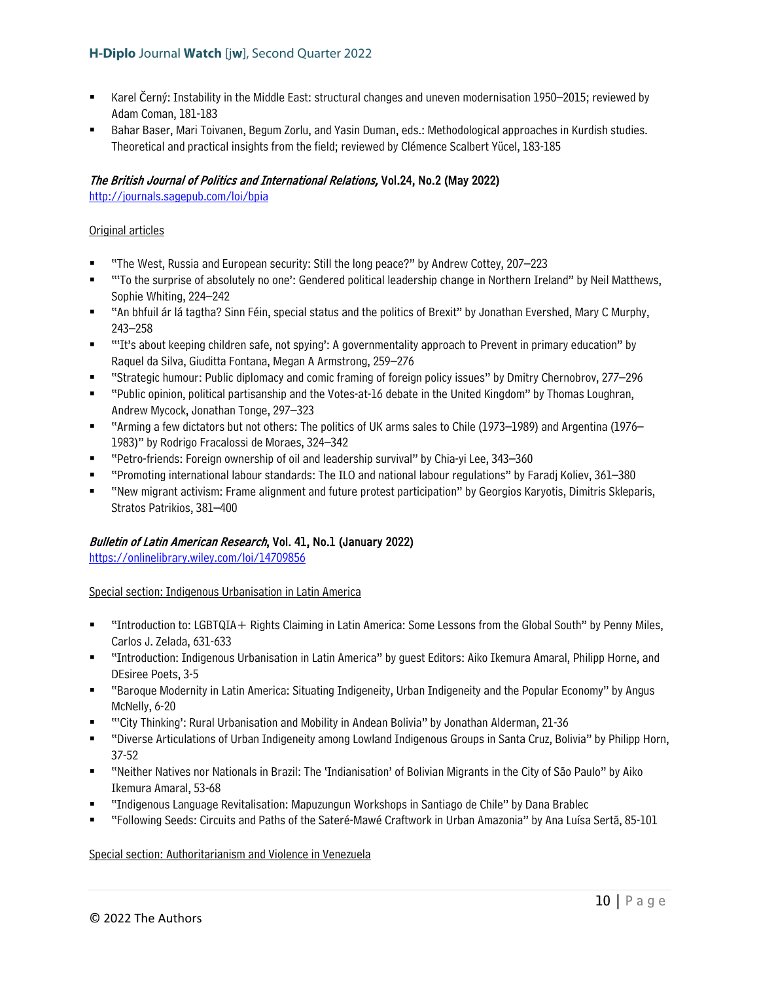- Karel Černý: Instability in the Middle East: structural changes and uneven modernisation 1950–2015; reviewed by Adam Coman, 181-183
- Bahar Baser, Mari Toivanen, Begum Zorlu, and Yasin Duman, eds.: Methodological approaches in Kurdish studies. Theoretical and practical insights from the field; reviewed by Clémence Scalbert Yücel, 183-185

# The British Journal of Politics and International Relations, Vol.24, No.2 (May 2022)

<http://journals.sagepub.com/loi/bpia>

# Original articles

- "The West, Russia and European security: Still the long peace?" by Andrew Cottey, 207–223
- " "To the surprise of absolutely no one": Gendered political leadership change in Northern Ireland" by Neil Matthews, Sophie Whiting, 224–242
- "An bhfuil ár lá tagtha? Sinn Féin, special status and the politics of Brexit" by Jonathan Evershed, Mary C Murphy, 243–258
- "'It's about keeping children safe, not spying': A governmentality approach to Prevent in primary education" by Raquel da Silva, Giuditta Fontana, Megan A Armstrong, 259–276
- "Strategic humour: Public diplomacy and comic framing of foreign policy issues" by Dmitry Chernobrov, 277–296
- "Public opinion, political partisanship and the Votes-at-16 debate in the United Kingdom" by Thomas Loughran, Andrew Mycock, Jonathan Tonge, 297–323
- "Arming a few dictators but not others: The politics of UK arms sales to Chile (1973–1989) and Argentina (1976– 1983)" by Rodrigo Fracalossi de Moraes, 324–342
- "Petro-friends: Foreign ownership of oil and leadership survival" by Chia-yi Lee, 343–360
- "Promoting international labour standards: The ILO and national labour regulations" by Faradj Koliev, 361–380
- "New migrant activism: Frame alignment and future protest participation" by Georgios Karyotis, Dimitris Skleparis, Stratos Patrikios, 381–400

# Bulletin of Latin American Research, Vol. 41, No.1 (January 2022)

<https://onlinelibrary.wiley.com/loi/14709856>

Special section: Indigenous Urbanisation in Latin America

- "Introduction to: LGBTQIA+ Rights Claiming in Latin America: Some Lessons from the Global South" by Penny Miles, Carlos J. Zelada, 631-633
- "Introduction: Indigenous Urbanisation in Latin America" by guest Editors: Aiko Ikemura Amaral, Philipp Horne, and DEsiree Poets, 3-5
- "Baroque Modernity in Latin America: Situating Indigeneity, Urban Indigeneity and the Popular Economy" by Angus McNelly, 6-20
- "'City Thinking': Rural Urbanisation and Mobility in Andean Bolivia" by Jonathan Alderman, 21-36
- "Diverse Articulations of Urban Indigeneity among Lowland Indigenous Groups in Santa Cruz, Bolivia" by Philipp Horn, 37-52
- "Neither Natives nor Nationals in Brazil: The 'Indianisation' of Bolivian Migrants in the City of São Paulo" by Aiko Ikemura Amaral, 53-68
- "Indigenous Language Revitalisation: Mapuzungun Workshops in Santiago de Chile" by Dana Brablec
- "Following Seeds: Circuits and Paths of the Sateré-Mawé Craftwork in Urban Amazonia" by Ana Luísa Sertã, 85-101

Special section: Authoritarianism and Violence in Venezuela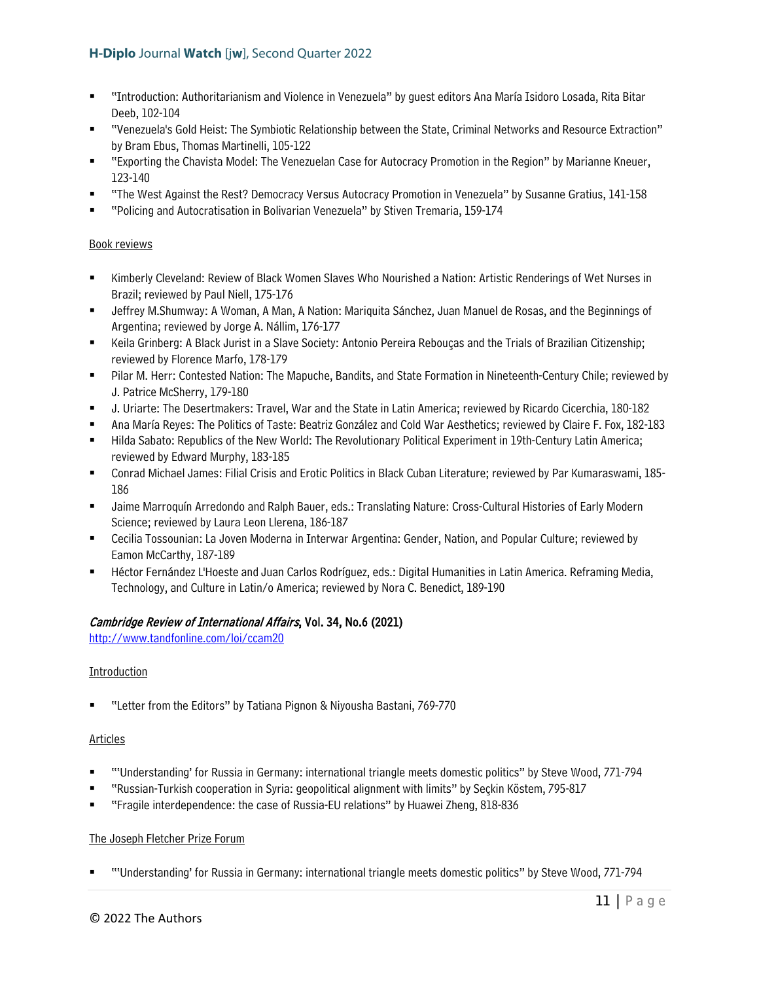- "Introduction: Authoritarianism and Violence in Venezuela" by guest editors Ana María Isidoro Losada, Rita Bitar Deeb, 102-104
- "Venezuela's Gold Heist: The Symbiotic Relationship between the State, Criminal Networks and Resource Extraction" by Bram Ebus, Thomas Martinelli, 105-122
- "Exporting the Chavista Model: The Venezuelan Case for Autocracy Promotion in the Region" by Marianne Kneuer, 123-140
- "The West Against the Rest? Democracy Versus Autocracy Promotion in Venezuela" by Susanne Gratius, 141-158
- "Policing and Autocratisation in Bolivarian Venezuela" by Stiven Tremaria, 159-174

# Book reviews

- Kimberly Cleveland: Review of Black Women Slaves Who Nourished a Nation: Artistic Renderings of Wet Nurses in Brazil; reviewed by Paul Niell, 175-176
- Jeffrey M.Shumway: A Woman, A Man, A Nation: Mariquita Sánchez, Juan Manuel de Rosas, and the Beginnings of Argentina; reviewed by Jorge A. Nállim, 176-177
- Keila Grinberg: A Black Jurist in a Slave Society: Antonio Pereira Rebouças and the Trials of Brazilian Citizenship; reviewed by Florence Marfo, 178-179
- Pilar M. Herr: Contested Nation: The Mapuche, Bandits, and State Formation in Nineteenth-Century Chile; reviewed by J. Patrice McSherry, 179-180
- J. Uriarte: The Desertmakers: Travel, War and the State in Latin America; reviewed by Ricardo Cicerchia, 180-182
- Ana María Reyes: The Politics of Taste: Beatriz González and Cold War Aesthetics; reviewed by Claire F. Fox, 182-183
- Hilda Sabato: Republics of the New World: The Revolutionary Political Experiment in 19th-Century Latin America; reviewed by Edward Murphy, 183-185
- Conrad Michael James: Filial Crisis and Erotic Politics in Black Cuban Literature; reviewed by Par Kumaraswami, 185- 186
- Jaime Marroquín Arredondo and Ralph Bauer, eds.: Translating Nature: Cross-Cultural Histories of Early Modern Science; reviewed by Laura Leon Llerena, 186-187
- Cecilia Tossounian: La Joven Moderna in Interwar Argentina: Gender, Nation, and Popular Culture; reviewed by Eamon McCarthy, 187-189
- Héctor Fernández L'Hoeste and Juan Carlos Rodríguez, eds.: Digital Humanities in Latin America. Reframing Media, Technology, and Culture in Latin/o America; reviewed by Nora C. Benedict, 189-190

# Cambridge Review of International Affairs, Vol. 34, No.6 (2021)

<http://www.tandfonline.com/loi/ccam20>

#### Introduction

"Letter from the Editors" by Tatiana Pignon & Niyousha Bastani, 769-770

#### Articles

- "'Understanding' for Russia in Germany: international triangle meets domestic politics" by Steve Wood, 771-794
- "Russian-Turkish cooperation in Syria: geopolitical alignment with limits" by Seçkin Köstem, 795-817
- "Fragile interdependence: the case of Russia-EU relations" by Huawei Zheng, 818-836

#### The Joseph Fletcher Prize Forum

"'Understanding' for Russia in Germany: international triangle meets domestic politics" by Steve Wood, 771-794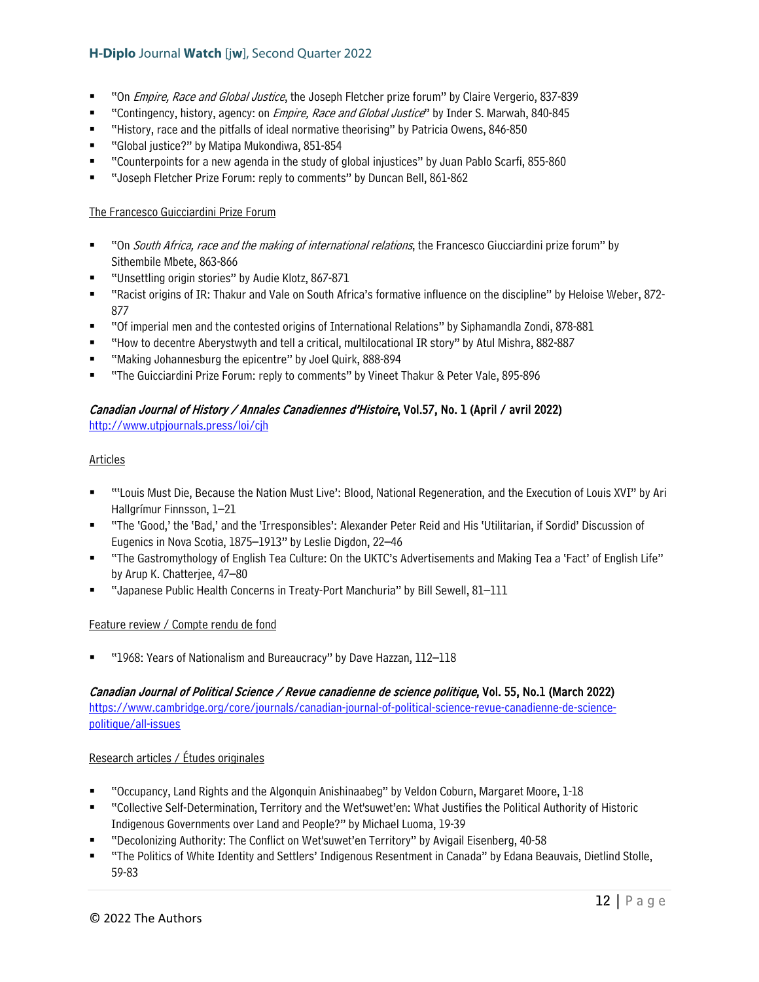- "On Empire, Race and Global Justice, the Joseph Fletcher prize forum" by Claire Vergerio, 837-839
- "Contingency, history, agency: on *Empire, Race and Global Justice*" by Inder S. Marwah, 840-845
- "History, race and the pitfalls of ideal normative theorising" by Patricia Owens, 846-850
- "Global justice?" by Matipa Mukondiwa, 851-854
- "Counterpoints for a new agenda in the study of global injustices" by Juan Pablo Scarfi, 855-860
- "Joseph Fletcher Prize Forum: reply to comments" by Duncan Bell, 861-862

#### The Francesco Guicciardini Prize Forum

- "On South Africa, race and the making of international relations, the Francesco Giucciardini prize forum" by Sithembile Mbete, 863-866
- "Unsettling origin stories" by Audie Klotz, 867-871
- "Racist origins of IR: Thakur and Vale on South Africa's formative influence on the discipline" by Heloise Weber, 872- 877
- "Of imperial men and the contested origins of International Relations" by Siphamandla Zondi, 878-881
- "How to decentre Aberystwyth and tell a critical, multilocational IR story" by Atul Mishra, 882-887
- "Making Johannesburg the epicentre" by Joel Quirk, 888-894
- "The Guicciardini Prize Forum: reply to comments" by Vineet Thakur & Peter Vale, 895-896

# Canadian Journal of History / Annales Canadiennes d'Histoire, Vol.57, No. 1 (April / avril 2022)

<http://www.utpjournals.press/loi/cjh>

# Articles

- "'Louis Must Die, Because the Nation Must Live': Blood, National Regeneration, and the Execution of Louis XVI" by Ari Hallgrímur Finnsson, 1–21
- "The 'Good,' the 'Bad,' and the 'Irresponsibles': Alexander Peter Reid and His 'Utilitarian, if Sordid' Discussion of Eugenics in Nova Scotia, 1875–1913" by Leslie Digdon, 22–46
- "The Gastromythology of English Tea Culture: On the UKTC's Advertisements and Making Tea a 'Fact' of English Life" by Arup K. Chatterjee, 47–80
- "Japanese Public Health Concerns in Treaty-Port Manchuria" by Bill Sewell, 81–111

#### Feature review / Compte rendu de fond

"1968: Years of Nationalism and Bureaucracy" by Dave Hazzan, 112–118

#### Canadian Journal of Political Science / Revue canadienne de science politique, Vol. 55, No.1 (March 2022)

[https://www.cambridge.org/core/journals/canadian-journal-of-political-science-revue-canadienne-de-science](https://www.cambridge.org/core/journals/canadian-journal-of-political-science-revue-canadienne-de-science-politique/all-issues)[politique/all-issues](https://www.cambridge.org/core/journals/canadian-journal-of-political-science-revue-canadienne-de-science-politique/all-issues) 

#### Research articles / Études originales

- "Occupancy, Land Rights and the Algonquin Anishinaabeg" by Veldon Coburn, Margaret Moore, 1-18
- "Collective Self-Determination, Territory and the Wet'suwet'en: What Justifies the Political Authority of Historic Indigenous Governments over Land and People?" by Michael Luoma, 19-39
- "Decolonizing Authority: The Conflict on Wet'suwet'en Territory" by Avigail Eisenberg, 40-58
- "The Politics of White Identity and Settlers' Indigenous Resentment in Canada" by Edana Beauvais, Dietlind Stolle, 59-83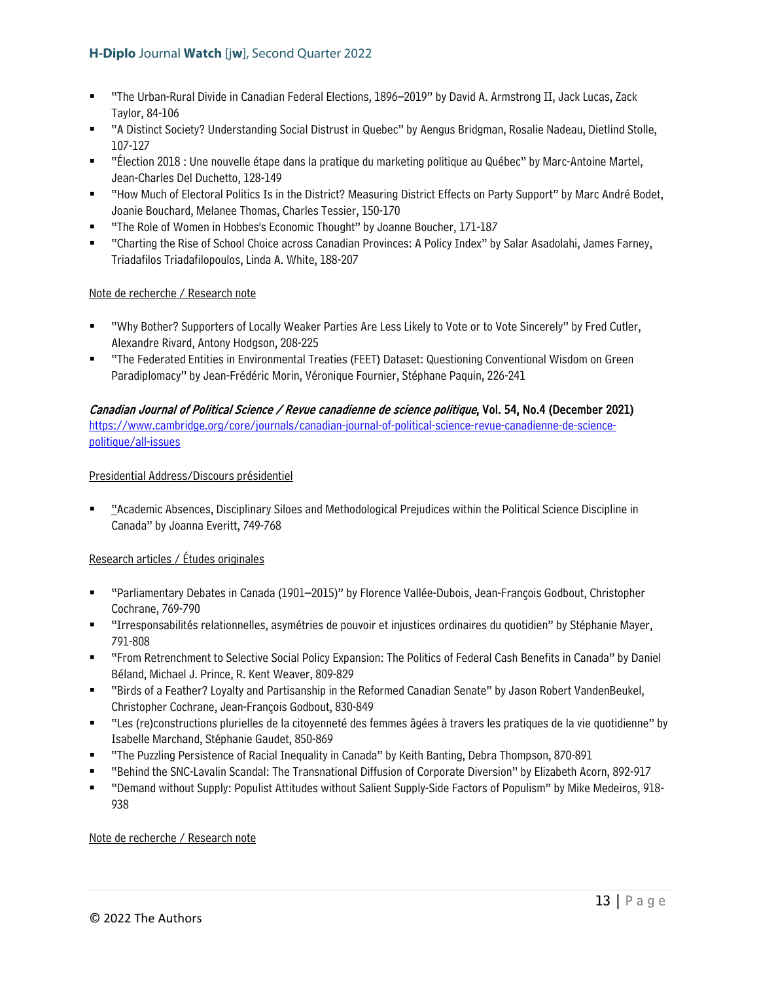- "The Urban-Rural Divide in Canadian Federal Elections, 1896–2019" by David A. Armstrong II, Jack Lucas, Zack Taylor, 84-106
- "A Distinct Society? Understanding Social Distrust in Quebec" by Aengus Bridgman, Rosalie Nadeau, Dietlind Stolle, 107-127
- "Élection 2018 : Une nouvelle étape dans la pratique du marketing politique au Québec" by Marc-Antoine Martel, Jean-Charles Del Duchetto, 128-149
- "How Much of Electoral Politics Is in the District? Measuring District Effects on Party Support" by Marc André Bodet, Joanie Bouchard, Melanee Thomas, Charles Tessier, 150-170
- "The Role of Women in Hobbes's Economic Thought" by Joanne Boucher, 171-187
- "Charting the Rise of School Choice across Canadian Provinces: A Policy Index" by Salar Asadolahi, James Farney, Triadafilos Triadafilopoulos, Linda A. White, 188-207

# Note de recherche / Research note

- "Why Bother? Supporters of Locally Weaker Parties Are Less Likely to Vote or to Vote Sincerely" by Fred Cutler, Alexandre Rivard, Antony Hodgson, 208-225
- "The Federated Entities in Environmental Treaties (FEET) Dataset: Questioning Conventional Wisdom on Green Paradiplomacy" by Jean-Frédéric Morin, Véronique Fournier, Stéphane Paquin, 226-241

# Canadian Journal of Political Science / Revue canadienne de science politique, Vol. 54, No.4 (December 2021)

[https://www.cambridge.org/core/journals/canadian-journal-of-political-science-revue-canadienne-de-science](https://www.cambridge.org/core/journals/canadian-journal-of-political-science-revue-canadienne-de-science-politique/all-issues)[politique/all-issues](https://www.cambridge.org/core/journals/canadian-journal-of-political-science-revue-canadienne-de-science-politique/all-issues) 

# Presidential Address/Discours présidentiel

 "Academic Absences, Disciplinary Siloes and Methodological Prejudices within the Political Science Discipline in Canada" by Joanna Everitt, 749-768

# Research articles / Études originales

- "Parliamentary Debates in Canada (1901–2015)" by Florence Vallée-Dubois, Jean-François Godbout, Christopher Cochrane, 769-790
- "Irresponsabilités relationnelles, asymétries de pouvoir et injustices ordinaires du quotidien" by Stéphanie Mayer, 791-808
- "From Retrenchment to Selective Social Policy Expansion: The Politics of Federal Cash Benefits in Canada" by Daniel Béland, Michael J. Prince, R. Kent Weaver, 809-829
- "Birds of a Feather? Loyalty and Partisanship in the Reformed Canadian Senate" by Jason Robert VandenBeukel, Christopher Cochrane, Jean-François Godbout, 830-849
- "Les (re)constructions plurielles de la citoyenneté des femmes âgées à travers les pratiques de la vie quotidienne" by Isabelle Marchand, Stéphanie Gaudet, 850-869
- "The Puzzling Persistence of Racial Inequality in Canada" by Keith Banting, Debra Thompson, 870-891
- "Behind the SNC-Lavalin Scandal: The Transnational Diffusion of Corporate Diversion" by Elizabeth Acorn, 892-917
- "Demand without Supply: Populist Attitudes without Salient Supply-Side Factors of Populism" by Mike Medeiros, 918- 938

#### Note de recherche / Research note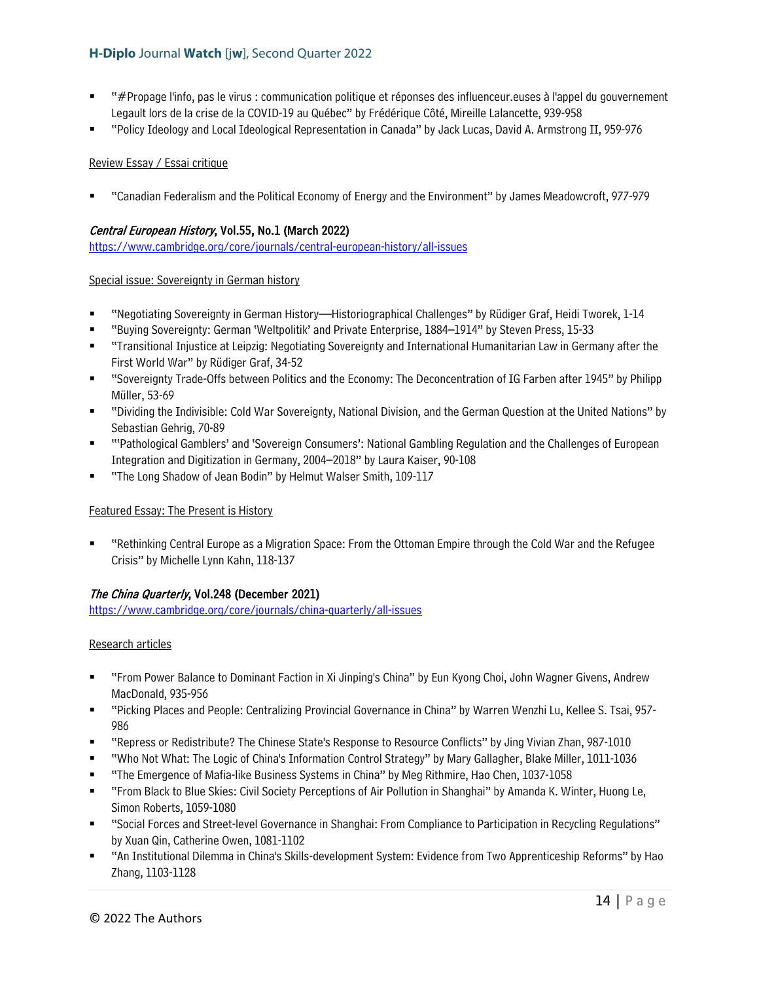- "#Propage l'info, pas le virus : communication politique et réponses des influenceur.euses à l'appel du gouvernement Legault lors de la crise de la COVID-19 au Québec" by Frédérique Côté, Mireille Lalancette, 939-958
- "Policy Ideology and Local Ideological Representation in Canada" by Jack Lucas, David A. Armstrong II, 959-976

# Review Essay / Essai critique

"Canadian Federalism and the Political Economy of Energy and the Environment" by James Meadowcroft, 977-979

# Central European History, Vol.55, No.1 (March 2022)

<https://www.cambridge.org/core/journals/central-european-history/all-issues>

#### Special issue: Sovereignty in German history

- "Negotiating Sovereignty in German History—Historiographical Challenges" by Rüdiger Graf, Heidi Tworek, 1-14
- "Buying Sovereignty: German 'Weltpolitik' and Private Enterprise, 1884–1914" by Steven Press, 15-33
- "Transitional Injustice at Leipzig: Negotiating Sovereignty and International Humanitarian Law in Germany after the First World War" by Rüdiger Graf, 34-52
- "Sovereignty Trade-Offs between Politics and the Economy: The Deconcentration of IG Farben after 1945" by Philipp Müller, 53-69
- "Dividing the Indivisible: Cold War Sovereignty, National Division, and the German Question at the United Nations" by Sebastian Gehrig, 70-89
- "'Pathological Gamblers' and 'Sovereign Consumers': National Gambling Regulation and the Challenges of European Integration and Digitization in Germany, 2004–2018" by Laura Kaiser, 90-108
- "The Long Shadow of Jean Bodin" by Helmut Walser Smith, 109-117

#### Featured Essay: The Present is History

 "Rethinking Central Europe as a Migration Space: From the Ottoman Empire through the Cold War and the Refugee Crisis" by Michelle Lynn Kahn, 118-137

# The China Quarterly, Vol.248 (December 2021)

<https://www.cambridge.org/core/journals/china-quarterly/all-issues>

#### Research articles

- "From Power Balance to Dominant Faction in Xi Jinping's China" by Eun Kyong Choi, John Wagner Givens, Andrew MacDonald, 935-956
- "Picking Places and People: Centralizing Provincial Governance in China" by Warren Wenzhi Lu, Kellee S. Tsai, 957- 986
- "Repress or Redistribute? The Chinese State's Response to Resource Conflicts" by Jing Vivian Zhan, 987-1010
- "Who Not What: The Logic of China's Information Control Strategy" by Mary Gallagher, Blake Miller, 1011-1036
- "The Emergence of Mafia-like Business Systems in China" by Meg Rithmire, Hao Chen, 1037-1058
- "From Black to Blue Skies: Civil Society Perceptions of Air Pollution in Shanghai" by Amanda K. Winter, Huong Le, Simon Roberts, 1059-1080
- "Social Forces and Street-level Governance in Shanghai: From Compliance to Participation in Recycling Regulations" by Xuan Qin, Catherine Owen, 1081-1102
- "An Institutional Dilemma in China's Skills-development System: Evidence from Two Apprenticeship Reforms" by Hao Zhang, 1103-1128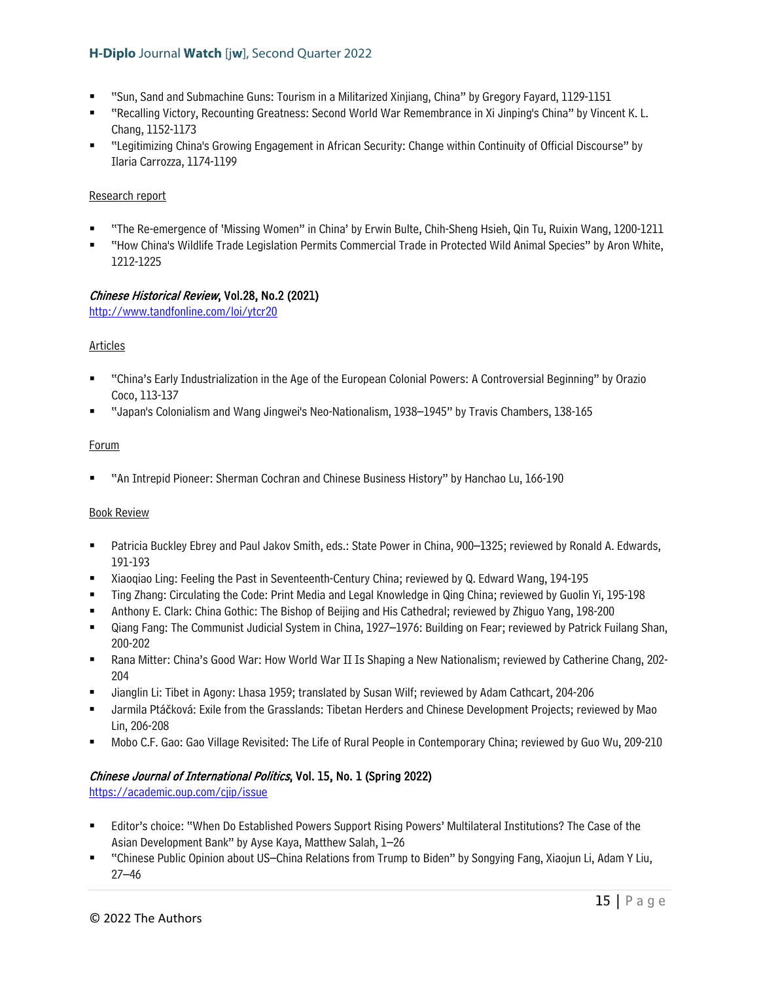- "Sun, Sand and Submachine Guns: Tourism in a Militarized Xinjiang, China" by Gregory Fayard, 1129-1151
- "Recalling Victory, Recounting Greatness: Second World War Remembrance in Xi Jinping's China" by Vincent K. L. Chang, 1152-1173
- "Legitimizing China's Growing Engagement in African Security: Change within Continuity of Official Discourse" by Ilaria Carrozza, 1174-1199

#### Research report

- "The Re-emergence of 'Missing Women" in China' by Erwin Bulte, Chih-Sheng Hsieh, Qin Tu, Ruixin Wang, 1200-1211
- "How China's Wildlife Trade Legislation Permits Commercial Trade in Protected Wild Animal Species" by Aron White, 1212-1225

# Chinese Historical Review, Vol.28, No.2 (2021)

<http://www.tandfonline.com/loi/ytcr20>

# Articles

- "China's Early Industrialization in the Age of the European Colonial Powers: A Controversial Beginning" by Orazio Coco, 113-137
- "Japan's Colonialism and Wang Jingwei's Neo-Nationalism, 1938–1945" by Travis Chambers, 138-165

# **Forum**

"An Intrepid Pioneer: Sherman Cochran and Chinese Business History" by Hanchao Lu, 166-190

#### Book Review

- Patricia Buckley Ebrey and Paul Jakov Smith, eds.: State Power in China, 900–1325; reviewed by Ronald A. Edwards, 191-193
- Xiaoqiao Ling: Feeling the Past in Seventeenth-Century China; reviewed by Q. Edward Wang, 194-195
- Ting Zhang: Circulating the Code: Print Media and Legal Knowledge in Qing China; reviewed by Guolin Yi, 195-198
- Anthony E. Clark: China Gothic: The Bishop of Beijing and His Cathedral; reviewed by Zhiguo Yang, 198-200
- Qiang Fang: The Communist Judicial System in China, 1927–1976: Building on Fear; reviewed by Patrick Fuilang Shan, 200-202
- Rana Mitter: China's Good War: How World War II Is Shaping a New Nationalism; reviewed by Catherine Chang, 202- 204
- Jianglin Li: Tibet in Agony: Lhasa 1959; translated by Susan Wilf; reviewed by Adam Cathcart, 204-206
- Jarmila Ptáčková: Exile from the Grasslands: Tibetan Herders and Chinese Development Projects; reviewed by Mao Lin, 206-208
- Mobo C.F. Gao: Gao Village Revisited: The Life of Rural People in Contemporary China; reviewed by Guo Wu, 209-210

# Chinese Journal of International Politics, Vol. 15, No. 1 (Spring 2022)

<https://academic.oup.com/cjip/issue>

- Editor's choice: "When Do Established Powers Support Rising Powers' Multilateral Institutions? The Case of the Asian Development Bank" by Ayse Kaya, Matthew Salah, 1–26
- "Chinese Public Opinion about US–China Relations from Trump to Biden" by Songying Fang, Xiaojun Li, Adam Y Liu, 27–46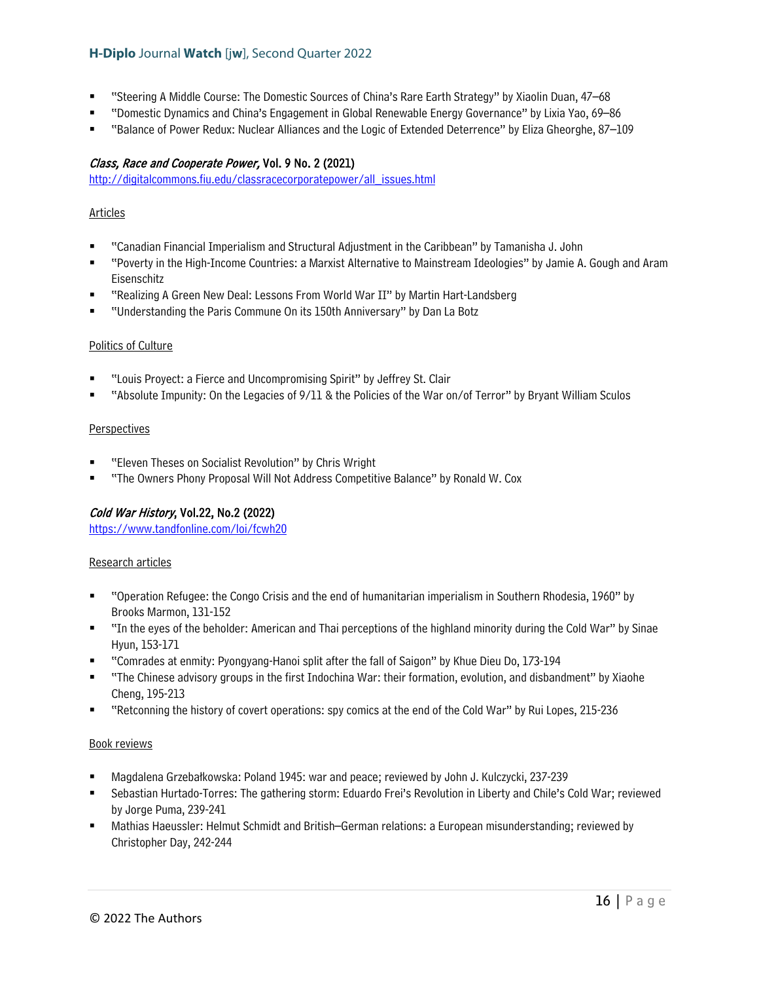- "Steering A Middle Course: The Domestic Sources of China's Rare Earth Strategy" by Xiaolin Duan, 47–68
- "Domestic Dynamics and China's Engagement in Global Renewable Energy Governance" by Lixia Yao, 69–86
- "Balance of Power Redux: Nuclear Alliances and the Logic of Extended Deterrence" by Eliza Gheorghe, 87–109

#### Class, Race and Cooperate Power, Vol. 9 No. 2 (2021)

[http://digitalcommons.fiu.edu/classracecorporatepower/all\\_issues.html](http://digitalcommons.fiu.edu/classracecorporatepower/all_issues.html) 

#### Articles

- "Canadian Financial Imperialism and Structural Adjustment in the Caribbean" by Tamanisha J. John
- "Poverty in the High-Income Countries: a Marxist Alternative to Mainstream Ideologies" by Jamie A. Gough and Aram Eisenschitz
- "Realizing A Green New Deal: Lessons From World War II" by Martin Hart-Landsberg
- "Understanding the Paris Commune On its 150th Anniversary" by Dan La Botz

#### Politics of Culture

- "Louis Proyect: a Fierce and Uncompromising Spirit" by Jeffrey St. Clair
- "Absolute Impunity: On the Legacies of 9/11 & the Policies of the War on/of Terror" by Bryant William Sculos

#### **Perspectives**

- "Eleven Theses on Socialist Revolution" by Chris Wright
- "The Owners Phony Proposal Will Not Address Competitive Balance" by Ronald W. Cox

# Cold War History, Vol.22, No.2 (2022)

<https://www.tandfonline.com/loi/fcwh20>

#### Research articles

- "Operation Refugee: the Congo Crisis and the end of humanitarian imperialism in Southern Rhodesia, 1960" by Brooks Marmon, 131-152
- "In the eyes of the beholder: American and Thai perceptions of the highland minority during the Cold War" by Sinae Hyun, 153-171
- "Comrades at enmity: Pyongyang-Hanoi split after the fall of Saigon" by Khue Dieu Do, 173-194
- "The Chinese advisory groups in the first Indochina War: their formation, evolution, and disbandment" by Xiaohe Cheng, 195-213
- "Retconning the history of covert operations: spy comics at the end of the Cold War" by Rui Lopes, 215-236

- Magdalena Grzebałkowska: Poland 1945: war and peace; reviewed by John J. Kulczycki, 237-239
- Sebastian Hurtado-Torres: The gathering storm: Eduardo Frei's Revolution in Liberty and Chile's Cold War; reviewed by Jorge Puma, 239-241
- Mathias Haeussler: Helmut Schmidt and British–German relations: a European misunderstanding; reviewed by Christopher Day, 242-244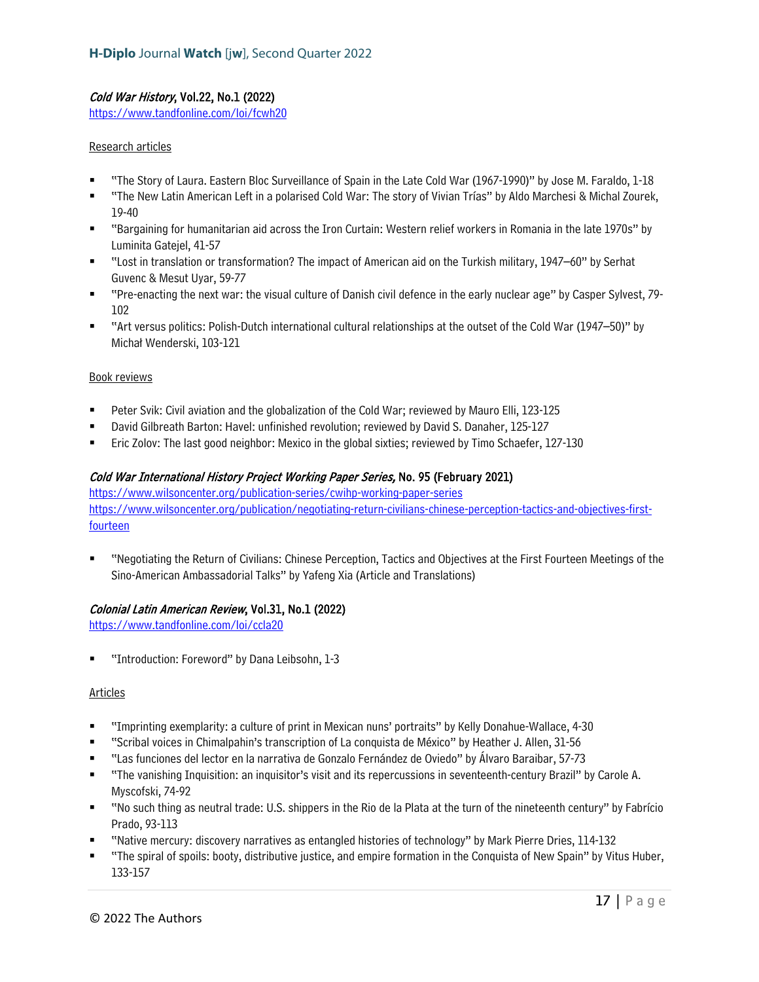# Cold War History, Vol.22, No.1 (2022)

<https://www.tandfonline.com/loi/fcwh20>

#### Research articles

- "The Story of Laura. Eastern Bloc Surveillance of Spain in the Late Cold War (1967-1990)" by Jose M. Faraldo, 1-18
- "The New Latin American Left in a polarised Cold War: The story of Vivian Trías" by Aldo Marchesi & Michal Zourek, 19-40
- "Bargaining for humanitarian aid across the Iron Curtain: Western relief workers in Romania in the late 1970s" by Luminita Gatejel, 41-57
- "Lost in translation or transformation? The impact of American aid on the Turkish military, 1947–60" by Serhat Guvenc & Mesut Uyar, 59-77
- "Pre-enacting the next war: the visual culture of Danish civil defence in the early nuclear age" by Casper Sylvest, 79- 102
- "Art versus politics: Polish-Dutch international cultural relationships at the outset of the Cold War (1947–50)" by Michał Wenderski, 103-121

#### Book reviews

- Peter Svik: Civil aviation and the globalization of the Cold War; reviewed by Mauro Elli, 123-125
- David Gilbreath Barton: Havel: unfinished revolution; reviewed by David S. Danaher, 125-127
- Eric Zolov: The last good neighbor: Mexico in the global sixties; reviewed by Timo Schaefer, 127-130

# Cold War International History Project Working Paper Series, No. 95 (February 2021)

<https://www.wilsoncenter.org/publication-series/cwihp-working-paper-series> [https://www.wilsoncenter.org/publication/negotiating-return-civilians-chinese-perception-tactics-and-objectives-first](https://www.wilsoncenter.org/publication/negotiating-return-civilians-chinese-perception-tactics-and-objectives-first-fourteen)[fourteen](https://www.wilsoncenter.org/publication/negotiating-return-civilians-chinese-perception-tactics-and-objectives-first-fourteen) 

 "Negotiating the Return of Civilians: Chinese Perception, Tactics and Objectives at the First Fourteen Meetings of the Sino-American Ambassadorial Talks" by Yafeng Xia (Article and Translations)

# Colonial Latin American Review, Vol.31, No.1 (2022)

<https://www.tandfonline.com/loi/ccla20>

"Introduction: Foreword" by Dana Leibsohn, 1-3

#### Articles

- "Imprinting exemplarity: a culture of print in Mexican nuns' portraits" by Kelly Donahue-Wallace, 4-30
- "Scribal voices in Chimalpahin's transcription of La conquista de México" by Heather J. Allen, 31-56
- "Las funciones del lector en la narrativa de Gonzalo Fernández de Oviedo" by Álvaro Baraibar, 57-73
- "The vanishing Inquisition: an inquisitor's visit and its repercussions in seventeenth-century Brazil" by Carole A. Myscofski, 74-92
- "No such thing as neutral trade: U.S. shippers in the Rio de la Plata at the turn of the nineteenth century" by Fabrício Prado, 93-113
- "Native mercury: discovery narratives as entangled histories of technology" by Mark Pierre Dries, 114-132
- "The spiral of spoils: booty, distributive justice, and empire formation in the Conquista of New Spain" by Vitus Huber, 133-157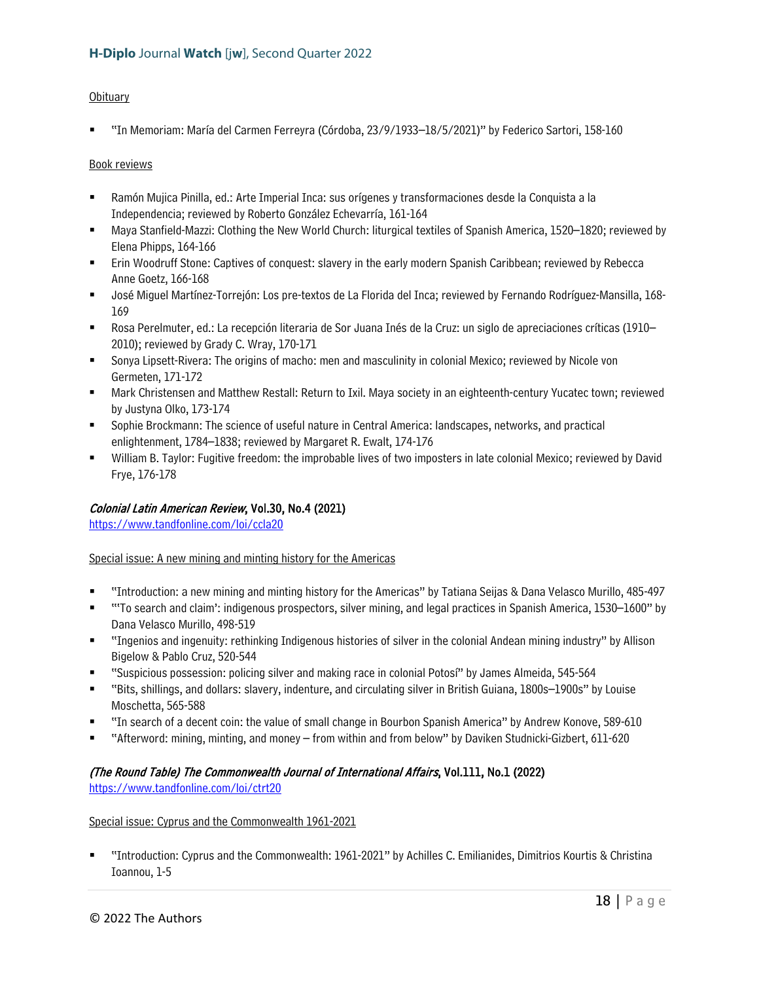# **Obituary**

"In Memoriam: María del Carmen Ferreyra (Córdoba, 23/9/1933–18/5/2021)" by Federico Sartori, 158-160

#### Book reviews

- Ramón Mujica Pinilla, ed.: Arte Imperial Inca: sus orígenes y transformaciones desde la Conquista a la Independencia; reviewed by Roberto González Echevarría, 161-164
- Maya Stanfield-Mazzi: Clothing the New World Church: liturgical textiles of Spanish America, 1520–1820; reviewed by Elena Phipps, 164-166
- Erin Woodruff Stone: Captives of conquest: slavery in the early modern Spanish Caribbean; reviewed by Rebecca Anne Goetz, 166-168
- José Miguel Martínez-Torrejón: Los pre-textos de La Florida del Inca; reviewed by Fernando Rodríguez-Mansilla, 168- 169
- Rosa Perelmuter, ed.: La recepción literaria de Sor Juana Inés de la Cruz: un siglo de apreciaciones críticas (1910– 2010); reviewed by Grady C. Wray, 170-171
- Sonya Lipsett-Rivera: The origins of macho: men and masculinity in colonial Mexico; reviewed by Nicole von Germeten, 171-172
- Mark Christensen and Matthew Restall: Return to Ixil. Maya society in an eighteenth-century Yucatec town; reviewed by Justyna Olko, 173-174
- Sophie Brockmann: The science of useful nature in Central America: landscapes, networks, and practical enlightenment, 1784–1838; reviewed by Margaret R. Ewalt, 174-176
- William B. Taylor: Fugitive freedom: the improbable lives of two imposters in late colonial Mexico; reviewed by David Frye, 176-178

# Colonial Latin American Review, Vol.30, No.4 (2021)

<https://www.tandfonline.com/loi/ccla20>

# Special issue: A new mining and minting history for the Americas

- "Introduction: a new mining and minting history for the Americas" by Tatiana Seijas & Dana Velasco Murillo, 485-497
- "'To search and claim': indigenous prospectors, silver mining, and legal practices in Spanish America, 1530–1600" by Dana Velasco Murillo, 498-519
- "Ingenios and ingenuity: rethinking Indigenous histories of silver in the colonial Andean mining industry" by Allison Bigelow & Pablo Cruz, 520-544
- "Suspicious possession: policing silver and making race in colonial Potosí" by James Almeida, 545-564
- "Bits, shillings, and dollars: slavery, indenture, and circulating silver in British Guiana, 1800s–1900s" by Louise Moschetta, 565-588
- "In search of a decent coin: the value of small change in Bourbon Spanish America" by Andrew Konove, 589-610
- "Afterword: mining, minting, and money from within and from below" by Daviken Studnicki-Gizbert, 611-620

#### (The Round Table) The Commonwealth Journal of International Affairs, Vol.111, No.1 (2022) <https://www.tandfonline.com/loi/ctrt20>

#### Special issue: Cyprus and the Commonwealth 1961-2021

 "Introduction: Cyprus and the Commonwealth: 1961-2021" by Achilles C. Emilianides, Dimitrios Kourtis & Christina Ioannou, 1-5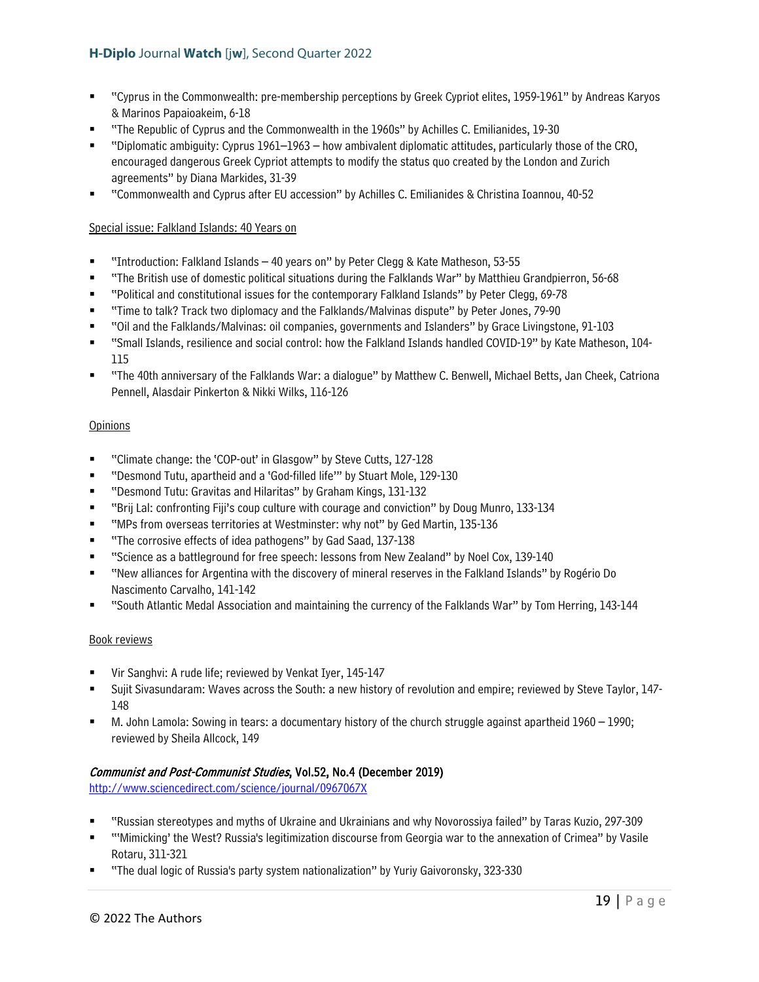- "Cyprus in the Commonwealth: pre-membership perceptions by Greek Cypriot elites, 1959-1961" by Andreas Karyos & Marinos Papaioakeim, 6-18
- "The Republic of Cyprus and the Commonwealth in the 1960s" by Achilles C. Emilianides, 19-30
- "Diplomatic ambiguity: Cyprus 1961–1963 how ambivalent diplomatic attitudes, particularly those of the CRO, encouraged dangerous Greek Cypriot attempts to modify the status quo created by the London and Zurich agreements" by Diana Markides, 31-39
- "Commonwealth and Cyprus after EU accession" by Achilles C. Emilianides & Christina Ioannou, 40-52

# Special issue: Falkland Islands: 40 Years on

- "Introduction: Falkland Islands 40 years on" by Peter Clegg & Kate Matheson, 53-55
- "The British use of domestic political situations during the Falklands War" by Matthieu Grandpierron, 56-68
- "Political and constitutional issues for the contemporary Falkland Islands" by Peter Clegg, 69-78
- "Time to talk? Track two diplomacy and the Falklands/Malvinas dispute" by Peter Jones, 79-90
- "Oil and the Falklands/Malvinas: oil companies, governments and Islanders" by Grace Livingstone, 91-103
- "Small Islands, resilience and social control: how the Falkland Islands handled COVID-19" by Kate Matheson, 104- 115
- "The 40th anniversary of the Falklands War: a dialogue" by Matthew C. Benwell, Michael Betts, Jan Cheek, Catriona Pennell, Alasdair Pinkerton & Nikki Wilks, 116-126

# **Opinions**

- "Climate change: the 'COP-out' in Glasgow" by Steve Cutts, 127-128
- "Desmond Tutu, apartheid and a 'God-filled life'" by Stuart Mole, 129-130
- "Desmond Tutu: Gravitas and Hilaritas" by Graham Kings, 131-132
- "Brij Lal: confronting Fiji's coup culture with courage and conviction" by Doug Munro, 133-134
- "MPs from overseas territories at Westminster: why not" by Ged Martin, 135-136
- "The corrosive effects of idea pathogens" by Gad Saad, 137-138
- "Science as a battleground for free speech: lessons from New Zealand" by Noel Cox, 139-140
- "New alliances for Argentina with the discovery of mineral reserves in the Falkland Islands" by Rogério Do Nascimento Carvalho, 141-142
- "South Atlantic Medal Association and maintaining the currency of the Falklands War" by Tom Herring, 143-144

#### Book reviews

- Vir Sanghvi: A rude life; reviewed by Venkat Iyer, 145-147
- Sujit Sivasundaram: Waves across the South: a new history of revolution and empire; reviewed by Steve Taylor, 147- 148
- M. John Lamola: Sowing in tears: a documentary history of the church struggle against apartheid 1960 1990; reviewed by Sheila Allcock, 149

# Communist and Post-Communist Studies, Vol.52, No.4 (December 2019)

<http://www.sciencedirect.com/science/journal/0967067X>

- "Russian stereotypes and myths of Ukraine and Ukrainians and why Novorossiya failed" by Taras Kuzio, 297-309
- "'Mimicking' the West? Russia's legitimization discourse from Georgia war to the annexation of Crimea" by Vasile Rotaru, 311-321
- "The dual logic of Russia's party system nationalization" by Yuriy Gaivoronsky, 323-330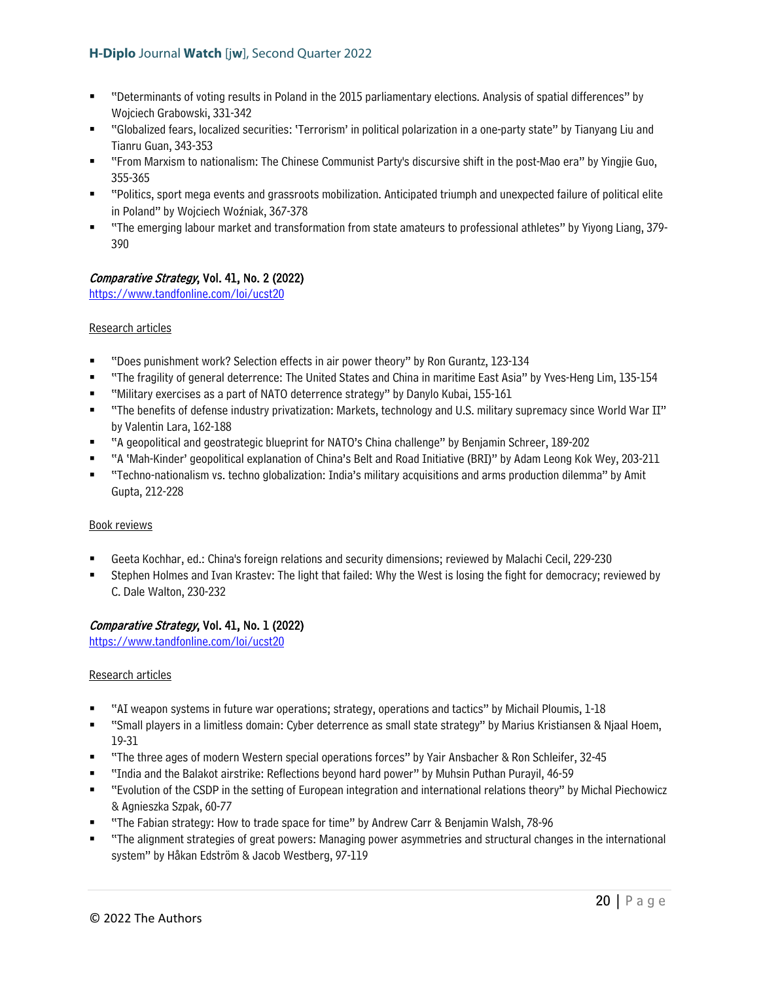- "Determinants of voting results in Poland in the 2015 parliamentary elections. Analysis of spatial differences" by Wojciech Grabowski, 331-342
- "Globalized fears, localized securities: 'Terrorism' in political polarization in a one-party state" by Tianyang Liu and Tianru Guan, 343-353
- "From Marxism to nationalism: The Chinese Communist Party's discursive shift in the post-Mao era" by Yingjie Guo, 355-365
- "Politics, sport mega events and grassroots mobilization. Anticipated triumph and unexpected failure of political elite in Poland" by Wojciech Woźniak, 367-378
- "The emerging labour market and transformation from state amateurs to professional athletes" by Yiyong Liang, 379- 390

# Comparative Strategy, Vol. 41, No. 2 (2022)

<https://www.tandfonline.com/loi/ucst20>

# Research articles

- "Does punishment work? Selection effects in air power theory" by Ron Gurantz, 123-134
- "The fragility of general deterrence: The United States and China in maritime East Asia" by Yves-Heng Lim, 135-154
- "Military exercises as a part of NATO deterrence strategy" by Danylo Kubai, 155-161
- "The benefits of defense industry privatization: Markets, technology and U.S. military supremacy since World War II" by Valentin Lara, 162-188
- "A geopolitical and geostrategic blueprint for NATO's China challenge" by Benjamin Schreer, 189-202
- "A 'Mah-Kinder' geopolitical explanation of China's Belt and Road Initiative (BRI)" by Adam Leong Kok Wey, 203-211
- "Techno-nationalism vs. techno globalization: India's military acquisitions and arms production dilemma" by Amit Gupta, 212-228

# Book reviews

- Geeta Kochhar, ed.: China's foreign relations and security dimensions; reviewed by Malachi Cecil, 229-230
- Stephen Holmes and Ivan Krastev: The light that failed: Why the West is losing the fight for democracy; reviewed by C. Dale Walton, 230-232

# Comparative Strategy, Vol. 41, No. 1 (2022)

<https://www.tandfonline.com/loi/ucst20>

# Research articles

- "AI weapon systems in future war operations; strategy, operations and tactics" by Michail Ploumis, 1-18
- "Small players in a limitless domain: Cyber deterrence as small state strategy" by Marius Kristiansen & Njaal Hoem, 19-31
- "The three ages of modern Western special operations forces" by Yair Ansbacher & Ron Schleifer, 32-45
- "India and the Balakot airstrike: Reflections beyond hard power" by Muhsin Puthan Purayil, 46-59
- "Evolution of the CSDP in the setting of European integration and international relations theory" by Michal Piechowicz & Agnieszka Szpak, 60-77
- "The Fabian strategy: How to trade space for time" by Andrew Carr & Benjamin Walsh, 78-96
- "The alignment strategies of great powers: Managing power asymmetries and structural changes in the international system" by Håkan Edström & Jacob Westberg, 97-119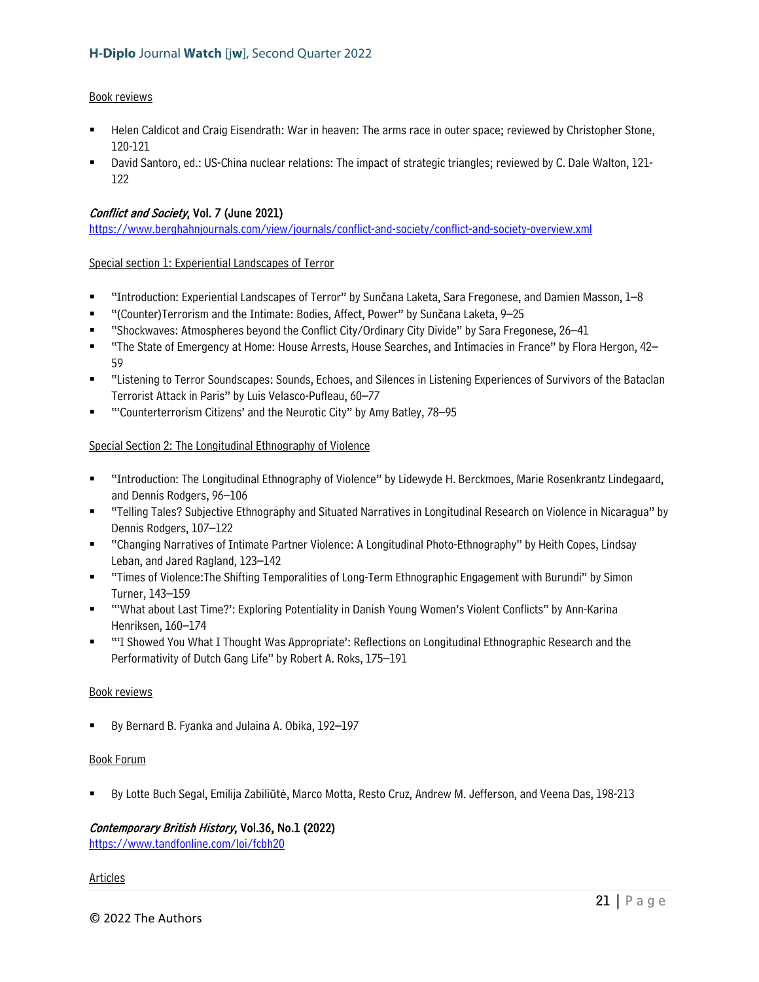#### Book reviews

- Helen Caldicot and Craig Eisendrath: War in heaven: The arms race in outer space; reviewed by Christopher Stone, 120-121
- David Santoro, ed.: US-China nuclear relations: The impact of strategic triangles; reviewed by C. Dale Walton, 121- 122

# Conflict and Society, Vol. 7 (June 2021)

<https://www.berghahnjournals.com/view/journals/conflict-and-society/conflict-and-society-overview.xml>

Special section 1: Experiential Landscapes of Terror

- "Introduction: Experiential Landscapes of Terror" by Sunčana Laketa, Sara Fregonese, and Damien Masson, 1–8
- "(Counter)Terrorism and the Intimate: Bodies, Affect, Power" by Sunčana Laketa, 9–25
- "Shockwaves: Atmospheres beyond the Conflict City/Ordinary City Divide" by Sara Fregonese, 26–41
- "The State of Emergency at Home: House Arrests, House Searches, and Intimacies in France" by Flora Hergon, 42– 59
- "Listening to Terror Soundscapes: Sounds, Echoes, and Silences in Listening Experiences of Survivors of the Bataclan Terrorist Attack in Paris" by Luis Velasco-Pufleau, 60–77
- "'Counterterrorism Citizens' and the Neurotic City" by Amy Batley, 78–95

# Special Section 2: The Longitudinal Ethnography of Violence

- "Introduction: The Longitudinal Ethnography of Violence" by Lidewyde H. Berckmoes, Marie Rosenkrantz Lindegaard, and Dennis Rodgers, 96–106
- "Telling Tales? Subjective Ethnography and Situated Narratives in Longitudinal Research on Violence in Nicaragua" by Dennis Rodgers, 107–122
- "Changing Narratives of Intimate Partner Violence: A Longitudinal Photo-Ethnography" by Heith Copes, Lindsay Leban, and Jared Ragland, 123–142
- "Times of Violence:The Shifting Temporalities of Long-Term Ethnographic Engagement with Burundi" by Simon Turner, 143–159
- "'What about Last Time?': Exploring Potentiality in Danish Young Women's Violent Conflicts" by Ann-Karina Henriksen, 160–174
- "'I Showed You What I Thought Was Appropriate': Reflections on Longitudinal Ethnographic Research and the Performativity of Dutch Gang Life" by Robert A. Roks, 175–191

#### Book reviews

By Bernard B. Fyanka and Julaina A. Obika, 192–197

#### Book Forum

By Lotte Buch Segal, Emilija Zabiliūtė, Marco Motta, Resto Cruz, Andrew M. Jefferson, and Veena Das, 198-213

# Contemporary British History, Vol.36, No.1 (2022)

<https://www.tandfonline.com/loi/fcbh20>

#### Articles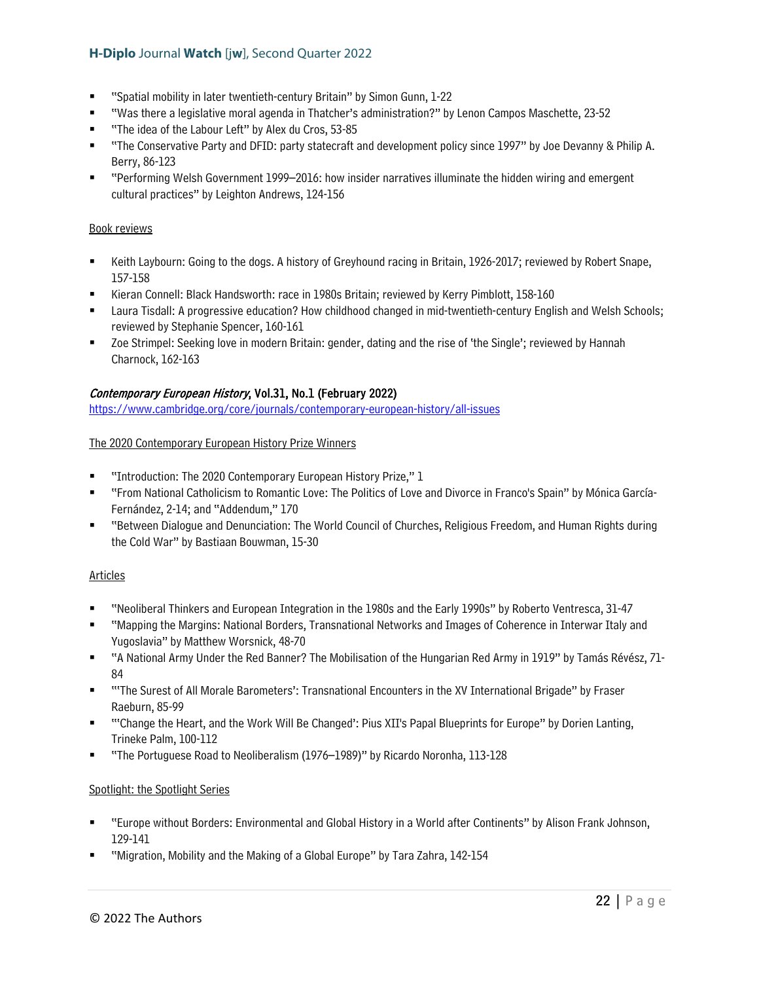- "Spatial mobility in later twentieth-century Britain" by Simon Gunn, 1-22
- "Was there a legislative moral agenda in Thatcher's administration?" by Lenon Campos Maschette, 23-52
- "The idea of the Labour Left" by Alex du Cros, 53-85
- "The Conservative Party and DFID: party statecraft and development policy since 1997" by Joe Devanny & Philip A. Berry, 86-123
- "Performing Welsh Government 1999–2016: how insider narratives illuminate the hidden wiring and emergent cultural practices" by Leighton Andrews, 124-156

#### Book reviews

- **EXEM** Earth Laybourn: Going to the dogs. A history of Greyhound racing in Britain, 1926-2017; reviewed by Robert Snape, 157-158
- Kieran Connell: Black Handsworth: race in 1980s Britain; reviewed by Kerry Pimblott, 158-160
- **Laura Tisdall: A progressive education? How childhood changed in mid-twentieth-century English and Welsh Schools;** reviewed by Stephanie Spencer, 160-161
- Zoe Strimpel: Seeking love in modern Britain: gender, dating and the rise of 'the Single'; reviewed by Hannah Charnock, 162-163

# Contemporary European History, Vol.31, No.1 (February 2022)

<https://www.cambridge.org/core/journals/contemporary-european-history/all-issues>

#### The 2020 Contemporary European History Prize Winners

- "Introduction: The 2020 Contemporary European History Prize," 1
- "From National Catholicism to Romantic Love: The Politics of Love and Divorce in Franco's Spain" by Mónica García-Fernández, 2-14; and "Addendum," 170
- "Between Dialogue and Denunciation: The World Council of Churches, Religious Freedom, and Human Rights during the Cold War" by Bastiaan Bouwman, 15-30

#### Articles

- "Neoliberal Thinkers and European Integration in the 1980s and the Early 1990s" by Roberto Ventresca, 31-47
- "Mapping the Margins: National Borders, Transnational Networks and Images of Coherence in Interwar Italy and Yugoslavia" by Matthew Worsnick, 48-70
- "A National Army Under the Red Banner? The Mobilisation of the Hungarian Red Army in 1919" by Tamás Révész, 71- 84
- "'The Surest of All Morale Barometers': Transnational Encounters in the XV International Brigade" by Fraser Raeburn, 85-99
- "'Change the Heart, and the Work Will Be Changed': Pius XII's Papal Blueprints for Europe" by Dorien Lanting, Trineke Palm, 100-112
- "The Portuguese Road to Neoliberalism (1976–1989)" by Ricardo Noronha, 113-128

#### Spotlight: the Spotlight Series

- "Europe without Borders: Environmental and Global History in a World after Continents" by Alison Frank Johnson, 129-141
- "Migration, Mobility and the Making of a Global Europe" by Tara Zahra, 142-154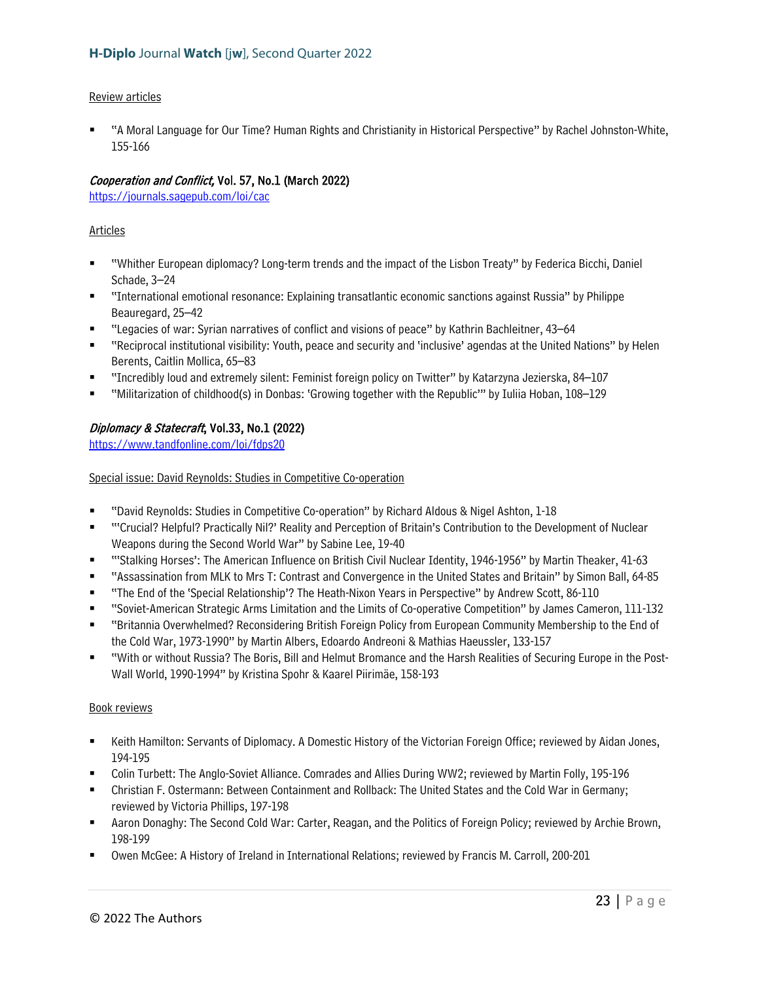#### Review articles

 "A Moral Language for Our Time? Human Rights and Christianity in Historical Perspective" by Rachel Johnston-White, 155-166

# Cooperation and Conflict, Vol. 57, No.1 (March 2022)

<https://journals.sagepub.com/loi/cac>

# Articles

- "Whither European diplomacy? Long-term trends and the impact of the Lisbon Treaty" by Federica Bicchi, Daniel Schade, 3–24
- "International emotional resonance: Explaining transatlantic economic sanctions against Russia" by Philippe Beauregard, 25–42
- "Legacies of war: Syrian narratives of conflict and visions of peace" by Kathrin Bachleitner, 43–64
- "Reciprocal institutional visibility: Youth, peace and security and 'inclusive' agendas at the United Nations" by Helen Berents, Caitlin Mollica, 65–83
- "Incredibly loud and extremely silent: Feminist foreign policy on Twitter" by Katarzyna Jezierska, 84–107
- "Militarization of childhood(s) in Donbas: 'Growing together with the Republic'" by Iuliia Hoban, 108–129

# Diplomacy & Statecraft, Vol.33, No.1 (2022)

<https://www.tandfonline.com/loi/fdps20>

Special issue: David Reynolds: Studies in Competitive Co-operation

- "David Reynolds: Studies in Competitive Co-operation" by Richard Aldous & Nigel Ashton, 1-18
- "'Crucial? Helpful? Practically Nil?' Reality and Perception of Britain's Contribution to the Development of Nuclear Weapons during the Second World War" by Sabine Lee, 19-40
- "'Stalking Horses': The American Influence on British Civil Nuclear Identity, 1946-1956" by Martin Theaker, 41-63
- "Assassination from MLK to Mrs T: Contrast and Convergence in the United States and Britain" by Simon Ball, 64-85
- "The End of the 'Special Relationship'? The Heath-Nixon Years in Perspective" by Andrew Scott, 86-110
- "Soviet-American Strategic Arms Limitation and the Limits of Co-operative Competition" by James Cameron, 111-132
- "Britannia Overwhelmed? Reconsidering British Foreign Policy from European Community Membership to the End of the Cold War, 1973-1990" by Martin Albers, Edoardo Andreoni & Mathias Haeussler, 133-157
- "With or without Russia? The Boris, Bill and Helmut Bromance and the Harsh Realities of Securing Europe in the Post-Wall World, 1990-1994" by Kristina Spohr & Kaarel Piirimäe, 158-193

- **EXECT HAMILTON: Servants of Diplomacy. A Domestic History of the Victorian Foreign Office; reviewed by Aidan Jones,** 194-195
- Colin Turbett: The Anglo-Soviet Alliance. Comrades and Allies During WW2; reviewed by Martin Folly, 195-196
- Christian F. Ostermann: Between Containment and Rollback: The United States and the Cold War in Germany; reviewed by Victoria Phillips, 197-198
- Aaron Donaghy: The Second Cold War: Carter, Reagan, and the Politics of Foreign Policy; reviewed by Archie Brown, 198-199
- Owen McGee: A History of Ireland in International Relations; reviewed by Francis M. Carroll, 200-201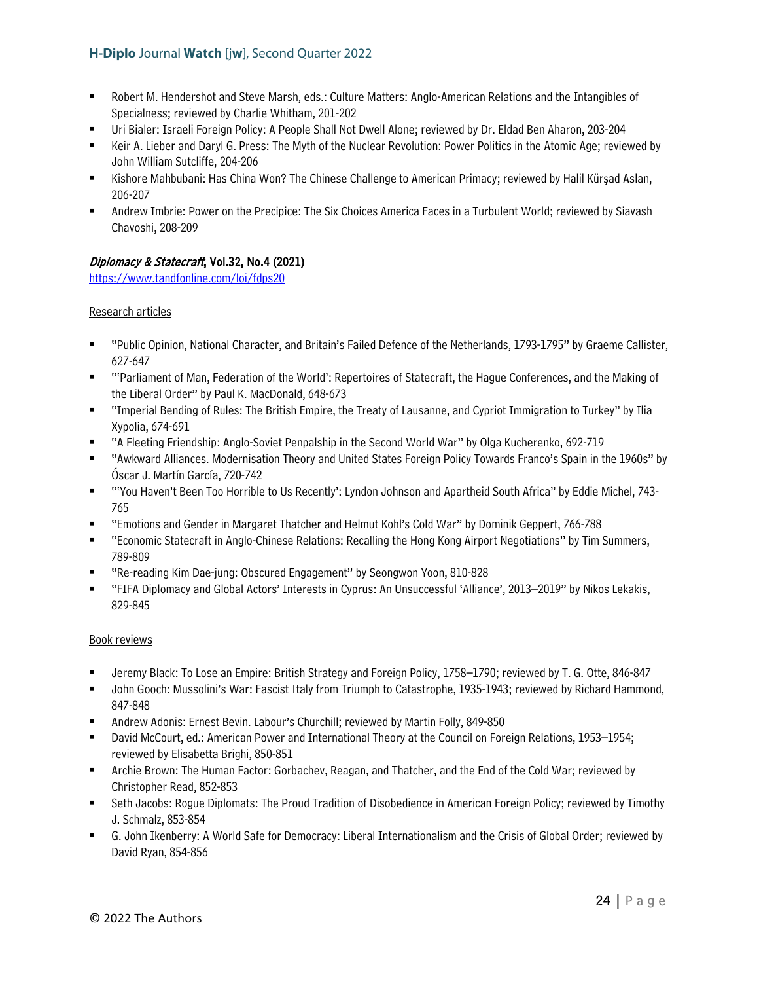- Robert M. Hendershot and Steve Marsh, eds.: Culture Matters: Anglo-American Relations and the Intangibles of Specialness; reviewed by Charlie Whitham, 201-202
- Uri Bialer: Israeli Foreign Policy: A People Shall Not Dwell Alone; reviewed by Dr. Eldad Ben Aharon, 203-204
- Keir A. Lieber and Daryl G. Press: The Myth of the Nuclear Revolution: Power Politics in the Atomic Age; reviewed by John William Sutcliffe, 204-206
- Kishore Mahbubani: Has China Won? The Chinese Challenge to American Primacy; reviewed by Halil Kürşad Aslan, 206-207
- Andrew Imbrie: Power on the Precipice: The Six Choices America Faces in a Turbulent World; reviewed by Siavash Chavoshi, 208-209

# Diplomacy & Statecraft, Vol.32, No.4 (2021)

<https://www.tandfonline.com/loi/fdps20>

# Research articles

- "Public Opinion, National Character, and Britain's Failed Defence of the Netherlands, 1793-1795" by Graeme Callister, 627-647
- "'Parliament of Man, Federation of the World': Repertoires of Statecraft, the Hague Conferences, and the Making of the Liberal Order" by Paul K. MacDonald, 648-673
- "Imperial Bending of Rules: The British Empire, the Treaty of Lausanne, and Cypriot Immigration to Turkey" by Ilia Xypolia, 674-691
- "A Fleeting Friendship: Anglo-Soviet Penpalship in the Second World War" by Olga Kucherenko, 692-719
- "Awkward Alliances. Modernisation Theory and United States Foreign Policy Towards Franco's Spain in the 1960s" by Óscar J. Martín García, 720-742
- "'You Haven't Been Too Horrible to Us Recently': Lyndon Johnson and Apartheid South Africa" by Eddie Michel, 743- 765
- "Emotions and Gender in Margaret Thatcher and Helmut Kohl's Cold War" by Dominik Geppert, 766-788
- "Economic Statecraft in Anglo-Chinese Relations: Recalling the Hong Kong Airport Negotiations" by Tim Summers, 789-809
- "Re-reading Kim Dae-jung: Obscured Engagement" by Seongwon Yoon, 810-828
- "FIFA Diplomacy and Global Actors' Interests in Cyprus: An Unsuccessful 'Alliance', 2013–2019" by Nikos Lekakis, 829-845

- Jeremy Black: To Lose an Empire: British Strategy and Foreign Policy, 1758–1790; reviewed by T. G. Otte, 846-847
- John Gooch: Mussolini's War: Fascist Italy from Triumph to Catastrophe, 1935-1943; reviewed by Richard Hammond, 847-848
- Andrew Adonis: Ernest Bevin. Labour's Churchill; reviewed by Martin Folly, 849-850
- David McCourt, ed.: American Power and International Theory at the Council on Foreign Relations, 1953–1954; reviewed by Elisabetta Brighi, 850-851
- Archie Brown: The Human Factor: Gorbachev, Reagan, and Thatcher, and the End of the Cold War; reviewed by Christopher Read, 852-853
- Seth Jacobs: Rogue Diplomats: The Proud Tradition of Disobedience in American Foreign Policy; reviewed by Timothy J. Schmalz, 853-854
- G. John Ikenberry: A World Safe for Democracy: Liberal Internationalism and the Crisis of Global Order; reviewed by David Ryan, 854-856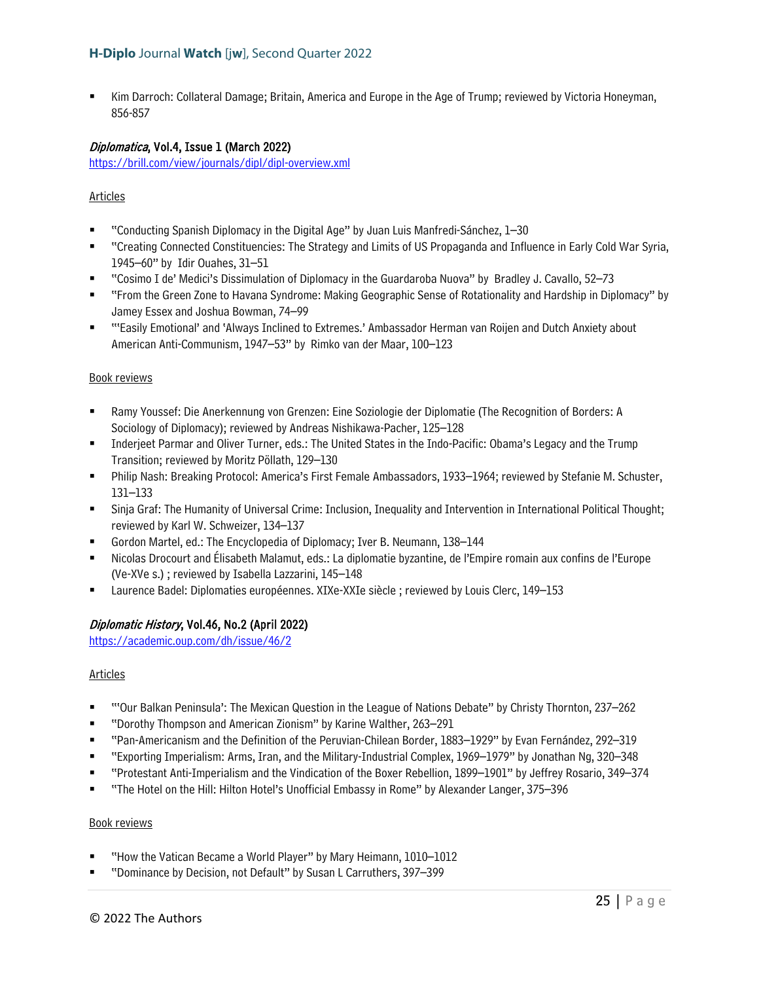Kim Darroch: Collateral Damage; Britain, America and Europe in the Age of Trump; reviewed by Victoria Honeyman, 856-857

#### Diplomatica, Vol.4, Issue 1 (March 2022)

<https://brill.com/view/journals/dipl/dipl-overview.xml>

# Articles

- "Conducting Spanish Diplomacy in the Digital Age" by Juan Luis Manfredi-Sánchez, 1–30
- "Creating Connected Constituencies: The Strategy and Limits of US Propaganda and Influence in Early Cold War Syria, 1945–60" by Idir Ouahes, 31–51
- "Cosimo I de' Medici's Dissimulation of Diplomacy in the Guardaroba Nuova" by Bradley J. Cavallo, 52–73
- "From the Green Zone to Havana Syndrome: Making Geographic Sense of Rotationality and Hardship in Diplomacy" by Jamey Essex and Joshua Bowman, 74–99
- "'Easily Emotional' and 'Always Inclined to Extremes.' Ambassador Herman van Roijen and Dutch Anxiety about American Anti-Communism, 1947–53" by Rimko van der Maar, 100–123

#### Book reviews

- Ramy Youssef: Die Anerkennung von Grenzen: Eine Soziologie der Diplomatie (The Recognition of Borders: A Sociology of Diplomacy); reviewed by Andreas Nishikawa-Pacher, 125–128
- Inderjeet Parmar and Oliver Turner, eds.: The United States in the Indo-Pacific: Obama's Legacy and the Trump Transition; reviewed by Moritz Pöllath, 129–130
- Philip Nash: Breaking Protocol: America's First Female Ambassadors, 1933–1964; reviewed by Stefanie M. Schuster, 131–133
- Sinja Graf: The Humanity of Universal Crime: Inclusion, Inequality and Intervention in International Political Thought; reviewed by Karl W. Schweizer, 134–137
- Gordon Martel, ed.: The Encyclopedia of Diplomacy; Iver B. Neumann, 138–144
- Nicolas Drocourt and Élisabeth Malamut, eds.: La diplomatie byzantine, de l'Empire romain aux confins de l'Europe (Ve-XVe s.) ; reviewed by Isabella Lazzarini, 145–148
- Laurence Badel: Diplomaties européennes. XIXe-XXIe siècle ; reviewed by Louis Clerc, 149–153

#### Diplomatic History, Vol.46, No.2 (April 2022)

<https://academic.oup.com/dh/issue/46/2>

#### Articles

- "'Our Balkan Peninsula': The Mexican Question in the League of Nations Debate" by Christy Thornton, 237–262
- "Dorothy Thompson and American Zionism" by Karine Walther, 263–291
- "Pan-Americanism and the Definition of the Peruvian-Chilean Border, 1883–1929" by Evan Fernández, 292–319
- "Exporting Imperialism: Arms, Iran, and the Military-Industrial Complex, 1969–1979" by Jonathan Ng, 320–348
- "Protestant Anti-Imperialism and the Vindication of the Boxer Rebellion, 1899–1901" by Jeffrey Rosario, 349–374
- "The Hotel on the Hill: Hilton Hotel's Unofficial Embassy in Rome" by Alexander Langer, 375–396

- "How the Vatican Became a World Player" by Mary Heimann, 1010–1012
- "Dominance by Decision, not Default" by Susan L Carruthers, 397–399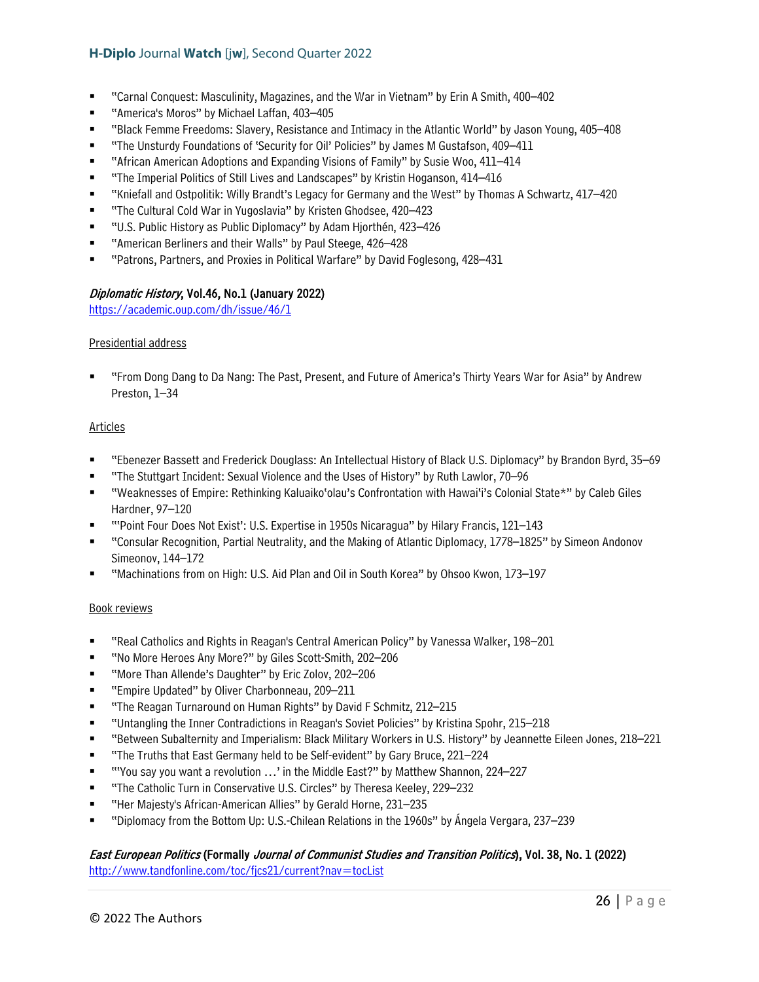- "Carnal Conquest: Masculinity, Magazines, and the War in Vietnam" by Erin A Smith, 400–402
- "America's Moros" by Michael Laffan, 403–405
- "Black Femme Freedoms: Slavery, Resistance and Intimacy in the Atlantic World" by Jason Young, 405–408
- "The Unsturdy Foundations of 'Security for Oil' Policies" by James M Gustafson, 409–411
- "African American Adoptions and Expanding Visions of Family" by Susie Woo, 411–414
- "The Imperial Politics of Still Lives and Landscapes" by Kristin Hoganson, 414–416
- "Kniefall and Ostpolitik: Willy Brandt's Legacy for Germany and the West" by Thomas A Schwartz, 417–420
- "The Cultural Cold War in Yugoslavia" by Kristen Ghodsee, 420–423
- "U.S. Public History as Public Diplomacy" by Adam Hjorthén, 423–426
- "American Berliners and their Walls" by Paul Steege, 426–428
- "Patrons, Partners, and Proxies in Political Warfare" by David Foglesong, 428–431

# Diplomatic History, Vol.46, No.1 (January 2022)

<https://academic.oup.com/dh/issue/46/1>

#### Presidential address

 "From Dong Dang to Da Nang: The Past, Present, and Future of America's Thirty Years War for Asia" by Andrew Preston, 1–34

#### **Articles**

- "Ebenezer Bassett and Frederick Douglass: An Intellectual History of Black U.S. Diplomacy" by Brandon Byrd, 35–69
- "The Stuttgart Incident: Sexual Violence and the Uses of History" by Ruth Lawlor, 70–96
- "Weaknesses of Empire: Rethinking Kaluaiko'olau's Confrontation with Hawai'i's Colonial State\*" by Caleb Giles Hardner, 97–120
- "'Point Four Does Not Exist': U.S. Expertise in 1950s Nicaragua" by Hilary Francis, 121–143
- "Consular Recognition, Partial Neutrality, and the Making of Atlantic Diplomacy, 1778–1825" by Simeon Andonov Simeonov, 144–172
- "Machinations from on High: U.S. Aid Plan and Oil in South Korea" by Ohsoo Kwon, 173–197

#### Book reviews

- "Real Catholics and Rights in Reagan's Central American Policy" by Vanessa Walker, 198–201
- "No More Heroes Any More?" by Giles Scott-Smith, 202-206
- "More Than Allende's Daughter" by Eric Zolov, 202–206
- "Empire Updated" by Oliver Charbonneau, 209–211
- "The Reagan Turnaround on Human Rights" by David F Schmitz, 212–215
- "Untangling the Inner Contradictions in Reagan's Soviet Policies" by Kristina Spohr, 215–218
- "Between Subalternity and Imperialism: Black Military Workers in U.S. History" by Jeannette Eileen Jones, 218–221
- "The Truths that East Germany held to be Self-evident" by Gary Bruce, 221–224
- "You say you want a revolution ...' in the Middle East?" by Matthew Shannon, 224–227
- "The Catholic Turn in Conservative U.S. Circles" by Theresa Keeley, 229–232
- "Her Majesty's African-American Allies" by Gerald Horne, 231–235
- "Diplomacy from the Bottom Up: U.S.-Chilean Relations in the 1960s" by Ángela Vergara, 237–239

# East European Politics (Formally Journal of Communist Studies and Transition Politics), Vol. 38, No. 1 (2022)

<http://www.tandfonline.com/toc/fjcs21/current?nav=tocList>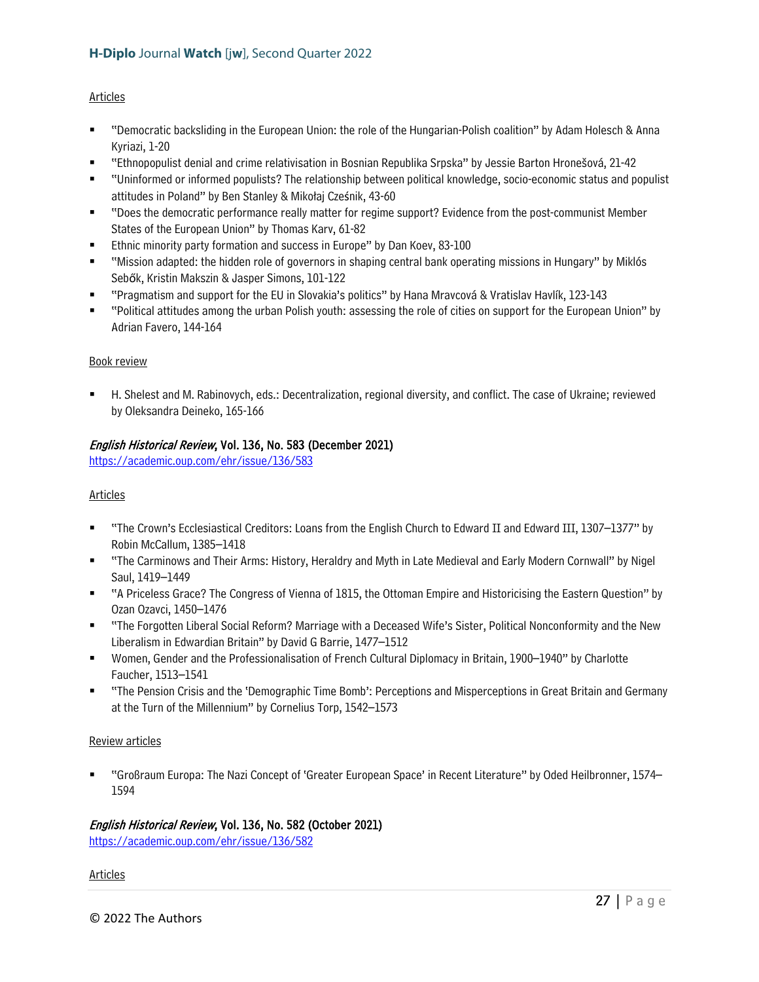# Articles

- "Democratic backsliding in the European Union: the role of the Hungarian-Polish coalition" by Adam Holesch & Anna Kyriazi, 1-20
- "Ethnopopulist denial and crime relativisation in Bosnian Republika Srpska" by Jessie Barton Hronešová, 21-42
- "Uninformed or informed populists? The relationship between political knowledge, socio-economic status and populist attitudes in Poland" by Ben Stanley & Mikołaj Cześnik, 43-60
- "Does the democratic performance really matter for regime support? Evidence from the post-communist Member States of the European Union" by Thomas Karv, 61-82
- **Ethnic minority party formation and success in Europe" by Dan Koev, 83-100**
- "Mission adapted: the hidden role of governors in shaping central bank operating missions in Hungary" by Miklós Sebők, Kristin Makszin & Jasper Simons, 101-122
- "Pragmatism and support for the EU in Slovakia's politics" by Hana Mravcová & Vratislav Havlík, 123-143
- "Political attitudes among the urban Polish youth: assessing the role of cities on support for the European Union" by Adrian Favero, 144-164

# Book review

 H. Shelest and M. Rabinovych, eds.: Decentralization, regional diversity, and conflict. The case of Ukraine; reviewed by Oleksandra Deineko, 165-166

# English Historical Review, Vol. 136, No. 583 (December 2021)

<https://academic.oup.com/ehr/issue/136/583>

#### Articles

- "The Crown's Ecclesiastical Creditors: Loans from the English Church to Edward II and Edward III, 1307–1377" by Robin McCallum, 1385–1418
- "The Carminows and Their Arms: History, Heraldry and Myth in Late Medieval and Early Modern Cornwall" by Nigel Saul, 1419–1449
- "A Priceless Grace? The Congress of Vienna of 1815, the Ottoman Empire and Historicising the Eastern Question" by Ozan Ozavci, 1450–1476
- "The Forgotten Liberal Social Reform? Marriage with a Deceased Wife's Sister, Political Nonconformity and the New Liberalism in Edwardian Britain" by David G Barrie, 1477–1512
- Women, Gender and the Professionalisation of French Cultural Diplomacy in Britain, 1900–1940" by Charlotte Faucher, 1513–1541
- "The Pension Crisis and the 'Demographic Time Bomb': Perceptions and Misperceptions in Great Britain and Germany at the Turn of the Millennium" by Cornelius Torp, 1542–1573

#### Review articles

 "Großraum Europa: The Nazi Concept of 'Greater European Space' in Recent Literature" by Oded Heilbronner, 1574– 1594

#### English Historical Review, Vol. 136, No. 582 (October 2021)

<https://academic.oup.com/ehr/issue/136/582>

#### Articles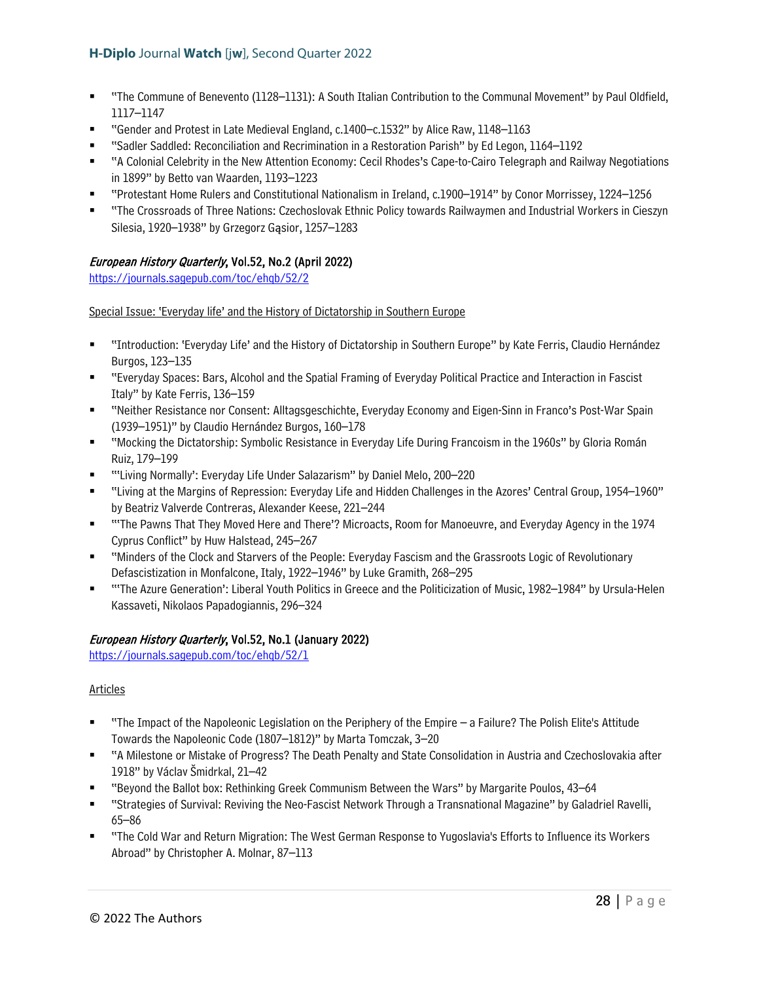- "The Commune of Benevento (1128–1131): A South Italian Contribution to the Communal Movement" by Paul Oldfield, 1117–1147
- "Gender and Protest in Late Medieval England, c.1400–c.1532" by Alice Raw, 1148–1163
- "Sadler Saddled: Reconciliation and Recrimination in a Restoration Parish" by Ed Legon, 1164–1192
- "A Colonial Celebrity in the New Attention Economy: Cecil Rhodes's Cape-to-Cairo Telegraph and Railway Negotiations in 1899" by Betto van Waarden, 1193–1223
- "Protestant Home Rulers and Constitutional Nationalism in Ireland, c.1900–1914" by Conor Morrissey, 1224–1256
- "The Crossroads of Three Nations: Czechoslovak Ethnic Policy towards Railwaymen and Industrial Workers in Cieszyn Silesia, 1920–1938" by Grzegorz Gąsior, 1257–1283

# European History Quarterly, Vol.52, No.2 (April 2022)

<https://journals.sagepub.com/toc/ehqb/52/2>

Special Issue: 'Everyday life' and the History of Dictatorship in Southern Europe

- "Introduction: 'Everyday Life' and the History of Dictatorship in Southern Europe" by Kate Ferris, Claudio Hernández Burgos, 123–135
- "Everyday Spaces: Bars, Alcohol and the Spatial Framing of Everyday Political Practice and Interaction in Fascist Italy" by Kate Ferris, 136–159
- "Neither Resistance nor Consent: Alltagsgeschichte, Everyday Economy and Eigen-Sinn in Franco's Post-War Spain (1939–1951)" by Claudio Hernández Burgos, 160–178
- "Mocking the Dictatorship: Symbolic Resistance in Everyday Life During Francoism in the 1960s" by Gloria Román Ruiz, 179–199
- "'Living Normally': Everyday Life Under Salazarism" by Daniel Melo, 200–220
- "Living at the Margins of Repression: Everyday Life and Hidden Challenges in the Azores' Central Group, 1954–1960" by Beatriz Valverde Contreras, Alexander Keese, 221–244
- " "The Pawns That They Moved Here and There'? Microacts, Room for Manoeuvre, and Everyday Agency in the 1974 Cyprus Conflict" by Huw Halstead, 245–267
- "Minders of the Clock and Starvers of the People: Everyday Fascism and the Grassroots Logic of Revolutionary Defascistization in Monfalcone, Italy, 1922–1946" by Luke Gramith, 268–295
- "'The Azure Generation': Liberal Youth Politics in Greece and the Politicization of Music, 1982–1984" by Ursula-Helen Kassaveti, Nikolaos Papadogiannis, 296–324

# European History Quarterly, Vol.52, No.1 (January 2022)

<https://journals.sagepub.com/toc/ehqb/52/1>

# Articles

- "The Impact of the Napoleonic Legislation on the Periphery of the Empire a Failure? The Polish Elite's Attitude Towards the Napoleonic Code (1807–1812)" by Marta Tomczak, 3–20
- "A Milestone or Mistake of Progress? The Death Penalty and State Consolidation in Austria and Czechoslovakia after 1918" by Václav Šmidrkal, 21–42
- "Beyond the Ballot box: Rethinking Greek Communism Between the Wars" by Margarite Poulos, 43–64
- "Strategies of Survival: Reviving the Neo-Fascist Network Through a Transnational Magazine" by Galadriel Ravelli, 65–86
- "The Cold War and Return Migration: The West German Response to Yugoslavia's Efforts to Influence its Workers Abroad" by Christopher A. Molnar, 87–113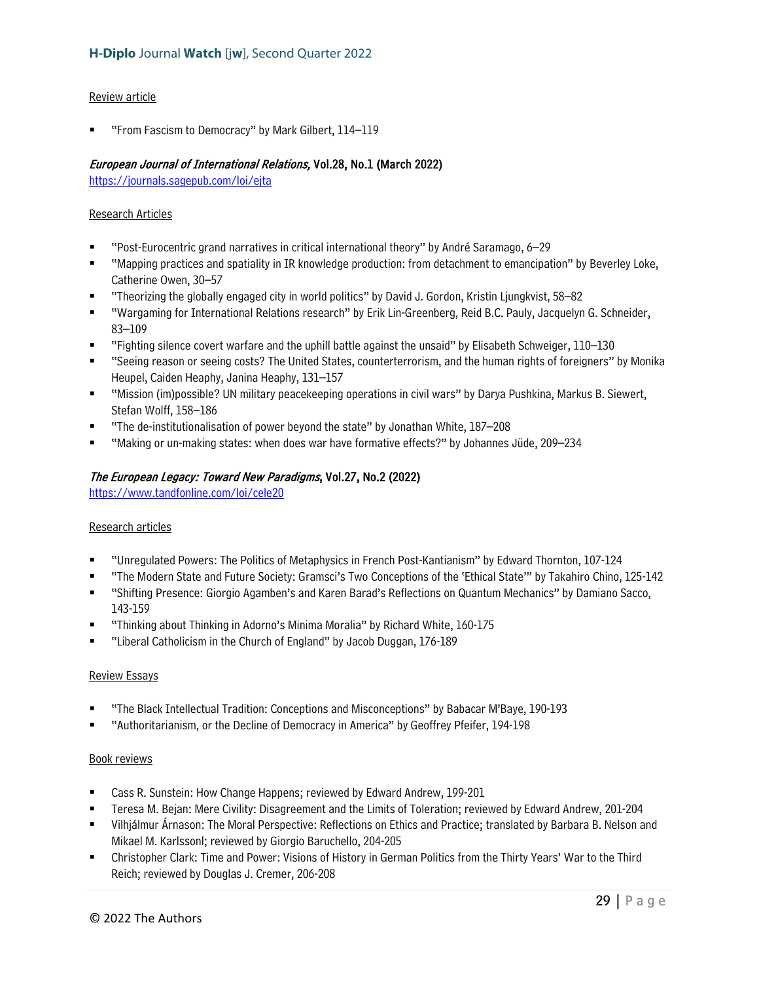# Review article

"From Fascism to Democracy" by Mark Gilbert, 114–119

# European Journal of International Relations, Vol.28, No.1 (March 2022)

<https://journals.sagepub.com/loi/ejta>

#### Research Articles

- "Post-Eurocentric grand narratives in critical international theory" by André Saramago, 6–29
- "Mapping practices and spatiality in IR knowledge production: from detachment to emancipation" by Beverley Loke, Catherine Owen, 30–57
- "Theorizing the globally engaged city in world politics" by David J. Gordon, Kristin Ljungkvist, 58–82
- "Wargaming for International Relations research" by Erik Lin-Greenberg, Reid B.C. Pauly, Jacquelyn G. Schneider, 83–109
- "Fighting silence covert warfare and the uphill battle against the unsaid" by Elisabeth Schweiger, 110–130
- "Seeing reason or seeing costs? The United States, counterterrorism, and the human rights of foreigners" by Monika Heupel, Caiden Heaphy, Janina Heaphy, 131–157
- "Mission (im)possible? UN military peacekeeping operations in civil wars" by Darya Pushkina, Markus B. Siewert, Stefan Wolff, 158–186
- "The de-institutionalisation of power beyond the state" by Jonathan White, 187–208
- "Making or un-making states: when does war have formative effects?" by Johannes Jüde, 209–234

# The European Legacy: Toward New Paradigms, Vol.27, No.2 (2022)

<https://www.tandfonline.com/loi/cele20>

#### Research articles

- "Unregulated Powers: The Politics of Metaphysics in French Post-Kantianism" by Edward Thornton, 107-124
- "The Modern State and Future Society: Gramsci's Two Conceptions of the 'Ethical State'" by Takahiro Chino, 125-142
- "Shifting Presence: Giorgio Agamben's and Karen Barad's Reflections on Quantum Mechanics" by Damiano Sacco, 143-159
- "Thinking about Thinking in Adorno's Minima Moralia" by Richard White, 160-175
- "Liberal Catholicism in the Church of England" by Jacob Duggan, 176-189

#### Review Essays

- "The Black Intellectual Tradition: Conceptions and Misconceptions" by Babacar M'Baye, 190-193
- "Authoritarianism, or the Decline of Democracy in America" by Geoffrey Pfeifer, 194-198

- Cass R. Sunstein: How Change Happens; reviewed by Edward Andrew, 199-201
- Teresa M. Bejan: Mere Civility: Disagreement and the Limits of Toleration; reviewed by Edward Andrew, 201-204
- Vilhjálmur Árnason: The Moral Perspective: Reflections on Ethics and Practice; translated by Barbara B. Nelson and Mikael M. Karlssonl; reviewed by Giorgio Baruchello, 204-205
- Christopher Clark: Time and Power: Visions of History in German Politics from the Thirty Years' War to the Third Reich; reviewed by Douglas J. Cremer, 206-208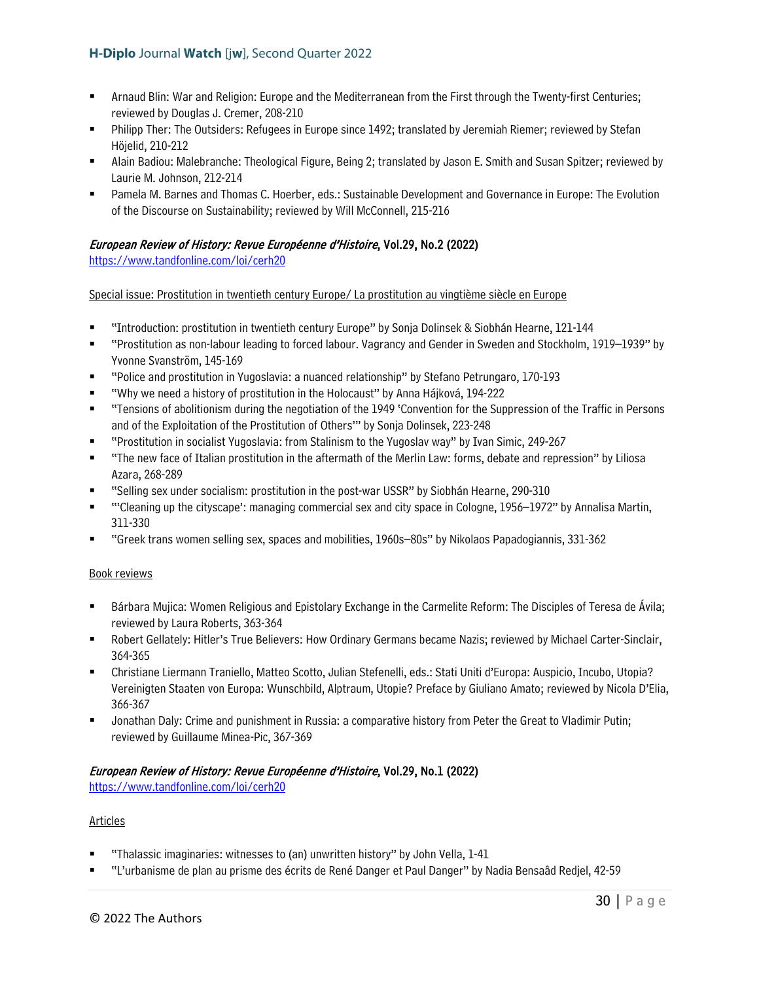- Arnaud Blin: War and Religion: Europe and the Mediterranean from the First through the Twenty-first Centuries; reviewed by Douglas J. Cremer, 208-210
- Philipp Ther: The Outsiders: Refugees in Europe since 1492; translated by Jeremiah Riemer; reviewed by Stefan Höjelid, 210-212
- Alain Badiou: Malebranche: Theological Figure, Being 2; translated by Jason E. Smith and Susan Spitzer; reviewed by Laurie M. Johnson, 212-214
- Pamela M. Barnes and Thomas C. Hoerber, eds.: Sustainable Development and Governance in Europe: The Evolution of the Discourse on Sustainability; reviewed by Will McConnell, 215-216

# European Review of History: Revue Européenne d'Histoire, Vol.29, No.2 (2022)

<https://www.tandfonline.com/loi/cerh20>

Special issue: Prostitution in twentieth century Europe/ La prostitution au vingtième siècle en Europe

- "Introduction: prostitution in twentieth century Europe" by Sonja Dolinsek & Siobhán Hearne, 121-144
- "Prostitution as non-labour leading to forced labour. Vagrancy and Gender in Sweden and Stockholm, 1919–1939" by Yvonne Svanström, 145-169
- "Police and prostitution in Yugoslavia: a nuanced relationship" by Stefano Petrungaro, 170-193
- "Why we need a history of prostitution in the Holocaust" by Anna Hájková, 194-222
- "Tensions of abolitionism during the negotiation of the 1949 'Convention for the Suppression of the Traffic in Persons and of the Exploitation of the Prostitution of Others'" by Sonja Dolinsek, 223-248
- "Prostitution in socialist Yugoslavia: from Stalinism to the Yugoslav way" by Ivan Simic, 249-267
- "The new face of Italian prostitution in the aftermath of the Merlin Law: forms, debate and repression" by Liliosa Azara, 268-289
- "Selling sex under socialism: prostitution in the post-war USSR" by Siobhán Hearne, 290-310
- "'Cleaning up the cityscape': managing commercial sex and city space in Cologne, 1956–1972" by Annalisa Martin, 311-330
- "Greek trans women selling sex, spaces and mobilities, 1960s–80s" by Nikolaos Papadogiannis, 331-362

#### Book reviews

- Bárbara Mujica: Women Religious and Epistolary Exchange in the Carmelite Reform: The Disciples of Teresa de Ávila; reviewed by Laura Roberts, 363-364
- Robert Gellately: Hitler's True Believers: How Ordinary Germans became Nazis; reviewed by Michael Carter-Sinclair, 364-365
- Christiane Liermann Traniello, Matteo Scotto, Julian Stefenelli, eds.: Stati Uniti d'Europa: Auspicio, Incubo, Utopia? Vereinigten Staaten von Europa: Wunschbild, Alptraum, Utopie? Preface by Giuliano Amato; reviewed by Nicola D'Elia, 366-367
- Jonathan Daly: Crime and punishment in Russia: a comparative history from Peter the Great to Vladimir Putin; reviewed by Guillaume Minea-Pic, 367-369

# European Review of History: Revue Européenne d'Histoire, Vol.29, No.1 (2022)

<https://www.tandfonline.com/loi/cerh20>

#### Articles

- "Thalassic imaginaries: witnesses to (an) unwritten history" by John Vella, 1-41
- "L'urbanisme de plan au prisme des écrits de René Danger et Paul Danger" by Nadia Bensaâd Redjel, 42-59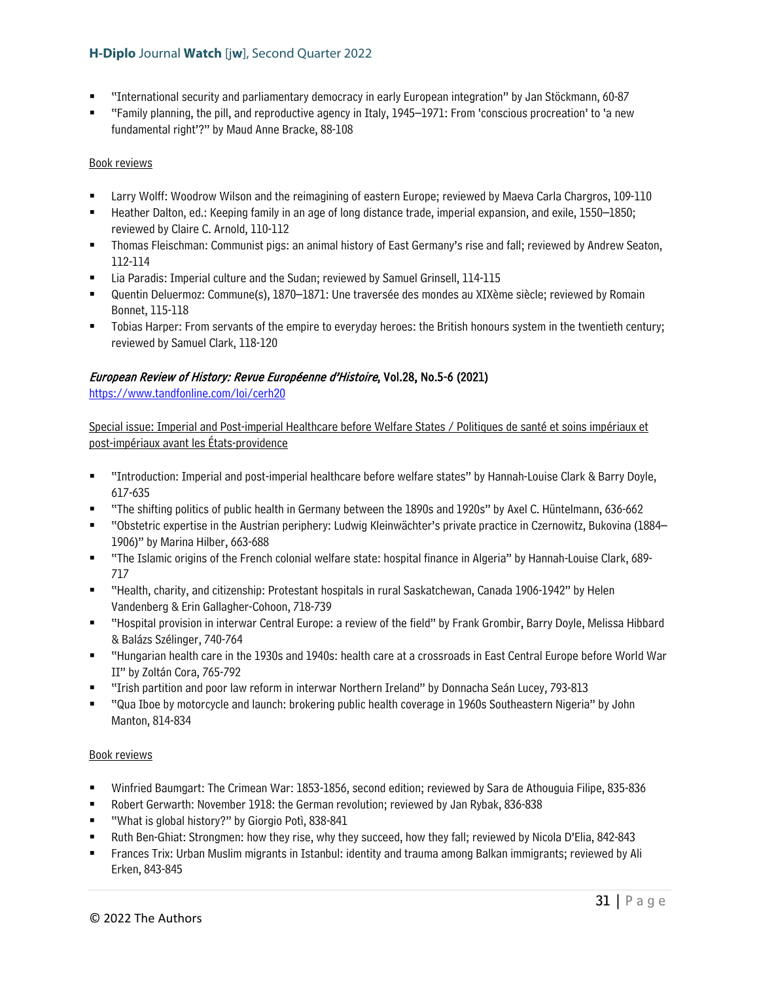- "International security and parliamentary democracy in early European integration" by Jan Stöckmann, 60-87
- "Family planning, the pill, and reproductive agency in Italy, 1945–1971: From 'conscious procreation' to 'a new fundamental right'?" by Maud Anne Bracke, 88-108

# Book reviews

- Larry Wolff: Woodrow Wilson and the reimagining of eastern Europe; reviewed by Maeva Carla Chargros, 109-110
- Heather Dalton, ed.: Keeping family in an age of long distance trade, imperial expansion, and exile, 1550–1850; reviewed by Claire C. Arnold, 110-112
- Thomas Fleischman: Communist pigs: an animal history of East Germany's rise and fall; reviewed by Andrew Seaton, 112-114
- Lia Paradis: Imperial culture and the Sudan; reviewed by Samuel Grinsell, 114-115
- Quentin Deluermoz: Commune(s), 1870–1871: Une traversée des mondes au XIXème siècle; reviewed by Romain Bonnet, 115-118
- Tobias Harper: From servants of the empire to everyday heroes: the British honours system in the twentieth century; reviewed by Samuel Clark, 118-120

# European Review of History: Revue Européenne d'Histoire, Vol.28, No.5-6 (2021)

<https://www.tandfonline.com/loi/cerh20>

Special issue: Imperial and Post-imperial Healthcare before Welfare States / Politiques de santé et soins impériaux et post-impériaux avant les États-providence

- "Introduction: Imperial and post-imperial healthcare before welfare states" by Hannah-Louise Clark & Barry Doyle, 617-635
- "The shifting politics of public health in Germany between the 1890s and 1920s" by Axel C. Hüntelmann, 636-662
- "Obstetric expertise in the Austrian periphery: Ludwig Kleinwächter's private practice in Czernowitz, Bukovina (1884– 1906)" by Marina Hilber, 663-688
- "The Islamic origins of the French colonial welfare state: hospital finance in Algeria" by Hannah-Louise Clark, 689- 717
- "Health, charity, and citizenship: Protestant hospitals in rural Saskatchewan, Canada 1906-1942" by Helen Vandenberg & Erin Gallagher-Cohoon, 718-739
- "Hospital provision in interwar Central Europe: a review of the field" by Frank Grombir, Barry Doyle, Melissa Hibbard & Balázs Szélinger, 740-764
- "Hungarian health care in the 1930s and 1940s: health care at a crossroads in East Central Europe before World War II" by Zoltán Cora, 765-792
- "Irish partition and poor law reform in interwar Northern Ireland" by Donnacha Seán Lucey, 793-813
- "Qua Iboe by motorcycle and launch: brokering public health coverage in 1960s Southeastern Nigeria" by John Manton, 814-834

- Winfried Baumgart: The Crimean War: 1853-1856, second edition; reviewed by Sara de Athouguia Filipe, 835-836
- Robert Gerwarth: November 1918: the German revolution; reviewed by Jan Rybak, 836-838
- "What is global history?" by Giorgio Potì, 838-841
- Ruth Ben-Ghiat: Strongmen: how they rise, why they succeed, how they fall; reviewed by Nicola D'Elia, 842-843
- Frances Trix: Urban Muslim migrants in Istanbul: identity and trauma among Balkan immigrants; reviewed by Ali Erken, 843-845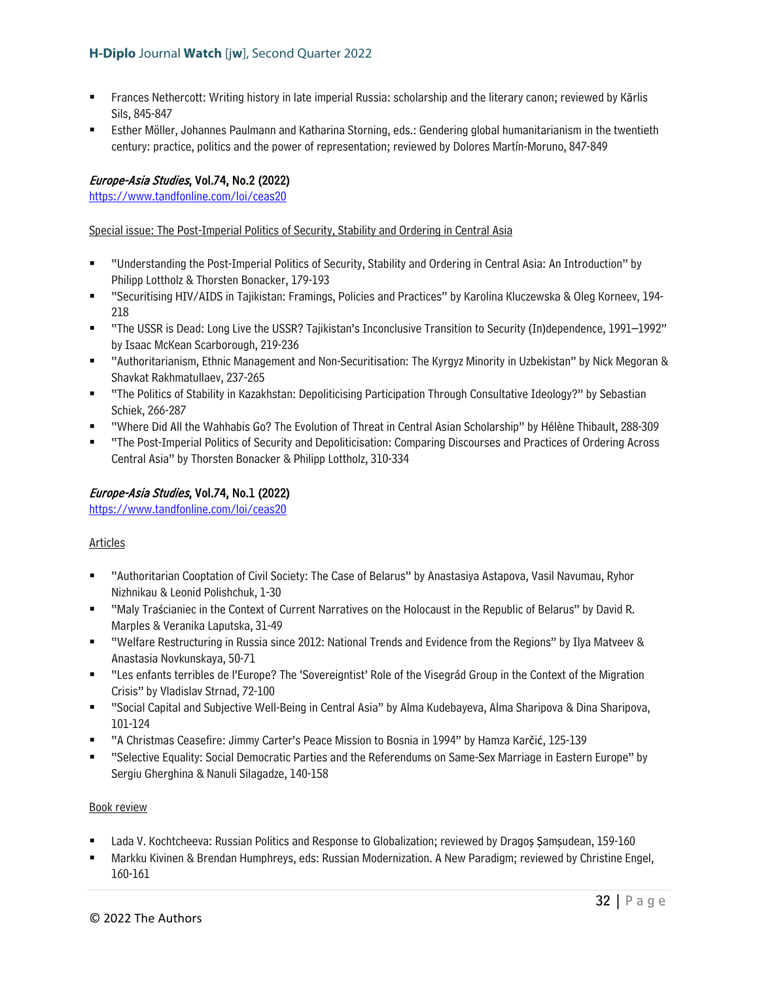- Frances Nethercott: Writing history in late imperial Russia: scholarship and the literary canon; reviewed by Kārlis Sils, 845-847
- Esther Möller, Johannes Paulmann and Katharina Storning, eds.: Gendering global humanitarianism in the twentieth century: practice, politics and the power of representation; reviewed by Dolores Martín-Moruno, 847-849

# Europe-Asia Studies, Vol.74, No.2 (2022)

<https://www.tandfonline.com/loi/ceas20>

# Special issue: The Post-Imperial Politics of Security, Stability and Ordering in Central Asia

- "Understanding the Post-Imperial Politics of Security, Stability and Ordering in Central Asia: An Introduction" by Philipp Lottholz & Thorsten Bonacker, 179-193
- "Securitising HIV/AIDS in Tajikistan: Framings, Policies and Practices" by Karolina Kluczewska & Oleg Korneev, 194- 218
- "The USSR is Dead: Long Live the USSR? Tajikistan's Inconclusive Transition to Security (In)dependence, 1991–1992" by Isaac McKean Scarborough, 219-236
- "Authoritarianism, Ethnic Management and Non-Securitisation: The Kyrgyz Minority in Uzbekistan" by Nick Megoran & Shavkat Rakhmatullaev, 237-265
- "The Politics of Stability in Kazakhstan: Depoliticising Participation Through Consultative Ideology?" by Sebastian Schiek, 266-287
- "Where Did All the Wahhabis Go? The Evolution of Threat in Central Asian Scholarship" by Hélène Thibault, 288-309
- "The Post-Imperial Politics of Security and Depoliticisation: Comparing Discourses and Practices of Ordering Across Central Asia" by Thorsten Bonacker & Philipp Lottholz, 310-334

# Europe-Asia Studies, Vol.74, No.1 (2022)

<https://www.tandfonline.com/loi/ceas20>

# Articles

- "Authoritarian Cooptation of Civil Society: The Case of Belarus" by Anastasiya Astapova, Vasil Navumau, Ryhor Nizhnikau & Leonid Polishchuk, 1-30
- "Maly Traścianiec in the Context of Current Narratives on the Holocaust in the Republic of Belarus" by David R. Marples & Veranika Laputska, 31-49
- "Welfare Restructuring in Russia since 2012: National Trends and Evidence from the Regions" by Ilya Matveev & Anastasia Novkunskaya, 50-71
- "Les enfants terribles de l'Europe? The 'Sovereigntist' Role of the Visegrád Group in the Context of the Migration Crisis" by Vladislav Strnad, 72-100
- "Social Capital and Subjective Well-Being in Central Asia" by Alma Kudebayeva, Alma Sharipova & Dina Sharipova, 101-124
- "A Christmas Ceasefire: Jimmy Carter's Peace Mission to Bosnia in 1994" by Hamza Karčić, 125-139
- "Selective Equality: Social Democratic Parties and the Referendums on Same-Sex Marriage in Eastern Europe" by Sergiu Gherghina & Nanuli Silagadze, 140-158

- Lada V. Kochtcheeva: Russian Politics and Response to Globalization; reviewed by Dragoș Șamșudean, 159-160
- Markku Kivinen & Brendan Humphreys, eds: Russian Modernization. A New Paradigm; reviewed by Christine Engel, 160-161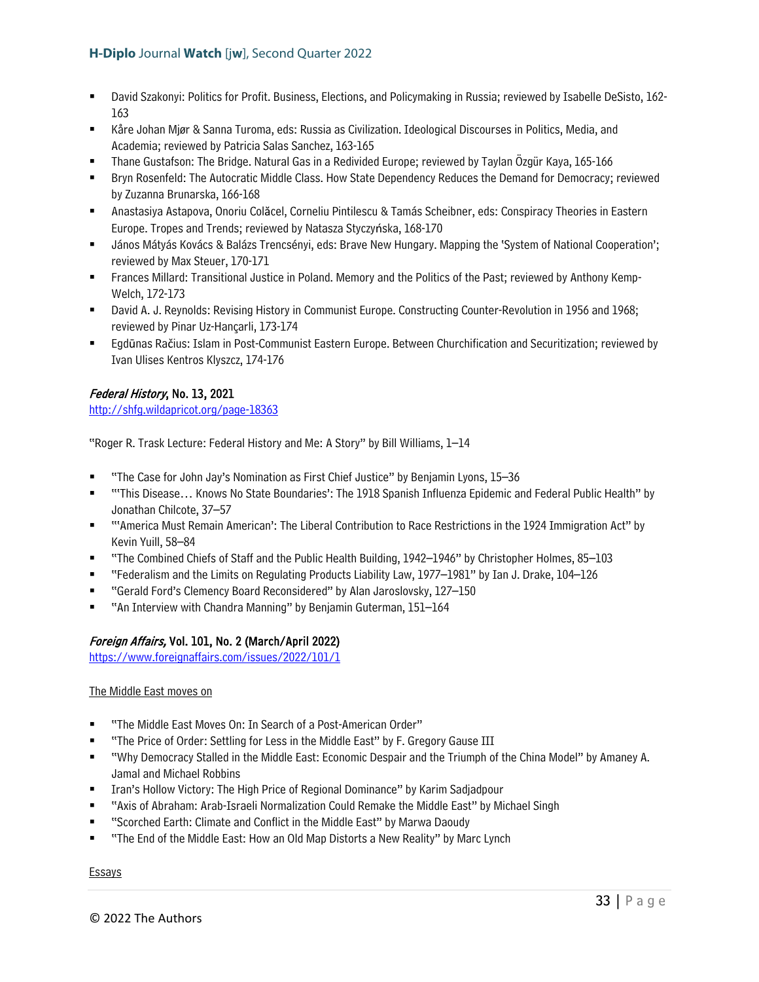- David Szakonyi: Politics for Profit. Business, Elections, and Policymaking in Russia; reviewed by Isabelle DeSisto, 162- 163
- Kåre Johan Mjør & Sanna Turoma, eds: Russia as Civilization. Ideological Discourses in Politics, Media, and Academia; reviewed by Patricia Salas Sanchez, 163-165
- Thane Gustafson: The Bridge. Natural Gas in a Redivided Europe; reviewed by Taylan Özgür Kaya, 165-166
- Bryn Rosenfeld: The Autocratic Middle Class. How State Dependency Reduces the Demand for Democracy; reviewed by Zuzanna Brunarska, 166-168
- Anastasiya Astapova, Onoriu Colăcel, Corneliu Pintilescu & Tamás Scheibner, eds: Conspiracy Theories in Eastern Europe. Tropes and Trends; reviewed by Natasza Styczyńska, 168-170
- János Mátyás Kovács & Balázs Trencsényi, eds: Brave New Hungary. Mapping the 'System of National Cooperation'; reviewed by Max Steuer, 170-171
- Frances Millard: Transitional Justice in Poland. Memory and the Politics of the Past; reviewed by Anthony Kemp-Welch, 172-173
- David A. J. Reynolds: Revising History in Communist Europe. Constructing Counter-Revolution in 1956 and 1968; reviewed by Pinar Uz-Hançarli, 173-174
- Egdūnas Račius: Islam in Post-Communist Eastern Europe. Between Churchification and Securitization; reviewed by Ivan Ulises Kentros Klyszcz, 174-176

# Federal History, No. 13, 2021

<http://shfg.wildapricot.org/page-18363>

"Roger R. Trask Lecture: Federal History and Me: A Story" by Bill Williams, 1–14

- "The Case for John Jay's Nomination as First Chief Justice" by Benjamin Lyons, 15–36
- "'This Disease… Knows No State Boundaries': The 1918 Spanish Influenza Epidemic and Federal Public Health" by Jonathan Chilcote, 37–57
- "'America Must Remain American': The Liberal Contribution to Race Restrictions in the 1924 Immigration Act" by Kevin Yuill, 58–84
- "The Combined Chiefs of Staff and the Public Health Building, 1942–1946" by Christopher Holmes, 85–103
- "Federalism and the Limits on Regulating Products Liability Law, 1977–1981" by Ian J. Drake, 104–126
- "Gerald Ford's Clemency Board Reconsidered" by Alan Jaroslovsky, 127–150
- "An Interview with Chandra Manning" by Benjamin Guterman, 151-164

# Foreign Affairs, Vol. 101, No. 2 (March/April 2022)

<https://www.foreignaffairs.com/issues/2022/101/1>

#### The Middle East moves on

- "The Middle East Moves On: In Search of a Post-American Order"
- "The Price of Order: Settling for Less in the Middle East" by F. Gregory Gause III
- "Why Democracy Stalled in the Middle East: Economic Despair and the Triumph of the China Model" by Amaney A. Jamal and Michael Robbins
- Iran's Hollow Victory: The High Price of Regional Dominance" by Karim Sadjadpour
- "Axis of Abraham: Arab-Israeli Normalization Could Remake the Middle East" by Michael Singh
- "Scorched Earth: Climate and Conflict in the Middle East" by Marwa Daoudy
- "The End of the Middle East: How an Old Map Distorts a New Reality" by Marc Lynch

#### Essays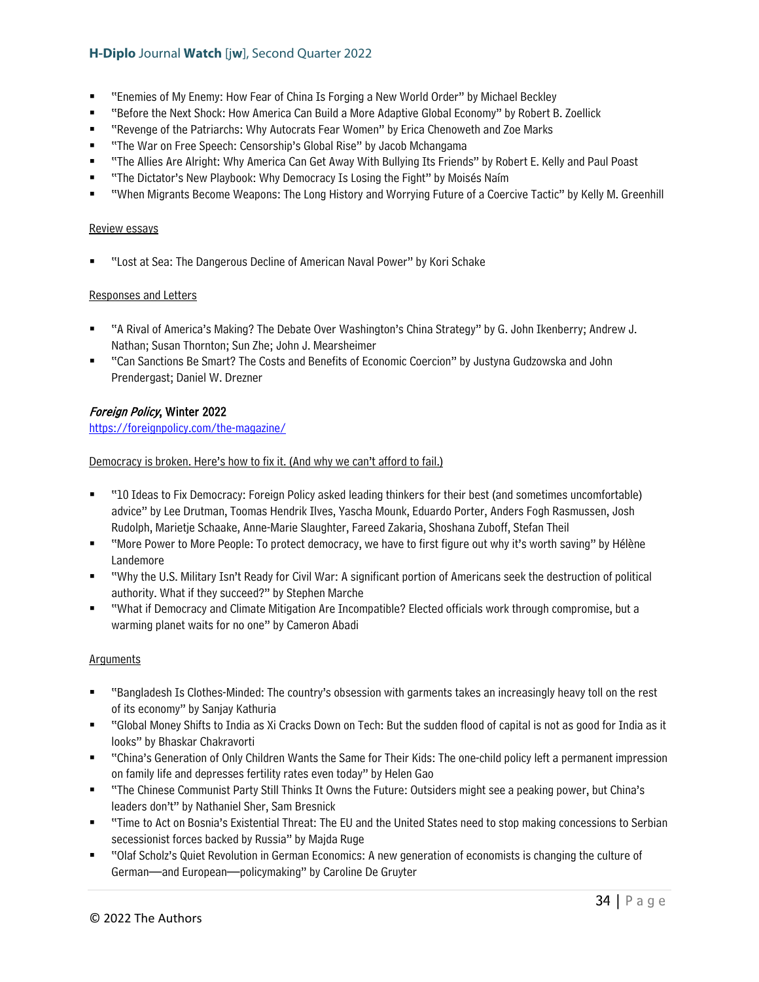- "Enemies of My Enemy: How Fear of China Is Forging a New World Order" by Michael Beckley
- "Before the Next Shock: How America Can Build a More Adaptive Global Economy" by Robert B. Zoellick
- "Revenge of the Patriarchs: Why Autocrats Fear Women" by Erica Chenoweth and Zoe Marks
- "The War on Free Speech: Censorship's Global Rise" by Jacob Mchangama
- "The Allies Are Alright: Why America Can Get Away With Bullying Its Friends" by Robert E. Kelly and Paul Poast
- "The Dictator's New Playbook: Why Democracy Is Losing the Fight" by Moisés Naím
- "When Migrants Become Weapons: The Long History and Worrying Future of a Coercive Tactic" by Kelly M. Greenhill

# Review essays

■ "Lost at Sea: The Dangerous Decline of American Naval Power" by Kori Schake

# Responses and Letters

- "A Rival of America's Making? The Debate Over Washington's China Strategy" by G. John Ikenberry; Andrew J. Nathan; Susan Thornton; Sun Zhe; John J. Mearsheimer
- "Can Sanctions Be Smart? The Costs and Benefits of Economic Coercion" by Justyna Gudzowska and John Prendergast; Daniel W. Drezner

# Foreign Policy, Winter 2022

<https://foreignpolicy.com/the-magazine/>

# Democracy is broken. Here's how to fix it. (And why we can't afford to fail.)

- "10 Ideas to Fix Democracy: Foreign Policy asked leading thinkers for their best (and sometimes uncomfortable) advice" by Lee Drutman, Toomas Hendrik Ilves, Yascha Mounk, Eduardo Porter, Anders Fogh Rasmussen, Josh Rudolph, Marietje Schaake, Anne-Marie Slaughter, Fareed Zakaria, Shoshana Zuboff, Stefan Theil
- "More Power to More People: To protect democracy, we have to first figure out why it's worth saving" by Hélène Landemore
- "Why the U.S. Military Isn't Ready for Civil War: A significant portion of Americans seek the destruction of political authority. What if they succeed?" by Stephen Marche
- "What if Democracy and Climate Mitigation Are Incompatible? Elected officials work through compromise, but a warming planet waits for no one" by Cameron Abadi

#### Arguments

- "Bangladesh Is Clothes-Minded: The country's obsession with garments takes an increasingly heavy toll on the rest of its economy" by Sanjay Kathuria
- "Global Money Shifts to India as Xi Cracks Down on Tech: But the sudden flood of capital is not as good for India as it looks" by Bhaskar Chakravorti
- "China's Generation of Only Children Wants the Same for Their Kids: The one-child policy left a permanent impression on family life and depresses fertility rates even today" by Helen Gao
- "The Chinese Communist Party Still Thinks It Owns the Future: Outsiders might see a peaking power, but China's leaders don't" by Nathaniel Sher, Sam Bresnick
- "Time to Act on Bosnia's Existential Threat: The EU and the United States need to stop making concessions to Serbian secessionist forces backed by Russia" by Majda Ruge
- "Olaf Scholz's Quiet Revolution in German Economics: A new generation of economists is changing the culture of German—and European—policymaking" by Caroline De Gruyter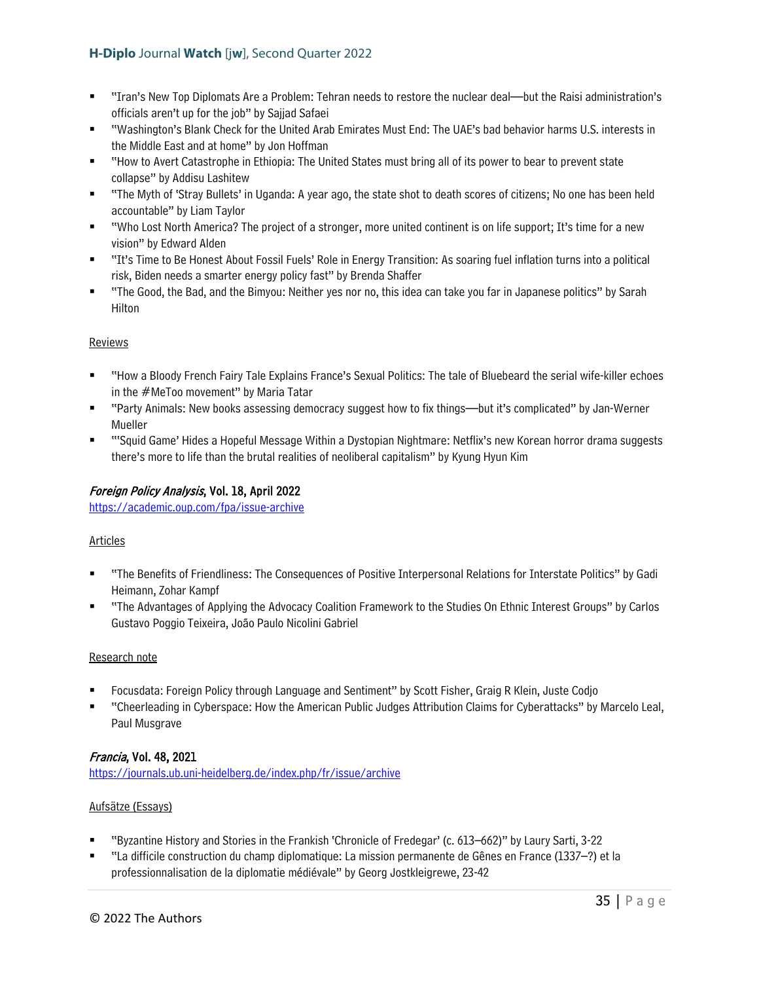- "Iran's New Top Diplomats Are a Problem: Tehran needs to restore the nuclear deal—but the Raisi administration's officials aren't up for the job" by Sajjad Safaei
- "Washington's Blank Check for the United Arab Emirates Must End: The UAE's bad behavior harms U.S. interests in the Middle East and at home" by Jon Hoffman
- "How to Avert Catastrophe in Ethiopia: The United States must bring all of its power to bear to prevent state collapse" by Addisu Lashitew
- "The Myth of 'Stray Bullets' in Uganda: A year ago, the state shot to death scores of citizens; No one has been held accountable" by Liam Taylor
- "Who Lost North America? The project of a stronger, more united continent is on life support; It's time for a new vision" by Edward Alden
- "It's Time to Be Honest About Fossil Fuels' Role in Energy Transition: As soaring fuel inflation turns into a political risk, Biden needs a smarter energy policy fast" by Brenda Shaffer
- "The Good, the Bad, and the Bimyou: Neither yes nor no, this idea can take you far in Japanese politics" by Sarah Hilton

# **Reviews**

- "How a Bloody French Fairy Tale Explains France's Sexual Politics: The tale of Bluebeard the serial wife-killer echoes in the #MeToo movement" by Maria Tatar
- "Party Animals: New books assessing democracy suggest how to fix things—but it's complicated" by Jan-Werner Mueller
- "'Squid Game' Hides a Hopeful Message Within a Dystopian Nightmare: Netflix's new Korean horror drama suggests there's more to life than the brutal realities of neoliberal capitalism" by Kyung Hyun Kim

# Foreign Policy Analysis, Vol. 18, April 2022

<https://academic.oup.com/fpa/issue-archive>

# Articles

- "The Benefits of Friendliness: The Consequences of Positive Interpersonal Relations for Interstate Politics" by Gadi Heimann, Zohar Kampf
- "The Advantages of Applying the Advocacy Coalition Framework to the Studies On Ethnic Interest Groups" by Carlos Gustavo Poggio Teixeira, João Paulo Nicolini Gabriel

#### Research note

- Focusdata: Foreign Policy through Language and Sentiment" by Scott Fisher, Graig R Klein, Juste Codjo
- "Cheerleading in Cyberspace: How the American Public Judges Attribution Claims for Cyberattacks" by Marcelo Leal, Paul Musgrave

# Francia, Vol. 48, 2021

<https://journals.ub.uni-heidelberg.de/index.php/fr/issue/archive>

# Aufsätze (Essays)

- "Byzantine History and Stories in the Frankish 'Chronicle of Fredegar' (c. 613–662)" by Laury Sarti, 3-22
- "La difficile construction du champ diplomatique: La mission permanente de Gênes en France (1337–?) et la professionnalisation de la diplomatie médiévale" by Georg Jostkleigrewe, 23-42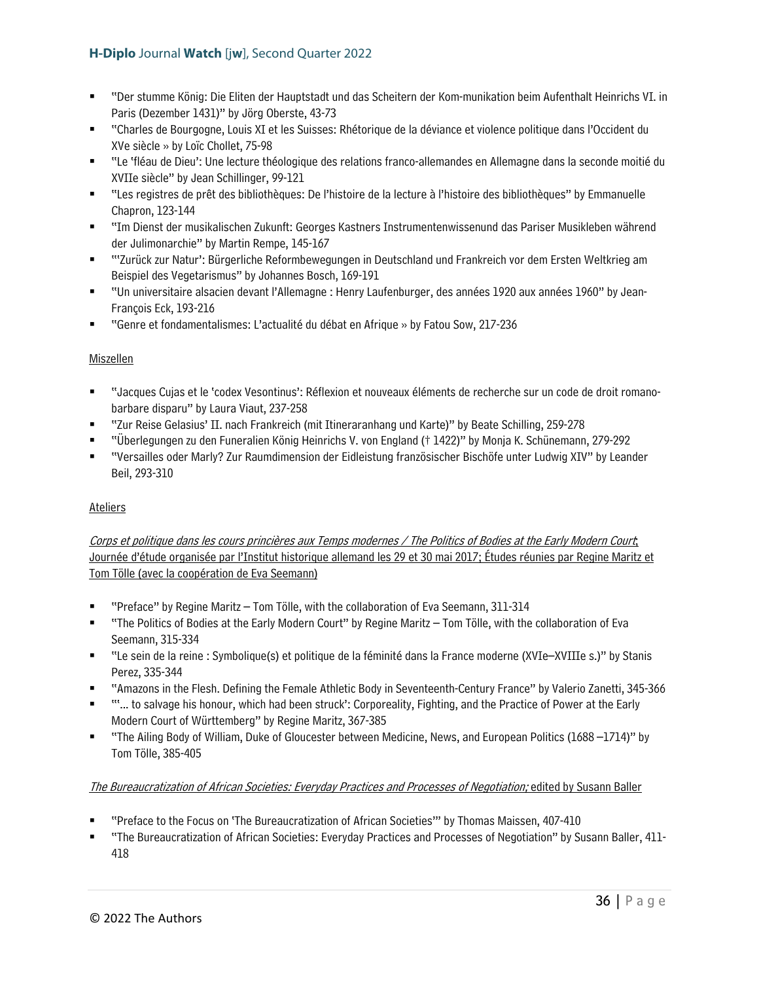- "Der stumme König: Die Eliten der Hauptstadt und das Scheitern der Kom-munikation beim Aufenthalt Heinrichs VI. in Paris (Dezember 1431)" by Jörg Oberste, 43-73
- "Charles de Bourgogne, Louis XI et les Suisses: Rhétorique de la déviance et violence politique dans l'Occident du XVe siècle » by Loïc Chollet, 75-98
- "Le 'fléau de Dieu': Une lecture théologique des relations franco-allemandes en Allemagne dans la seconde moitié du XVIIe siècle" by Jean Schillinger, 99-121
- "Les registres de prêt des bibliothèques: De l'histoire de la lecture à l'histoire des bibliothèques" by Emmanuelle Chapron, 123-144
- "Im Dienst der musikalischen Zukunft: Georges Kastners Instrumentenwissenund das Pariser Musikleben während der Julimonarchie" by Martin Rempe, 145-167
- "'Zurück zur Natur': Bürgerliche Reformbewegungen in Deutschland und Frankreich vor dem Ersten Weltkrieg am Beispiel des Vegetarismus" by Johannes Bosch, 169-191
- "Un universitaire alsacien devant l'Allemagne : Henry Laufenburger, des années 1920 aux années 1960" by Jean-François Eck, 193-216
- "Genre et fondamentalismes: L'actualité du débat en Afrique » by Fatou Sow, 217-236

# Miszellen

- "Jacques Cujas et le 'codex Vesontinus': Réflexion et nouveaux éléments de recherche sur un code de droit romanobarbare disparu" by Laura Viaut, 237-258
- "Zur Reise Gelasius' II. nach Frankreich (mit Itineraranhang und Karte)" by Beate Schilling, 259-278
- "Überlegungen zu den Funeralien König Heinrichs V. von England († 1422)" by Monja K. Schünemann, 279-292
- "Versailles oder Marly? Zur Raumdimension der Eidleistung französischer Bischöfe unter Ludwig XIV" by Leander Beil, 293-310

# Ateliers

Corps et politique dans les cours princières aux Temps modernes / The Politics of Bodies at the Early Modern Court; Journée d'étude organisée par l'Institut historique allemand les 29 et 30 mai 2017; Études réunies par Regine Maritz et Tom Tölle (avec la coopération de Eva Seemann)

- "Preface" by Regine Maritz Tom Tölle, with the collaboration of Eva Seemann, 311-314
- "The Politics of Bodies at the Early Modern Court" by Regine Maritz Tom Tölle, with the collaboration of Eva Seemann, 315-334
- "Le sein de la reine : Symbolique(s) et politique de la féminité dans la France moderne (XVIe–XVIIIe s.)" by Stanis Perez, 335-344
- "Amazons in the Flesh. Defining the Female Athletic Body in Seventeenth-Century France" by Valerio Zanetti, 345-366
- "'... to salvage his honour, which had been struck': Corporeality, Fighting, and the Practice of Power at the Early Modern Court of Württemberg" by Regine Maritz, 367-385
- "The Ailing Body of William, Duke of Gloucester between Medicine, News, and European Politics (1688 –1714)" by Tom Tölle, 385-405

# The Bureaucratization of African Societies: Everyday Practices and Processes of Negotiation; edited by Susann Baller

- "Preface to the Focus on 'The Bureaucratization of African Societies'" by Thomas Maissen, 407-410
- "The Bureaucratization of African Societies: Everyday Practices and Processes of Negotiation" by Susann Baller, 411- 418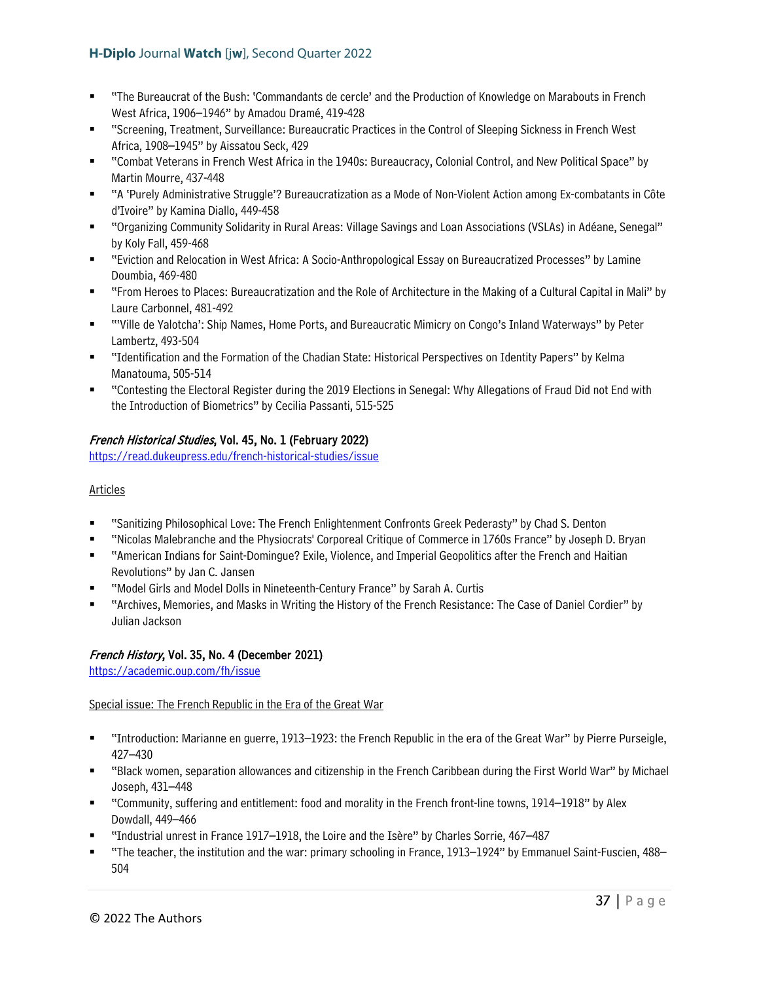- "The Bureaucrat of the Bush: 'Commandants de cercle' and the Production of Knowledge on Marabouts in French West Africa, 1906–1946" by Amadou Dramé, 419-428
- "Screening, Treatment, Surveillance: Bureaucratic Practices in the Control of Sleeping Sickness in French West Africa, 1908–1945" by Aissatou Seck, 429
- "Combat Veterans in French West Africa in the 1940s: Bureaucracy, Colonial Control, and New Political Space" by Martin Mourre, 437-448
- "A 'Purely Administrative Struggle'? Bureaucratization as a Mode of Non-Violent Action among Ex-combatants in Côte d'Ivoire" by Kamina Diallo, 449-458
- "Organizing Community Solidarity in Rural Areas: Village Savings and Loan Associations (VSLAs) in Adéane, Senegal" by Koly Fall, 459-468
- "Eviction and Relocation in West Africa: A Socio-Anthropological Essay on Bureaucratized Processes" by Lamine Doumbia, 469-480
- "From Heroes to Places: Bureaucratization and the Role of Architecture in the Making of a Cultural Capital in Mali" by Laure Carbonnel, 481-492
- "'Ville de Yalotcha': Ship Names, Home Ports, and Bureaucratic Mimicry on Congo's Inland Waterways" by Peter Lambertz, 493-504
- "Identification and the Formation of the Chadian State: Historical Perspectives on Identity Papers" by Kelma Manatouma, 505-514
- "Contesting the Electoral Register during the 2019 Elections in Senegal: Why Allegations of Fraud Did not End with the Introduction of Biometrics" by Cecilia Passanti, 515-525

# French Historical Studies, Vol. 45, No. 1 (February 2022)

<https://read.dukeupress.edu/french-historical-studies/issue>

### Articles

- "Sanitizing Philosophical Love: The French Enlightenment Confronts Greek Pederasty" by Chad S. Denton
- "Nicolas Malebranche and the Physiocrats' Corporeal Critique of Commerce in 1760s France" by Joseph D. Bryan
- "American Indians for Saint-Domingue? Exile, Violence, and Imperial Geopolitics after the French and Haitian Revolutions" by Jan C. Jansen
- "Model Girls and Model Dolls in Nineteenth-Century France" by Sarah A. Curtis
- "Archives, Memories, and Masks in Writing the History of the French Resistance: The Case of Daniel Cordier" by Julian Jackson

# French History, Vol. 35, No. 4 (December 2021)

<https://academic.oup.com/fh/issue>

# Special issue: The French Republic in the Era of the Great War

- "Introduction: Marianne en guerre, 1913–1923: the French Republic in the era of the Great War" by Pierre Purseigle, 427–430
- "Black women, separation allowances and citizenship in the French Caribbean during the First World War" by Michael Joseph, 431–448
- "Community, suffering and entitlement: food and morality in the French front-line towns, 1914–1918" by Alex Dowdall, 449–466
- "Industrial unrest in France 1917–1918, the Loire and the Isère" by Charles Sorrie, 467–487
- "The teacher, the institution and the war: primary schooling in France, 1913–1924" by Emmanuel Saint-Fuscien, 488– 504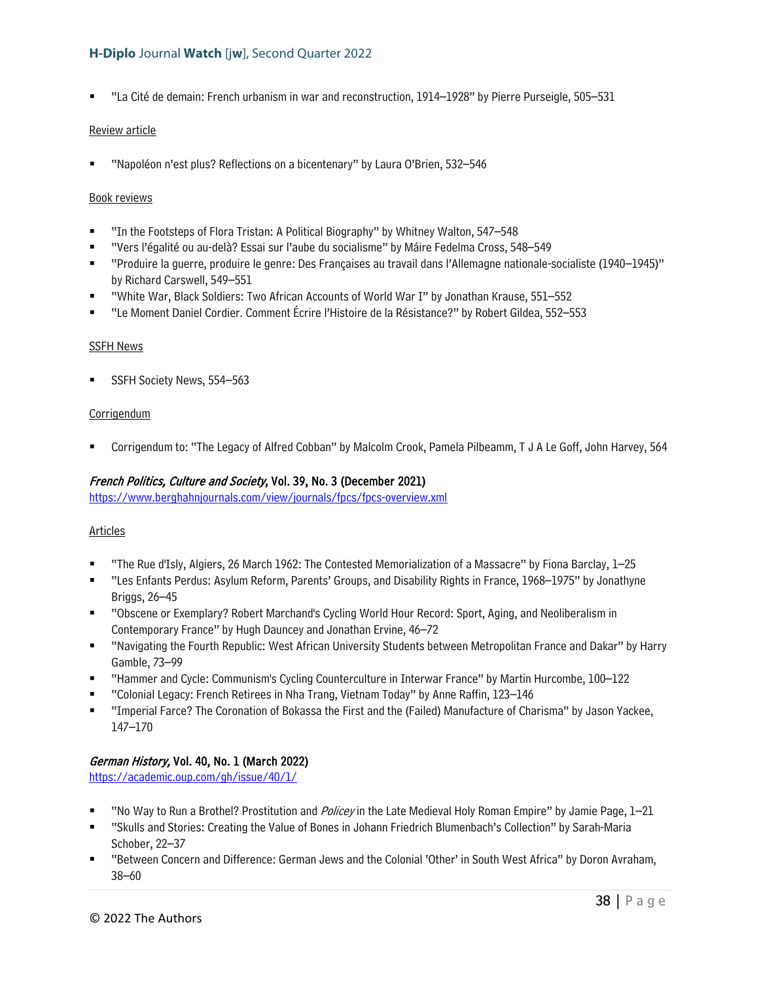"La Cité de demain: French urbanism in war and reconstruction, 1914–1928" by Pierre Purseigle, 505–531

#### Review article

"Napoléon n'est plus? Reflections on a bicentenary" by Laura O'Brien, 532–546

#### Book reviews

- "In the Footsteps of Flora Tristan: A Political Biography" by Whitney Walton, 547–548
- "Vers l'égalité ou au-delà? Essai sur l'aube du socialisme" by Máire Fedelma Cross, 548–549
- "Produire la guerre, produire le genre: Des Françaises au travail dans l'Allemagne nationale-socialiste (1940–1945)" by Richard Carswell, 549–551
- "White War, Black Soldiers: Two African Accounts of World War I" by Jonathan Krause, 551–552
- "Le Moment Daniel Cordier. Comment Écrire l'Histoire de la Résistance?" by Robert Gildea, 552–553

#### SSFH News

SSFH Society News, 554–563

#### **Corrigendum**

Corrigendum to: "The Legacy of Alfred Cobban" by Malcolm Crook, Pamela Pilbeamm, T J A Le Goff, John Harvey, 564

#### French Politics, Culture and Society, Vol. 39, No. 3 (December 2021)

<https://www.berghahnjournals.com/view/journals/fpcs/fpcs-overview.xml>

#### Articles

- "The Rue d'Isly, Algiers, 26 March 1962: The Contested Memorialization of a Massacre" by Fiona Barclay, 1–25
- "Les Enfants Perdus: Asylum Reform, Parents' Groups, and Disability Rights in France, 1968–1975" by Jonathyne Briggs, 26–45
- "Obscene or Exemplary? Robert Marchand's Cycling World Hour Record: Sport, Aging, and Neoliberalism in Contemporary France" by Hugh Dauncey and Jonathan Ervine, 46–72
- "Navigating the Fourth Republic: West African University Students between Metropolitan France and Dakar" by Harry Gamble, 73–99
- "Hammer and Cycle: Communism's Cycling Counterculture in Interwar France" by Martin Hurcombe, 100–122
- "Colonial Legacy: French Retirees in Nha Trang, Vietnam Today" by Anne Raffin, 123–146
- "Imperial Farce? The Coronation of Bokassa the First and the (Failed) Manufacture of Charisma" by Jason Yackee, 147–170

# German History, Vol. 40, No. 1 (March 2022)

<https://academic.oup.com/gh/issue/40/1/>

- "No Way to Run a Brothel? Prostitution and *Policey* in the Late Medieval Holy Roman Empire" by Jamie Page, 1–21
- "Skulls and Stories: Creating the Value of Bones in Johann Friedrich Blumenbach's Collection" by Sarah-Maria Schober, 22–37
- "Between Concern and Difference: German Jews and the Colonial 'Other' in South West Africa" by Doron Avraham, 38–60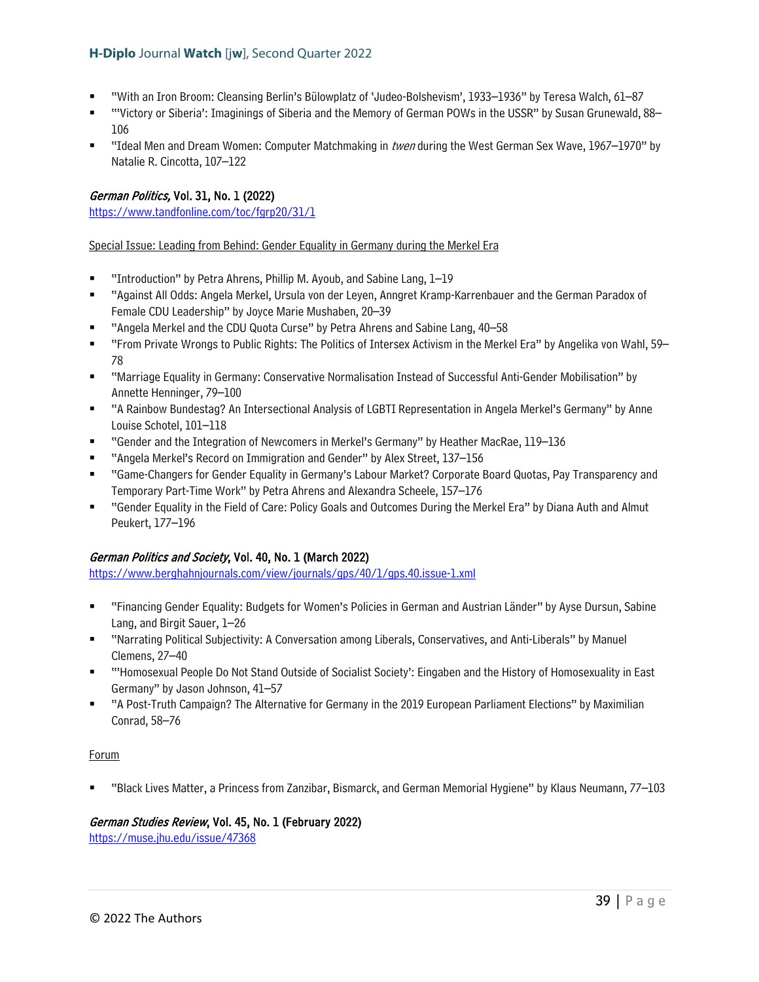- "With an Iron Broom: Cleansing Berlin's Bülowplatz of 'Judeo-Bolshevism', 1933–1936" by Teresa Walch, 61–87
- "'Victory or Siberia': Imaginings of Siberia and the Memory of German POWs in the USSR" by Susan Grunewald, 88– 106
- "Ideal Men and Dream Women: Computer Matchmaking in twen during the West German Sex Wave, 1967–1970" by Natalie R. Cincotta, 107–122

# German Politics, Vol. 31, No. 1 (2022)

<https://www.tandfonline.com/toc/fgrp20/31/1>

Special Issue: Leading from Behind: Gender Equality in Germany during the Merkel Era

- "Introduction" by Petra Ahrens, Phillip M. Ayoub, and Sabine Lang, 1–19
- "Against All Odds: Angela Merkel, Ursula von der Leyen, Anngret Kramp-Karrenbauer and the German Paradox of Female CDU Leadership" by Joyce Marie Mushaben, 20–39
- "Angela Merkel and the CDU Quota Curse" by Petra Ahrens and Sabine Lang, 40–58
- "From Private Wrongs to Public Rights: The Politics of Intersex Activism in the Merkel Era" by Angelika von Wahl, 59– 78
- "Marriage Equality in Germany: Conservative Normalisation Instead of Successful Anti-Gender Mobilisation" by Annette Henninger, 79–100
- "A Rainbow Bundestag? An Intersectional Analysis of LGBTI Representation in Angela Merkel's Germany" by Anne Louise Schotel, 101–118
- "Gender and the Integration of Newcomers in Merkel's Germany" by Heather MacRae, 119–136
- "Angela Merkel's Record on Immigration and Gender" by Alex Street, 137–156
- "Game-Changers for Gender Equality in Germany's Labour Market? Corporate Board Quotas, Pay Transparency and Temporary Part-Time Work" by Petra Ahrens and Alexandra Scheele, 157–176
- "Gender Equality in the Field of Care: Policy Goals and Outcomes During the Merkel Era" by Diana Auth and Almut Peukert, 177–196

# German Politics and Society, Vol. 40, No. 1 (March 2022)

<https://www.berghahnjournals.com/view/journals/gps/40/1/gps.40.issue-1.xml>

- "Financing Gender Equality: Budgets for Women's Policies in German and Austrian Länder" by Ayse Dursun, Sabine Lang, and Birgit Sauer, 1–26
- "Narrating Political Subjectivity: A Conversation among Liberals, Conservatives, and Anti-Liberals" by Manuel Clemens, 27–40
- "'Homosexual People Do Not Stand Outside of Socialist Society': Eingaben and the History of Homosexuality in East Germany" by Jason Johnson, 41–57
- "A Post-Truth Campaign? The Alternative for Germany in the 2019 European Parliament Elections" by Maximilian Conrad, 58–76

#### Forum

"Black Lives Matter, a Princess from Zanzibar, Bismarck, and German Memorial Hygiene" by Klaus Neumann, 77–103

# German Studies Review, Vol. 45, No. 1 (February 2022)

<https://muse.jhu.edu/issue/47368>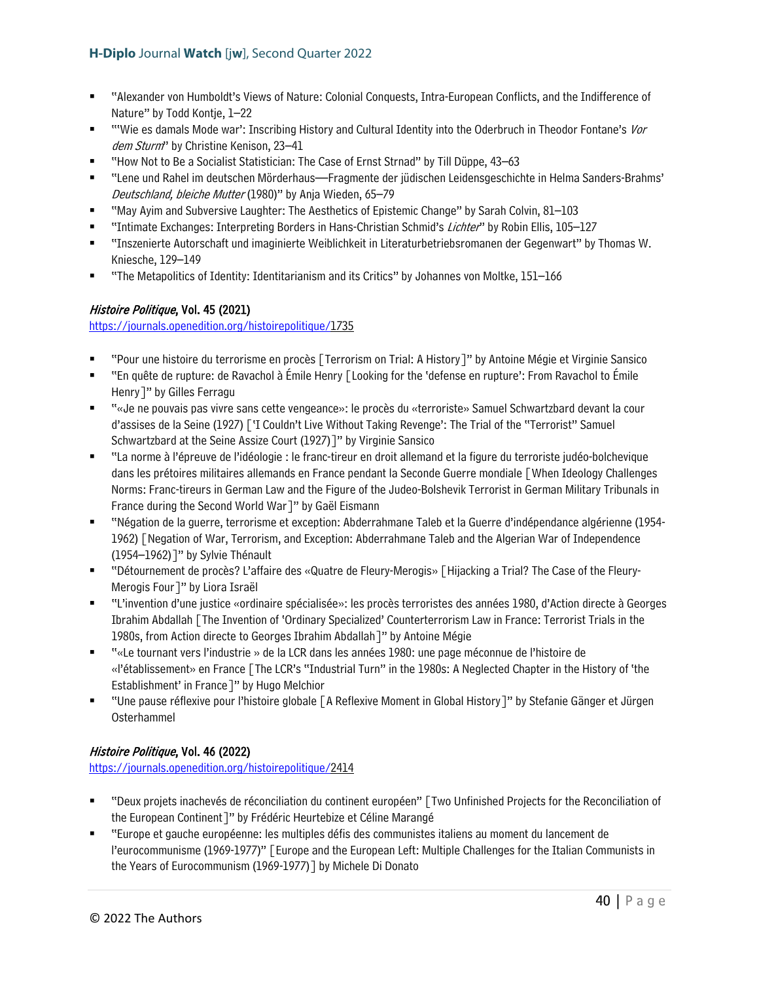- "Alexander von Humboldt's Views of Nature: Colonial Conquests, Intra-European Conflicts, and the Indifference of Nature" by Todd Kontje, 1–22
- "'Wie es damals Mode war': Inscribing History and Cultural Identity into the Oderbruch in Theodor Fontane's Vor dem Sturm" by Christine Kenison, 23-41
- "How Not to Be a Socialist Statistician: The Case of Ernst Strnad" by Till Düppe, 43–63
- "Lene und Rahel im deutschen Mörderhaus—Fragmente der jüdischen Leidensgeschichte in Helma Sanders-Brahms' Deutschland, bleiche Mutter (1980)" by Anja Wieden, 65–79
- "May Ayim and Subversive Laughter: The Aesthetics of Epistemic Change" by Sarah Colvin, 81–103
- "Intimate Exchanges: Interpreting Borders in Hans-Christian Schmid's Lichter" by Robin Ellis, 105–127
- "Inszenierte Autorschaft und imaginierte Weiblichkeit in Literaturbetriebsromanen der Gegenwart" by Thomas W. Kniesche, 129–149
- "The Metapolitics of Identity: Identitarianism and its Critics" by Johannes von Moltke, 151–166

# Histoire Politique, Vol. 45 (2021)

[https://journals.openedition.org/histoirepolitique/1](https://journals.openedition.org/histoirepolitique/)735

- "Pour une histoire du terrorisme en procès [Terrorism on Trial: A History]" by Antoine Mégie et Virginie Sansico
- "En quête de rupture: de Ravachol à Émile Henry [Looking for the 'defense en rupture': From Ravachol to Émile Henry]" by Gilles Ferragu
- "«Je ne pouvais pas vivre sans cette vengeance»: le procès du «terroriste» Samuel Schwartzbard devant la cour d'assises de la Seine (1927) ['I Couldn't Live Without Taking Revenge': The Trial of the "Terrorist" Samuel Schwartzbard at the Seine Assize Court (1927)]" by Virginie Sansico
- "La norme à l'épreuve de l'idéologie : le franc-tireur en droit allemand et la figure du terroriste judéo-bolchevique dans les prétoires militaires allemands en France pendant la Seconde Guerre mondiale [When Ideology Challenges Norms: Franc-tireurs in German Law and the Figure of the Judeo-Bolshevik Terrorist in German Military Tribunals in France during the Second World War]" by Gaël Eismann
- "Négation de la guerre, terrorisme et exception: Abderrahmane Taleb et la Guerre d'indépendance algérienne (1954- 1962) [Negation of War, Terrorism, and Exception: Abderrahmane Taleb and the Algerian War of Independence (1954–1962)]" by Sylvie Thénault
- "Détournement de procès? L'affaire des «Quatre de Fleury-Merogis» [Hijacking a Trial? The Case of the Fleury-Merogis Four]" by Liora Israël
- "L'invention d'une justice «ordinaire spécialisée»: les procès terroristes des années 1980, d'Action directe à Georges Ibrahim Abdallah [The Invention of 'Ordinary Specialized' Counterterrorism Law in France: Terrorist Trials in the 1980s, from Action directe to Georges Ibrahim Abdallah]" by Antoine Mégie
- "«Le tournant vers l'industrie » de la LCR dans les années 1980: une page méconnue de l'histoire de «l'établissement» en France [The LCR's "Industrial Turn" in the 1980s: A Neglected Chapter in the History of 'the Establishment' in France]" by Hugo Melchior
- "Une pause réflexive pour l'histoire globale [A Reflexive Moment in Global History]" by Stefanie Gänger et Jürgen Osterhammel

# Histoire Politique, Vol. 46 (2022)

[https://journals.openedition.org/histoirepolitique/2](https://journals.openedition.org/histoirepolitique/)414

- "Deux projets inachevés de réconciliation du continent européen" [Two Unfinished Projects for the Reconciliation of the European Continent]" by Frédéric Heurtebize et Céline Marangé
- "Europe et gauche européenne: les multiples défis des communistes italiens au moment du lancement de l'eurocommunisme (1969-1977)" [Europe and the European Left: Multiple Challenges for the Italian Communists in the Years of Eurocommunism (1969-1977)] by Michele Di Donato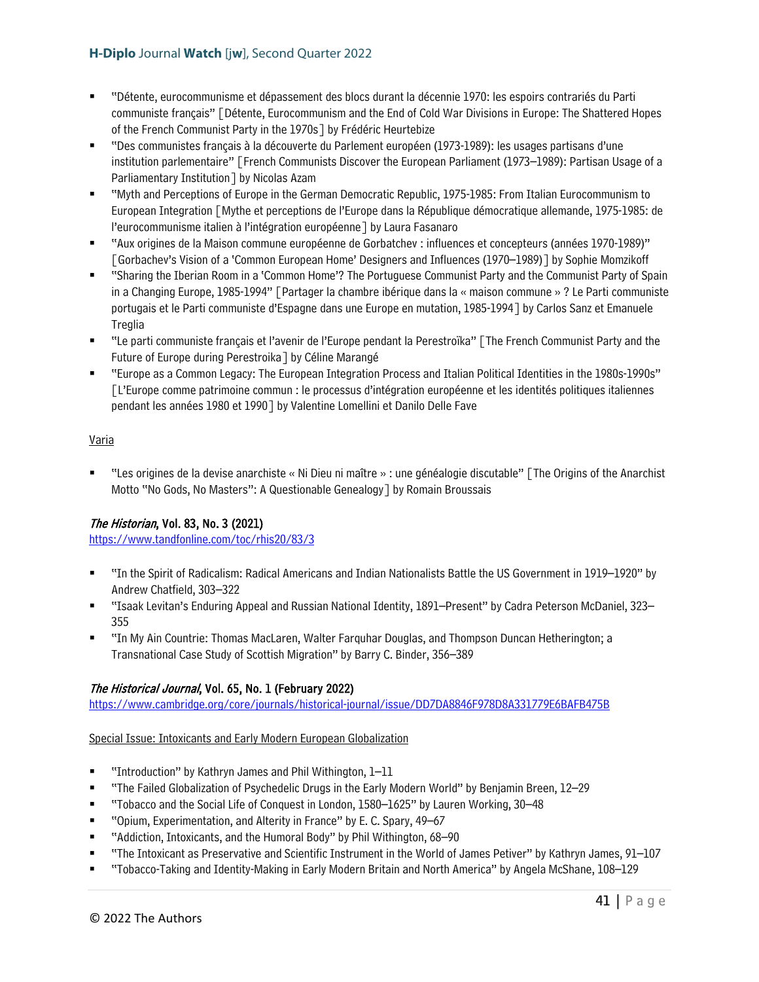- "Détente, eurocommunisme et dépassement des blocs durant la décennie 1970: les espoirs contrariés du Parti communiste français" [Détente, Eurocommunism and the End of Cold War Divisions in Europe: The Shattered Hopes of the French Communist Party in the 1970s] by Frédéric Heurtebize
- "Des communistes français à la découverte du Parlement européen (1973-1989): les usages partisans d'une institution parlementaire" [French Communists Discover the European Parliament (1973–1989): Partisan Usage of a Parliamentary Institution] by Nicolas Azam
- "Myth and Perceptions of Europe in the German Democratic Republic, 1975-1985: From Italian Eurocommunism to European Integration [Mythe et perceptions de l'Europe dans la République démocratique allemande, 1975-1985: de l'eurocommunisme italien à l'intégration européenne] by Laura Fasanaro
- "Aux origines de la Maison commune européenne de Gorbatchev : influences et concepteurs (années 1970-1989)" [Gorbachev's Vision of a 'Common European Home' Designers and Influences (1970–1989)] by Sophie Momzikoff
- "Sharing the Iberian Room in a 'Common Home'? The Portuguese Communist Party and the Communist Party of Spain in a Changing Europe, 1985-1994" [Partager la chambre ibérique dans la « maison commune » ? Le Parti communiste portugais et le Parti communiste d'Espagne dans une Europe en mutation, 1985-1994] by Carlos Sanz et Emanuele Treglia
- "Le parti communiste français et l'avenir de l'Europe pendant la Perestroïka" [The French Communist Party and the Future of Europe during Perestroika] by Céline Marangé
- "Europe as a Common Legacy: The European Integration Process and Italian Political Identities in the 1980s-1990s" [L'Europe comme patrimoine commun : le processus d'intégration européenne et les identités politiques italiennes pendant les années 1980 et 1990] by Valentine Lomellini et Danilo Delle Fave

# Varia

 "Les origines de la devise anarchiste « Ni Dieu ni maître » : une généalogie discutable" [The Origins of the Anarchist Motto "No Gods, No Masters": A Questionable Genealogy] by Romain Broussais

# The Historian, Vol. 83, No. 3 (2021)

<https://www.tandfonline.com/toc/rhis20/83/3>

- "In the Spirit of Radicalism: Radical Americans and Indian Nationalists Battle the US Government in 1919–1920" by Andrew Chatfield, 303–322
- "Isaak Levitan's Enduring Appeal and Russian National Identity, 1891–Present" by Cadra Peterson McDaniel, 323– 355
- "In My Ain Countrie: Thomas MacLaren, Walter Farquhar Douglas, and Thompson Duncan Hetherington; a Transnational Case Study of Scottish Migration" by Barry C. Binder, 356–389

# The Historical Journal, Vol. 65, No. 1 (February 2022)

<https://www.cambridge.org/core/journals/historical-journal/issue/DD7DA8846F978D8A331779E6BAFB475B>

Special Issue: Intoxicants and Early Modern European Globalization

- "Introduction" by Kathryn James and Phil Withington, 1–11
- "The Failed Globalization of Psychedelic Drugs in the Early Modern World" by Benjamin Breen, 12–29
- "Tobacco and the Social Life of Conquest in London, 1580–1625" by Lauren Working, 30–48
- "Opium, Experimentation, and Alterity in France" by E. C. Spary, 49–67
- "Addiction, Intoxicants, and the Humoral Body" by Phil Withington, 68–90
- "The Intoxicant as Preservative and Scientific Instrument in the World of James Petiver" by Kathryn James, 91–107
- "Tobacco-Taking and Identity-Making in Early Modern Britain and North America" by Angela McShane, 108–129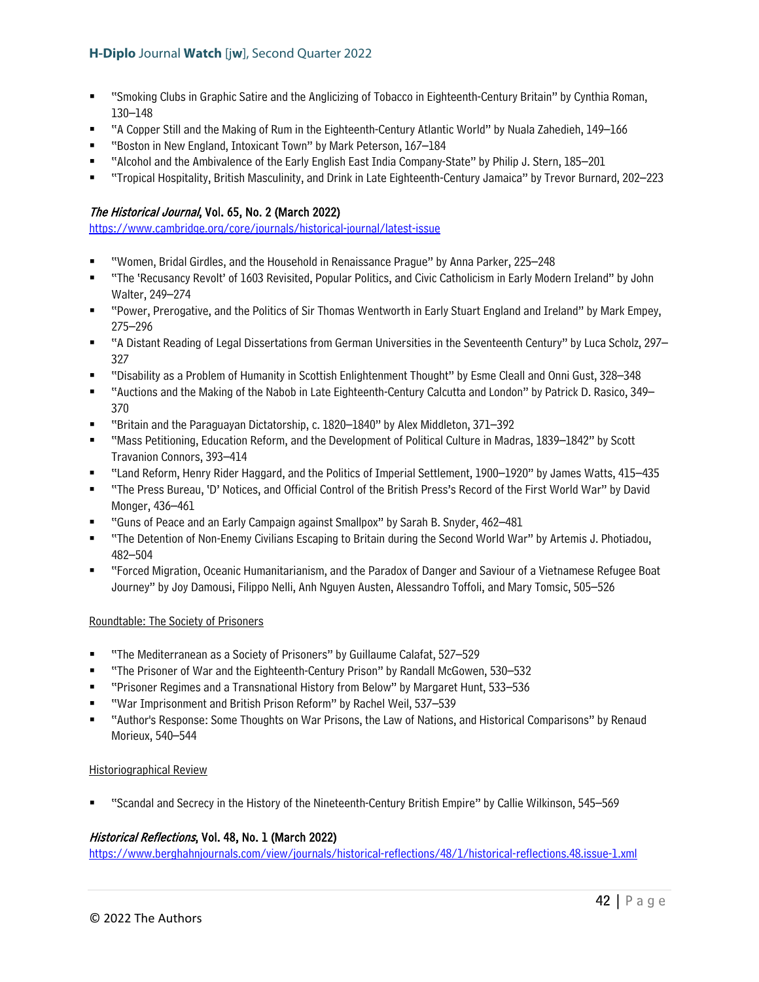- "Smoking Clubs in Graphic Satire and the Anglicizing of Tobacco in Eighteenth-Century Britain" by Cynthia Roman, 130–148
- "A Copper Still and the Making of Rum in the Eighteenth-Century Atlantic World" by Nuala Zahedieh, 149–166
- "Boston in New England, Intoxicant Town" by Mark Peterson, 167–184
- "Alcohol and the Ambivalence of the Early English East India Company-State" by Philip J. Stern, 185–201
- "Tropical Hospitality, British Masculinity, and Drink in Late Eighteenth-Century Jamaica" by Trevor Burnard, 202–223

# The Historical Journal, Vol. 65, No. 2 (March 2022)

<https://www.cambridge.org/core/journals/historical-journal/latest-issue>

- "Women, Bridal Girdles, and the Household in Renaissance Prague" by Anna Parker, 225–248
- "The 'Recusancy Revolt' of 1603 Revisited, Popular Politics, and Civic Catholicism in Early Modern Ireland" by John Walter, 249–274
- "Power, Prerogative, and the Politics of Sir Thomas Wentworth in Early Stuart England and Ireland" by Mark Empey, 275–296
- "A Distant Reading of Legal Dissertations from German Universities in the Seventeenth Century" by Luca Scholz, 297– 327
- "Disability as a Problem of Humanity in Scottish Enlightenment Thought" by Esme Cleall and Onni Gust, 328–348
- "Auctions and the Making of the Nabob in Late Eighteenth-Century Calcutta and London" by Patrick D. Rasico, 349– 370
- "Britain and the Paraguayan Dictatorship, c. 1820–1840" by Alex Middleton, 371–392
- "Mass Petitioning, Education Reform, and the Development of Political Culture in Madras, 1839–1842" by Scott Travanion Connors, 393–414
- "Land Reform, Henry Rider Haggard, and the Politics of Imperial Settlement, 1900–1920" by James Watts, 415–435
- "The Press Bureau, 'D' Notices, and Official Control of the British Press's Record of the First World War" by David Monger, 436–461
- "Guns of Peace and an Early Campaign against Smallpox" by Sarah B. Snyder, 462–481
- "The Detention of Non-Enemy Civilians Escaping to Britain during the Second World War" by Artemis J. Photiadou, 482–504
- "Forced Migration, Oceanic Humanitarianism, and the Paradox of Danger and Saviour of a Vietnamese Refugee Boat Journey" by Joy Damousi, Filippo Nelli, Anh Nguyen Austen, Alessandro Toffoli, and Mary Tomsic, 505–526

#### Roundtable: The Society of Prisoners

- "The Mediterranean as a Society of Prisoners" by Guillaume Calafat, 527–529
- "The Prisoner of War and the Eighteenth-Century Prison" by Randall McGowen, 530–532
- "Prisoner Regimes and a Transnational History from Below" by Margaret Hunt, 533–536
- "War Imprisonment and British Prison Reform" by Rachel Weil, 537–539
- "Author's Response: Some Thoughts on War Prisons, the Law of Nations, and Historical Comparisons" by Renaud Morieux, 540–544

#### Historiographical Review

"Scandal and Secrecy in the History of the Nineteenth-Century British Empire" by Callie Wilkinson, 545–569

# Historical Reflections, Vol. 48, No. 1 (March 2022)

<https://www.berghahnjournals.com/view/journals/historical-reflections/48/1/historical-reflections.48.issue-1.xml>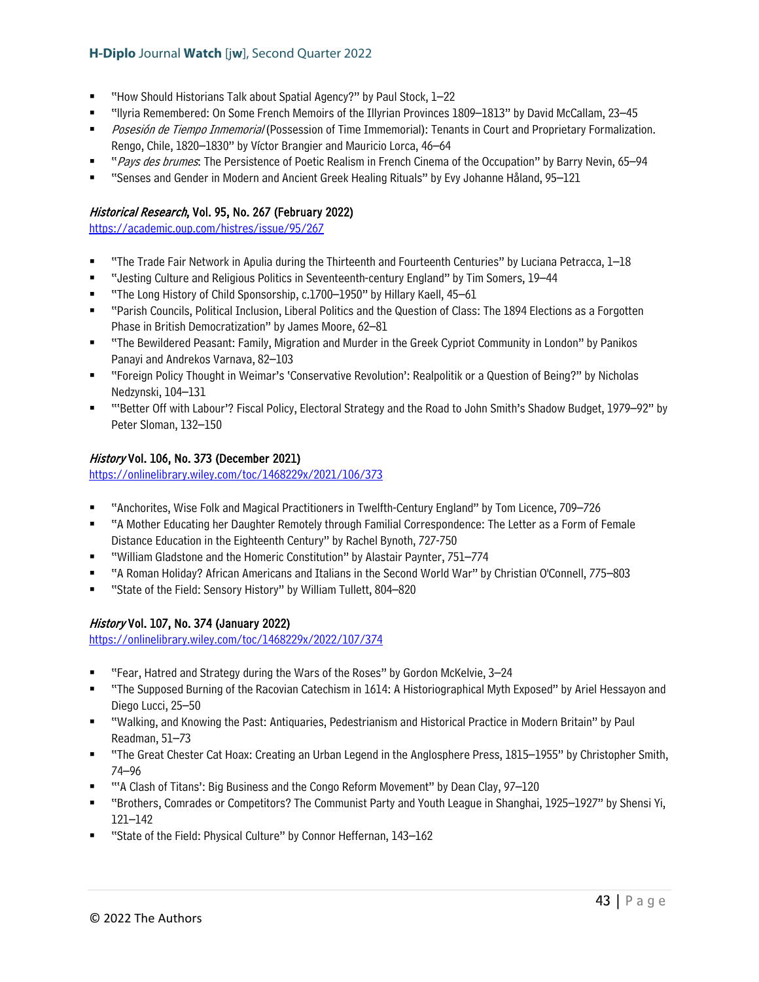- "How Should Historians Talk about Spatial Agency?" by Paul Stock, 1–22
- "llyria Remembered: On Some French Memoirs of the Illyrian Provinces 1809–1813" by David McCallam, 23–45
- Posesión de Tiempo Inmemorial (Possession of Time Immemorial): Tenants in Court and Proprietary Formalization. Rengo, Chile, 1820–1830" by Víctor Brangier and Mauricio Lorca, 46–64
- "Pays des brumes: The Persistence of Poetic Realism in French Cinema of the Occupation" by Barry Nevin, 65–94
- "Senses and Gender in Modern and Ancient Greek Healing Rituals" by Evy Johanne Håland, 95–121

# Historical Research, Vol. 95, No. 267 (February 2022)

<https://academic.oup.com/histres/issue/95/267>

- "The Trade Fair Network in Apulia during the Thirteenth and Fourteenth Centuries" by Luciana Petracca, 1–18
- "Jesting Culture and Religious Politics in Seventeenth-century England" by Tim Somers, 19–44
- "The Long History of Child Sponsorship, c.1700–1950" by Hillary Kaell, 45–61
- "Parish Councils, Political Inclusion, Liberal Politics and the Question of Class: The 1894 Elections as a Forgotten Phase in British Democratization" by James Moore, 62–81
- "The Bewildered Peasant: Family, Migration and Murder in the Greek Cypriot Community in London" by Panikos Panayi and Andrekos Varnava, 82–103
- "Foreign Policy Thought in Weimar's 'Conservative Revolution': Realpolitik or a Question of Being?" by Nicholas Nedzynski, 104–131
- "'Better Off with Labour'? Fiscal Policy, Electoral Strategy and the Road to John Smith's Shadow Budget, 1979–92" by Peter Sloman, 132–150

# History Vol. 106, No. 373 (December 2021)

<https://onlinelibrary.wiley.com/toc/1468229x/2021/106/373>

- "Anchorites, Wise Folk and Magical Practitioners in Twelfth-Century England" by Tom Licence, 709–726
- "A Mother Educating her Daughter Remotely through Familial Correspondence: The Letter as a Form of Female Distance Education in the Eighteenth Century" by Rachel Bynoth, 727-750
- "William Gladstone and the Homeric Constitution" by Alastair Paynter, 751–774
- "A Roman Holiday? African Americans and Italians in the Second World War" by Christian O'Connell, 775–803
- "State of the Field: Sensory History" by William Tullett, 804–820

# History Vol. 107, No. 374 (January 2022)

<https://onlinelibrary.wiley.com/toc/1468229x/2022/107/374>

- "Fear, Hatred and Strategy during the Wars of the Roses" by Gordon McKelvie, 3–24
- "The Supposed Burning of the Racovian Catechism in 1614: A Historiographical Myth Exposed" by Ariel Hessayon and Diego Lucci, 25–50
- "Walking, and Knowing the Past: Antiquaries, Pedestrianism and Historical Practice in Modern Britain" by Paul Readman, 51–73
- "The Great Chester Cat Hoax: Creating an Urban Legend in the Anglosphere Press, 1815–1955" by Christopher Smith, 74–96
- "'A Clash of Titans': Big Business and the Congo Reform Movement" by Dean Clay, 97–120
- "Brothers, Comrades or Competitors? The Communist Party and Youth League in Shanghai, 1925–1927" by Shensi Yi, 121–142
- "State of the Field: Physical Culture" by Connor Heffernan, 143–162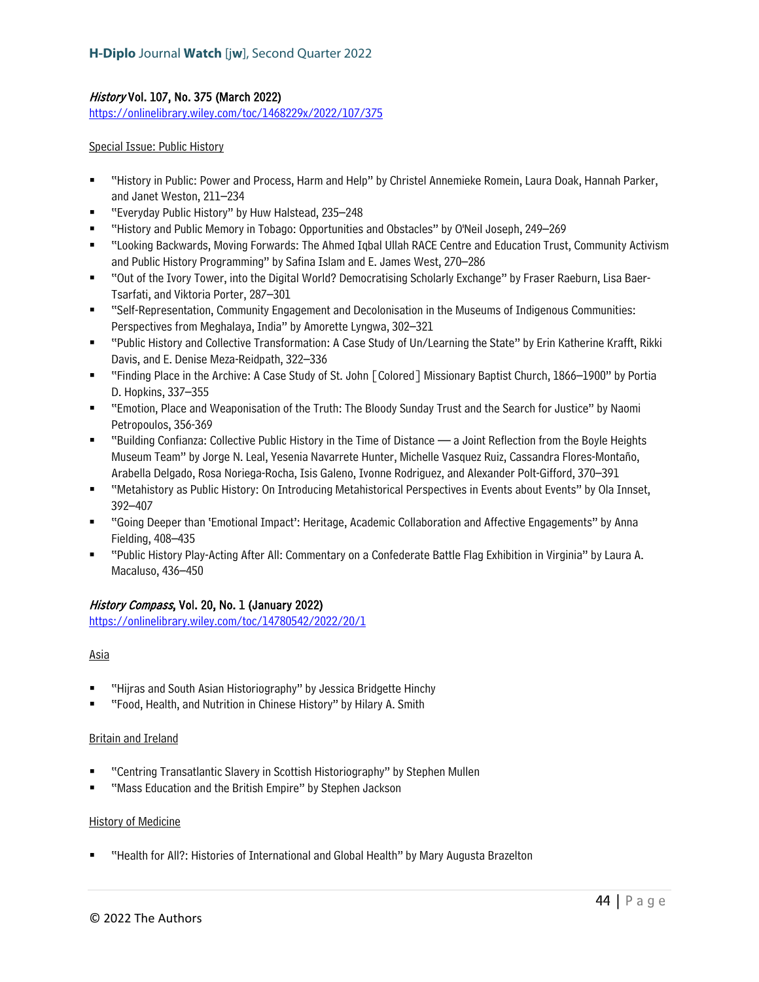# History Vol. 107, No. 375 (March 2022)

<https://onlinelibrary.wiley.com/toc/1468229x/2022/107/375>

### Special Issue: Public History

- "History in Public: Power and Process, Harm and Help" by Christel Annemieke Romein, Laura Doak, Hannah Parker, and Janet Weston, 211–234
- "Everyday Public History" by Huw Halstead, 235–248
- "History and Public Memory in Tobago: Opportunities and Obstacles" by O'Neil Joseph, 249–269
- "Looking Backwards, Moving Forwards: The Ahmed Iqbal Ullah RACE Centre and Education Trust, Community Activism and Public History Programming" by Safina Islam and E. James West, 270–286
- "Out of the Ivory Tower, into the Digital World? Democratising Scholarly Exchange" by Fraser Raeburn, Lisa Baer-Tsarfati, and Viktoria Porter, 287–301
- "Self-Representation, Community Engagement and Decolonisation in the Museums of Indigenous Communities: Perspectives from Meghalaya, India" by Amorette Lyngwa, 302–321
- "Public History and Collective Transformation: A Case Study of Un/Learning the State" by Erin Katherine Krafft, Rikki Davis, and E. Denise Meza-Reidpath, 322–336
- "Finding Place in the Archive: A Case Study of St. John [Colored] Missionary Baptist Church, 1866–1900" by Portia D. Hopkins, 337–355
- "Emotion, Place and Weaponisation of the Truth: The Bloody Sunday Trust and the Search for Justice" by Naomi Petropoulos, 356-369
- "Building Confianza: Collective Public History in the Time of Distance a Joint Reflection from the Boyle Heights Museum Team" by Jorge N. Leal, Yesenia Navarrete Hunter, Michelle Vasquez Ruiz, Cassandra Flores-Montaño, Arabella Delgado, Rosa Noriega-Rocha, Isis Galeno, Ivonne Rodriguez, and Alexander Polt-Gifford, 370–391
- "Metahistory as Public History: On Introducing Metahistorical Perspectives in Events about Events" by Ola Innset, 392–407
- "Going Deeper than 'Emotional Impact': Heritage, Academic Collaboration and Affective Engagements" by Anna Fielding, 408–435
- "Public History Play-Acting After All: Commentary on a Confederate Battle Flag Exhibition in Virginia" by Laura A. Macaluso, 436–450

# History Compass, Vol. 20, No. 1 (January 2022)

<https://onlinelibrary.wiley.com/toc/14780542/2022/20/1>

# Asia

- "Hijras and South Asian Historiography" by Jessica Bridgette Hinchy
- "Food, Health, and Nutrition in Chinese History" by Hilary A. Smith

#### Britain and Ireland

- "Centring Transatlantic Slavery in Scottish Historiography" by Stephen Mullen
- "Mass Education and the British Empire" by Stephen Jackson

#### History of Medicine

"Health for All?: Histories of International and Global Health" by Mary Augusta Brazelton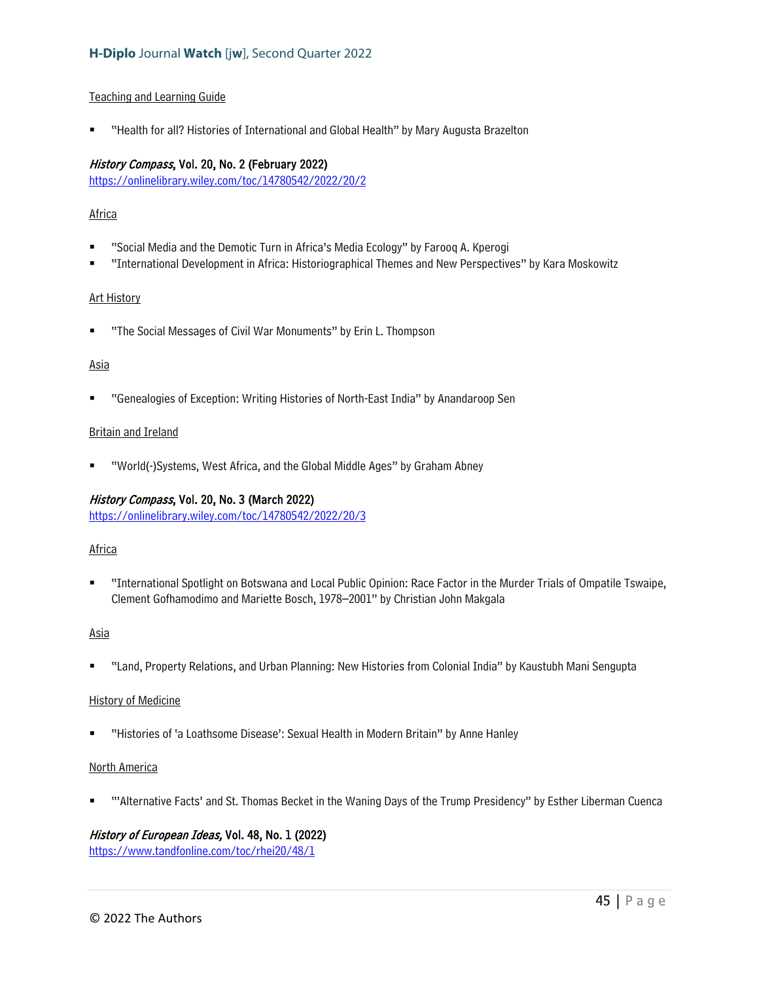#### Teaching and Learning Guide

"Health for all? Histories of International and Global Health" by Mary Augusta Brazelton

### History Compass, Vol. 20, No. 2 (February 2022)

<https://onlinelibrary.wiley.com/toc/14780542/2022/20/2>

### **Africa**

- "Social Media and the Demotic Turn in Africa's Media Ecology" by Farooq A. Kperogi
- "International Development in Africa: Historiographical Themes and New Perspectives" by Kara Moskowitz

#### Art History

"The Social Messages of Civil War Monuments" by Erin L. Thompson

#### Asia

"Genealogies of Exception: Writing Histories of North-East India" by Anandaroop Sen

#### Britain and Ireland

"World(-)Systems, West Africa, and the Global Middle Ages" by Graham Abney

#### History Compass, Vol. 20, No. 3 (March 2022)

<https://onlinelibrary.wiley.com/toc/14780542/2022/20/3>

#### Africa

 "International Spotlight on Botswana and Local Public Opinion: Race Factor in the Murder Trials of Ompatile Tswaipe, Clement Gofhamodimo and Mariette Bosch, 1978–2001" by Christian John Makgala

#### Asia

"Land, Property Relations, and Urban Planning: New Histories from Colonial India" by Kaustubh Mani Sengupta

#### History of Medicine

"Histories of 'a Loathsome Disease': Sexual Health in Modern Britain" by Anne Hanley

# North America

"'Alternative Facts' and St. Thomas Becket in the Waning Days of the Trump Presidency" by Esther Liberman Cuenca

# History of European Ideas, Vol. 48, No. 1 (2022)

<https://www.tandfonline.com/toc/rhei20/48/1>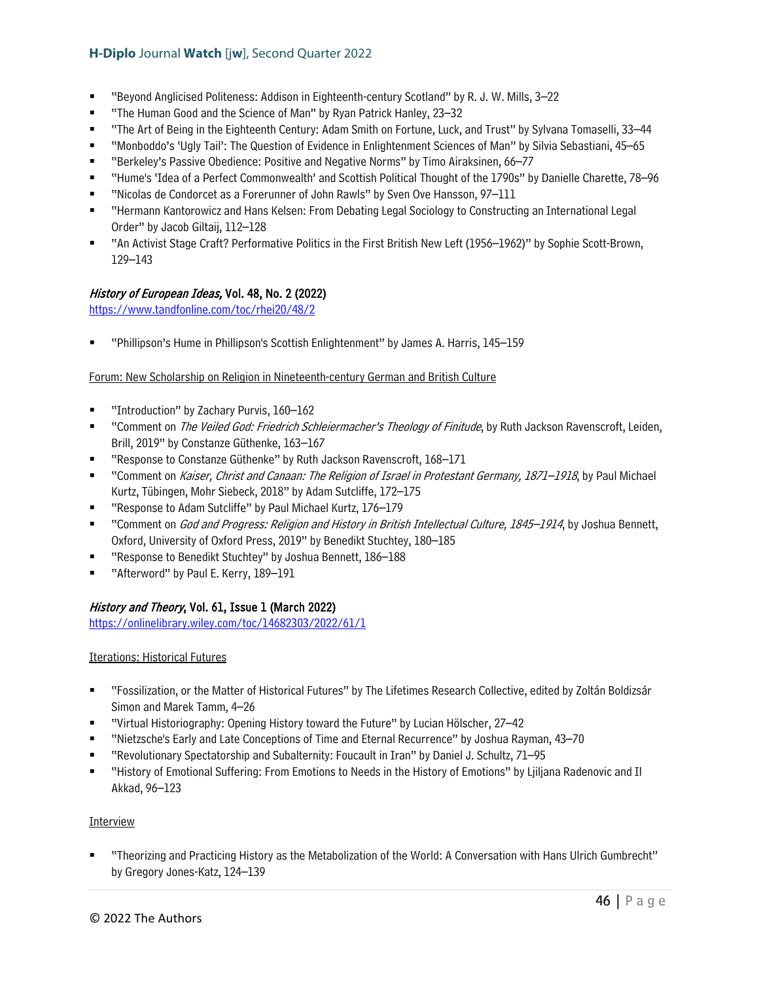- "Beyond Anglicised Politeness: Addison in Eighteenth-century Scotland" by R. J. W. Mills, 3–22
- "The Human Good and the Science of Man" by Ryan Patrick Hanley, 23–32
- "The Art of Being in the Eighteenth Century: Adam Smith on Fortune, Luck, and Trust" by Sylvana Tomaselli, 33–44
- "Monboddo's 'Ugly Tail': The Question of Evidence in Enlightenment Sciences of Man" by Silvia Sebastiani, 45–65
- "Berkeley's Passive Obedience: Positive and Negative Norms" by Timo Airaksinen, 66–77
- "Hume's 'Idea of a Perfect Commonwealth' and Scottish Political Thought of the 1790s" by Danielle Charette, 78–96
- "Nicolas de Condorcet as a Forerunner of John Rawls" by Sven Ove Hansson, 97–111
- "Hermann Kantorowicz and Hans Kelsen: From Debating Legal Sociology to Constructing an International Legal Order" by Jacob Giltaij, 112–128
- "An Activist Stage Craft? Performative Politics in the First British New Left (1956–1962)" by Sophie Scott-Brown, 129–143

# History of European Ideas, Vol. 48, No. 2 (2022)

<https://www.tandfonline.com/toc/rhei20/48/2>

"Phillipson's Hume in Phillipson's Scottish Enlightenment" by James A. Harris, 145–159

### Forum: New Scholarship on Religion in Nineteenth-century German and British Culture

- "Introduction" by Zachary Purvis, 160–162
- "Comment on *The Veiled God: Friedrich Schleiermacher's Theology of Finitude*, by Ruth Jackson Ravenscroft, Leiden, Brill, 2019" by Constanze Güthenke, 163–167
- "Response to Constanze Güthenke" by Ruth Jackson Ravenscroft, 168–171
- "Comment on *Kaiser, Christ and Canaan: The Religion of Israel in Protestant Germany, 1871–1918*, by Paul Michael Kurtz, Tübingen, Mohr Siebeck, 2018" by Adam Sutcliffe, 172–175
- "Response to Adam Sutcliffe" by Paul Michael Kurtz, 176–179
- "Comment on God and Progress: Religion and History in British Intellectual Culture, 1845–1914, by Joshua Bennett, Oxford, University of Oxford Press, 2019" by Benedikt Stuchtey, 180–185
- "Response to Benedikt Stuchtey" by Joshua Bennett, 186–188
- "Afterword" by Paul E. Kerry, 189–191

# History and Theory, Vol. 61, Issue 1 (March 2022)

<https://onlinelibrary.wiley.com/toc/14682303/2022/61/1>

# Iterations: Historical Futures

- "Fossilization, or the Matter of Historical Futures" by The Lifetimes Research Collective, edited by Zoltán Boldizsár Simon and Marek Tamm, 4–26
- "Virtual Historiography: Opening History toward the Future" by Lucian Hölscher, 27–42
- "Nietzsche's Early and Late Conceptions of Time and Eternal Recurrence" by Joshua Rayman, 43–70
- "Revolutionary Spectatorship and Subalternity: Foucault in Iran" by Daniel J. Schultz, 71–95
- "History of Emotional Suffering: From Emotions to Needs in the History of Emotions" by Ljiljana Radenovic and Il Akkad, 96–123

#### Interview

 "Theorizing and Practicing History as the Metabolization of the World: A Conversation with Hans Ulrich Gumbrecht" by Gregory Jones-Katz, 124–139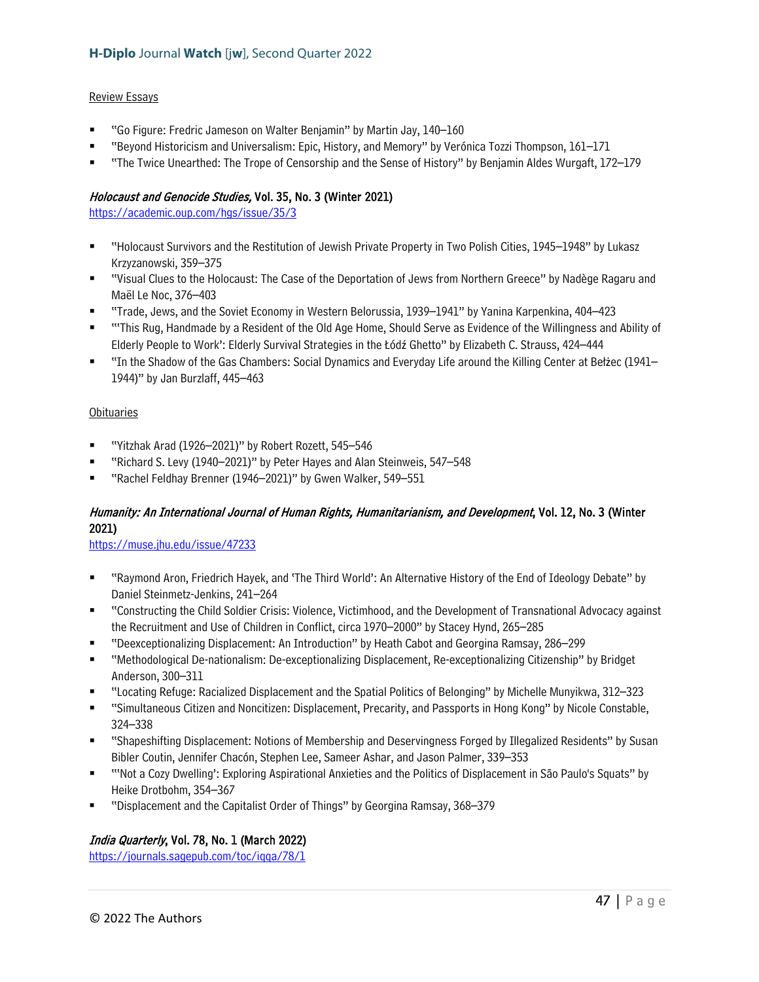#### Review Essays

- "Go Figure: Fredric Jameson on Walter Benjamin" by Martin Jay, 140–160
- "Beyond Historicism and Universalism: Epic, History, and Memory" by Verónica Tozzi Thompson, 161–171
- "The Twice Unearthed: The Trope of Censorship and the Sense of History" by Benjamin Aldes Wurgaft, 172–179

# Holocaust and Genocide Studies, Vol. 35, No. 3 (Winter 2021)

<https://academic.oup.com/hgs/issue/35/3>

- "Holocaust Survivors and the Restitution of Jewish Private Property in Two Polish Cities, 1945–1948" by Lukasz Krzyzanowski, 359–375
- "Visual Clues to the Holocaust: The Case of the Deportation of Jews from Northern Greece" by Nadège Ragaru and Maël Le Noc, 376–403
- "Trade, Jews, and the Soviet Economy in Western Belorussia, 1939–1941" by Yanina Karpenkina, 404–423
- "'This Rug, Handmade by a Resident of the Old Age Home, Should Serve as Evidence of the Willingness and Ability of Elderly People to Work': Elderly Survival Strategies in the Łódź Ghetto" by Elizabeth C. Strauss, 424–444
- "In the Shadow of the Gas Chambers: Social Dynamics and Everyday Life around the Killing Center at Bełżec (1941– 1944)" by Jan Burzlaff, 445–463

### **Obituaries**

- "Yitzhak Arad (1926–2021)" by Robert Rozett, 545–546
- "Richard S. Levy (1940–2021)" by Peter Hayes and Alan Steinweis, 547–548
- "Rachel Feldhay Brenner (1946–2021)" by Gwen Walker, 549–551

# Humanity: An International Journal of Human Rights, Humanitarianism, and Development, Vol. 12, No. 3 (Winter 2021)

<https://muse.jhu.edu/issue/47233>

- "Raymond Aron, Friedrich Hayek, and 'The Third World': An Alternative History of the End of Ideology Debate" by Daniel Steinmetz-Jenkins, 241–264
- "Constructing the Child Soldier Crisis: Violence, Victimhood, and the Development of Transnational Advocacy against the Recruitment and Use of Children in Conflict, circa 1970–2000" by Stacey Hynd, 265–285
- "Deexceptionalizing Displacement: An Introduction" by Heath Cabot and Georgina Ramsay, 286–299
- "Methodological De-nationalism: De-exceptionalizing Displacement, Re-exceptionalizing Citizenship" by Bridget Anderson, 300–311
- "Locating Refuge: Racialized Displacement and the Spatial Politics of Belonging" by Michelle Munyikwa, 312–323
- "Simultaneous Citizen and Noncitizen: Displacement, Precarity, and Passports in Hong Kong" by Nicole Constable, 324–338
- "Shapeshifting Displacement: Notions of Membership and Deservingness Forged by Illegalized Residents" by Susan Bibler Coutin, Jennifer Chacón, Stephen Lee, Sameer Ashar, and Jason Palmer, 339–353
- "'Not a Cozy Dwelling': Exploring Aspirational Anxieties and the Politics of Displacement in São Paulo's Squats" by Heike Drotbohm, 354–367
- "Displacement and the Capitalist Order of Things" by Georgina Ramsay, 368–379

# India Quarterly, Vol. 78, No. 1 (March 2022)

<https://journals.sagepub.com/toc/iqqa/78/1>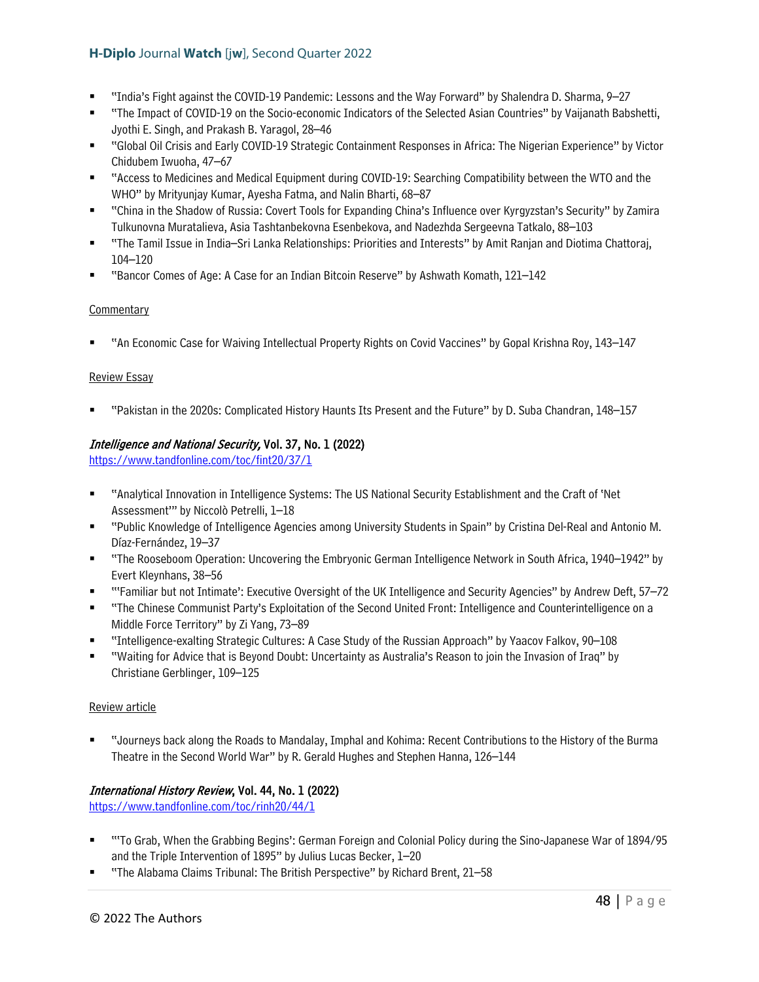- "India's Fight against the COVID-19 Pandemic: Lessons and the Way Forward" by Shalendra D. Sharma, 9–27
- "The Impact of COVID-19 on the Socio-economic Indicators of the Selected Asian Countries" by Vaijanath Babshetti, Jyothi E. Singh, and Prakash B. Yaragol, 28–46
- "Global Oil Crisis and Early COVID-19 Strategic Containment Responses in Africa: The Nigerian Experience" by Victor Chidubem Iwuoha, 47–67
- "Access to Medicines and Medical Equipment during COVID-19: Searching Compatibility between the WTO and the WHO" by Mrityunjay Kumar, Ayesha Fatma, and Nalin Bharti, 68–87
- "China in the Shadow of Russia: Covert Tools for Expanding China's Influence over Kyrgyzstan's Security" by Zamira Tulkunovna Muratalieva, Asia Tashtanbekovna Esenbekova, and Nadezhda Sergeevna Tatkalo, 88–103
- "The Tamil Issue in India–Sri Lanka Relationships: Priorities and Interests" by Amit Ranjan and Diotima Chattoraj, 104–120
- "Bancor Comes of Age: A Case for an Indian Bitcoin Reserve" by Ashwath Komath, 121–142

# **Commentary**

"An Economic Case for Waiving Intellectual Property Rights on Covid Vaccines" by Gopal Krishna Roy, 143–147

### Review Essay

"Pakistan in the 2020s: Complicated History Haunts Its Present and the Future" by D. Suba Chandran, 148–157

# Intelligence and National Security, Vol. 37, No. 1 (2022)

<https://www.tandfonline.com/toc/fint20/37/1>

- "Analytical Innovation in Intelligence Systems: The US National Security Establishment and the Craft of 'Net Assessment'" by Niccolò Petrelli, 1–18
- "Public Knowledge of Intelligence Agencies among University Students in Spain" by Cristina Del-Real and Antonio M. Díaz-Fernández, 19–37
- "The Rooseboom Operation: Uncovering the Embryonic German Intelligence Network in South Africa, 1940–1942" by Evert Kleynhans, 38–56
- "'Familiar but not Intimate': Executive Oversight of the UK Intelligence and Security Agencies" by Andrew Deft, 57–72
- "The Chinese Communist Party's Exploitation of the Second United Front: Intelligence and Counterintelligence on a Middle Force Territory" by Zi Yang, 73–89
- "Intelligence-exalting Strategic Cultures: A Case Study of the Russian Approach" by Yaacov Falkov, 90–108
- "Waiting for Advice that is Beyond Doubt: Uncertainty as Australia's Reason to join the Invasion of Iraq" by Christiane Gerblinger, 109–125

#### Review article

 "Journeys back along the Roads to Mandalay, Imphal and Kohima: Recent Contributions to the History of the Burma Theatre in the Second World War" by R. Gerald Hughes and Stephen Hanna, 126–144

# International History Review, Vol. 44, No. 1 (2022)

<https://www.tandfonline.com/toc/rinh20/44/1>

- "'To Grab, When the Grabbing Begins': German Foreign and Colonial Policy during the Sino-Japanese War of 1894/95 and the Triple Intervention of 1895" by Julius Lucas Becker, 1–20
- "The Alabama Claims Tribunal: The British Perspective" by Richard Brent, 21–58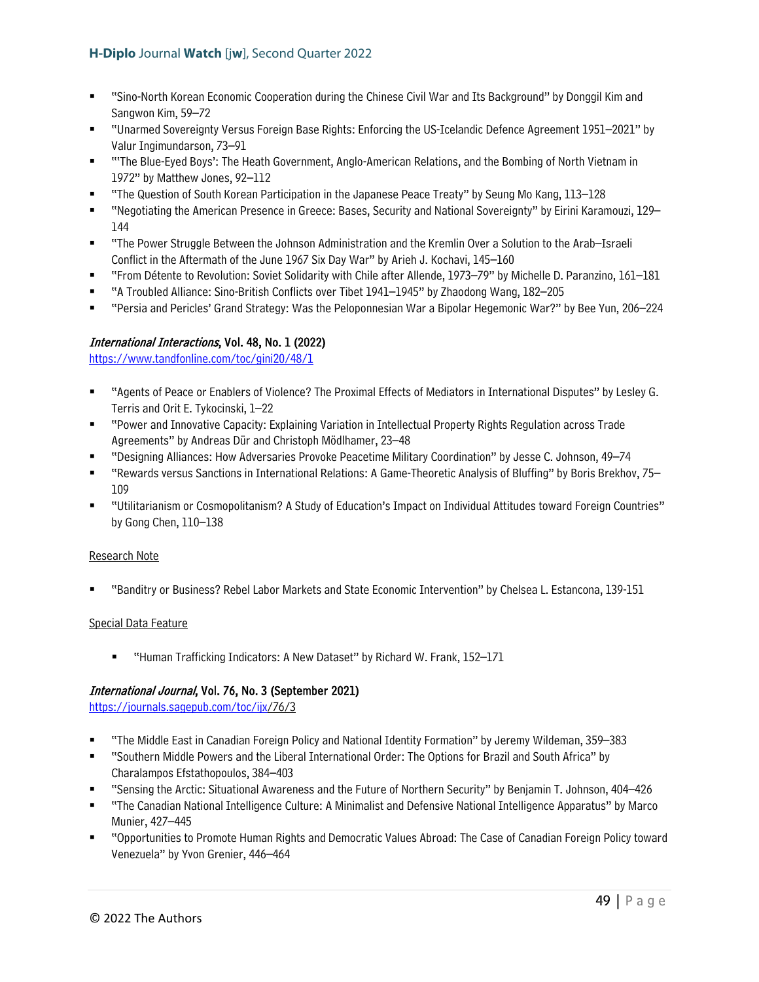- "Sino-North Korean Economic Cooperation during the Chinese Civil War and Its Background" by Donggil Kim and Sangwon Kim, 59–72
- "Unarmed Sovereignty Versus Foreign Base Rights: Enforcing the US-Icelandic Defence Agreement 1951–2021" by Valur Ingimundarson, 73–91
- " "The Blue-Eyed Boys': The Heath Government, Anglo-American Relations, and the Bombing of North Vietnam in 1972" by Matthew Jones, 92–112
- "The Question of South Korean Participation in the Japanese Peace Treaty" by Seung Mo Kang, 113–128
- "Negotiating the American Presence in Greece: Bases, Security and National Sovereignty" by Eirini Karamouzi, 129– 144
- "The Power Struggle Between the Johnson Administration and the Kremlin Over a Solution to the Arab–Israeli Conflict in the Aftermath of the June 1967 Six Day War" by Arieh J. Kochavi, 145–160
- "From Détente to Revolution: Soviet Solidarity with Chile after Allende, 1973–79" by Michelle D. Paranzino, 161–181
- "A Troubled Alliance: Sino-British Conflicts over Tibet 1941–1945" by Zhaodong Wang, 182–205
- "Persia and Pericles' Grand Strategy: Was the Peloponnesian War a Bipolar Hegemonic War?" by Bee Yun, 206–224

### International Interactions, Vol. 48, No. 1 (2022)

<https://www.tandfonline.com/toc/gini20/48/1>

- "Agents of Peace or Enablers of Violence? The Proximal Effects of Mediators in International Disputes" by Lesley G. Terris and Orit E. Tykocinski, 1–22
- "Power and Innovative Capacity: Explaining Variation in Intellectual Property Rights Regulation across Trade Agreements" by Andreas Dür and Christoph Mödlhamer, 23–48
- "Designing Alliances: How Adversaries Provoke Peacetime Military Coordination" by Jesse C. Johnson, 49–74
- "Rewards versus Sanctions in International Relations: A Game-Theoretic Analysis of Bluffing" by Boris Brekhov, 75– 109
- "Utilitarianism or Cosmopolitanism? A Study of Education's Impact on Individual Attitudes toward Foreign Countries" by Gong Chen, 110–138

#### Research Note

"Banditry or Business? Rebel Labor Markets and State Economic Intervention" by Chelsea L. Estancona, 139-151

#### Special Data Feature

■ "Human Trafficking Indicators: A New Dataset" by Richard W. Frank, 152–171

# International Journal, Vol. 76, No. 3 (September 2021)

[https://journals.sagepub.com/toc/ijx/](https://journals.sagepub.com/toc/ijx)76/3

- "The Middle East in Canadian Foreign Policy and National Identity Formation" by Jeremy Wildeman, 359–383
- "Southern Middle Powers and the Liberal International Order: The Options for Brazil and South Africa" by Charalampos Efstathopoulos, 384–403
- "Sensing the Arctic: Situational Awareness and the Future of Northern Security" by Benjamin T. Johnson, 404–426
- "The Canadian National Intelligence Culture: A Minimalist and Defensive National Intelligence Apparatus" by Marco Munier, 427–445
- "Opportunities to Promote Human Rights and Democratic Values Abroad: The Case of Canadian Foreign Policy toward Venezuela" by Yvon Grenier, 446–464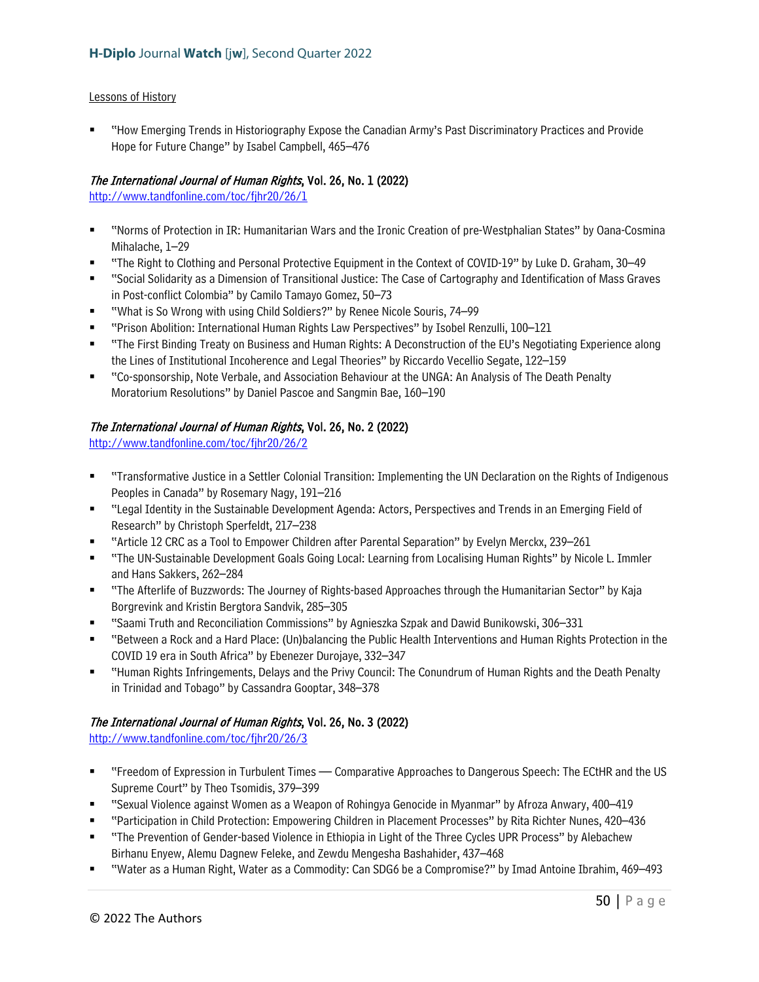### Lessons of History

 "How Emerging Trends in Historiography Expose the Canadian Army's Past Discriminatory Practices and Provide Hope for Future Change" by Isabel Campbell, 465–476

# The International Journal of Human Rights, Vol. 26, No. 1 (2022)

<http://www.tandfonline.com/toc/fjhr20/26/1>

- "Norms of Protection in IR: Humanitarian Wars and the Ironic Creation of pre-Westphalian States" by Oana-Cosmina Mihalache, 1–29
- "The Right to Clothing and Personal Protective Equipment in the Context of COVID-19" by Luke D. Graham, 30–49
- "Social Solidarity as a Dimension of Transitional Justice: The Case of Cartography and Identification of Mass Graves in Post-conflict Colombia" by Camilo Tamayo Gomez, 50–73
- "What is So Wrong with using Child Soldiers?" by Renee Nicole Souris, 74–99
- "Prison Abolition: International Human Rights Law Perspectives" by Isobel Renzulli, 100–121
- "The First Binding Treaty on Business and Human Rights: A Deconstruction of the EU's Negotiating Experience along the Lines of Institutional Incoherence and Legal Theories" by Riccardo Vecellio Segate, 122–159
- "Co-sponsorship, Note Verbale, and Association Behaviour at the UNGA: An Analysis of The Death Penalty Moratorium Resolutions" by Daniel Pascoe and Sangmin Bae, 160–190

# The International Journal of Human Rights, Vol. 26, No. 2 (2022)

<http://www.tandfonline.com/toc/fjhr20/26/2>

- "Transformative Justice in a Settler Colonial Transition: Implementing the UN Declaration on the Rights of Indigenous Peoples in Canada" by Rosemary Nagy, 191–216
- "Legal Identity in the Sustainable Development Agenda: Actors, Perspectives and Trends in an Emerging Field of Research" by Christoph Sperfeldt, 217–238
- "Article 12 CRC as a Tool to Empower Children after Parental Separation" by Evelyn Merckx, 239–261
- "The UN-Sustainable Development Goals Going Local: Learning from Localising Human Rights" by Nicole L. Immler and Hans Sakkers, 262–284
- "The Afterlife of Buzzwords: The Journey of Rights-based Approaches through the Humanitarian Sector" by Kaja Borgrevink and Kristin Bergtora Sandvik, 285–305
- "Saami Truth and Reconciliation Commissions" by Agnieszka Szpak and Dawid Bunikowski, 306–331
- "Between a Rock and a Hard Place: (Un)balancing the Public Health Interventions and Human Rights Protection in the COVID 19 era in South Africa" by Ebenezer Durojaye, 332–347
- "Human Rights Infringements, Delays and the Privy Council: The Conundrum of Human Rights and the Death Penalty in Trinidad and Tobago" by Cassandra Gooptar, 348–378

# The International Journal of Human Rights, Vol. 26, No. 3 (2022)

<http://www.tandfonline.com/toc/fjhr20/26/3>

- "Freedom of Expression in Turbulent Times Comparative Approaches to Dangerous Speech: The ECtHR and the US Supreme Court" by Theo Tsomidis, 379–399
- "Sexual Violence against Women as a Weapon of Rohingya Genocide in Myanmar" by Afroza Anwary, 400–419
- "Participation in Child Protection: Empowering Children in Placement Processes" by Rita Richter Nunes, 420–436
- "The Prevention of Gender-based Violence in Ethiopia in Light of the Three Cycles UPR Process" by Alebachew Birhanu Enyew, Alemu Dagnew Feleke, and Zewdu Mengesha Bashahider, 437–468
- "Water as a Human Right, Water as a Commodity: Can SDG6 be a Compromise?" by Imad Antoine Ibrahim, 469–493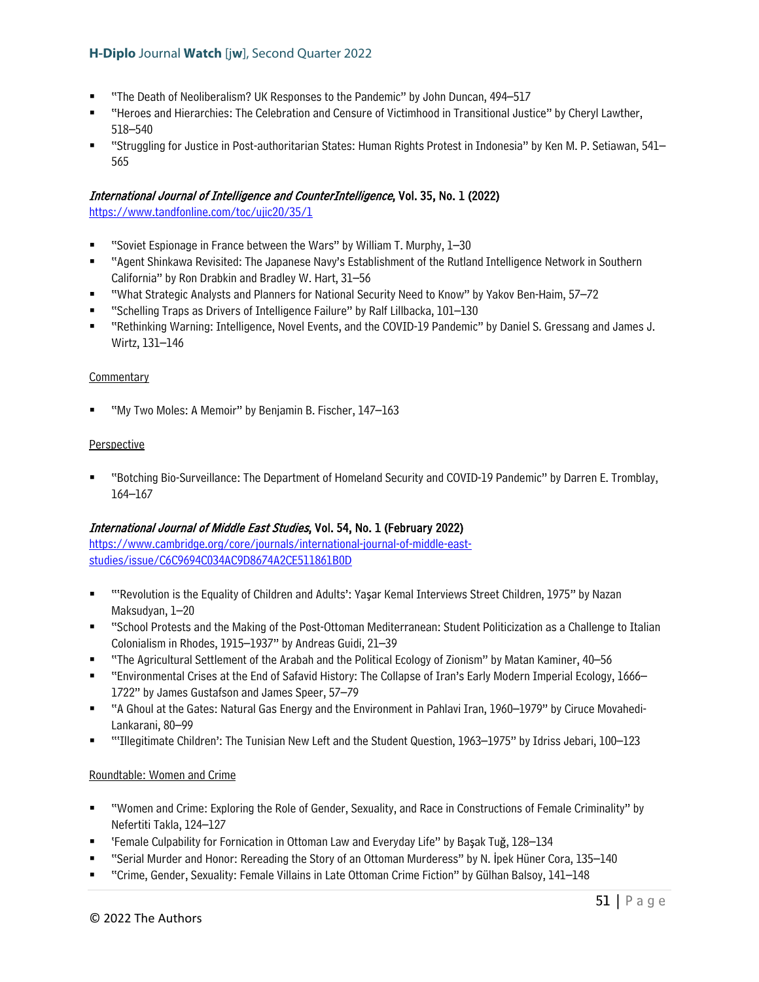- "The Death of Neoliberalism? UK Responses to the Pandemic" by John Duncan, 494–517
- "Heroes and Hierarchies: The Celebration and Censure of Victimhood in Transitional Justice" by Cheryl Lawther, 518–540
- "Struggling for Justice in Post-authoritarian States: Human Rights Protest in Indonesia" by Ken M. P. Setiawan, 541– 565

### International Journal of Intelligence and CounterIntelligence, Vol. 35, No. 1 (2022)

<https://www.tandfonline.com/toc/ujic20/35/1>

- "Soviet Espionage in France between the Wars" by William T. Murphy, 1–30
- "Agent Shinkawa Revisited: The Japanese Navy's Establishment of the Rutland Intelligence Network in Southern California" by Ron Drabkin and Bradley W. Hart, 31–56
- "What Strategic Analysts and Planners for National Security Need to Know" by Yakov Ben-Haim, 57–72
- "Schelling Traps as Drivers of Intelligence Failure" by Ralf Lillbacka, 101–130
- "Rethinking Warning: Intelligence, Novel Events, and the COVID-19 Pandemic" by Daniel S. Gressang and James J. Wirtz, 131–146

#### **Commentary**

"My Two Moles: A Memoir" by Benjamin B. Fischer, 147–163

#### **Perspective**

 "Botching Bio-Surveillance: The Department of Homeland Security and COVID-19 Pandemic" by Darren E. Tromblay, 164–167

# International Journal of Middle East Studies, Vol. 54, No. 1 (February 2022)

[https://www.cambridge.org/core/journals/international-journal-of-middle-east](https://www.cambridge.org/core/journals/international-journal-of-middle-east-studies/issue/C6C9694C034AC9D8674A2CE511861B0D)[studies/issue/C6C9694C034AC9D8674A2CE511861B0D](https://www.cambridge.org/core/journals/international-journal-of-middle-east-studies/issue/C6C9694C034AC9D8674A2CE511861B0D) 

- "'Revolution is the Equality of Children and Adults': Yaşar Kemal Interviews Street Children, 1975" by Nazan Maksudyan, 1–20
- "School Protests and the Making of the Post-Ottoman Mediterranean: Student Politicization as a Challenge to Italian Colonialism in Rhodes, 1915–1937" by Andreas Guidi, 21–39
- "The Agricultural Settlement of the Arabah and the Political Ecology of Zionism" by Matan Kaminer, 40–56
- "Environmental Crises at the End of Safavid History: The Collapse of Iran's Early Modern Imperial Ecology, 1666– 1722" by James Gustafson and James Speer, 57–79
- "A Ghoul at the Gates: Natural Gas Energy and the Environment in Pahlavi Iran, 1960–1979" by Ciruce Movahedi-Lankarani, 80–99
- "'Illegitimate Children': The Tunisian New Left and the Student Question, 1963–1975" by Idriss Jebari, 100–123

#### Roundtable: Women and Crime

- "Women and Crime: Exploring the Role of Gender, Sexuality, and Race in Constructions of Female Criminality" by Nefertiti Takla, 124–127
- 'Female Culpability for Fornication in Ottoman Law and Everyday Life" by Başak Tuğ, 128–134
- "Serial Murder and Honor: Rereading the Story of an Ottoman Murderess" by N. İpek Hüner Cora, 135–140
- "Crime, Gender, Sexuality: Female Villains in Late Ottoman Crime Fiction" by Gülhan Balsoy, 141–148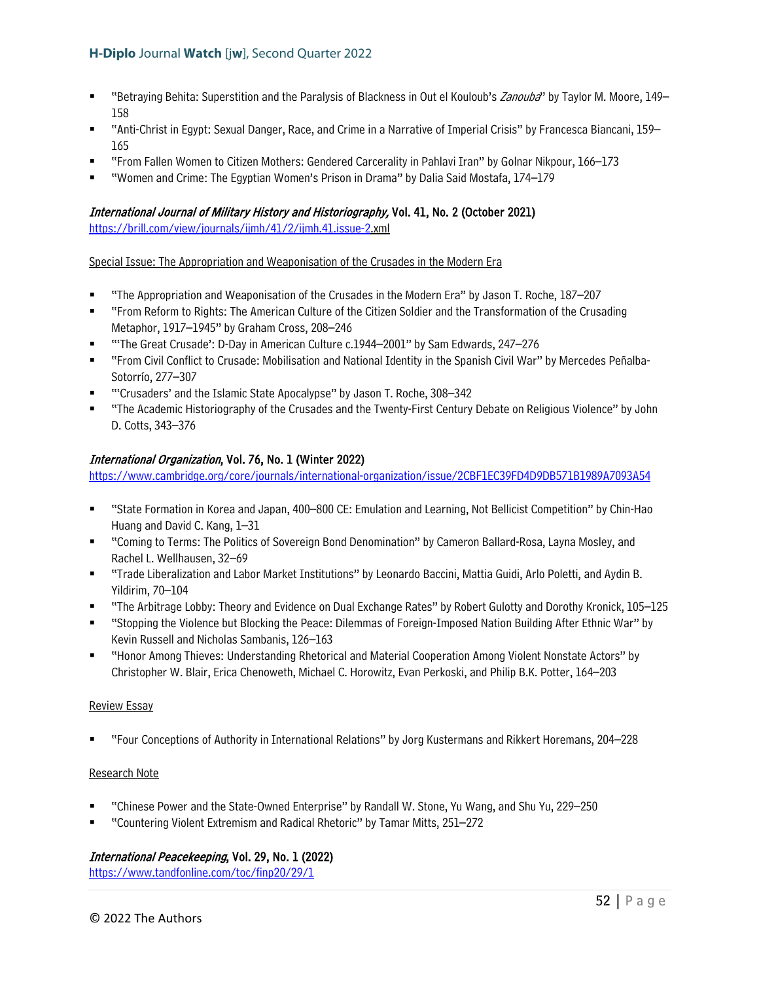- "Betraying Behita: Superstition and the Paralysis of Blackness in Out el Kouloub's Zanouba" by Taylor M. Moore, 149– 158
- "Anti-Christ in Egypt: Sexual Danger, Race, and Crime in a Narrative of Imperial Crisis" by Francesca Biancani, 159– 165
- "From Fallen Women to Citizen Mothers: Gendered Carcerality in Pahlavi Iran" by Golnar Nikpour, 166–173
- "Women and Crime: The Egyptian Women's Prison in Drama" by Dalia Said Mostafa, 174–179

# International Journal of Military History and Historiography, Vol. 41, No. 2 (October 2021)

[https://brill.com/view/journals/ijmh/41/2/ijmh.41.issue-2.](https://brill.com/view/journals/ijmh/41/2/ijmh.41.issue-2)xml

Special Issue: The Appropriation and Weaponisation of the Crusades in the Modern Era

- "The Appropriation and Weaponisation of the Crusades in the Modern Era" by Jason T. Roche, 187–207
- "From Reform to Rights: The American Culture of the Citizen Soldier and the Transformation of the Crusading Metaphor, 1917–1945" by Graham Cross, 208–246
- "'The Great Crusade': D-Day in American Culture c.1944–2001" by Sam Edwards, 247–276
- "From Civil Conflict to Crusade: Mobilisation and National Identity in the Spanish Civil War" by Mercedes Peñalba-Sotorrío, 277–307
- "'Crusaders' and the Islamic State Apocalypse" by Jason T. Roche, 308–342
- "The Academic Historiography of the Crusades and the Twenty-First Century Debate on Religious Violence" by John D. Cotts, 343–376

# International Organization, Vol. 76, No. 1 (Winter 2022)

<https://www.cambridge.org/core/journals/international-organization/issue/2CBF1EC39FD4D9DB571B1989A7093A54>

- "State Formation in Korea and Japan, 400–800 CE: Emulation and Learning, Not Bellicist Competition" by Chin-Hao Huang and David C. Kang, 1–31
- "Coming to Terms: The Politics of Sovereign Bond Denomination" by Cameron Ballard-Rosa, Layna Mosley, and Rachel L. Wellhausen, 32–69
- "Trade Liberalization and Labor Market Institutions" by Leonardo Baccini, Mattia Guidi, Arlo Poletti, and Aydin B. Yildirim, 70–104
- "The Arbitrage Lobby: Theory and Evidence on Dual Exchange Rates" by Robert Gulotty and Dorothy Kronick, 105–125
- "Stopping the Violence but Blocking the Peace: Dilemmas of Foreign-Imposed Nation Building After Ethnic War" by Kevin Russell and Nicholas Sambanis, 126–163
- "Honor Among Thieves: Understanding Rhetorical and Material Cooperation Among Violent Nonstate Actors" by Christopher W. Blair, Erica Chenoweth, Michael C. Horowitz, Evan Perkoski, and Philip B.K. Potter, 164–203

#### Review Essay

"Four Conceptions of Authority in International Relations" by Jorg Kustermans and Rikkert Horemans, 204–228

#### Research Note

- "Chinese Power and the State-Owned Enterprise" by Randall W. Stone, Yu Wang, and Shu Yu, 229–250
- "Countering Violent Extremism and Radical Rhetoric" by Tamar Mitts, 251–272

# International Peacekeeping, Vol. 29, No. 1 (2022)

<https://www.tandfonline.com/toc/finp20/29/1>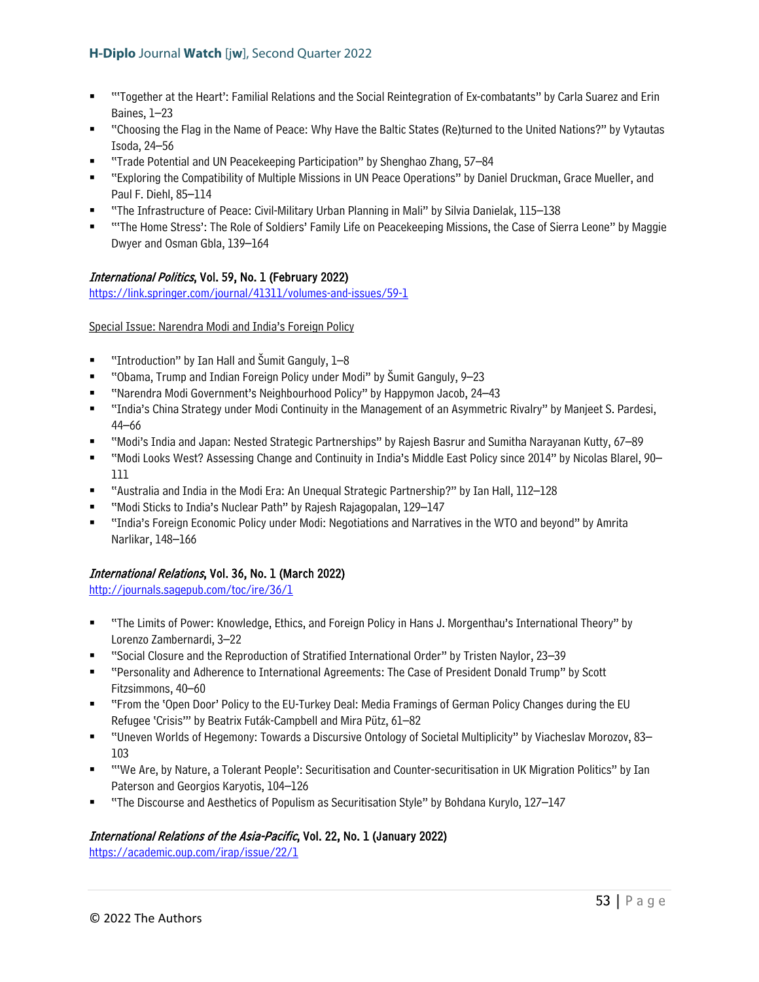- ""Together at the Heart': Familial Relations and the Social Reintegration of Ex-combatants" by Carla Suarez and Erin Baines, 1–23
- " "Choosing the Flag in the Name of Peace: Why Have the Baltic States (Re)turned to the United Nations?" by Vytautas Isoda, 24–56
- "Trade Potential and UN Peacekeeping Participation" by Shenghao Zhang, 57–84
- "Exploring the Compatibility of Multiple Missions in UN Peace Operations" by Daniel Druckman, Grace Mueller, and Paul F. Diehl, 85–114
- "The Infrastructure of Peace: Civil-Military Urban Planning in Mali" by Silvia Danielak, 115–138
- "'The Home Stress': The Role of Soldiers' Family Life on Peacekeeping Missions, the Case of Sierra Leone" by Maggie Dwyer and Osman Gbla, 139–164

# International Politics, Vol. 59, No. 1 (February 2022)

<https://link.springer.com/journal/41311/volumes-and-issues/59-1>

Special Issue: Narendra Modi and India's Foreign Policy

- "Introduction" by Ian Hall and Šumit Ganguly, 1–8
- "Obama, Trump and Indian Foreign Policy under Modi" by Šumit Ganguly, 9–23
- "Narendra Modi Government's Neighbourhood Policy" by Happymon Jacob, 24–43
- "India's China Strategy under Modi Continuity in the Management of an Asymmetric Rivalry" by Manjeet S. Pardesi, 44–66
- "Modi's India and Japan: Nested Strategic Partnerships" by Rajesh Basrur and Sumitha Narayanan Kutty, 67–89
- "Modi Looks West? Assessing Change and Continuity in India's Middle East Policy since 2014" by Nicolas Blarel, 90– 111
- "Australia and India in the Modi Era: An Unequal Strategic Partnership?" by Ian Hall, 112–128
- "Modi Sticks to India's Nuclear Path" by Raiesh Raiagopalan, 129–147
- "India's Foreign Economic Policy under Modi: Negotiations and Narratives in the WTO and beyond" by Amrita Narlikar, 148–166

# International Relations, Vol. 36, No. 1 (March 2022)

<http://journals.sagepub.com/toc/ire/36/1>

- "The Limits of Power: Knowledge, Ethics, and Foreign Policy in Hans J. Morgenthau's International Theory" by Lorenzo Zambernardi, 3–22
- "Social Closure and the Reproduction of Stratified International Order" by Tristen Naylor, 23–39
- "Personality and Adherence to International Agreements: The Case of President Donald Trump" by Scott Fitzsimmons, 40–60
- "From the 'Open Door' Policy to the EU-Turkey Deal: Media Framings of German Policy Changes during the EU Refugee 'Crisis'" by Beatrix Futák-Campbell and Mira Pütz, 61–82
- "Uneven Worlds of Hegemony: Towards a Discursive Ontology of Societal Multiplicity" by Viacheslav Morozov, 83– 103
- "'We Are, by Nature, a Tolerant People': Securitisation and Counter-securitisation in UK Migration Politics" by Ian Paterson and Georgios Karyotis, 104–126
- "The Discourse and Aesthetics of Populism as Securitisation Style" by Bohdana Kurylo, 127–147

# International Relations of the Asia-Pacific, Vol. 22, No. 1 (January 2022)

<https://academic.oup.com/irap/issue/22/1>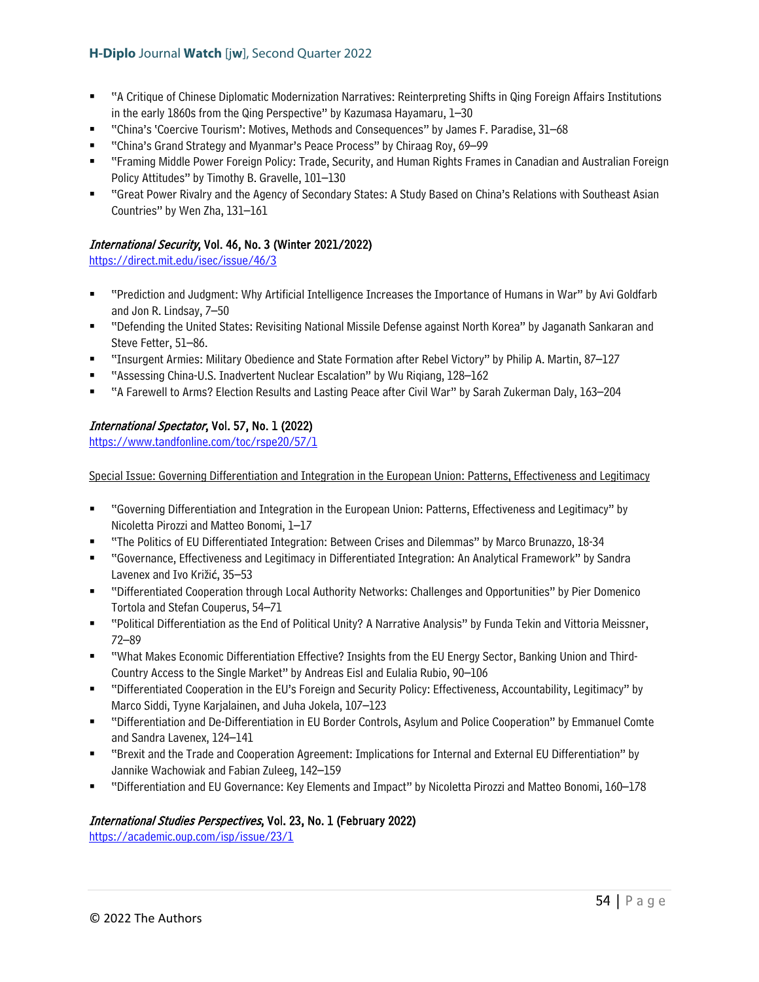- "A Critique of Chinese Diplomatic Modernization Narratives: Reinterpreting Shifts in Qing Foreign Affairs Institutions in the early 1860s from the Qing Perspective" by Kazumasa Hayamaru, 1–30
- "China's 'Coercive Tourism': Motives, Methods and Consequences" by James F. Paradise, 31–68
- "China's Grand Strategy and Myanmar's Peace Process" by Chiraag Roy, 69–99
- "Framing Middle Power Foreign Policy: Trade, Security, and Human Rights Frames in Canadian and Australian Foreign Policy Attitudes" by Timothy B. Gravelle, 101–130
- "Great Power Rivalry and the Agency of Secondary States: A Study Based on China's Relations with Southeast Asian Countries" by Wen Zha, 131–161

### International Security, Vol. 46, No. 3 (Winter 2021/2022)

<https://direct.mit.edu/isec/issue/46/3>

- "Prediction and Judgment: Why Artificial Intelligence Increases the Importance of Humans in War" by Avi Goldfarb and Jon R. Lindsay, 7–50
- "Defending the United States: Revisiting National Missile Defense against North Korea" by Jaganath Sankaran and Steve Fetter, 51–86.
- "Insurgent Armies: Military Obedience and State Formation after Rebel Victory" by Philip A. Martin, 87–127
- "Assessing China-U.S. Inadvertent Nuclear Escalation" by Wu Rigiang, 128–162
- "A Farewell to Arms? Election Results and Lasting Peace after Civil War" by Sarah Zukerman Daly, 163–204

# International Spectator, Vol. 57, No. 1 (2022)

<https://www.tandfonline.com/toc/rspe20/57/1>

Special Issue: Governing Differentiation and Integration in the European Union: Patterns, Effectiveness and Legitimacy

- "Governing Differentiation and Integration in the European Union: Patterns, Effectiveness and Legitimacy" by Nicoletta Pirozzi and Matteo Bonomi, 1–17
- "The Politics of EU Differentiated Integration: Between Crises and Dilemmas" by Marco Brunazzo, 18-34
- "Governance, Effectiveness and Legitimacy in Differentiated Integration: An Analytical Framework" by Sandra Lavenex and Ivo Križić, 35–53
- "Differentiated Cooperation through Local Authority Networks: Challenges and Opportunities" by Pier Domenico Tortola and Stefan Couperus, 54–71
- "Political Differentiation as the End of Political Unity? A Narrative Analysis" by Funda Tekin and Vittoria Meissner, 72–89
- "What Makes Economic Differentiation Effective? Insights from the EU Energy Sector, Banking Union and Third-Country Access to the Single Market" by Andreas Eisl and Eulalia Rubio, 90–106
- "Differentiated Cooperation in the EU's Foreign and Security Policy: Effectiveness, Accountability, Legitimacy" by Marco Siddi, Tyyne Karjalainen, and Juha Jokela, 107–123
- "Differentiation and De-Differentiation in EU Border Controls, Asylum and Police Cooperation" by Emmanuel Comte and Sandra Lavenex, 124–141
- "Brexit and the Trade and Cooperation Agreement: Implications for Internal and External EU Differentiation" by Jannike Wachowiak and Fabian Zuleeg, 142–159
- "Differentiation and EU Governance: Key Elements and Impact" by Nicoletta Pirozzi and Matteo Bonomi, 160–178

#### International Studies Perspectives, Vol. 23, No. 1 (February 2022)

<https://academic.oup.com/isp/issue/23/1>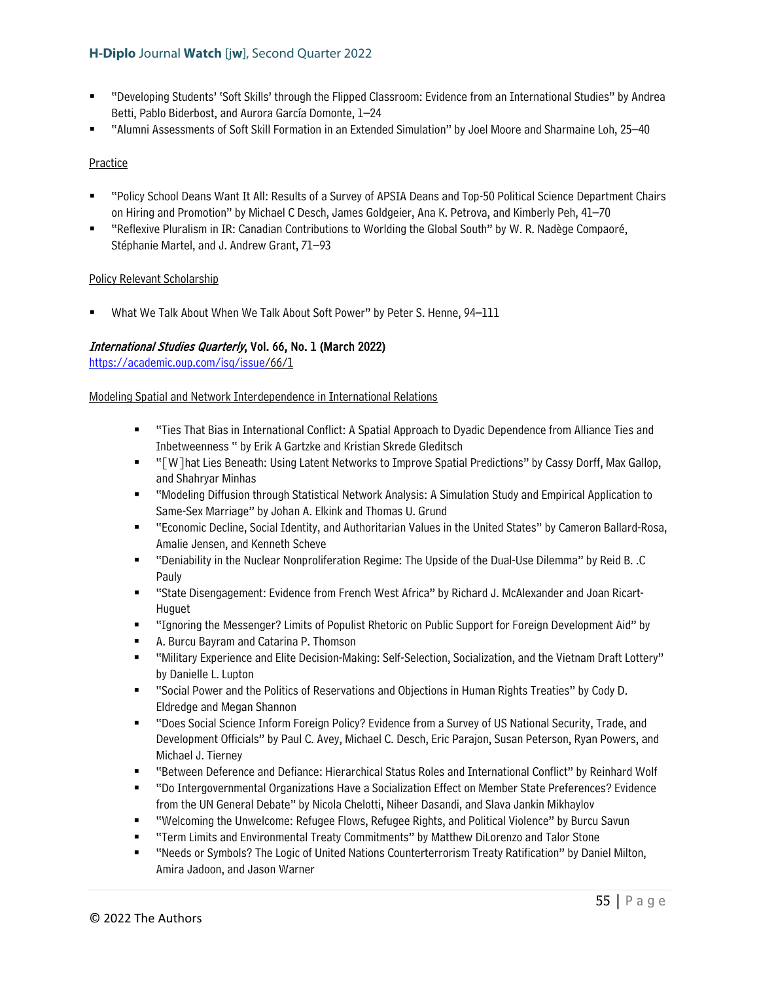- "Developing Students' 'Soft Skills' through the Flipped Classroom: Evidence from an International Studies" by Andrea Betti, Pablo Biderbost, and Aurora García Domonte, 1–24
- "Alumni Assessments of Soft Skill Formation in an Extended Simulation" by Joel Moore and Sharmaine Loh, 25–40

#### Practice

- "Policy School Deans Want It All: Results of a Survey of APSIA Deans and Top-50 Political Science Department Chairs on Hiring and Promotion" by Michael C Desch, James Goldgeier, Ana K. Petrova, and Kimberly Peh, 41–70
- "Reflexive Pluralism in IR: Canadian Contributions to Worlding the Global South" by W. R. Nadège Compaoré, Stéphanie Martel, and J. Andrew Grant, 71–93

### Policy Relevant Scholarship

What We Talk About When We Talk About Soft Power" by Peter S. Henne, 94–111

# International Studies Quarterly, Vol. 66, No. 1 (March 2022)

[https://academic.oup.com/isq/issue/](https://academic.oup.com/isq/issue)66/1

#### Modeling Spatial and Network Interdependence in International Relations

- " "Ties That Bias in International Conflict: A Spatial Approach to Dyadic Dependence from Alliance Ties and Inbetweenness " by Erik A Gartzke and Kristian Skrede Gleditsch
- " "[W]hat Lies Beneath: Using Latent Networks to Improve Spatial Predictions" by Cassy Dorff, Max Gallop, and Shahryar Minhas
- "Modeling Diffusion through Statistical Network Analysis: A Simulation Study and Empirical Application to Same-Sex Marriage" by Johan A. Elkink and Thomas U. Grund
- "Economic Decline, Social Identity, and Authoritarian Values in the United States" by Cameron Ballard-Rosa, Amalie Jensen, and Kenneth Scheve
- "Deniability in the Nuclear Nonproliferation Regime: The Upside of the Dual-Use Dilemma" by Reid B. .C Pauly
- "State Disengagement: Evidence from French West Africa" by Richard J. McAlexander and Joan Ricart-Huguet
- "Ignoring the Messenger? Limits of Populist Rhetoric on Public Support for Foreign Development Aid" by
- A. Burcu Bayram and Catarina P. Thomson
- "Military Experience and Elite Decision-Making: Self-Selection, Socialization, and the Vietnam Draft Lottery" by Danielle L. Lupton
- "Social Power and the Politics of Reservations and Objections in Human Rights Treaties" by Cody D. Eldredge and Megan Shannon
- "Does Social Science Inform Foreign Policy? Evidence from a Survey of US National Security, Trade, and Development Officials" by Paul C. Avey, Michael C. Desch, Eric Parajon, Susan Peterson, Ryan Powers, and Michael J. Tierney
- "Between Deference and Defiance: Hierarchical Status Roles and International Conflict" by Reinhard Wolf
- "Do Intergovernmental Organizations Have a Socialization Effect on Member State Preferences? Evidence from the UN General Debate" by Nicola Chelotti, Niheer Dasandi, and Slava Jankin Mikhaylov
- "Welcoming the Unwelcome: Refugee Flows, Refugee Rights, and Political Violence" by Burcu Savun
- "Term Limits and Environmental Treaty Commitments" by Matthew DiLorenzo and Talor Stone
- "Needs or Symbols? The Logic of United Nations Counterterrorism Treaty Ratification" by Daniel Milton, Amira Jadoon, and Jason Warner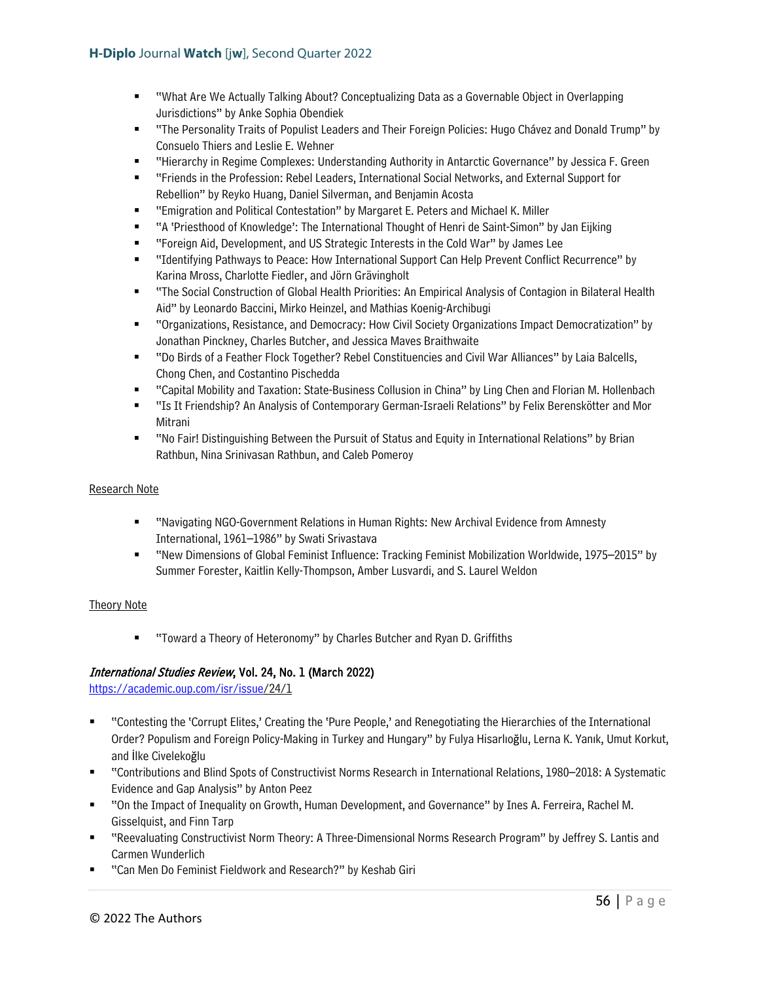- "What Are We Actually Talking About? Conceptualizing Data as a Governable Object in Overlapping Jurisdictions" by Anke Sophia Obendiek
- "The Personality Traits of Populist Leaders and Their Foreign Policies: Hugo Chávez and Donald Trump" by Consuelo Thiers and Leslie E. Wehner
- "Hierarchy in Regime Complexes: Understanding Authority in Antarctic Governance" by Jessica F. Green
- "Friends in the Profession: Rebel Leaders, International Social Networks, and External Support for Rebellion" by Reyko Huang, Daniel Silverman, and Benjamin Acosta
- "Emigration and Political Contestation" by Margaret E. Peters and Michael K. Miller
- "A 'Priesthood of Knowledge': The International Thought of Henri de Saint-Simon" by Jan Eijking
- "Foreign Aid, Development, and US Strategic Interests in the Cold War" by James Lee
- "Identifying Pathways to Peace: How International Support Can Help Prevent Conflict Recurrence" by Karina Mross, Charlotte Fiedler, and Jörn Grävingholt
- "The Social Construction of Global Health Priorities: An Empirical Analysis of Contagion in Bilateral Health Aid" by Leonardo Baccini, Mirko Heinzel, and Mathias Koenig-Archibugi
- "Organizations, Resistance, and Democracy: How Civil Society Organizations Impact Democratization" by Jonathan Pinckney, Charles Butcher, and Jessica Maves Braithwaite
- "Do Birds of a Feather Flock Together? Rebel Constituencies and Civil War Alliances" by Laia Balcells, Chong Chen, and Costantino Pischedda
- "Capital Mobility and Taxation: State-Business Collusion in China" by Ling Chen and Florian M. Hollenbach
- "Is It Friendship? An Analysis of Contemporary German-Israeli Relations" by Felix Berenskötter and Mor Mitrani
- "No Fair! Distinguishing Between the Pursuit of Status and Equity in International Relations" by Brian Rathbun, Nina Srinivasan Rathbun, and Caleb Pomeroy

#### Research Note

- "Navigating NGO-Government Relations in Human Rights: New Archival Evidence from Amnesty International, 1961–1986" by Swati Srivastava
- "New Dimensions of Global Feminist Influence: Tracking Feminist Mobilization Worldwide, 1975–2015" by Summer Forester, Kaitlin Kelly-Thompson, Amber Lusvardi, and S. Laurel Weldon

#### Theory Note

■ "Toward a Theory of Heteronomy" by Charles Butcher and Ryan D. Griffiths

# International Studies Review, Vol. 24, No. 1 (March 2022)

[https://academic.oup.com/isr/issue/](https://academic.oup.com/isr/issue)24/1

- "Contesting the 'Corrupt Elites,' Creating the 'Pure People,' and Renegotiating the Hierarchies of the International Order? Populism and Foreign Policy-Making in Turkey and Hungary" by Fulya Hisarlıoğlu, Lerna K. Yanık, Umut Korkut, and İlke Civelekoğlu
- "Contributions and Blind Spots of Constructivist Norms Research in International Relations, 1980–2018: A Systematic Evidence and Gap Analysis" by Anton Peez
- "On the Impact of Inequality on Growth, Human Development, and Governance" by Ines A. Ferreira, Rachel M. Gisselquist, and Finn Tarp
- "Reevaluating Constructivist Norm Theory: A Three-Dimensional Norms Research Program" by Jeffrey S. Lantis and Carmen Wunderlich
- "Can Men Do Feminist Fieldwork and Research?" by Keshab Giri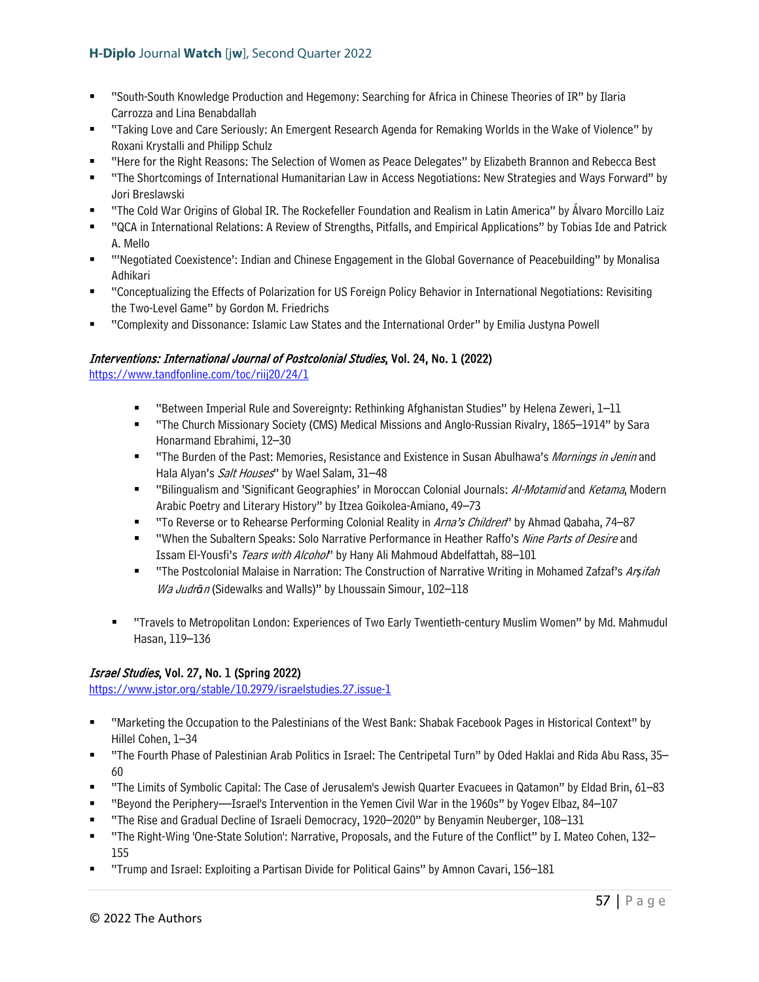- "South-South Knowledge Production and Hegemony: Searching for Africa in Chinese Theories of IR" by Ilaria Carrozza and Lina Benabdallah
- "Taking Love and Care Seriously: An Emergent Research Agenda for Remaking Worlds in the Wake of Violence" by Roxani Krystalli and Philipp Schulz
- "Here for the Right Reasons: The Selection of Women as Peace Delegates" by Elizabeth Brannon and Rebecca Best
- "The Shortcomings of International Humanitarian Law in Access Negotiations: New Strategies and Ways Forward" by Jori Breslawski
- "The Cold War Origins of Global IR. The Rockefeller Foundation and Realism in Latin America" by Álvaro Morcillo Laiz
- "QCA in International Relations: A Review of Strengths, Pitfalls, and Empirical Applications" by Tobias Ide and Patrick A. Mello
- "'Negotiated Coexistence': Indian and Chinese Engagement in the Global Governance of Peacebuilding" by Monalisa Adhikari
- "Conceptualizing the Effects of Polarization for US Foreign Policy Behavior in International Negotiations: Revisiting the Two-Level Game" by Gordon M. Friedrichs
- "Complexity and Dissonance: Islamic Law States and the International Order" by Emilia Justyna Powell

# Interventions: International Journal of Postcolonial Studies, Vol. 24, No. 1 (2022)

<https://www.tandfonline.com/toc/riij20/24/1>

- "Between Imperial Rule and Sovereignty: Rethinking Afghanistan Studies" by Helena Zeweri, 1–11
- "The Church Missionary Society (CMS) Medical Missions and Anglo-Russian Rivalry, 1865–1914" by Sara Honarmand Ebrahimi, 12–30
- " "The Burden of the Past: Memories, Resistance and Existence in Susan Abulhawa's Mornings in Jenin and Hala Alyan's Salt Houses" by Wael Salam, 31-48
- " "Bilingualism and 'Significant Geographies' in Moroccan Colonial Journals: Al-Motamid and Ketama, Modern Arabic Poetry and Literary History" by Itzea Goikolea-Amiano, 49–73
- "To Reverse or to Rehearse Performing Colonial Reality in Arna's Children" by Ahmad Qabaha, 74–87
- "When the Subaltern Speaks: Solo Narrative Performance in Heather Raffo's Nine Parts of Desire and Issam El-Yousfi's Tears with Alcohol" by Hany Ali Mahmoud Abdelfattah, 88-101
- "The Postcolonial Malaise in Narration: The Construction of Narrative Writing in Mohamed Zafzaf's Ar*ṣ*ifah Wa Judr*ā*<sup>n</sup> (Sidewalks and Walls)" by Lhoussain Simour, 102–118
- "Travels to Metropolitan London: Experiences of Two Early Twentieth-century Muslim Women" by Md. Mahmudul Hasan, 119–136

# Israel Studies, Vol. 27, No. 1 (Spring 2022)

<https://www.jstor.org/stable/10.2979/israelstudies.27.issue-1>

- "Marketing the Occupation to the Palestinians of the West Bank: Shabak Facebook Pages in Historical Context" by Hillel Cohen, 1–34
- "The Fourth Phase of Palestinian Arab Politics in Israel: The Centripetal Turn" by Oded Haklai and Rida Abu Rass, 35– 60
- "The Limits of Symbolic Capital: The Case of Jerusalem's Jewish Quarter Evacuees in Qatamon" by Eldad Brin, 61–83
- "Beyond the Periphery—Israel's Intervention in the Yemen Civil War in the 1960s" by Yogev Elbaz, 84–107
- "The Rise and Gradual Decline of Israeli Democracy, 1920–2020" by Benyamin Neuberger, 108–131
- "The Right-Wing 'One-State Solution': Narrative, Proposals, and the Future of the Conflict" by I. Mateo Cohen, 132– 155
- "Trump and Israel: Exploiting a Partisan Divide for Political Gains" by Amnon Cavari, 156–181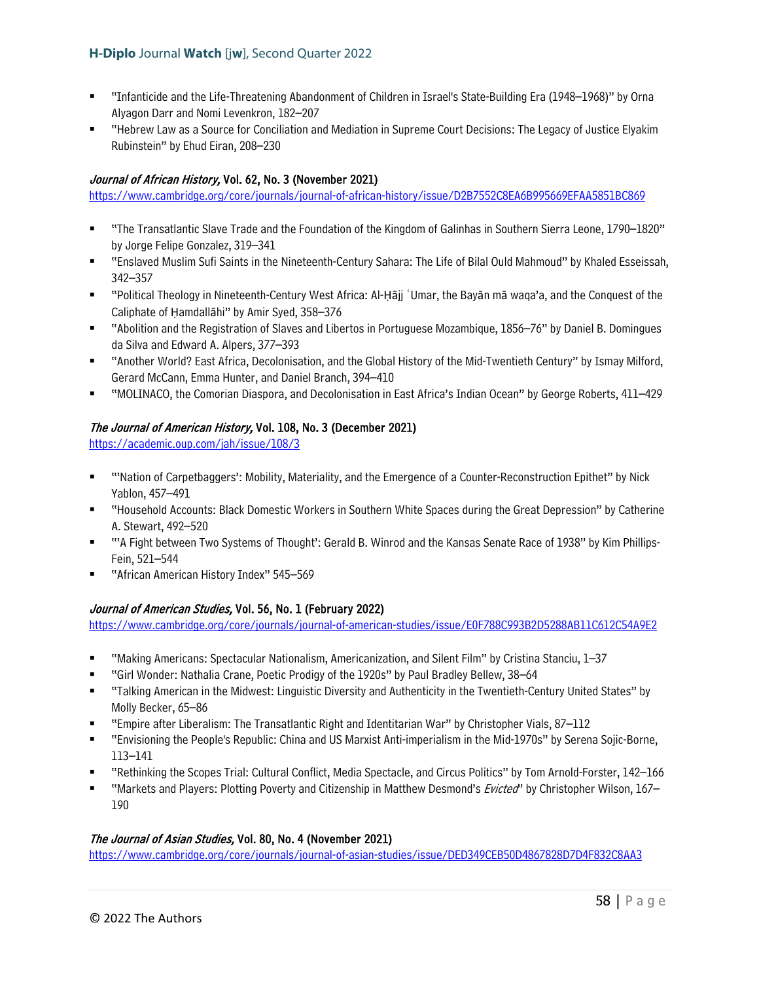- "Infanticide and the Life-Threatening Abandonment of Children in Israel's State-Building Era (1948–1968)" by Orna Alyagon Darr and Nomi Levenkron, 182–207
- "Hebrew Law as a Source for Conciliation and Mediation in Supreme Court Decisions: The Legacy of Justice Elyakim Rubinstein" by Ehud Eiran, 208–230

# Journal of African History, Vol. 62, No. 3 (November 2021)

<https://www.cambridge.org/core/journals/journal-of-african-history/issue/D2B7552C8EA6B995669EFAA5851BC869>

- "The Transatlantic Slave Trade and the Foundation of the Kingdom of Galinhas in Southern Sierra Leone, 1790–1820" by Jorge Felipe Gonzalez, 319–341
- "Enslaved Muslim Sufi Saints in the Nineteenth-Century Sahara: The Life of Bilal Ould Mahmoud" by Khaled Esseissah, 342–357
- "Political Theology in Nineteenth-Century West Africa: Al-Ḥājj ʿUmar, the Bayān mā waqa'a, and the Conquest of the Caliphate of Ḥamdallāhi" by Amir Syed, 358–376
- "Abolition and the Registration of Slaves and Libertos in Portuguese Mozambique, 1856–76" by Daniel B. Domingues da Silva and Edward A. Alpers, 377–393
- "Another World? East Africa, Decolonisation, and the Global History of the Mid-Twentieth Century" by Ismay Milford, Gerard McCann, Emma Hunter, and Daniel Branch, 394–410
- "MOLINACO, the Comorian Diaspora, and Decolonisation in East Africa's Indian Ocean" by George Roberts, 411–429

# The Journal of American History, Vol. 108, No. 3 (December 2021)

<https://academic.oup.com/jah/issue/108/3>

- "'Nation of Carpetbaggers': Mobility, Materiality, and the Emergence of a Counter-Reconstruction Epithet" by Nick Yablon, 457–491
- "Household Accounts: Black Domestic Workers in Southern White Spaces during the Great Depression" by Catherine A. Stewart, 492–520
- "'A Fight between Two Systems of Thought': Gerald B. Winrod and the Kansas Senate Race of 1938" by Kim Phillips-Fein, 521–544
- "African American History Index" 545–569

# Journal of American Studies, Vol. 56, No. 1 (February 2022)

<https://www.cambridge.org/core/journals/journal-of-american-studies/issue/E0F788C993B2D5288AB11C612C54A9E2>

- "Making Americans: Spectacular Nationalism, Americanization, and Silent Film" by Cristina Stanciu, 1–37
- "Girl Wonder: Nathalia Crane, Poetic Prodigy of the 1920s" by Paul Bradley Bellew, 38–64
- "Talking American in the Midwest: Linguistic Diversity and Authenticity in the Twentieth-Century United States" by Molly Becker, 65–86
- "Empire after Liberalism: The Transatlantic Right and Identitarian War" by Christopher Vials, 87–112
- "Envisioning the People's Republic: China and US Marxist Anti-imperialism in the Mid-1970s" by Serena Sojic-Borne, 113–141
- "Rethinking the Scopes Trial: Cultural Conflict, Media Spectacle, and Circus Politics" by Tom Arnold-Forster, 142–166
- "Markets and Players: Plotting Poverty and Citizenship in Matthew Desmond's *Evicted*" by Christopher Wilson, 167– 190

# The Journal of Asian Studies, Vol. 80, No. 4 (November 2021)

<https://www.cambridge.org/core/journals/journal-of-asian-studies/issue/DED349CEB50D4867828D7D4F832C8AA3>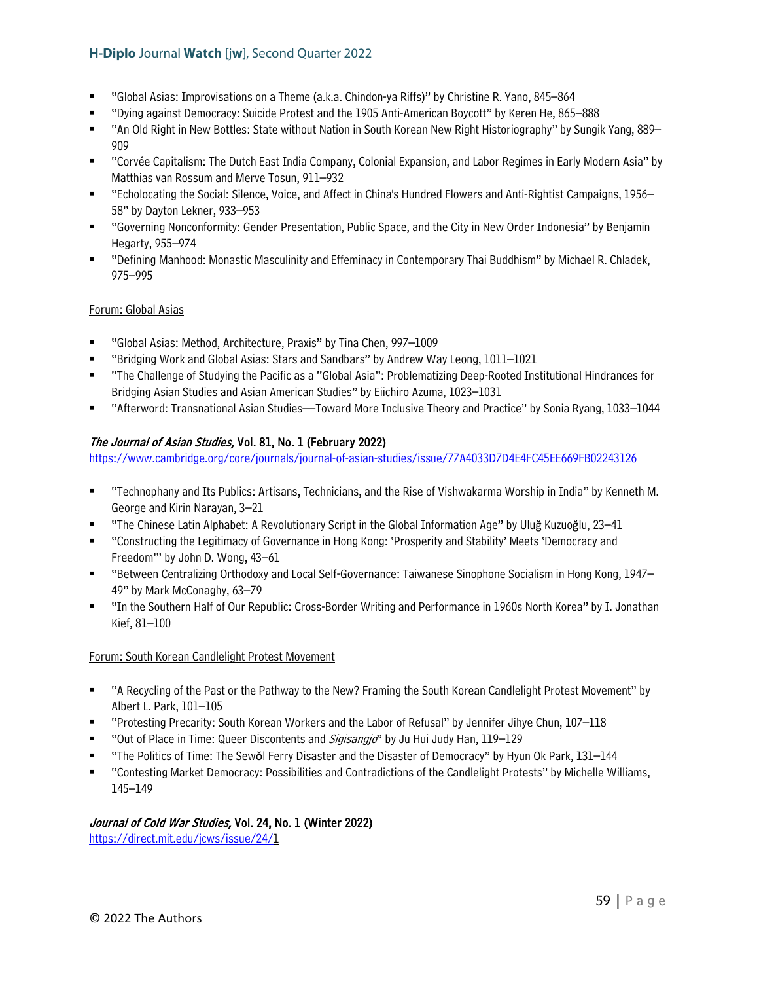- "Global Asias: Improvisations on a Theme (a.k.a. Chindon-ya Riffs)" by Christine R. Yano, 845–864
- "Dying against Democracy: Suicide Protest and the 1905 Anti-American Boycott" by Keren He, 865–888
- "An Old Right in New Bottles: State without Nation in South Korean New Right Historiography" by Sungik Yang, 889– 909
- "Corvée Capitalism: The Dutch East India Company, Colonial Expansion, and Labor Regimes in Early Modern Asia" by Matthias van Rossum and Merve Tosun, 911–932
- "Echolocating the Social: Silence, Voice, and Affect in China's Hundred Flowers and Anti-Rightist Campaigns, 1956– 58" by Dayton Lekner, 933–953
- "Governing Nonconformity: Gender Presentation, Public Space, and the City in New Order Indonesia" by Benjamin Hegarty, 955–974
- "Defining Manhood: Monastic Masculinity and Effeminacy in Contemporary Thai Buddhism" by Michael R. Chladek, 975–995

# Forum: Global Asias

- "Global Asias: Method, Architecture, Praxis" by Tina Chen, 997–1009
- "Bridging Work and Global Asias: Stars and Sandbars" by Andrew Way Leong, 1011–1021
- "The Challenge of Studying the Pacific as a "Global Asia": Problematizing Deep-Rooted Institutional Hindrances for Bridging Asian Studies and Asian American Studies" by Eiichiro Azuma, 1023–1031
- "Afterword: Transnational Asian Studies—Toward More Inclusive Theory and Practice" by Sonia Ryang, 1033–1044

# The Journal of Asian Studies, Vol. 81, No. 1 (February 2022)

<https://www.cambridge.org/core/journals/journal-of-asian-studies/issue/77A4033D7D4E4FC45EE669FB02243126>

- "Technophany and Its Publics: Artisans, Technicians, and the Rise of Vishwakarma Worship in India" by Kenneth M. George and Kirin Narayan, 3–21
- "The Chinese Latin Alphabet: A Revolutionary Script in the Global Information Age" by Uluğ Kuzuoğlu, 23–41
- "Constructing the Legitimacy of Governance in Hong Kong: 'Prosperity and Stability' Meets 'Democracy and Freedom'" by John D. Wong, 43–61
- "Between Centralizing Orthodoxy and Local Self-Governance: Taiwanese Sinophone Socialism in Hong Kong, 1947– 49" by Mark McConaghy, 63–79
- "In the Southern Half of Our Republic: Cross-Border Writing and Performance in 1960s North Korea" by I. Jonathan Kief, 81–100

#### Forum: South Korean Candlelight Protest Movement

- "A Recycling of the Past or the Pathway to the New? Framing the South Korean Candlelight Protest Movement" by Albert L. Park, 101–105
- "Protesting Precarity: South Korean Workers and the Labor of Refusal" by Jennifer Jihye Chun, 107–118
- "Out of Place in Time: Queer Discontents and *Sigisangjo*" by Ju Hui Judy Han, 119–129
- "The Politics of Time: The Sewŏl Ferry Disaster and the Disaster of Democracy" by Hyun Ok Park, 131–144
- "Contesting Market Democracy: Possibilities and Contradictions of the Candlelight Protests" by Michelle Williams, 145–149

# Journal of Cold War Studies, Vol. 24, No. 1 (Winter 2022)

[https://direct.mit.edu/jcws/issue/24/1](https://direct.mit.edu/jcws/issue/24/)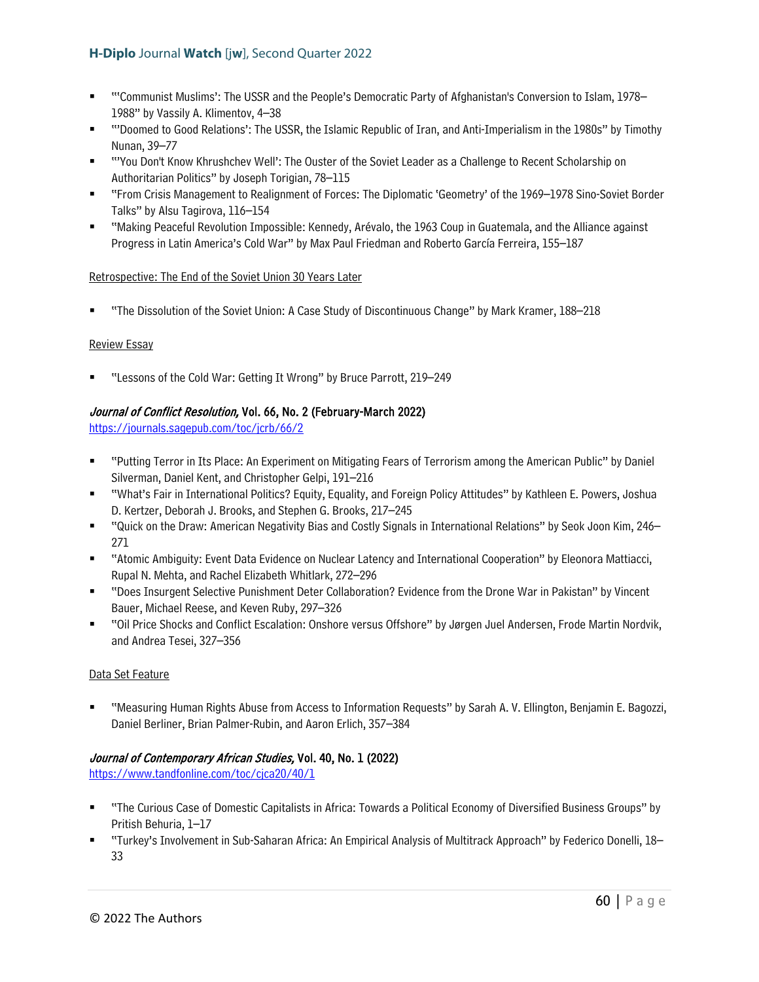- "'Communist Muslims': The USSR and the People's Democratic Party of Afghanistan's Conversion to Islam, 1978– 1988" by Vassily A. Klimentov, 4–38
- "'Doomed to Good Relations': The USSR, the Islamic Republic of Iran, and Anti-Imperialism in the 1980s" by Timothy Nunan, 39–77
- "'You Don't Know Khrushchev Well': The Ouster of the Soviet Leader as a Challenge to Recent Scholarship on Authoritarian Politics" by Joseph Torigian, 78–115
- "From Crisis Management to Realignment of Forces: The Diplomatic 'Geometry' of the 1969–1978 Sino-Soviet Border Talks" by Alsu Tagirova, 116–154
- "Making Peaceful Revolution Impossible: Kennedy, Arévalo, the 1963 Coup in Guatemala, and the Alliance against Progress in Latin America's Cold War" by Max Paul Friedman and Roberto García Ferreira, 155–187

### Retrospective: The End of the Soviet Union 30 Years Later

"The Dissolution of the Soviet Union: A Case Study of Discontinuous Change" by Mark Kramer, 188–218

### Review Essay

"Lessons of the Cold War: Getting It Wrong" by Bruce Parrott, 219–249

# Journal of Conflict Resolution, Vol. 66, No. 2 (February-March 2022)

<https://journals.sagepub.com/toc/jcrb/66/2>

- "Putting Terror in Its Place: An Experiment on Mitigating Fears of Terrorism among the American Public" by Daniel Silverman, Daniel Kent, and Christopher Gelpi, 191–216
- "What's Fair in International Politics? Equity, Equality, and Foreign Policy Attitudes" by Kathleen E. Powers, Joshua D. Kertzer, Deborah J. Brooks, and Stephen G. Brooks, 217–245
- "Quick on the Draw: American Negativity Bias and Costly Signals in International Relations" by Seok Joon Kim, 246– 271
- "Atomic Ambiguity: Event Data Evidence on Nuclear Latency and International Cooperation" by Eleonora Mattiacci, Rupal N. Mehta, and Rachel Elizabeth Whitlark, 272–296
- "Does Insurgent Selective Punishment Deter Collaboration? Evidence from the Drone War in Pakistan" by Vincent Bauer, Michael Reese, and Keven Ruby, 297–326
- "Oil Price Shocks and Conflict Escalation: Onshore versus Offshore" by Jørgen Juel Andersen, Frode Martin Nordvik, and Andrea Tesei, 327–356

#### Data Set Feature

 "Measuring Human Rights Abuse from Access to Information Requests" by Sarah A. V. Ellington, Benjamin E. Bagozzi, Daniel Berliner, Brian Palmer-Rubin, and Aaron Erlich, 357–384

# Journal of Contemporary African Studies, Vol. 40, No. 1 (2022)

<https://www.tandfonline.com/toc/cjca20/40/1>

- "The Curious Case of Domestic Capitalists in Africa: Towards a Political Economy of Diversified Business Groups" by Pritish Behuria, 1–17
- "Turkey's Involvement in Sub-Saharan Africa: An Empirical Analysis of Multitrack Approach" by Federico Donelli, 18– 33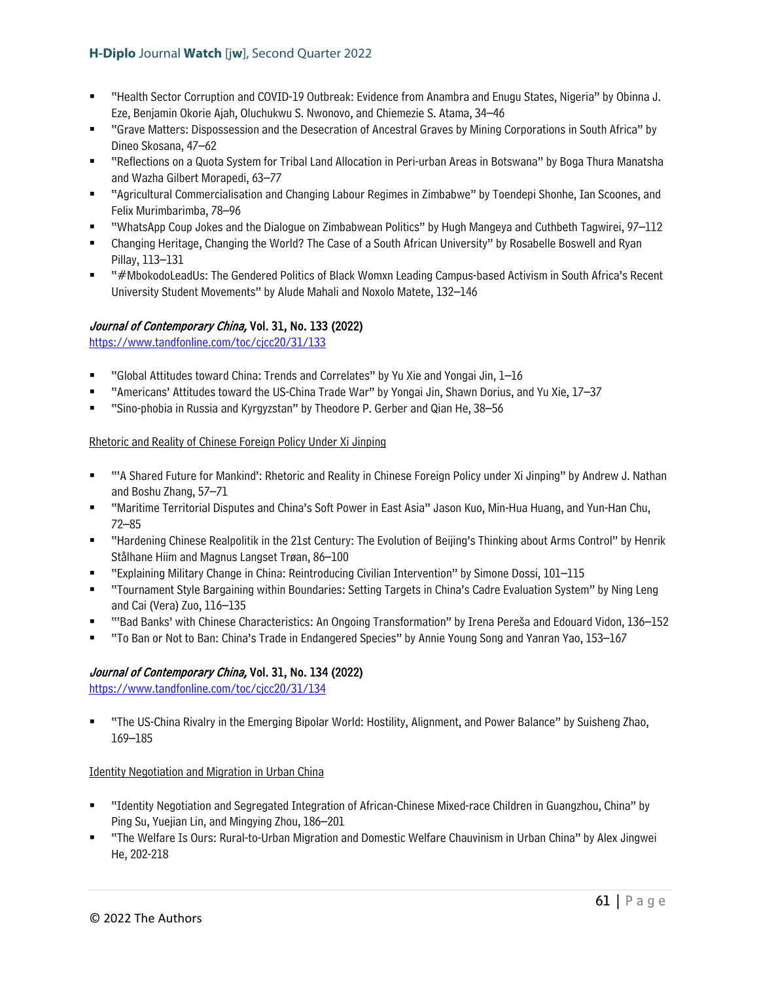- "Health Sector Corruption and COVID-19 Outbreak: Evidence from Anambra and Enugu States, Nigeria" by Obinna J. Eze, Benjamin Okorie Ajah, Oluchukwu S. Nwonovo, and Chiemezie S. Atama, 34–46
- "Grave Matters: Dispossession and the Desecration of Ancestral Graves by Mining Corporations in South Africa" by Dineo Skosana, 47–62
- "Reflections on a Quota System for Tribal Land Allocation in Peri-urban Areas in Botswana" by Boga Thura Manatsha and Wazha Gilbert Morapedi, 63–77
- "Agricultural Commercialisation and Changing Labour Regimes in Zimbabwe" by Toendepi Shonhe, Ian Scoones, and Felix Murimbarimba, 78–96
- "WhatsApp Coup Jokes and the Dialogue on Zimbabwean Politics" by Hugh Mangeya and Cuthbeth Tagwirei, 97–112
- Changing Heritage, Changing the World? The Case of a South African University" by Rosabelle Boswell and Ryan Pillay, 113–131
- "#MbokodoLeadUs: The Gendered Politics of Black Womxn Leading Campus-based Activism in South Africa's Recent University Student Movements" by Alude Mahali and Noxolo Matete, 132–146

# Journal of Contemporary China, Vol. 31, No. 133 (2022)

<https://www.tandfonline.com/toc/cjcc20/31/133>

- "Global Attitudes toward China: Trends and Correlates" by Yu Xie and Yongai Jin, 1–16
- "Americans' Attitudes toward the US-China Trade War" by Yongai Jin, Shawn Dorius, and Yu Xie, 17–37
- "Sino-phobia in Russia and Kyrgyzstan" by Theodore P. Gerber and Qian He, 38–56

### Rhetoric and Reality of Chinese Foreign Policy Under Xi Jinping

- "'A Shared Future for Mankind': Rhetoric and Reality in Chinese Foreign Policy under Xi Jinping" by Andrew J. Nathan and Boshu Zhang, 57–71
- "Maritime Territorial Disputes and China's Soft Power in East Asia" Jason Kuo, Min-Hua Huang, and Yun-Han Chu, 72–85
- "Hardening Chinese Realpolitik in the 21st Century: The Evolution of Beijing's Thinking about Arms Control" by Henrik Stålhane Hiim and Magnus Langset Trøan, 86–100
- "Explaining Military Change in China: Reintroducing Civilian Intervention" by Simone Dossi, 101–115
- "Tournament Style Bargaining within Boundaries: Setting Targets in China's Cadre Evaluation System" by Ning Leng and Cai (Vera) Zuo, 116–135
- "'Bad Banks' with Chinese Characteristics: An Ongoing Transformation" by Irena Pereša and Edouard Vidon, 136–152
- "To Ban or Not to Ban: China's Trade in Endangered Species" by Annie Young Song and Yanran Yao, 153–167

# Journal of Contemporary China, Vol. 31, No. 134 (2022)

<https://www.tandfonline.com/toc/cjcc20/31/134>

 "The US-China Rivalry in the Emerging Bipolar World: Hostility, Alignment, and Power Balance" by Suisheng Zhao, 169–185

Identity Negotiation and Migration in Urban China

- "Identity Negotiation and Segregated Integration of African-Chinese Mixed-race Children in Guangzhou, China" by Ping Su, Yuejian Lin, and Mingying Zhou, 186–201
- "The Welfare Is Ours: Rural-to-Urban Migration and Domestic Welfare Chauvinism in Urban China" by Alex Jingwei He, 202-218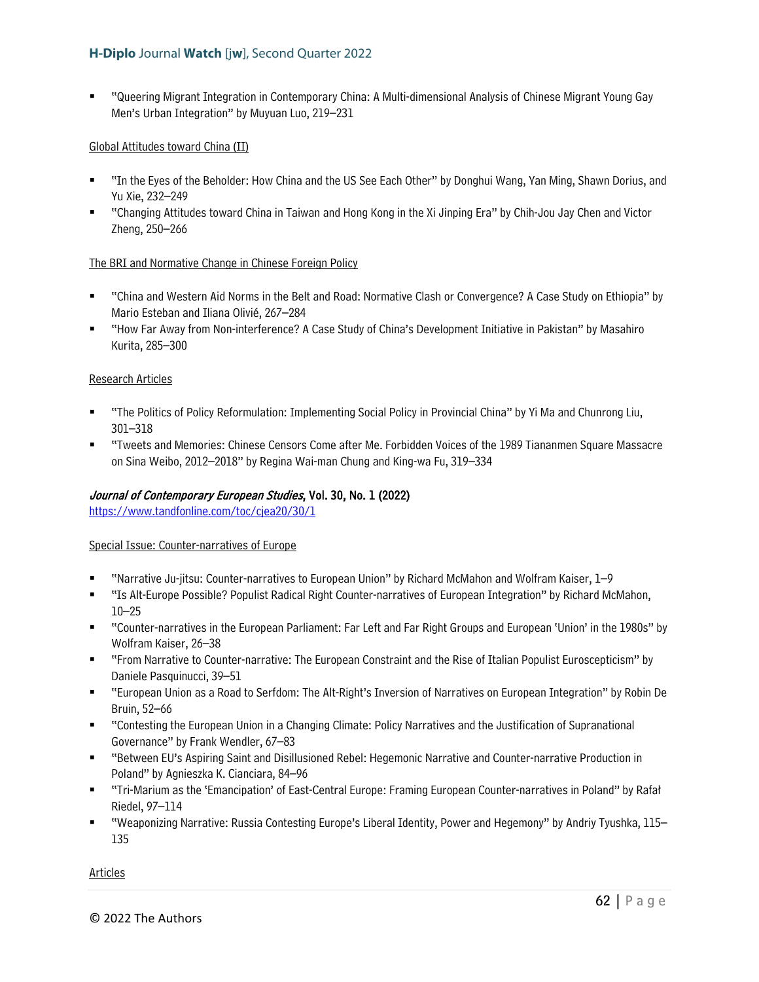"Queering Migrant Integration in Contemporary China: A Multi-dimensional Analysis of Chinese Migrant Young Gay Men's Urban Integration" by Muyuan Luo, 219–231

#### Global Attitudes toward China (II)

- "In the Eyes of the Beholder: How China and the US See Each Other" by Donghui Wang, Yan Ming, Shawn Dorius, and Yu Xie, 232–249
- "Changing Attitudes toward China in Taiwan and Hong Kong in the Xi Jinping Era" by Chih-Jou Jay Chen and Victor Zheng, 250–266

#### The BRI and Normative Change in Chinese Foreign Policy

- "China and Western Aid Norms in the Belt and Road: Normative Clash or Convergence? A Case Study on Ethiopia" by Mario Esteban and Iliana Olivié, 267–284
- "How Far Away from Non-interference? A Case Study of China's Development Initiative in Pakistan" by Masahiro Kurita, 285–300

### Research Articles

- "The Politics of Policy Reformulation: Implementing Social Policy in Provincial China" by Yi Ma and Chunrong Liu, 301–318
- "Tweets and Memories: Chinese Censors Come after Me. Forbidden Voices of the 1989 Tiananmen Square Massacre on Sina Weibo, 2012–2018" by Regina Wai-man Chung and King-wa Fu, 319–334

### Journal of Contemporary European Studies, Vol. 30, No. 1 (2022)

<https://www.tandfonline.com/toc/cjea20/30/1>

#### Special Issue: Counter-narratives of Europe

- "Narrative Ju-jitsu: Counter-narratives to European Union" by Richard McMahon and Wolfram Kaiser, 1–9
- "Is Alt-Europe Possible? Populist Radical Right Counter-narratives of European Integration" by Richard McMahon, 10–25
- "Counter-narratives in the European Parliament: Far Left and Far Right Groups and European 'Union' in the 1980s" by Wolfram Kaiser, 26–38
- "From Narrative to Counter-narrative: The European Constraint and the Rise of Italian Populist Euroscepticism" by Daniele Pasquinucci, 39–51
- "European Union as a Road to Serfdom: The Alt-Right's Inversion of Narratives on European Integration" by Robin De Bruin, 52–66
- "Contesting the European Union in a Changing Climate: Policy Narratives and the Justification of Supranational Governance" by Frank Wendler, 67–83
- "Between EU's Aspiring Saint and Disillusioned Rebel: Hegemonic Narrative and Counter-narrative Production in Poland" by Agnieszka K. Cianciara, 84–96
- "Tri-Marium as the 'Emancipation' of East-Central Europe: Framing European Counter-narratives in Poland" by Rafał Riedel, 97–114
- "Weaponizing Narrative: Russia Contesting Europe's Liberal Identity, Power and Hegemony" by Andriy Tyushka, 115– 135

Articles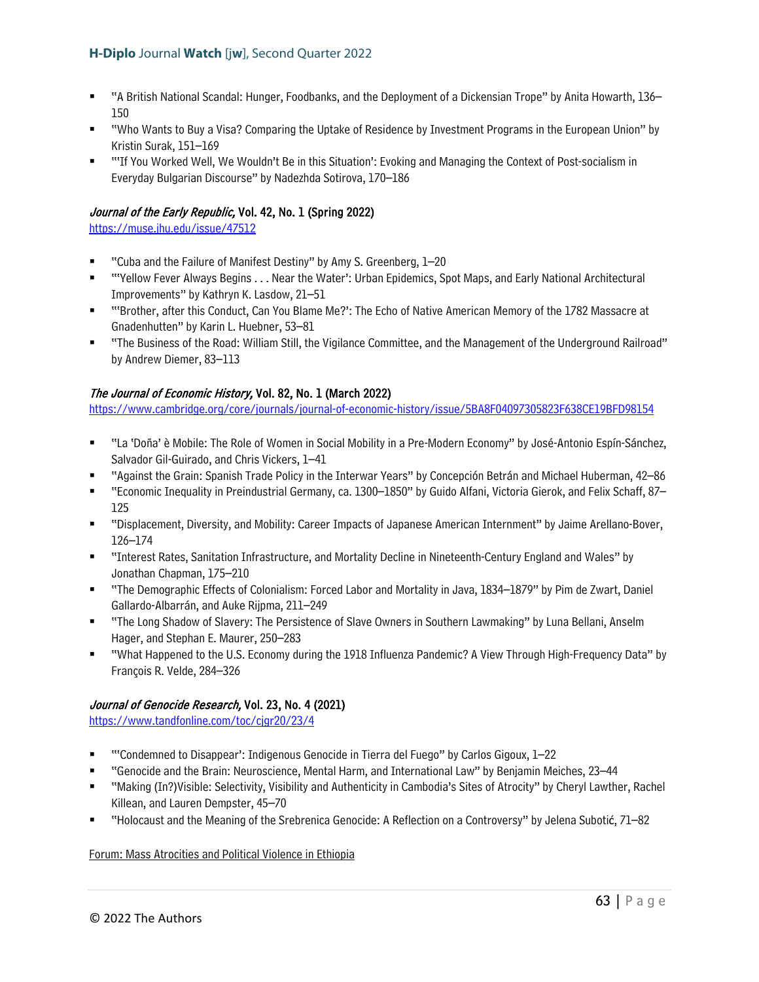- "A British National Scandal: Hunger, Foodbanks, and the Deployment of a Dickensian Trope" by Anita Howarth, 136– 150
- "Who Wants to Buy a Visa? Comparing the Uptake of Residence by Investment Programs in the European Union" by Kristin Surak, 151–169
- "'If You Worked Well, We Wouldn't Be in this Situation': Evoking and Managing the Context of Post-socialism in Everyday Bulgarian Discourse" by Nadezhda Sotirova, 170–186

# Journal of the Early Republic, Vol. 42, No. 1 (Spring 2022)

<https://muse.jhu.edu/issue/47512>

- "Cuba and the Failure of Manifest Destiny" by Amy S. Greenberg, 1–20
- "'Yellow Fever Always Begins . . . Near the Water': Urban Epidemics, Spot Maps, and Early National Architectural Improvements" by Kathryn K. Lasdow, 21–51
- "'Brother, after this Conduct, Can You Blame Me?': The Echo of Native American Memory of the 1782 Massacre at Gnadenhutten" by Karin L. Huebner, 53–81
- "The Business of the Road: William Still, the Vigilance Committee, and the Management of the Underground Railroad" by Andrew Diemer, 83–113

# The Journal of Economic History, Vol. 82, No. 1 (March 2022)

<https://www.cambridge.org/core/journals/journal-of-economic-history/issue/5BA8F04097305823F638CE19BFD98154>

- "La 'Doña' è Mobile: The Role of Women in Social Mobility in a Pre-Modern Economy" by José-Antonio Espín-Sánchez, Salvador Gil-Guirado, and Chris Vickers, 1–41
- "Against the Grain: Spanish Trade Policy in the Interwar Years" by Concepción Betrán and Michael Huberman, 42–86
- "Economic Inequality in Preindustrial Germany, ca. 1300–1850" by Guido Alfani, Victoria Gierok, and Felix Schaff, 87– 125
- "Displacement, Diversity, and Mobility: Career Impacts of Japanese American Internment" by Jaime Arellano-Bover, 126–174
- "Interest Rates, Sanitation Infrastructure, and Mortality Decline in Nineteenth-Century England and Wales" by Jonathan Chapman, 175–210
- "The Demographic Effects of Colonialism: Forced Labor and Mortality in Java, 1834–1879" by Pim de Zwart, Daniel Gallardo-Albarrán, and Auke Rijpma, 211–249
- "The Long Shadow of Slavery: The Persistence of Slave Owners in Southern Lawmaking" by Luna Bellani, Anselm Hager, and Stephan E. Maurer, 250–283
- "What Happened to the U.S. Economy during the 1918 Influenza Pandemic? A View Through High-Frequency Data" by François R. Velde, 284–326

# Journal of Genocide Research, Vol. 23, No. 4 (2021)

<https://www.tandfonline.com/toc/cjgr20/23/4>

- "'Condemned to Disappear': Indigenous Genocide in Tierra del Fuego" by Carlos Gigoux, 1–22
- "Genocide and the Brain: Neuroscience, Mental Harm, and International Law" by Benjamin Meiches, 23–44
- "Making (In?)Visible: Selectivity, Visibility and Authenticity in Cambodia's Sites of Atrocity" by Cheryl Lawther, Rachel Killean, and Lauren Dempster, 45–70
- "Holocaust and the Meaning of the Srebrenica Genocide: A Reflection on a Controversy" by Jelena Subotić, 71–82

Forum: Mass Atrocities and Political Violence in Ethiopia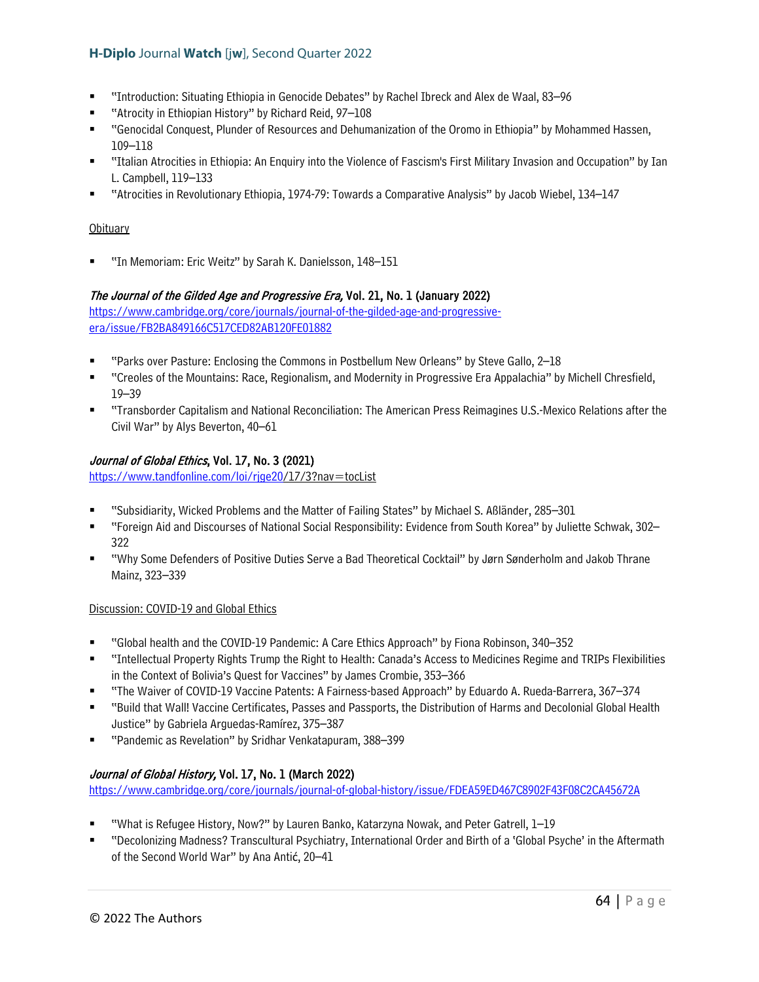- "Introduction: Situating Ethiopia in Genocide Debates" by Rachel Ibreck and Alex de Waal, 83–96
- "Atrocity in Ethiopian History" by Richard Reid, 97–108
- "Genocidal Conquest, Plunder of Resources and Dehumanization of the Oromo in Ethiopia" by Mohammed Hassen, 109–118
- "Italian Atrocities in Ethiopia: An Enquiry into the Violence of Fascism's First Military Invasion and Occupation" by Ian L. Campbell, 119–133
- "Atrocities in Revolutionary Ethiopia, 1974-79: Towards a Comparative Analysis" by Jacob Wiebel, 134–147

### **Obituary**

"In Memoriam: Eric Weitz" by Sarah K. Danielsson, 148–151

### The Journal of the Gilded Age and Progressive Era, Vol. 21, No. 1 (January 2022)

[https://www.cambridge.org/core/journals/journal-of-the-gilded-age-and-progressive](https://www.cambridge.org/core/journals/journal-of-the-gilded-age-and-progressive-era/issue/FB2BA849166C517CED82AB120FE01882)[era/issue/FB2BA849166C517CED82AB120FE01882](https://www.cambridge.org/core/journals/journal-of-the-gilded-age-and-progressive-era/issue/FB2BA849166C517CED82AB120FE01882)

- "Parks over Pasture: Enclosing the Commons in Postbellum New Orleans" by Steve Gallo, 2–18
- "Creoles of the Mountains: Race, Regionalism, and Modernity in Progressive Era Appalachia" by Michell Chresfield, 19–39
- "Transborder Capitalism and National Reconciliation: The American Press Reimagines U.S.-Mexico Relations after the Civil War" by Alys Beverton, 40–61

# Journal of Global Ethics, Vol. 17, No. 3 (2021)

[https://www.tandfonline.com/loi/rjge20/](https://www.tandfonline.com/loi/rjge20)17/3?nav=tocList

- "Subsidiarity, Wicked Problems and the Matter of Failing States" by Michael S. Aßländer, 285–301
- "Foreign Aid and Discourses of National Social Responsibility: Evidence from South Korea" by Juliette Schwak, 302– 322
- "Why Some Defenders of Positive Duties Serve a Bad Theoretical Cocktail" by Jørn Sønderholm and Jakob Thrane Mainz, 323–339

#### Discussion: COVID-19 and Global Ethics

- "Global health and the COVID-19 Pandemic: A Care Ethics Approach" by Fiona Robinson, 340–352
- "Intellectual Property Rights Trump the Right to Health: Canada's Access to Medicines Regime and TRIPs Flexibilities in the Context of Bolivia's Quest for Vaccines" by James Crombie, 353–366
- "The Waiver of COVID-19 Vaccine Patents: A Fairness-based Approach" by Eduardo A. Rueda-Barrera, 367–374
- "Build that Wall! Vaccine Certificates, Passes and Passports, the Distribution of Harms and Decolonial Global Health Justice" by Gabriela Arguedas-Ramírez, 375–387
- "Pandemic as Revelation" by Sridhar Venkatapuram, 388–399

# Journal of Global History, Vol. 17, No. 1 (March 2022)

<https://www.cambridge.org/core/journals/journal-of-global-history/issue/FDEA59ED467C8902F43F08C2CA45672A>

- "What is Refugee History, Now?" by Lauren Banko, Katarzyna Nowak, and Peter Gatrell, 1–19
- "Decolonizing Madness? Transcultural Psychiatry, International Order and Birth of a 'Global Psyche' in the Aftermath of the Second World War" by Ana Antić, 20–41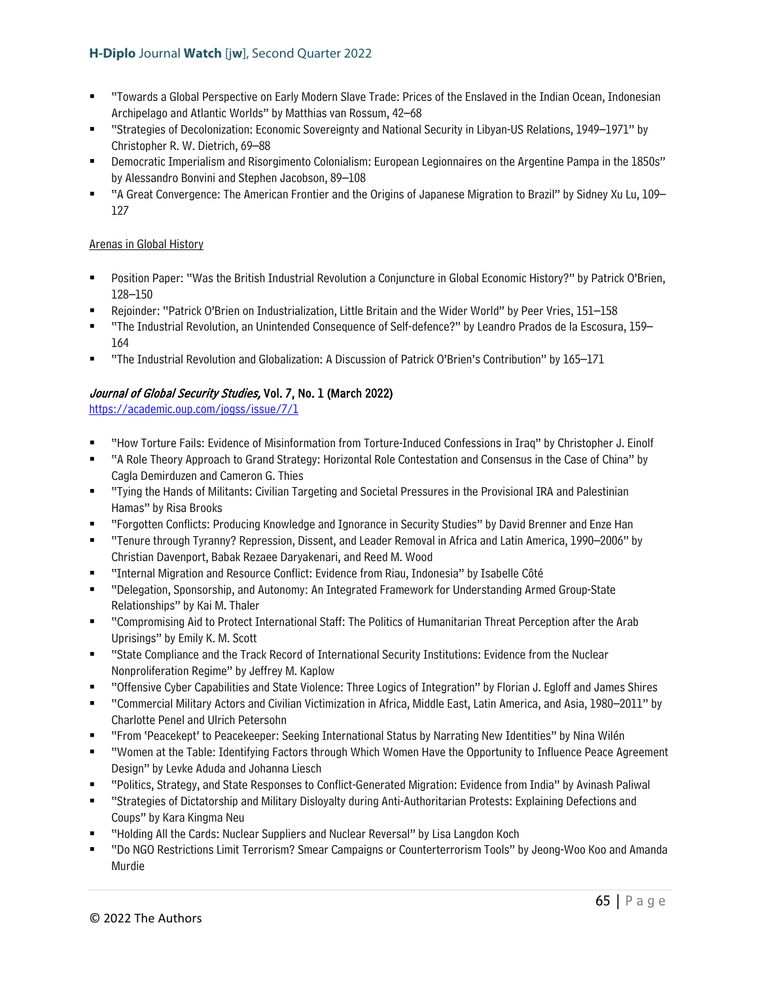- "Towards a Global Perspective on Early Modern Slave Trade: Prices of the Enslaved in the Indian Ocean, Indonesian Archipelago and Atlantic Worlds" by Matthias van Rossum, 42–68
- "Strategies of Decolonization: Economic Sovereignty and National Security in Libyan-US Relations, 1949–1971" by Christopher R. W. Dietrich, 69–88
- Democratic Imperialism and Risorgimento Colonialism: European Legionnaires on the Argentine Pampa in the 1850s" by Alessandro Bonvini and Stephen Jacobson, 89–108
- "A Great Convergence: The American Frontier and the Origins of Japanese Migration to Brazil" by Sidney Xu Lu, 109– 127

### Arenas in Global History

- Position Paper: "Was the British Industrial Revolution a Conjuncture in Global Economic History?" by Patrick O'Brien, 128–150
- Rejoinder: "Patrick O'Brien on Industrialization, Little Britain and the Wider World" by Peer Vries, 151–158
- "The Industrial Revolution, an Unintended Consequence of Self-defence?" by Leandro Prados de la Escosura, 159– 164
- "The Industrial Revolution and Globalization: A Discussion of Patrick O'Brien's Contribution" by 165–171

# Journal of Global Security Studies, Vol. 7, No. 1 (March 2022)

<https://academic.oup.com/jogss/issue/7/1>

- "How Torture Fails: Evidence of Misinformation from Torture-Induced Confessions in Iraq" by Christopher J. Einolf
- "A Role Theory Approach to Grand Strategy: Horizontal Role Contestation and Consensus in the Case of China" by Cagla Demirduzen and Cameron G. Thies
- "Tying the Hands of Militants: Civilian Targeting and Societal Pressures in the Provisional IRA and Palestinian Hamas" by Risa Brooks
- "Forgotten Conflicts: Producing Knowledge and Ignorance in Security Studies" by David Brenner and Enze Han
- "Tenure through Tyranny? Repression, Dissent, and Leader Removal in Africa and Latin America, 1990–2006" by Christian Davenport, Babak Rezaee Daryakenari, and Reed M. Wood
- "Internal Migration and Resource Conflict: Evidence from Riau, Indonesia" by Isabelle Côté
- "Delegation, Sponsorship, and Autonomy: An Integrated Framework for Understanding Armed Group-State Relationships" by Kai M. Thaler
- "Compromising Aid to Protect International Staff: The Politics of Humanitarian Threat Perception after the Arab Uprisings" by Emily K. M. Scott
- "State Compliance and the Track Record of International Security Institutions: Evidence from the Nuclear Nonproliferation Regime" by Jeffrey M. Kaplow
- "Offensive Cyber Capabilities and State Violence: Three Logics of Integration" by Florian J. Egloff and James Shires
- "Commercial Military Actors and Civilian Victimization in Africa, Middle East, Latin America, and Asia, 1980–2011" by Charlotte Penel and Ulrich Petersohn
- "From 'Peacekept' to Peacekeeper: Seeking International Status by Narrating New Identities" by Nina Wilén
- "Women at the Table: Identifying Factors through Which Women Have the Opportunity to Influence Peace Agreement Design" by Levke Aduda and Johanna Liesch
- "Politics, Strategy, and State Responses to Conflict-Generated Migration: Evidence from India" by Avinash Paliwal
- "Strategies of Dictatorship and Military Disloyalty during Anti-Authoritarian Protests: Explaining Defections and Coups" by Kara Kingma Neu
- "Holding All the Cards: Nuclear Suppliers and Nuclear Reversal" by Lisa Langdon Koch
- "Do NGO Restrictions Limit Terrorism? Smear Campaigns or Counterterrorism Tools" by Jeong-Woo Koo and Amanda Murdie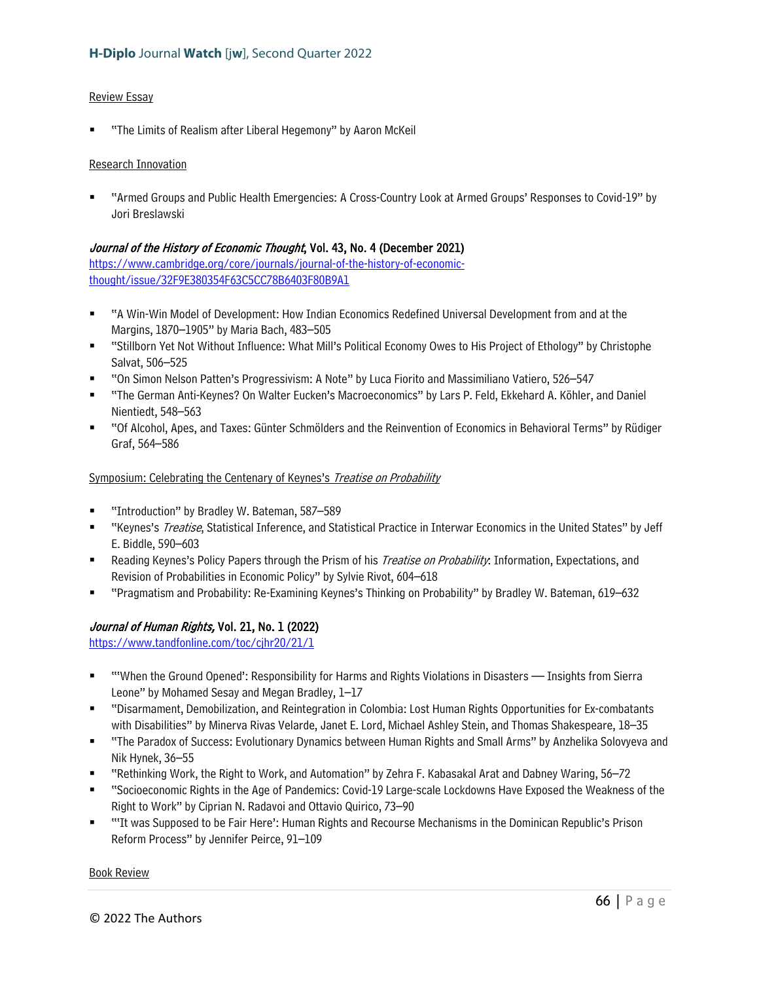#### Review Essay

"The Limits of Realism after Liberal Hegemony" by Aaron McKeil

#### Research Innovation

 "Armed Groups and Public Health Emergencies: A Cross-Country Look at Armed Groups' Responses to Covid-19" by Jori Breslawski

### Journal of the History of Economic Thought, Vol. 43, No. 4 (December 2021)

[https://www.cambridge.org/core/journals/journal-of-the-history-of-economic](https://www.cambridge.org/core/journals/journal-of-the-history-of-economic-thought/issue/32F9E380354F63C5CC78B6403F80B9A1)[thought/issue/32F9E380354F63C5CC78B6403F80B9A1](https://www.cambridge.org/core/journals/journal-of-the-history-of-economic-thought/issue/32F9E380354F63C5CC78B6403F80B9A1) 

- "A Win-Win Model of Development: How Indian Economics Redefined Universal Development from and at the Margins, 1870–1905" by Maria Bach, 483–505
- "Stillborn Yet Not Without Influence: What Mill's Political Economy Owes to His Project of Ethology" by Christophe Salvat, 506–525
- "On Simon Nelson Patten's Progressivism: A Note" by Luca Fiorito and Massimiliano Vatiero, 526–547
- "The German Anti-Keynes? On Walter Eucken's Macroeconomics" by Lars P. Feld, Ekkehard A. Köhler, and Daniel Nientiedt, 548–563
- "Of Alcohol, Apes, and Taxes: Günter Schmölders and the Reinvention of Economics in Behavioral Terms" by Rüdiger Graf, 564–586

#### Symposium: Celebrating the Centenary of Keynes's Treatise on Probability

- "Introduction" by Bradley W. Bateman, 587–589
- "Keynes's Treatise, Statistical Inference, and Statistical Practice in Interwar Economics in the United States" by Jeff E. Biddle, 590–603
- **Reading Keynes's Policy Papers through the Prism of his** *Treatise on Probability***: Information, Expectations, and** Revision of Probabilities in Economic Policy" by Sylvie Rivot, 604–618
- "Pragmatism and Probability: Re-Examining Keynes's Thinking on Probability" by Bradley W. Bateman, 619–632

# Journal of Human Rights, Vol. 21, No. 1 (2022)

<https://www.tandfonline.com/toc/cjhr20/21/1>

- "When the Ground Opened': Responsibility for Harms and Rights Violations in Disasters Insights from Sierra Leone" by Mohamed Sesay and Megan Bradley, 1–17
- "Disarmament, Demobilization, and Reintegration in Colombia: Lost Human Rights Opportunities for Ex-combatants with Disabilities" by Minerva Rivas Velarde, Janet E. Lord, Michael Ashley Stein, and Thomas Shakespeare, 18–35
- "The Paradox of Success: Evolutionary Dynamics between Human Rights and Small Arms" by Anzhelika Solovyeva and Nik Hynek, 36–55
- "Rethinking Work, the Right to Work, and Automation" by Zehra F. Kabasakal Arat and Dabney Waring, 56–72
- "Socioeconomic Rights in the Age of Pandemics: Covid-19 Large-scale Lockdowns Have Exposed the Weakness of the Right to Work" by Ciprian N. Radavoi and Ottavio Quirico, 73–90
- "'It was Supposed to be Fair Here': Human Rights and Recourse Mechanisms in the Dominican Republic's Prison Reform Process" by Jennifer Peirce, 91–109

#### Book Review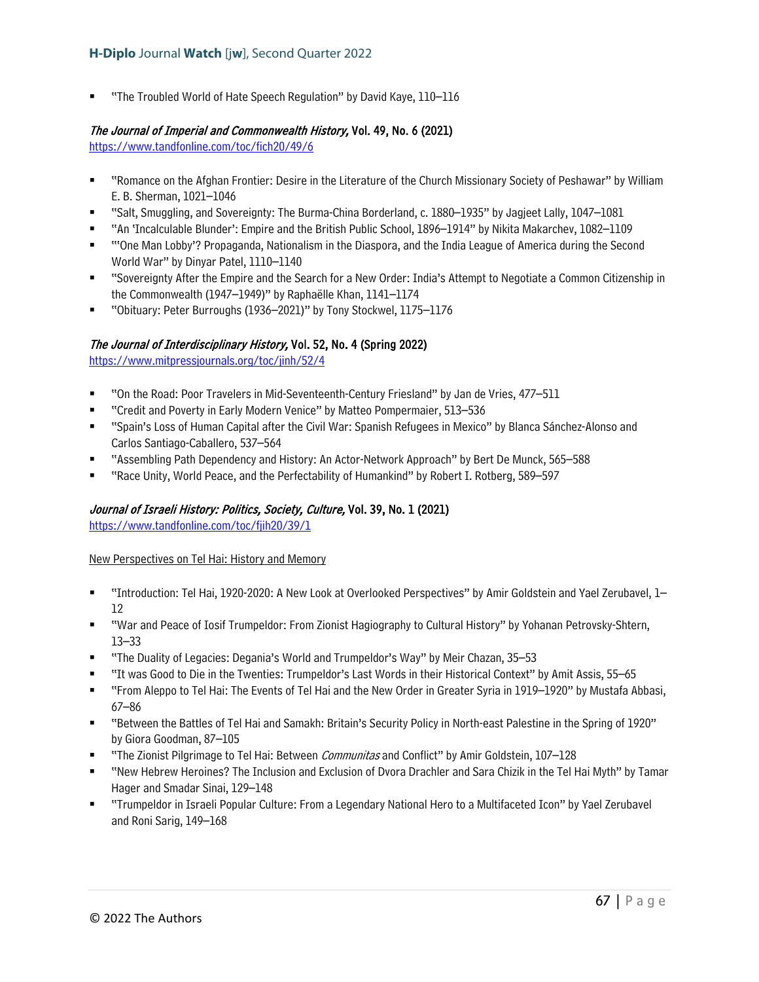"The Troubled World of Hate Speech Regulation" by David Kaye, 110–116

# The Journal of Imperial and Commonwealth History, Vol. 49, No. 6 (2021)

<https://www.tandfonline.com/toc/fich20/49/6>

- "Romance on the Afghan Frontier: Desire in the Literature of the Church Missionary Society of Peshawar" by William E. B. Sherman, 1021–1046
- "Salt, Smuggling, and Sovereignty: The Burma-China Borderland, c. 1880–1935" by Jagjeet Lally, 1047–1081
- "An 'Incalculable Blunder': Empire and the British Public School, 1896–1914" by Nikita Makarchev, 1082–1109
- "'One Man Lobby'? Propaganda, Nationalism in the Diaspora, and the India League of America during the Second World War" by Dinyar Patel, 1110–1140
- "Sovereignty After the Empire and the Search for a New Order: India's Attempt to Negotiate a Common Citizenship in the Commonwealth (1947–1949)" by Raphaëlle Khan, 1141–1174
- "Obituary: Peter Burroughs (1936–2021)" by Tony Stockwel, 1175–1176

# The Journal of Interdisciplinary History, Vol. 52, No. 4 (Spring 2022)

<https://www.mitpressjournals.org/toc/jinh/52/4>

- "On the Road: Poor Travelers in Mid-Seventeenth-Century Friesland" by Jan de Vries, 477–511
- "Credit and Poverty in Early Modern Venice" by Matteo Pompermaier, 513–536
- "Spain's Loss of Human Capital after the Civil War: Spanish Refugees in Mexico" by Blanca Sánchez-Alonso and Carlos Santiago-Caballero, 537–564
- "Assembling Path Dependency and History: An Actor-Network Approach" by Bert De Munck, 565–588
- "Race Unity, World Peace, and the Perfectability of Humankind" by Robert I. Rotberg, 589–597

# Journal of Israeli History: Politics, Society, Culture, Vol. 39, No. 1 (2021)

<https://www.tandfonline.com/toc/fjih20/39/1>

#### New Perspectives on Tel Hai: History and Memory

- "Introduction: Tel Hai, 1920-2020: A New Look at Overlooked Perspectives" by Amir Goldstein and Yael Zerubavel, 1– 12
- "War and Peace of Iosif Trumpeldor: From Zionist Hagiography to Cultural History" by Yohanan Petrovsky-Shtern, 13–33
- "The Duality of Legacies: Degania's World and Trumpeldor's Way" by Meir Chazan, 35–53
- "It was Good to Die in the Twenties: Trumpeldor's Last Words in their Historical Context" by Amit Assis, 55–65
- "From Aleppo to Tel Hai: The Events of Tel Hai and the New Order in Greater Syria in 1919–1920" by Mustafa Abbasi, 67–86
- "Between the Battles of Tel Hai and Samakh: Britain's Security Policy in North-east Palestine in the Spring of 1920" by Giora Goodman, 87–105
- "The Zionist Pilgrimage to Tel Hai: Between *Communitas* and Conflict" by Amir Goldstein, 107–128
- "New Hebrew Heroines? The Inclusion and Exclusion of Dvora Drachler and Sara Chizik in the Tel Hai Myth" by Tamar Hager and Smadar Sinai, 129–148
- "Trumpeldor in Israeli Popular Culture: From a Legendary National Hero to a Multifaceted Icon" by Yael Zerubavel and Roni Sarig, 149–168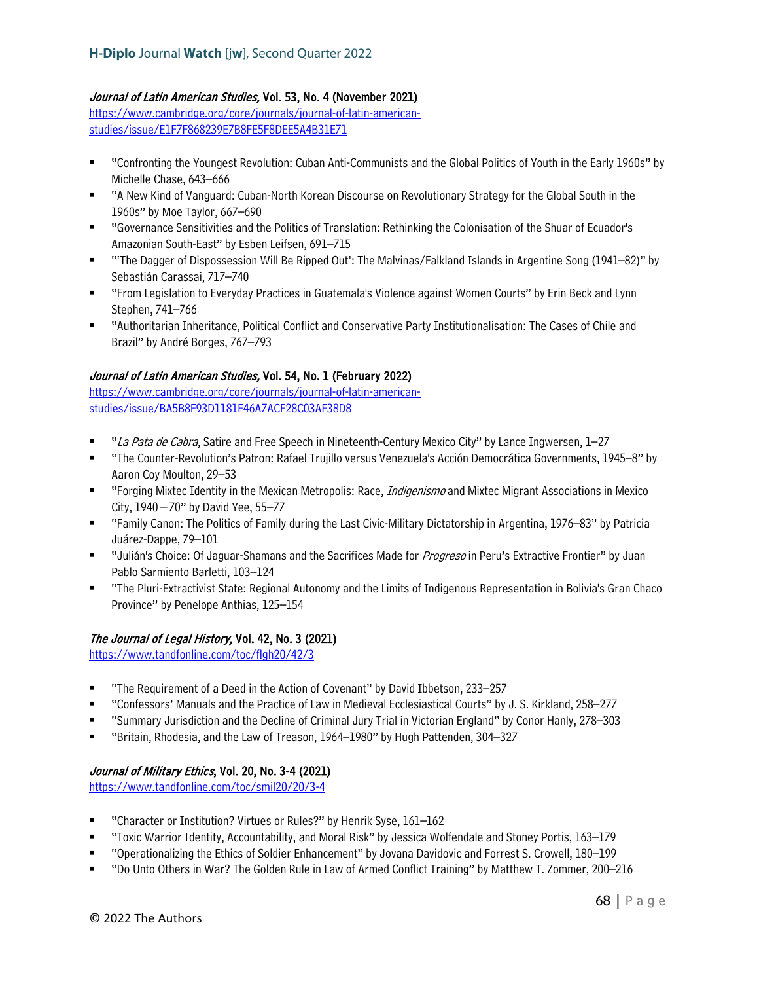# Journal of Latin American Studies, Vol. 53, No. 4 (November 2021)

[https://www.cambridge.org/core/journals/journal-of-latin-american](https://www.cambridge.org/core/journals/journal-of-latin-american-studies/issue/E1F7F868239E7B8FE5F8DEE5A4B31E71)[studies/issue/E1F7F868239E7B8FE5F8DEE5A4B31E71](https://www.cambridge.org/core/journals/journal-of-latin-american-studies/issue/E1F7F868239E7B8FE5F8DEE5A4B31E71)

- "Confronting the Youngest Revolution: Cuban Anti-Communists and the Global Politics of Youth in the Early 1960s" by Michelle Chase, 643–666
- "A New Kind of Vanguard: Cuban-North Korean Discourse on Revolutionary Strategy for the Global South in the 1960s" by Moe Taylor, 667–690
- "Governance Sensitivities and the Politics of Translation: Rethinking the Colonisation of the Shuar of Ecuador's Amazonian South-East" by Esben Leifsen, 691–715
- "'The Dagger of Dispossession Will Be Ripped Out': The Malvinas/Falkland Islands in Argentine Song (1941–82)" by Sebastián Carassai, 717–740
- "From Legislation to Everyday Practices in Guatemala's Violence against Women Courts" by Erin Beck and Lynn Stephen, 741–766
- "Authoritarian Inheritance, Political Conflict and Conservative Party Institutionalisation: The Cases of Chile and Brazil" by André Borges, 767–793

### Journal of Latin American Studies, Vol. 54, No. 1 (February 2022)

[https://www.cambridge.org/core/journals/journal-of-latin-american](https://www.cambridge.org/core/journals/journal-of-latin-american-studies/issue/BA5B8F93D1181F46A7ACF28C03AF38D8)[studies/issue/BA5B8F93D1181F46A7ACF28C03AF38D8](https://www.cambridge.org/core/journals/journal-of-latin-american-studies/issue/BA5B8F93D1181F46A7ACF28C03AF38D8)

- "La Pata de Cabra, Satire and Free Speech in Nineteenth-Century Mexico City" by Lance Ingwersen, 1–27
- "The Counter-Revolution's Patron: Rafael Trujillo versus Venezuela's Acción Democrática Governments, 1945–8" by Aaron Coy Moulton, 29–53
- " "Forging Mixtec Identity in the Mexican Metropolis: Race, *Indigenismo* and Mixtec Migrant Associations in Mexico City, 1940−70" by David Yee, 55–77
- "Family Canon: The Politics of Family during the Last Civic-Military Dictatorship in Argentina, 1976–83" by Patricia Juárez-Dappe, 79–101
- " "Julián's Choice: Of Jaguar-Shamans and the Sacrifices Made for *Progreso* in Peru's Extractive Frontier" by Juan Pablo Sarmiento Barletti, 103–124
- "The Pluri-Extractivist State: Regional Autonomy and the Limits of Indigenous Representation in Bolivia's Gran Chaco Province" by Penelope Anthias, 125–154

#### The Journal of Legal History, Vol. 42, No. 3 (2021)

<https://www.tandfonline.com/toc/flgh20/42/3>

- "The Requirement of a Deed in the Action of Covenant" by David Ibbetson, 233–257
- "Confessors' Manuals and the Practice of Law in Medieval Ecclesiastical Courts" by J. S. Kirkland, 258–277
- "Summary Jurisdiction and the Decline of Criminal Jury Trial in Victorian England" by Conor Hanly, 278–303
- "Britain, Rhodesia, and the Law of Treason, 1964–1980" by Hugh Pattenden, 304–327

# Journal of Military Ethics, Vol. 20, No. 3-4 (2021)

<https://www.tandfonline.com/toc/smil20/20/3-4>

- "Character or Institution? Virtues or Rules?" by Henrik Syse, 161–162
- "Toxic Warrior Identity, Accountability, and Moral Risk" by Jessica Wolfendale and Stoney Portis, 163–179
- "Operationalizing the Ethics of Soldier Enhancement" by Jovana Davidovic and Forrest S. Crowell, 180–199
- "Do Unto Others in War? The Golden Rule in Law of Armed Conflict Training" by Matthew T. Zommer, 200–216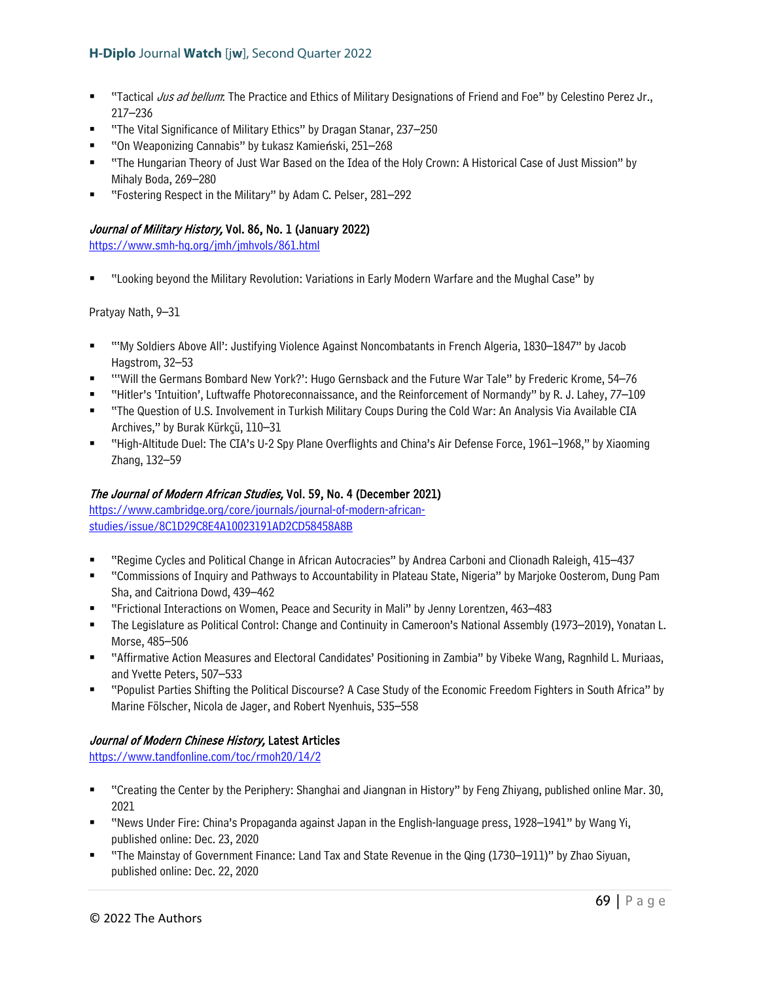- "Tactical Jus ad bellum: The Practice and Ethics of Military Designations of Friend and Foe" by Celestino Perez Jr., 217–236
- "The Vital Significance of Military Ethics" by Dragan Stanar, 237–250
- "On Weaponizing Cannabis" by Łukasz Kamieński, 251–268
- "The Hungarian Theory of Just War Based on the Idea of the Holy Crown: A Historical Case of Just Mission" by Mihaly Boda, 269–280
- "Fostering Respect in the Military" by Adam C. Pelser, 281–292

### Journal of Military History, Vol. 86, No. 1 (January 2022)

<https://www.smh-hq.org/jmh/jmhvols/861.html>

"Looking beyond the Military Revolution: Variations in Early Modern Warfare and the Mughal Case" by

Pratyay Nath, 9–31

- "'My Soldiers Above All': Justifying Violence Against Noncombatants in French Algeria, 1830–1847" by Jacob Hagstrom, 32–53
- '''Will the Germans Bombard New York?': Hugo Gernsback and the Future War Tale" by Frederic Krome, 54–76
- "Hitler's 'Intuition', Luftwaffe Photoreconnaissance, and the Reinforcement of Normandy" by R. J. Lahey, 77–109
- "The Question of U.S. Involvement in Turkish Military Coups During the Cold War: An Analysis Via Available CIA Archives," by Burak Kürkçü, 110–31
- "High-Altitude Duel: The CIA's U-2 Spy Plane Overflights and China's Air Defense Force, 1961–1968," by Xiaoming Zhang, 132–59

# The Journal of Modern African Studies, Vol. 59, No. 4 (December 2021)

[https://www.cambridge.org/core/journals/journal-of-modern-african](https://www.cambridge.org/core/journals/journal-of-modern-african-studies/issue/8C1D29C8E4A10023191AD2CD58458A8B)[studies/issue/8C1D29C8E4A10023191AD2CD58458A8B](https://www.cambridge.org/core/journals/journal-of-modern-african-studies/issue/8C1D29C8E4A10023191AD2CD58458A8B)

- "Regime Cycles and Political Change in African Autocracies" by Andrea Carboni and Clionadh Raleigh, 415–437
- "Commissions of Inquiry and Pathways to Accountability in Plateau State, Nigeria" by Marjoke Oosterom, Dung Pam Sha, and Caitriona Dowd, 439–462
- "Frictional Interactions on Women, Peace and Security in Mali" by Jenny Lorentzen, 463–483
- The Legislature as Political Control: Change and Continuity in Cameroon's National Assembly (1973–2019), Yonatan L. Morse, 485–506
- "Affirmative Action Measures and Electoral Candidates' Positioning in Zambia" by Vibeke Wang, Ragnhild L. Muriaas, and Yvette Peters, 507–533
- "Populist Parties Shifting the Political Discourse? A Case Study of the Economic Freedom Fighters in South Africa" by Marine Fölscher, Nicola de Jager, and Robert Nyenhuis, 535–558

#### Journal of Modern Chinese History, Latest Articles

<https://www.tandfonline.com/toc/rmoh20/14/2>

- "Creating the Center by the Periphery: Shanghai and Jiangnan in History" by Feng Zhiyang, published online Mar. 30, 2021
- "News Under Fire: China's Propaganda against Japan in the English-language press, 1928–1941" by Wang Yi, published online: Dec. 23, 2020
- "The Mainstay of Government Finance: Land Tax and State Revenue in the Qing (1730–1911)" by Zhao Siyuan, published online: Dec. 22, 2020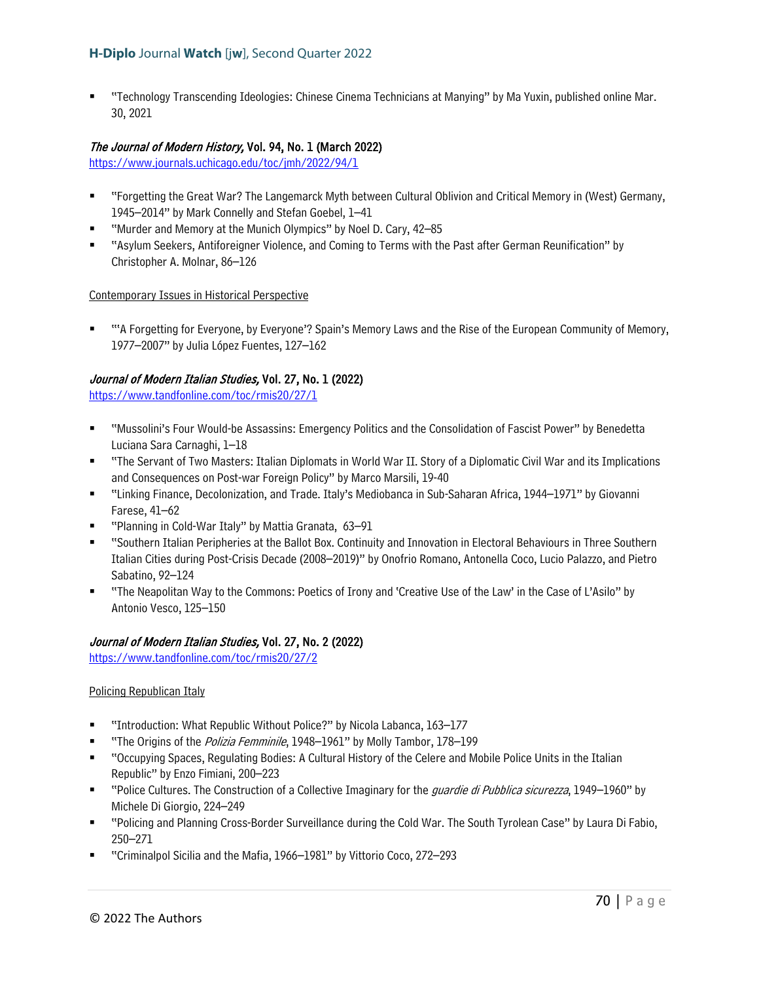"Technology Transcending Ideologies: Chinese Cinema Technicians at Manying" by Ma Yuxin, published online Mar. 30, 2021

#### The Journal of Modern History, Vol. 94, No. 1 (March 2022)

<https://www.journals.uchicago.edu/toc/jmh/2022/94/1>

- "Forgetting the Great War? The Langemarck Myth between Cultural Oblivion and Critical Memory in (West) Germany, 1945–2014" by Mark Connelly and Stefan Goebel, 1–41
- "Murder and Memory at the Munich Olympics" by Noel D. Cary, 42–85
- "Asylum Seekers, Antiforeigner Violence, and Coming to Terms with the Past after German Reunification" by Christopher A. Molnar, 86–126

#### Contemporary Issues in Historical Perspective

 "'A Forgetting for Everyone, by Everyone'? Spain's Memory Laws and the Rise of the European Community of Memory, 1977–2007" by Julia López Fuentes, 127–162

### Journal of Modern Italian Studies, Vol. 27, No. 1 (2022)

<https://www.tandfonline.com/toc/rmis20/27/1>

- "Mussolini's Four Would-be Assassins: Emergency Politics and the Consolidation of Fascist Power" by Benedetta Luciana Sara Carnaghi, 1–18
- "The Servant of Two Masters: Italian Diplomats in World War II. Story of a Diplomatic Civil War and its Implications and Consequences on Post-war Foreign Policy" by Marco Marsili, 19-40
- "Linking Finance, Decolonization, and Trade. Italy's Mediobanca in Sub-Saharan Africa, 1944–1971" by Giovanni Farese, 41–62
- "Planning in Cold-War Italy" by Mattia Granata, 63–91
- "Southern Italian Peripheries at the Ballot Box. Continuity and Innovation in Electoral Behaviours in Three Southern Italian Cities during Post-Crisis Decade (2008–2019)" by Onofrio Romano, Antonella Coco, Lucio Palazzo, and Pietro Sabatino, 92–124
- "The Neapolitan Way to the Commons: Poetics of Irony and 'Creative Use of the Law' in the Case of L'Asilo" by Antonio Vesco, 125–150

#### Journal of Modern Italian Studies, Vol. 27, No. 2 (2022)

<https://www.tandfonline.com/toc/rmis20/27/2>

#### Policing Republican Italy

- "Introduction: What Republic Without Police?" by Nicola Labanca, 163–177
- "The Origins of the *Polizia Femminile*, 1948–1961" by Molly Tambor, 178–199
- "Occupying Spaces, Regulating Bodies: A Cultural History of the Celere and Mobile Police Units in the Italian Republic" by Enzo Fimiani, 200–223
- " "Police Cultures. The Construction of a Collective Imaginary for the *guardie di Pubblica sicurezza*, 1949–1960" by Michele Di Giorgio, 224–249
- "Policing and Planning Cross-Border Surveillance during the Cold War. The South Tyrolean Case" by Laura Di Fabio, 250–271
- "Criminalpol Sicilia and the Mafia, 1966–1981" by Vittorio Coco, 272–293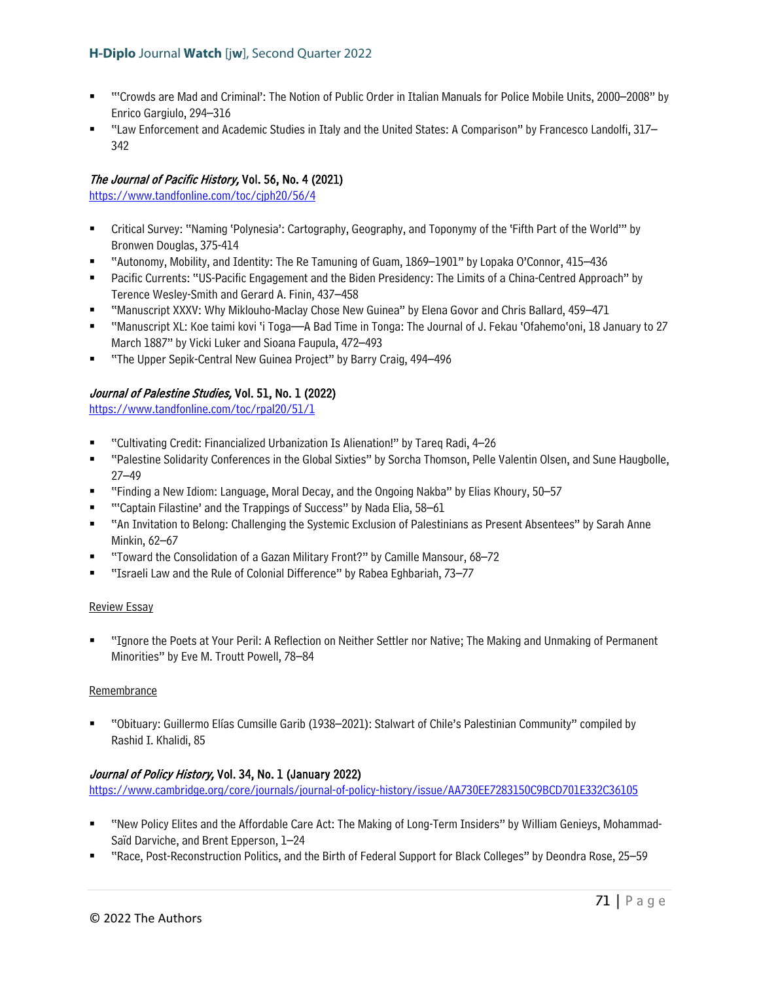- "'Crowds are Mad and Criminal': The Notion of Public Order in Italian Manuals for Police Mobile Units, 2000–2008" by Enrico Gargiulo, 294–316
- "Law Enforcement and Academic Studies in Italy and the United States: A Comparison" by Francesco Landolfi, 317– 342

# The Journal of Pacific History, Vol. 56, No. 4 (2021)

<https://www.tandfonline.com/toc/cjph20/56/4>

- Critical Survey: "Naming 'Polynesia': Cartography, Geography, and Toponymy of the 'Fifth Part of the World'" by Bronwen Douglas, 375-414
- "Autonomy, Mobility, and Identity: The Re Tamuning of Guam, 1869–1901" by Lopaka O'Connor, 415–436
- Pacific Currents: "US-Pacific Engagement and the Biden Presidency: The Limits of a China-Centred Approach" by Terence Wesley-Smith and Gerard A. Finin, 437–458
- "Manuscript XXXV: Why Miklouho-Maclay Chose New Guinea" by Elena Govor and Chris Ballard, 459–471
- "Manuscript XL: Koe taimi kovi 'i Toga—A Bad Time in Tonga: The Journal of J. Fekau 'Ofahemo'oni, 18 January to 27 March 1887" by Vicki Luker and Sioana Faupula, 472–493
- "The Upper Sepik-Central New Guinea Project" by Barry Craig, 494–496

# Journal of Palestine Studies, Vol. 51, No. 1 (2022)

<https://www.tandfonline.com/toc/rpal20/51/1>

- "Cultivating Credit: Financialized Urbanization Is Alienation!" by Tareq Radi, 4–26
- "Palestine Solidarity Conferences in the Global Sixties" by Sorcha Thomson, Pelle Valentin Olsen, and Sune Haugbolle, 27–49
- "Finding a New Idiom: Language, Moral Decay, and the Ongoing Nakba" by Elias Khoury, 50–57
- "'Captain Filastine' and the Trappings of Success" by Nada Elia, 58–61
- "An Invitation to Belong: Challenging the Systemic Exclusion of Palestinians as Present Absentees" by Sarah Anne Minkin, 62–67
- "Toward the Consolidation of a Gazan Military Front?" by Camille Mansour, 68–72
- "Israeli Law and the Rule of Colonial Difference" by Rabea Eghbariah, 73–77

#### Review Essay

 "Ignore the Poets at Your Peril: A Reflection on Neither Settler nor Native; The Making and Unmaking of Permanent Minorities" by Eve M. Troutt Powell, 78–84

#### Remembrance

 "Obituary: Guillermo Elías Cumsille Garib (1938–2021): Stalwart of Chile's Palestinian Community" compiled by Rashid I. Khalidi, 85

# Journal of Policy History, Vol. 34, No. 1 (January 2022)

<https://www.cambridge.org/core/journals/journal-of-policy-history/issue/AA730EE7283150C9BCD701E332C36105>

- "New Policy Elites and the Affordable Care Act: The Making of Long-Term Insiders" by William Genieys, Mohammad-Saïd Darviche, and Brent Epperson, 1–24
- "Race, Post-Reconstruction Politics, and the Birth of Federal Support for Black Colleges" by Deondra Rose, 25–59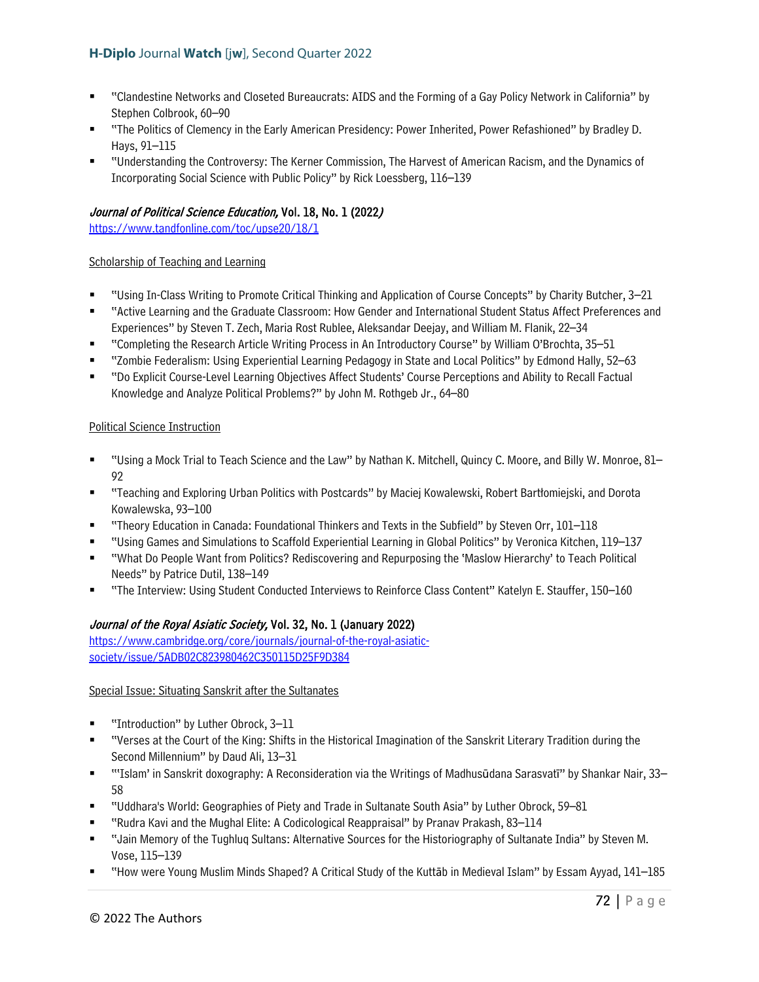- "Clandestine Networks and Closeted Bureaucrats: AIDS and the Forming of a Gay Policy Network in California" by Stephen Colbrook, 60–90
- "The Politics of Clemency in the Early American Presidency: Power Inherited, Power Refashioned" by Bradley D. Hays, 91–115
- "Understanding the Controversy: The Kerner Commission, The Harvest of American Racism, and the Dynamics of Incorporating Social Science with Public Policy" by Rick Loessberg, 116–139

# Journal of Political Science Education, Vol. 18, No. 1 (2022)

<https://www.tandfonline.com/toc/upse20/18/1>

### Scholarship of Teaching and Learning

- "Using In-Class Writing to Promote Critical Thinking and Application of Course Concepts" by Charity Butcher, 3–21
- "Active Learning and the Graduate Classroom: How Gender and International Student Status Affect Preferences and Experiences" by Steven T. Zech, Maria Rost Rublee, Aleksandar Deejay, and William M. Flanik, 22–34
- "Completing the Research Article Writing Process in An Introductory Course" by William O'Brochta, 35–51
- "Zombie Federalism: Using Experiential Learning Pedagogy in State and Local Politics" by Edmond Hally, 52–63
- "Do Explicit Course-Level Learning Objectives Affect Students' Course Perceptions and Ability to Recall Factual Knowledge and Analyze Political Problems?" by John M. Rothgeb Jr., 64–80

### Political Science Instruction

- "Using a Mock Trial to Teach Science and the Law" by Nathan K. Mitchell, Quincy C. Moore, and Billy W. Monroe, 81– 92
- "Teaching and Exploring Urban Politics with Postcards" by Maciej Kowalewski, Robert Bartłomiejski, and Dorota Kowalewska, 93–100
- "Theory Education in Canada: Foundational Thinkers and Texts in the Subfield" by Steven Orr, 101–118
- "Using Games and Simulations to Scaffold Experiential Learning in Global Politics" by Veronica Kitchen, 119–137
- "What Do People Want from Politics? Rediscovering and Repurposing the 'Maslow Hierarchy' to Teach Political Needs" by Patrice Dutil, 138–149
- "The Interview: Using Student Conducted Interviews to Reinforce Class Content" Katelyn E. Stauffer, 150–160

# Journal of the Royal Asiatic Society, Vol. 32, No. 1 (January 2022)

[https://www.cambridge.org/core/journals/journal-of-the-royal-asiatic](https://www.cambridge.org/core/journals/journal-of-the-royal-asiatic-society/issue/5ADB02C823980462C350115D25F9D384)[society/issue/5ADB02C823980462C350115D25F9D384](https://www.cambridge.org/core/journals/journal-of-the-royal-asiatic-society/issue/5ADB02C823980462C350115D25F9D384) 

#### Special Issue: Situating Sanskrit after the Sultanates

- "Introduction" by Luther Obrock, 3–11
- "Verses at the Court of the King: Shifts in the Historical Imagination of the Sanskrit Literary Tradition during the Second Millennium" by Daud Ali, 13–31
- "'Islam' in Sanskrit doxography: A Reconsideration via the Writings of Madhusūdana Sarasvatī" by Shankar Nair, 33– 58
- "Uddhara's World: Geographies of Piety and Trade in Sultanate South Asia" by Luther Obrock, 59–81
- "Rudra Kavi and the Mughal Elite: A Codicological Reappraisal" by Pranav Prakash, 83–114
- "Jain Memory of the Tughluq Sultans: Alternative Sources for the Historiography of Sultanate India" by Steven M. Vose, 115–139
- "How were Young Muslim Minds Shaped? A Critical Study of the Kuttāb in Medieval Islam" by Essam Ayyad, 141–185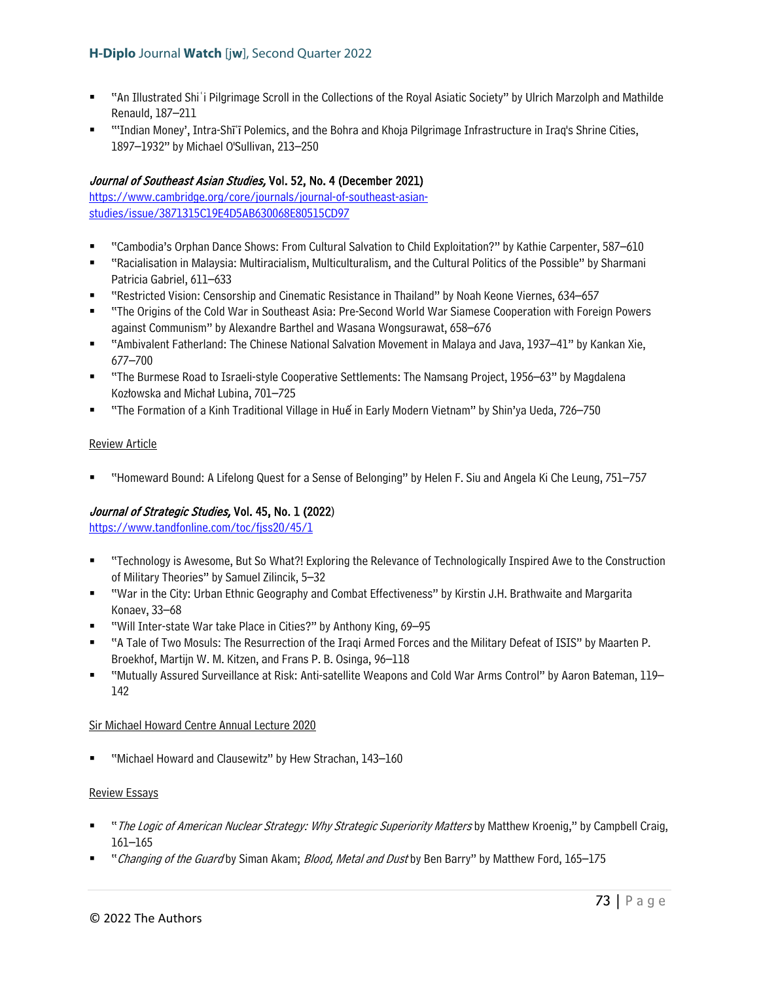- "An Illustrated Shiʿi Pilgrimage Scroll in the Collections of the Royal Asiatic Society" by Ulrich Marzolph and Mathilde Renauld, 187–211
- "'Indian Money', Intra-Shīʿī Polemics, and the Bohra and Khoja Pilgrimage Infrastructure in Iraq's Shrine Cities, 1897–1932" by Michael O'Sullivan, 213–250

# Journal of Southeast Asian Studies, Vol. 52, No. 4 (December 2021)

[https://www.cambridge.org/core/journals/journal-of-southeast-asian](https://www.cambridge.org/core/journals/journal-of-southeast-asian-studies/issue/3871315C19E4D5AB630068E80515CD97)[studies/issue/3871315C19E4D5AB630068E80515CD97](https://www.cambridge.org/core/journals/journal-of-southeast-asian-studies/issue/3871315C19E4D5AB630068E80515CD97)

- "Cambodia's Orphan Dance Shows: From Cultural Salvation to Child Exploitation?" by Kathie Carpenter, 587–610
- "Racialisation in Malaysia: Multiracialism, Multiculturalism, and the Cultural Politics of the Possible" by Sharmani Patricia Gabriel, 611–633
- "Restricted Vision: Censorship and Cinematic Resistance in Thailand" by Noah Keone Viernes, 634–657
- "The Origins of the Cold War in Southeast Asia: Pre-Second World War Siamese Cooperation with Foreign Powers against Communism" by Alexandre Barthel and Wasana Wongsurawat, 658–676
- "Ambivalent Fatherland: The Chinese National Salvation Movement in Malaya and Java, 1937–41" by Kankan Xie, 677–700
- "The Burmese Road to Israeli-style Cooperative Settlements: The Namsang Project, 1956–63" by Magdalena Kozłowska and Michał Lubina, 701–725
- "The Formation of a Kinh Traditional Village in Huế in Early Modern Vietnam" by Shin'ya Ueda, 726–750

### Review Article

"Homeward Bound: A Lifelong Quest for a Sense of Belonging" by Helen F. Siu and Angela Ki Che Leung, 751–757

## Journal of Strategic Studies, Vol. 45, No. 1 (2022)

<https://www.tandfonline.com/toc/fjss20/45/1>

- "Technology is Awesome, But So What?! Exploring the Relevance of Technologically Inspired Awe to the Construction of Military Theories" by Samuel Zilincik, 5–32
- "War in the City: Urban Ethnic Geography and Combat Effectiveness" by Kirstin J.H. Brathwaite and Margarita Konaev, 33–68
- "Will Inter-state War take Place in Cities?" by Anthony King, 69–95
- "A Tale of Two Mosuls: The Resurrection of the Iraqi Armed Forces and the Military Defeat of ISIS" by Maarten P. Broekhof, Martijn W. M. Kitzen, and Frans P. B. Osinga, 96–118
- "Mutually Assured Surveillance at Risk: Anti-satellite Weapons and Cold War Arms Control" by Aaron Bateman, 119– 142

#### Sir Michael Howard Centre Annual Lecture 2020

"Michael Howard and Clausewitz" by Hew Strachan, 143–160

#### Review Essays

- "The Logic of American Nuclear Strategy: Why Strategic Superiority Matters by Matthew Kroenig," by Campbell Craig, 161–165
- "Changing of the Guard by Siman Akam; Blood, Metal and Dust by Ben Barry" by Matthew Ford, 165-175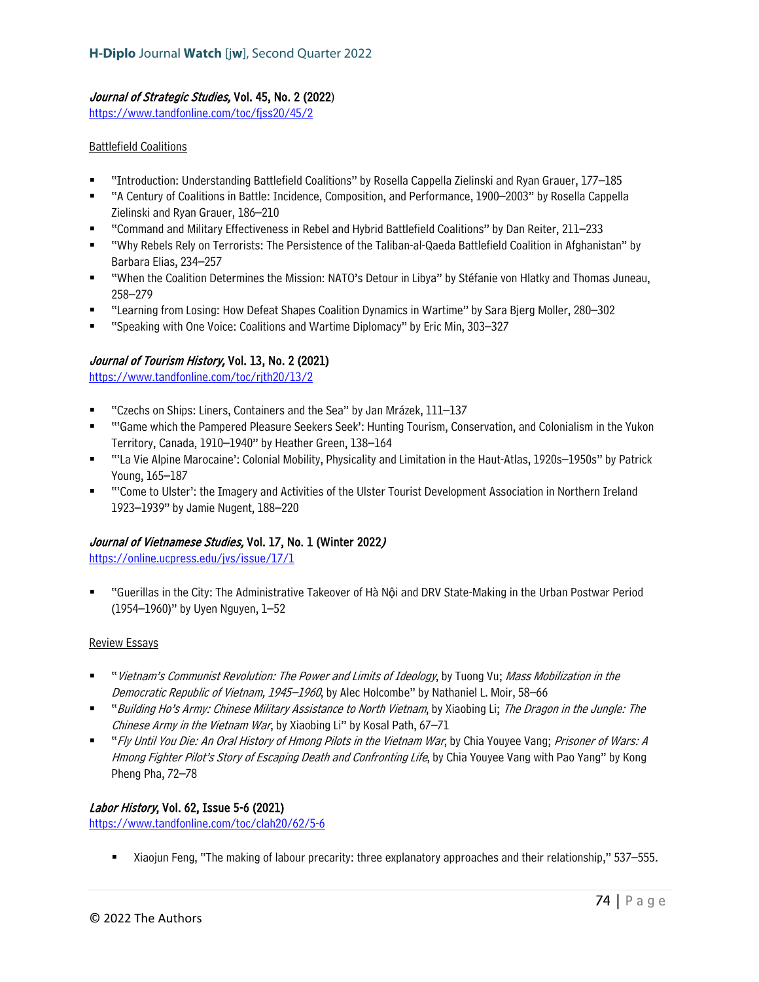### Journal of Strategic Studies, Vol. 45, No. 2 (2022)

<https://www.tandfonline.com/toc/fjss20/45/2>

### Battlefield Coalitions

- "Introduction: Understanding Battlefield Coalitions" by Rosella Cappella Zielinski and Ryan Grauer, 177–185
- "A Century of Coalitions in Battle: Incidence, Composition, and Performance, 1900–2003" by Rosella Cappella Zielinski and Ryan Grauer, 186–210
- "Command and Military Effectiveness in Rebel and Hybrid Battlefield Coalitions" by Dan Reiter, 211–233
- "Why Rebels Rely on Terrorists: The Persistence of the Taliban-al-Qaeda Battlefield Coalition in Afghanistan" by Barbara Elias, 234–257
- "When the Coalition Determines the Mission: NATO's Detour in Libya" by Stéfanie von Hlatky and Thomas Juneau, 258–279
- "Learning from Losing: How Defeat Shapes Coalition Dynamics in Wartime" by Sara Bjerg Moller, 280–302
- "Speaking with One Voice: Coalitions and Wartime Diplomacy" by Eric Min, 303–327

## Journal of Tourism History, Vol. 13, No. 2 (2021)

https://www.tandfonline.com/toc/rith20/13/2

- "Czechs on Ships: Liners, Containers and the Sea" by Jan Mrázek, 111–137
- ""Game which the Pampered Pleasure Seekers Seek': Hunting Tourism, Conservation, and Colonialism in the Yukon Territory, Canada, 1910–1940" by Heather Green, 138–164
- "'La Vie Alpine Marocaine': Colonial Mobility, Physicality and Limitation in the Haut-Atlas, 1920s–1950s" by Patrick Young, 165–187
- "'Come to Ulster': the Imagery and Activities of the Ulster Tourist Development Association in Northern Ireland 1923–1939" by Jamie Nugent, 188–220

#### Journal of Vietnamese Studies, Vol. 17, No. 1 (Winter 2022)

<https://online.ucpress.edu/jvs/issue/17/1>

 "Guerillas in the City: The Administrative Takeover of Hà Nội and DRV State-Making in the Urban Postwar Period (1954–1960)" by Uyen Nguyen, 1–52

#### Review Essays

- "Vietnam's Communist Revolution: The Power and Limits of Ideology, by Tuong Vu; Mass Mobilization in the Democratic Republic of Vietnam, 1945–1960, by Alec Holcombe" by Nathaniel L. Moir, 58–66
- "Building Ho's Army: Chinese Military Assistance to North Vietnam, by Xiaobing Li; The Dragon in the Jungle: The Chinese Army in the Vietnam War, by Xiaobing Li" by Kosal Path, 67-71
- " "Fly Until You Die: An Oral History of Hmong Pilots in the Vietnam War, by Chia Youyee Vang; Prisoner of Wars: A Hmong Fighter Pilot's Story of Escaping Death and Confronting Life, by Chia Youyee Vang with Pao Yang" by Kong Pheng Pha, 72–78

#### Labor History, Vol. 62, Issue 5-6 (2021)

<https://www.tandfonline.com/toc/clah20/62/5-6>

Xiaojun Feng, "The making of labour precarity: three explanatory approaches and their relationship," 537–555.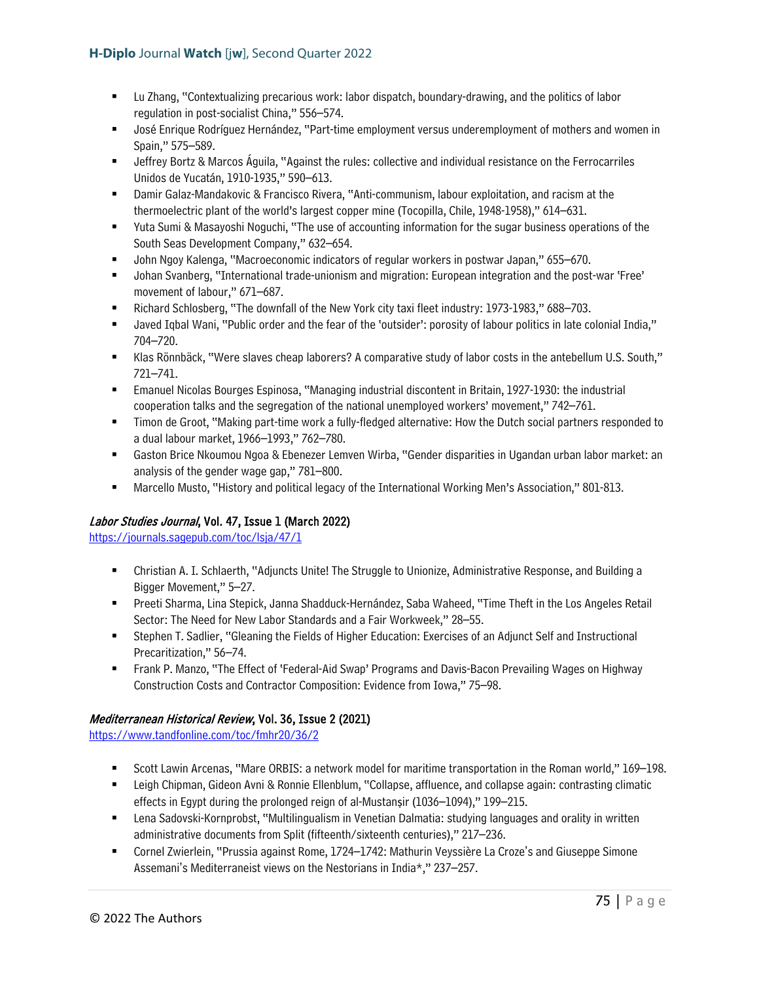- Lu Zhang, "Contextualizing precarious work: labor dispatch, boundary-drawing, and the politics of labor regulation in post-socialist China," 556–574.
- José Enrique Rodríguez Hernández, "Part-time employment versus underemployment of mothers and women in Spain," 575–589.
- Jeffrey Bortz & Marcos Águila, "Against the rules: collective and individual resistance on the Ferrocarriles Unidos de Yucatán, 1910-1935," 590–613.
- Damir Galaz-Mandakovic & Francisco Rivera, "Anti-communism, labour exploitation, and racism at the thermoelectric plant of the world's largest copper mine (Tocopilla, Chile, 1948-1958)," 614–631.
- Yuta Sumi & Masayoshi Noguchi, "The use of accounting information for the sugar business operations of the South Seas Development Company," 632–654.
- John Ngoy Kalenga, "Macroeconomic indicators of regular workers in postwar Japan," 655–670.
- Johan Svanberg, "International trade-unionism and migration: European integration and the post-war 'Free' movement of labour," 671–687.
- Richard Schlosberg, "The downfall of the New York city taxi fleet industry: 1973-1983," 688–703.
- Javed Iqbal Wani, "Public order and the fear of the 'outsider': porosity of labour politics in late colonial India," 704–720.
- Klas Rönnbäck, "Were slaves cheap laborers? A comparative study of labor costs in the antebellum U.S. South," 721–741.
- Emanuel Nicolas Bourges Espinosa, "Managing industrial discontent in Britain, 1927-1930: the industrial cooperation talks and the segregation of the national unemployed workers' movement," 742–761.
- Timon de Groot, "Making part-time work a fully-fledged alternative: How the Dutch social partners responded to a dual labour market, 1966–1993," 762–780.
- Gaston Brice Nkoumou Ngoa & Ebenezer Lemven Wirba, "Gender disparities in Ugandan urban labor market: an analysis of the gender wage gap," 781–800.
- Marcello Musto, "History and political legacy of the International Working Men's Association," 801-813.

# Labor Studies Journal, Vol. 47, Issue 1 (March 2022)

<https://journals.sagepub.com/toc/lsja/47/1>

- Christian A. I. Schlaerth, "Adjuncts Unite! The Struggle to Unionize, Administrative Response, and Building a Bigger Movement," 5–27.
- Preeti Sharma, Lina Stepick, Janna Shadduck-Hernández, Saba Waheed, "Time Theft in the Los Angeles Retail Sector: The Need for New Labor Standards and a Fair Workweek," 28–55.
- Stephen T. Sadlier, "Gleaning the Fields of Higher Education: Exercises of an Adjunct Self and Instructional Precaritization," 56–74.
- Frank P. Manzo, "The Effect of 'Federal-Aid Swap' Programs and Davis-Bacon Prevailing Wages on Highway Construction Costs and Contractor Composition: Evidence from Iowa," 75–98.

## Mediterranean Historical Review, Vol. 36, Issue 2 (2021)

<https://www.tandfonline.com/toc/fmhr20/36/2>

- Scott Lawin Arcenas, "Mare ORBIS: a network model for maritime transportation in the Roman world," 169–198.
- Leigh Chipman, Gideon Avni & Ronnie Ellenblum, "Collapse, affluence, and collapse again: contrasting climatic effects in Egypt during the prolonged reign of al-Mustanṣir (1036–1094)," 199–215.
- Lena Sadovski-Kornprobst, "Multilingualism in Venetian Dalmatia: studying languages and orality in written administrative documents from Split (fifteenth/sixteenth centuries)," 217–236.
- Cornel Zwierlein, "Prussia against Rome, 1724–1742: Mathurin Veyssière La Croze's and Giuseppe Simone Assemani's Mediterraneist views on the Nestorians in India\*," 237–257.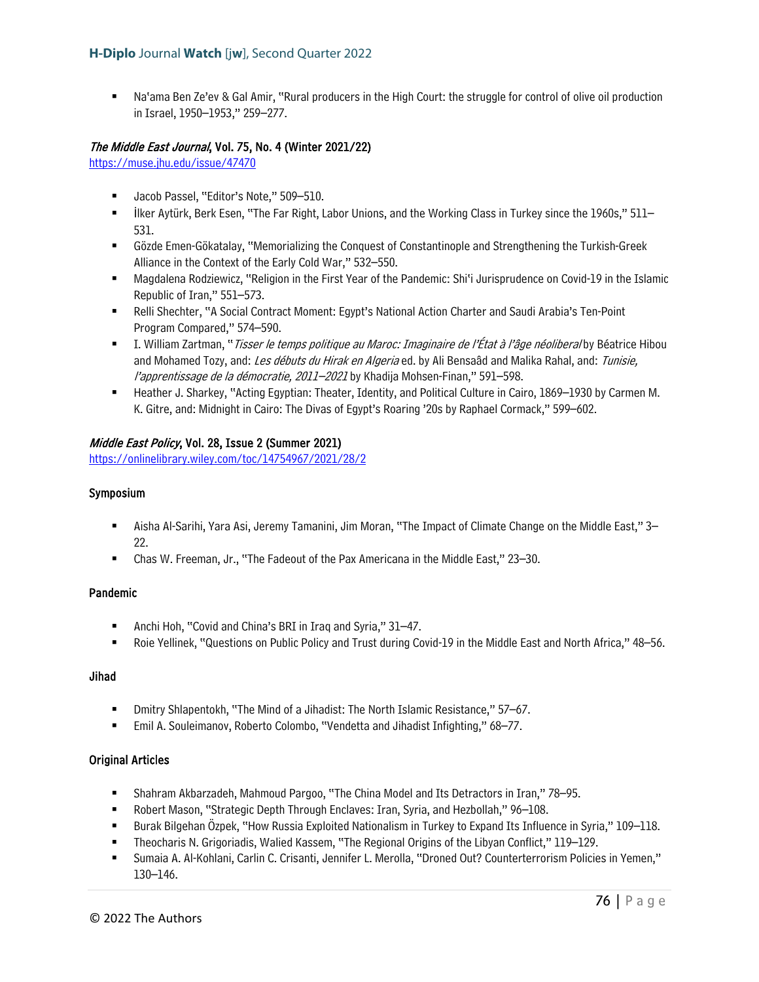Na'ama Ben Ze'ev & Gal Amir, "Rural producers in the High Court: the struggle for control of olive oil production in Israel, 1950–1953," 259–277.

## The Middle East Journal, Vol. 75, No. 4 (Winter 2021/22)

<https://muse.jhu.edu/issue/47470>

- **Jacob Passel, "Editor's Note," 509-510.**
- ilker Aytürk, Berk Esen, "The Far Right, Labor Unions, and the Working Class in Turkey since the 1960s," 511– 531.
- Gözde Emen-Gökatalay, "Memorializing the Conquest of Constantinople and Strengthening the Turkish-Greek Alliance in the Context of the Early Cold War," 532–550.
- Magdalena Rodziewicz, "Religion in the First Year of the Pandemic: Shi'i Jurisprudence on Covid-19 in the Islamic Republic of Iran," 551–573.
- **Relli Shechter, "A Social Contract Moment: Egypt's National Action Charter and Saudi Arabia's Ten-Point** Program Compared," 574–590.
- I. William Zartman, "*Tisser le temps politique au Maroc: Imaginaire de l'État à l'âge néoliberal* by Béatrice Hibou and Mohamed Tozy, and: Les débuts du Hirak en Algeria ed. by Ali Bensaâd and Malika Rahal, and: Tunisie, l'apprentissage de la démocratie, 2011–2021 by Khadija Mohsen-Finan," 591–598.
- Heather J. Sharkey, "Acting Egyptian: Theater, Identity, and Political Culture in Cairo, 1869–1930 by Carmen M. K. Gitre, and: Midnight in Cairo: The Divas of Egypt's Roaring '20s by Raphael Cormack," 599–602.

### Middle East Policy, Vol. 28, Issue 2 (Summer 2021)

<https://onlinelibrary.wiley.com/toc/14754967/2021/28/2>

#### Symposium

- Aisha Al-Sarihi, Yara Asi, Jeremy Tamanini, Jim Moran, "The Impact of Climate Change on the Middle East," 3– 22.
- Chas W. Freeman, Jr., "The Fadeout of the Pax Americana in the Middle East," 23–30.

#### Pandemic

- Anchi Hoh, "Covid and China's BRI in Iraq and Syria," 31–47.
- Roie Yellinek, "Questions on Public Policy and Trust during Covid-19 in the Middle East and North Africa," 48–56.

### Jihad

- Dmitry Shlapentokh, "The Mind of a Jihadist: The North Islamic Resistance," 57–67.
- Emil A. Souleimanov, Roberto Colombo, "Vendetta and Jihadist Infighting," 68–77.

#### Original Articles

- Shahram Akbarzadeh, Mahmoud Pargoo, "The China Model and Its Detractors in Iran," 78–95.
- Robert Mason, "Strategic Depth Through Enclaves: Iran, Syria, and Hezbollah," 96–108.
- Burak Bilgehan Özpek, "How Russia Exploited Nationalism in Turkey to Expand Its Influence in Syria," 109–118.
- Theocharis N. Grigoriadis, Walied Kassem, "The Regional Origins of the Libyan Conflict," 119–129.
- Sumaia A. Al-Kohlani, Carlin C. Crisanti, Jennifer L. Merolla, "Droned Out? Counterterrorism Policies in Yemen," 130–146.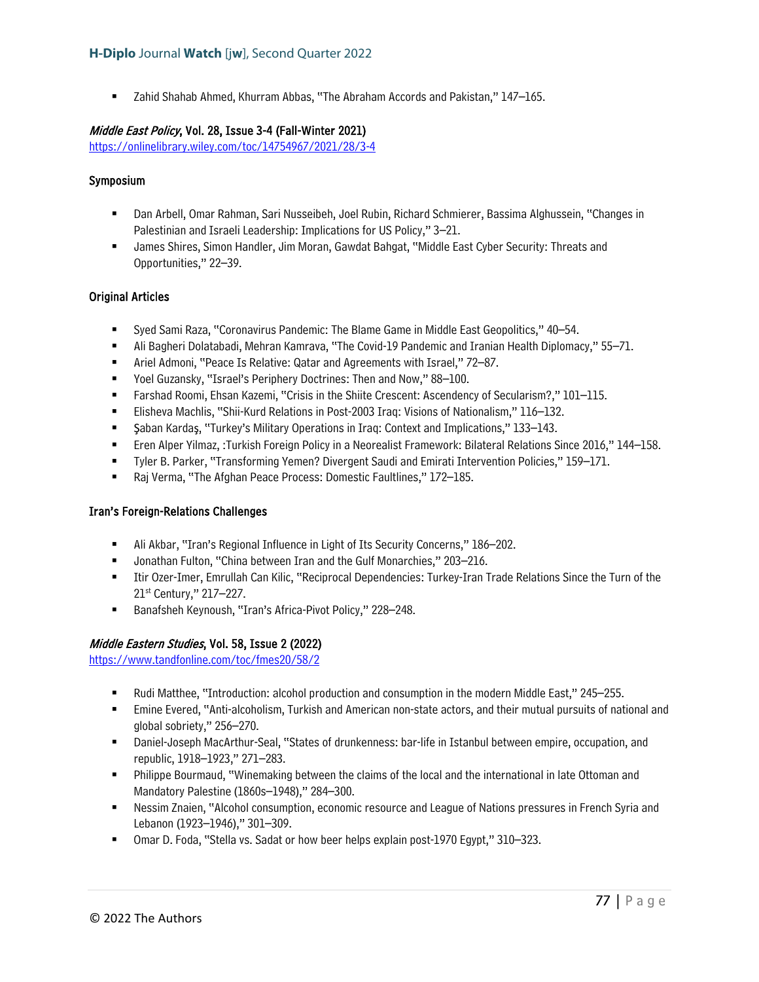Zahid Shahab Ahmed, Khurram Abbas, "The Abraham Accords and Pakistan," 147–165.

## Middle East Policy, Vol. 28, Issue 3-4 (Fall-Winter 2021)

<https://onlinelibrary.wiley.com/toc/14754967/2021/28/3-4>

#### Symposium

- Dan Arbell, Omar Rahman, Sari Nusseibeh, Joel Rubin, Richard Schmierer, Bassima Alghussein, "Changes in Palestinian and Israeli Leadership: Implications for US Policy," 3–21.
- James Shires, Simon Handler, Jim Moran, Gawdat Bahgat, "Middle East Cyber Security: Threats and Opportunities," 22–39.

#### Original Articles

- Syed Sami Raza, "Coronavirus Pandemic: The Blame Game in Middle East Geopolitics," 40–54.
- Ali Bagheri Dolatabadi, Mehran Kamrava, "The Covid-19 Pandemic and Iranian Health Diplomacy," 55–71.
- Ariel Admoni, "Peace Is Relative: Qatar and Agreements with Israel," 72–87.
- Yoel Guzansky, "Israel's Periphery Doctrines: Then and Now," 88-100.
- Farshad Roomi, Ehsan Kazemi, "Crisis in the Shiite Crescent: Ascendency of Secularism?," 101–115.
- Elisheva Machlis, "Shii-Kurd Relations in Post-2003 Iraq: Visions of Nationalism," 116–132.
- **Saban Kardas, "Turkey's Military Operations in Iraq: Context and Implications," 133–143.**
- Eren Alper Yilmaz, :Turkish Foreign Policy in a Neorealist Framework: Bilateral Relations Since 2016," 144–158.
- Tyler B. Parker, "Transforming Yemen? Divergent Saudi and Emirati Intervention Policies," 159–171.
- Raj Verma, "The Afghan Peace Process: Domestic Faultlines," 172–185.

#### Iran's Foreign-Relations Challenges

- Ali Akbar, "Iran's Regional Influence in Light of Its Security Concerns," 186–202.
- Jonathan Fulton, "China between Iran and the Gulf Monarchies," 203–216.
- Itir Ozer-Imer, Emrullah Can Kilic, "Reciprocal Dependencies: Turkey-Iran Trade Relations Since the Turn of the 21st Century," 217–227.
- Banafsheh Keynoush, "Iran's Africa-Pivot Policy," 228–248.

#### Middle Eastern Studies, Vol. 58, Issue 2 (2022)

<https://www.tandfonline.com/toc/fmes20/58/2>

- **EXECT And Matthee, "Introduction: alcohol production and consumption in the modern Middle East," 245–255.**
- Emine Evered, "Anti-alcoholism, Turkish and American non-state actors, and their mutual pursuits of national and global sobriety," 256–270.
- Daniel-Joseph MacArthur-Seal, "States of drunkenness: bar-life in Istanbul between empire, occupation, and republic, 1918–1923," 271–283.
- Philippe Bourmaud, "Winemaking between the claims of the local and the international in late Ottoman and Mandatory Palestine (1860s–1948)," 284–300.
- Nessim Znaien, "Alcohol consumption, economic resource and League of Nations pressures in French Syria and Lebanon (1923–1946)," 301–309.
- Omar D. Foda, "Stella vs. Sadat or how beer helps explain post-1970 Egypt," 310–323.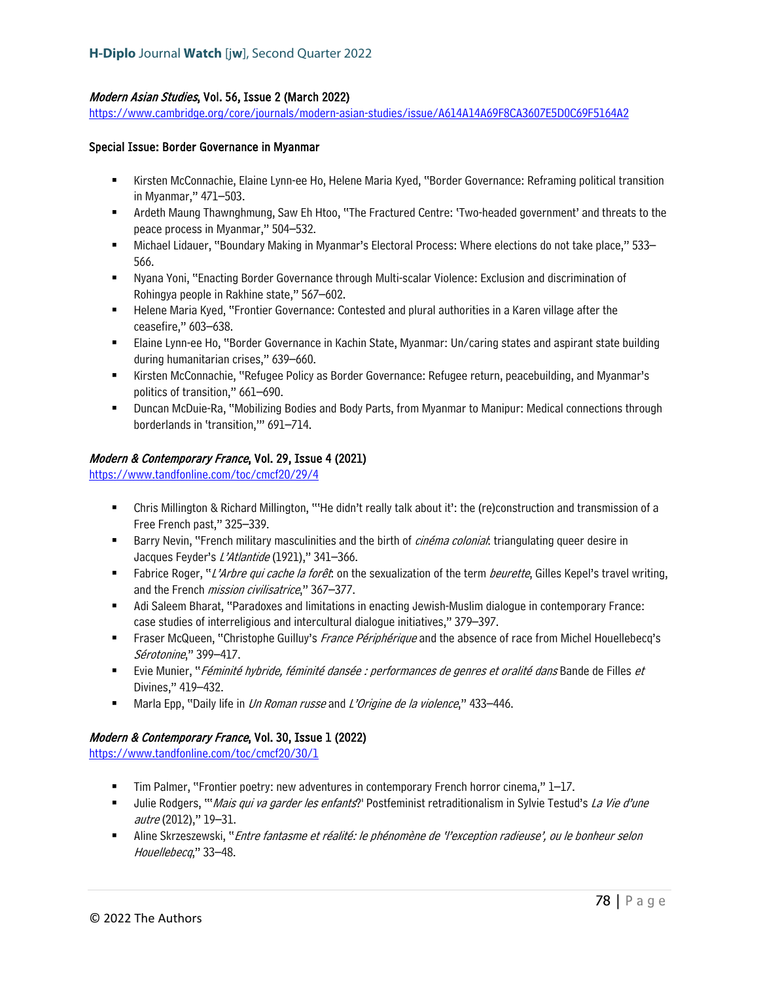## Modern Asian Studies, Vol. 56, Issue 2 (March 2022)

<https://www.cambridge.org/core/journals/modern-asian-studies/issue/A614A14A69F8CA3607E5D0C69F5164A2>

#### Special Issue: Border Governance in Myanmar

- Kirsten McConnachie, Elaine Lynn-ee Ho, Helene Maria Kyed, "Border Governance: Reframing political transition in Myanmar," 471–503.
- Ardeth Maung Thawnghmung, Saw Eh Htoo, "The Fractured Centre: 'Two-headed government' and threats to the peace process in Myanmar," 504–532.
- Michael Lidauer, "Boundary Making in Myanmar's Electoral Process: Where elections do not take place," 533– 566.
- Nyana Yoni, "Enacting Border Governance through Multi-scalar Violence: Exclusion and discrimination of Rohingya people in Rakhine state," 567–602.
- **Helene Maria Kyed, "Frontier Governance: Contested and plural authorities in a Karen village after the** ceasefire," 603–638.
- Elaine Lynn-ee Ho, "Border Governance in Kachin State, Myanmar: Un/caring states and aspirant state building during humanitarian crises," 639–660.
- Kirsten McConnachie, "Refugee Policy as Border Governance: Refugee return, peacebuilding, and Myanmar's politics of transition," 661–690.
- Duncan McDuie-Ra, "Mobilizing Bodies and Body Parts, from Myanmar to Manipur: Medical connections through borderlands in 'transition,'" 691–714.

### Modern & Contemporary France, Vol. 29, Issue 4 (2021)

<https://www.tandfonline.com/toc/cmcf20/29/4>

- Chris Millington & Richard Millington, "'He didn't really talk about it': the (re)construction and transmission of a Free French past," 325–339.
- Barry Nevin, "French military masculinities and the birth of *cinéma colonial*: triangulating queer desire in Jacques Feyder's L'Atlantide (1921)," 341-366.
- Fabrice Roger, "L'Arbre qui cache la forêt: on the sexualization of the term beurette, Gilles Kepel's travel writing, and the French *mission civilisatrice*," 367-377.
- Adi Saleem Bharat, "Paradoxes and limitations in enacting Jewish-Muslim dialogue in contemporary France: case studies of interreligious and intercultural dialogue initiatives," 379–397.
- **Fraser McQueen, "Christophe Guilluy's** France Périphérique and the absence of race from Michel Houellebecq's Sérotonine," 399–417.
- **Evie Munier,** "*Féminité hybride, féminité dansée : performances de genres et oralité dans* Bande de Filles *et* Divines," 419–432.
- Marla Epp, "Daily life in Un Roman russe and L'Origine de la violence," 433–446.

#### Modern & Contemporary France, Vol. 30, Issue 1 (2022)

<https://www.tandfonline.com/toc/cmcf20/30/1>

- Tim Palmer, "Frontier poetry: new adventures in contemporary French horror cinema," 1–17.
- Ullie Rodgers, "'Mais qui va garder les enfants?' Postfeminist retraditionalism in Sylvie Testud's La Vie d'une autre (2012)," 19–31.
- **Aline Skrzeszewski, "Entre fantasme et réalité: le phénomène de 'l'exception radieuse', ou le bonheur selon** Houellebecq," 33-48.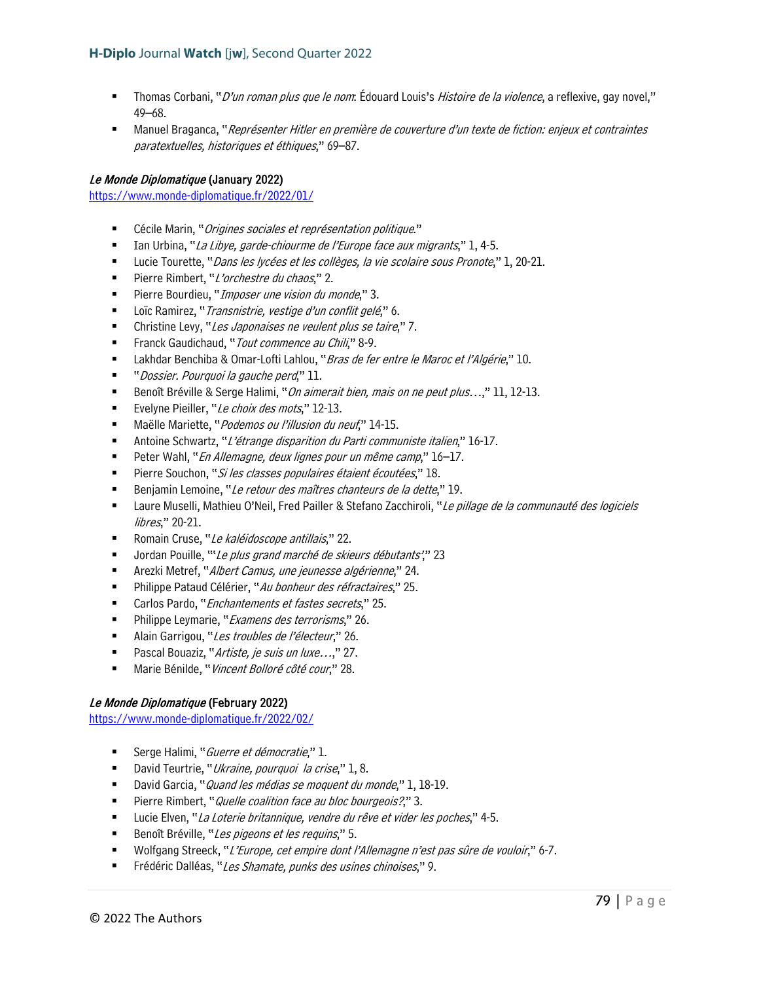- "Thomas Corbani, "*D'un roman plus que le nom*: Édouard Louis's *Histoire de la violence*, a reflexive, gay novel," 49–68.
- Manuel Braganca, "Représenter Hitler en première de couverture d'un texte de fiction: enjeux et contraintes paratextuelles, historiques et éthiques," 69–87.

### Le Monde Diplomatique (January 2022)

<https://www.monde-diplomatique.fr/2022/01/>

- Cécile Marin, "*Origines sociales et représentation politique*."
- Ian Urbina, "La Libye, garde-chiourme de l'Europe face aux migrants," 1, 4-5.
- Uucie Tourette, "*Dans les lycées et les collèges, la vie scolaire sous Pronote*," 1, 20-21.
- Pierre Rimbert, "L'orchestre du chaos," 2.
- Pierre Bourdieu, "*Imposer une vision du monde*," 3.
- Loïc Ramirez, "*Transnistrie, vestige d'un conflit gelé*," 6.
- Christine Levy, "Les Japonaises ne veulent plus se taire," 7.
- Franck Gaudichaud, "*Tout commence au Chili*," 8-9.
- **Lakhdar Benchiba & Omar-Lofti Lahlou, "Bras de fer entre le Maroc et l'Algérie," 10.**
- " Dossier. Pourquoi la gauche perd," 11.
- Benoît Bréville & Serge Halimi, "*On aimerait bien, mais on ne peut plus...*," 11, 12-13.
- Evelyne Pieiller, "Le choix des mots," 12-13.
- Maëlle Mariette, "*Podemos ou l'illusion du neuf*," 14-15.
- Antoine Schwartz, "L'étrange disparition du Parti communiste italien," 16-17.
- Peter Wahl, "En Allemagne, deux lignes pour un même camp," 16-17.
- Pierre Souchon, "Si les classes populaires étaient écoutées," 18.
- Benjamin Lemoine, "Le retour des maîtres chanteurs de la dette," 19.
- Laure Muselli, Mathieu O'Neil, Fred Pailler & Stefano Zacchiroli, "Le pillage de la communauté des logiciels libres," 20-21.
- Romain Cruse, "Le kaléidoscope antillais," 22.
- Jordan Pouille, "'Le plus grand marché de skieurs débutants'," 23
- Arezki Metref, "Albert Camus, une jeunesse algérienne," 24.
- **Philippe Pataud Célérier, "Au bonheur des réfractaires," 25.**
- Carlos Pardo, "*Enchantements et fastes secrets*," 25.
- **Philippe Leymarie, "Examens des terrorisms," 26.**
- Alain Garrigou, "Les troubles de l'électeur," 26.
- Pascal Bouaziz, "Artiste, je suis un luxe…," 27.
- Marie Bénilde, "Vincent Bolloré côté cour," 28.

#### Le Monde Diplomatique (February 2022)

<https://www.monde-diplomatique.fr/2022/02/>

- Serge Halimi, "*Guerre et démocratie*," 1.
- David Teurtrie, "Ukraine, pourquoi la crise," 1, 8.
- David Garcia, "*Quand les médias se moquent du monde*," 1, 18-19.
- Pierre Rimbert, "*Quelle coalition face au bloc bourgeois?*," 3.
- Lucie Elven, "La Loterie britannique, vendre du rêve et vider les poches," 4-5.
- Benoît Bréville, "Les pigeons et les requins," 5.
- Wolfgang Streeck, "L'Europe, cet empire dont l'Allemagne n'est pas sûre de vouloir," 6-7.
- Frédéric Dalléas, "Les Shamate, punks des usines chinoises," 9.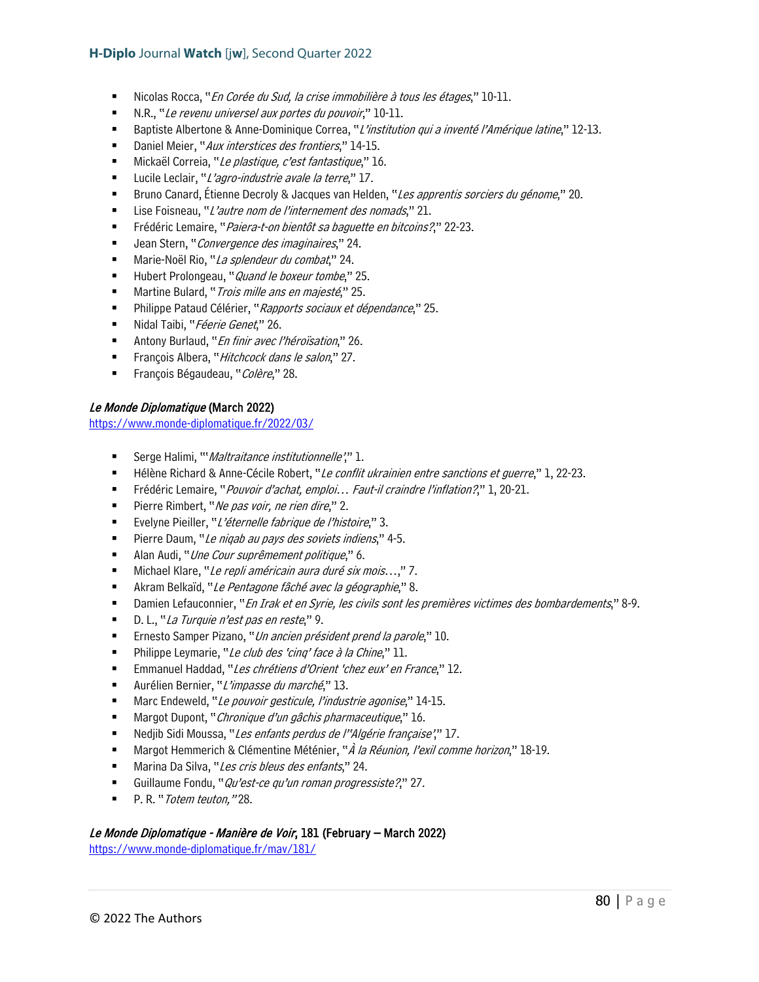- Nicolas Rocca, "En Corée du Sud, la crise immobilière à tous les étages," 10-11.
- N.R., "Le revenu universel aux portes du pouvoir," 10-11.
- Baptiste Albertone & Anne-Dominique Correa, "L'institution qui a inventé l'Amérique latine," 12-13.
- Daniel Meier, "Aux interstices des frontiers," 14-15.
- Mickaël Correia, "Le plastique, c'est fantastique," 16.
- Lucile Leclair, "L'agro-industrie avale la terre," 17.
- **Bruno Canard, Étienne Decroly & Jacques van Helden, "Les apprentis sorciers du génome," 20.**
- Lise Foisneau, "L'autre nom de l'internement des nomads," 21.
- Frédéric Lemaire, "*Paiera-t-on bientôt sa baguette en bitcoins?*," 22-23.
- Jean Stern, "Convergence des imaginaires," 24.
- Marie-Noël Rio, "La splendeur du combat," 24.
- Hubert Prolongeau, "*Quand le boxeur tombe*," 25.
- Martine Bulard, "*Trois mille ans en majesté*," 25.
- Philippe Pataud Célérier, "Rapports sociaux et dépendance," 25.
- Nidal Taibi, "Féerie Genet," 26.
- Antony Burlaud, "En finir avec l'héroïsation," 26.
- François Albera, "Hitchcock dans le salon," 27.
- François Bégaudeau, "Colère," 28.

#### Le Monde Diplomatique (March 2022)

<https://www.monde-diplomatique.fr/2022/03/>

- Serge Halimi, "Maltraitance institutionnelle'," 1.
- Hélène Richard & Anne-Cécile Robert, "Le conflit ukrainien entre sanctions et guerre," 1, 22-23.
- Frédéric Lemaire, "Pouvoir d'achat, emploi... Faut-il craindre l'inflation?," 1, 20-21.
- Pierre Rimbert, "Ne pas voir, ne rien dire," 2.
- Evelyne Pieiller, "L'éternelle fabrique de l'histoire," 3.
- Pierre Daum, "Le nigab au pays des soviets indiens," 4-5.
- Alan Audi, "Une Cour suprêmement politique," 6.
- Michael Klare, "Le repli américain aura duré six mois...," 7.
- Akram Belkaïd, "Le Pentagone fâché avec la géographie," 8.
- Damien Lefauconnier, "En Irak et en Syrie, les civils sont les premières victimes des bombardements," 8-9.
- D. L., "La Turquie n'est pas en reste," 9.
- Ernesto Samper Pizano, "Un ancien président prend la parole," 10.
- Philippe Leymarie, "Le club des 'cinq' face à la Chine," 11.
- Emmanuel Haddad, "Les chrétiens d'Orient 'chez eux' en France," 12.
- Aurélien Bernier, "L'impasse du marché," 13.
- Marc Endeweld, "Le pouvoir gesticule, l'industrie agonise," 14-15.
- Margot Dupont, "Chronique d'un gâchis pharmaceutique," 16.
- Nedjib Sidi Moussa, "Les enfants perdus de l''Algérie française'," 17.
- Margot Hemmerich & Clémentine Méténier, "À la Réunion, l'exil comme horizon," 18-19.
- Marina Da Silva, "Les cris bleus des enfants," 24.
- Guillaume Fondu, "Qu'est-ce qu'un roman progressiste?," 27.
- P. R. "Totem teuton,"28.

## Le Monde Diplomatique - Manière de Voir, 181 (February – March 2022)

<https://www.monde-diplomatique.fr/mav/181/>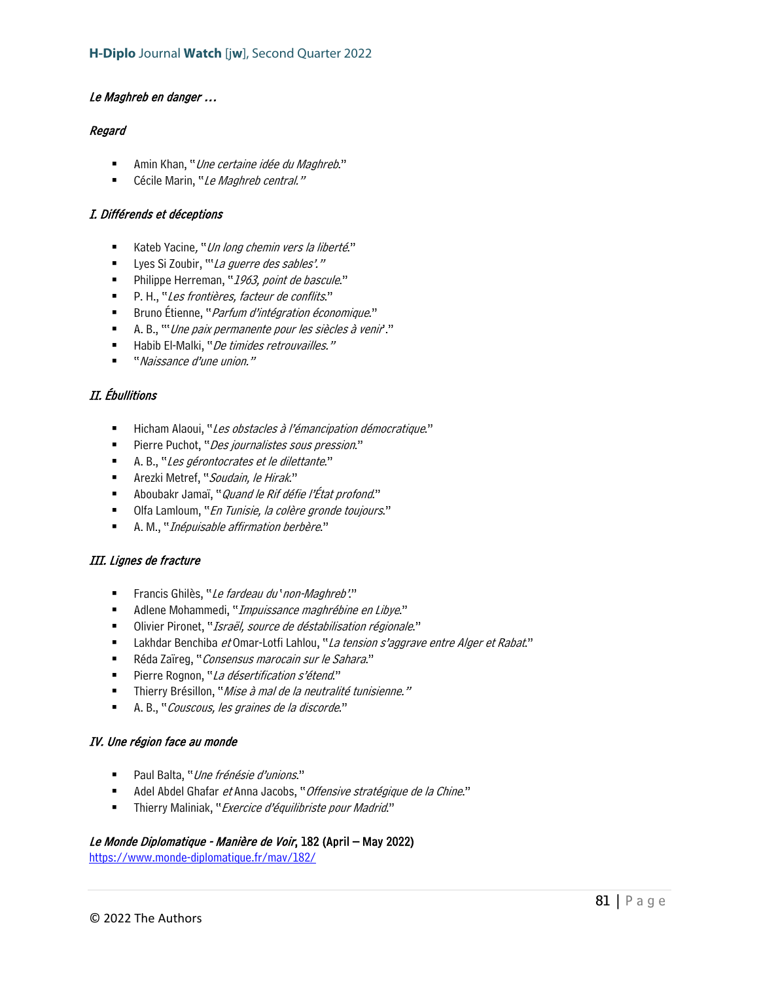### Le Maghreb en danger …

### Regard

- Amin Khan, "Une certaine idée du Maghreb."
- Cécile Marin, "Le Maghreb central."

## I. Différends et déceptions

- Kateb Yacine, "Un long chemin vers la liberté."
- Lyes Si Zoubir, "'La guerre des sables'."
- Philippe Herreman, "1963, point de bascule."
- P. H., "Les frontières, facteur de conflits."
- Bruno Étienne, "*Parfum d'intégration économique*."
- A. B., "'Une paix permanente pour les siècles à venir'."
- Habib El-Malki, "De timides retrouvailles."
- "Naissance d'une union."

# II. Ébullitions

- Hicham Alaoui, "Les obstacles à l'émancipation démocratique."
- Pierre Puchot, "*Des journalistes sous pression*."
- A. B., "Les gérontocrates et le dilettante."
- Arezki Metref, "Soudain, le Hirak."
- Aboubakr Jamaï, "*Quand le Rif défie l'État profond*."
- Olfa Lamloum, "En Tunisie, la colère gronde toujours."
- A. M., "*Inépuisable affirmation berbère*."

## III. Lignes de fracture

- Francis Ghilès, "Le fardeau du 'non-Maghreb'."
- Adlene Mohammedi, "Impuissance maghrébine en Libye."
- Olivier Pironet, "Israël, source de déstabilisation régionale."
- Lakhdar Benchiba et Omar-Lotfi Lahlou, "La tension s'aggrave entre Alger et Rabat."
- Réda Zaïreg, "Consensus marocain sur le Sahara."
- Pierre Rognon, "La désertification s'étend."
- Thierry Brésillon, "*Mise à mal de la neutralité tunisienne.*"
- A. B., "Couscous, les graines de la discorde."

#### IV. Une région face au monde

- Paul Balta, "Une frénésie d'unions."
- Adel Abdel Ghafar et Anna Jacobs, "Offensive stratégique de la Chine."
- Thierry Maliniak, "Exercice d'équilibriste pour Madrid."

## Le Monde Diplomatique - Manière de Voir, 182 (April – May 2022)

<https://www.monde-diplomatique.fr/mav/182/>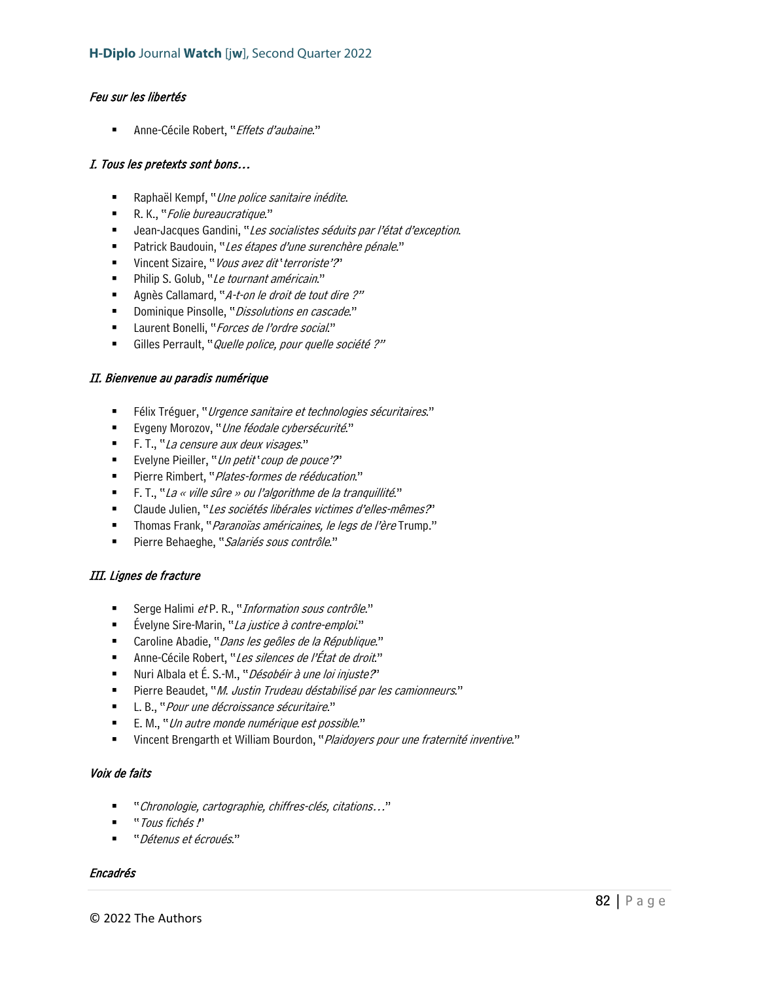## Feu sur les libertés

Anne-Cécile Robert, "Effets d'aubaine."

### I. Tous les pretexts sont bons…

- Raphaël Kempf, "Une police sanitaire inédite.
- R. K., "Folie bureaucratique."
- Jean-Jacques Gandini, "Les socialistes séduits par l'état d'exception.
- Patrick Baudouin, "Les étapes d'une surenchère pénale."
- Vincent Sizaire, "Vous avez dit 'terroriste'?"
- Philip S. Golub, "Le tournant américain."
- Agnès Callamard, "A-t-on le droit de tout dire ?"
- Dominique Pinsolle, "Dissolutions en cascade."
- Laurent Bonelli, "Forces de l'ordre social."
- Gilles Perrault, "*Quelle police, pour quelle société ?"*

#### II. Bienvenue au paradis numérique

- Félix Tréguer, "Urgence sanitaire et technologies sécuritaires."
- Evgeny Morozov, "Une féodale cybersécurité."
- F. T., "La censure aux deux visages."
- Evelyne Pieiller, "*Un petit ' coup de pouce'?*"
- **Pierre Rimbert, "Plates-formes de rééducation."**
- F. T., "La « ville sûre » ou l'algorithme de la tranquillité."
- Claude Julien, "Les sociétés libérales victimes d'elles-mêmes?"
- Thomas Frank, "*Paranoïas américaines, le legs de l'ère* Trump."
- Pierre Behaeghe, "Salariés sous contrôle."

## III. Lignes de fracture

- Serge Halimi et P. R., "Information sous contrôle."
- Évelyne Sire-Marin, "*La justice à contre-emploi.*"
- Caroline Abadie, "Dans les geôles de la République."
- Anne-Cécile Robert, "Les silences de l'État de droit."
- Nuri Albala et É. S.-M., "Désobéir à une loi injuste?"
- Pierre Beaudet, "*M. Justin Trudeau déstabilisé par les camionneurs*."
- L. B., "Pour une décroissance sécuritaire."
- E. M., "*Un autre monde numérique est possible*."
- Vincent Brengarth et William Bourdon, "*Plaidoyers pour une fraternité inventive*."

## Voix de faits

- "Chronologie, cartographie, chiffres-clés, citations..."
- "Tous fichés !"
- "Détenus et écroués."

#### Encadrés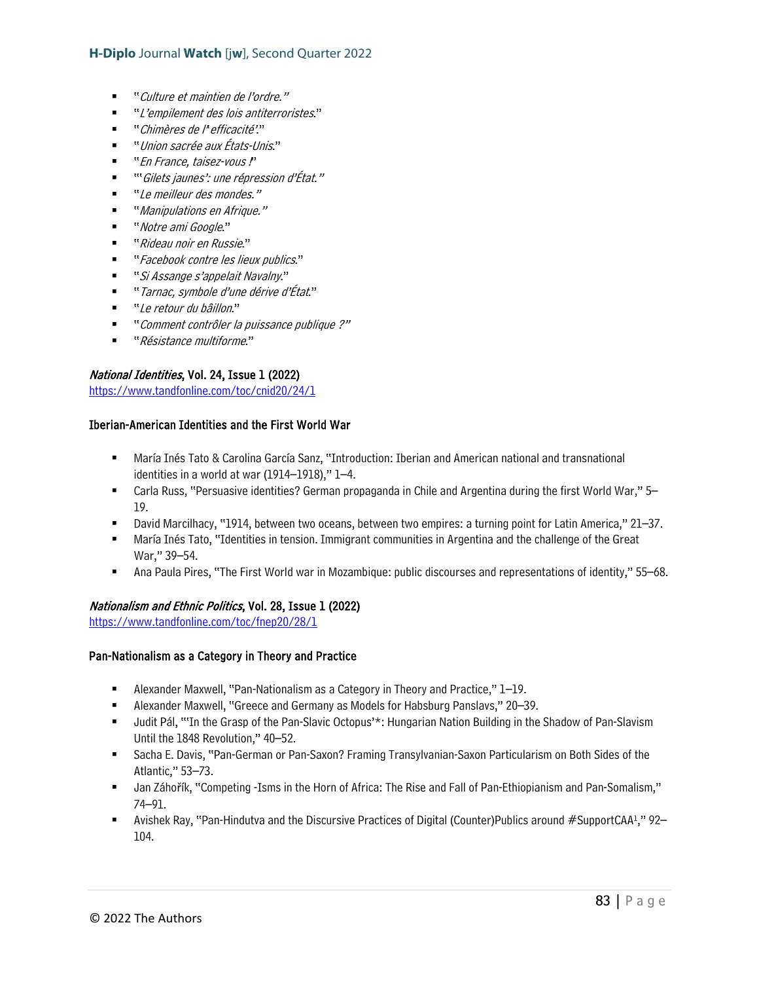- "Culture et maintien de l'ordre."
- " L'empilement des lois antiterroristes."
- " Chimères de l'efficacité"."
- "Union sacrée aux États-Unis."
- "En France, taisez-vous !"
- "'Gilets jaunes': une répression d'État."
- " Le meilleur des mondes."
- "Manipulations en Afrique."
- "Notre ami Google."
- "Rideau noir en Russie"
- " Facebook contre les lieux publics."
- "Si Assange s'appelait Navalny."
- "Tarnac, symbole d'une dérive d'État."
- "Le retour du bâillon."
- "Comment contrôler la puissance publique ?"
- "Résistance multiforme."

## National Identities, Vol. 24, Issue 1 (2022)

<https://www.tandfonline.com/toc/cnid20/24/1>

## Iberian-American Identities and the First World War

- María Inés Tato & Carolina García Sanz, "Introduction: Iberian and American national and transnational identities in a world at war (1914–1918)," 1–4.
- Carla Russ, "Persuasive identities? German propaganda in Chile and Argentina during the first World War," 5– 19.
- David Marcilhacy, "1914, between two oceans, between two empires: a turning point for Latin America," 21–37.
- María Inés Tato, "Identities in tension. Immigrant communities in Argentina and the challenge of the Great War," 39–54.
- Ana Paula Pires, "The First World war in Mozambique: public discourses and representations of identity," 55–68.

#### Nationalism and Ethnic Politics, Vol. 28, Issue 1 (2022)

<https://www.tandfonline.com/toc/fnep20/28/1>

#### Pan-Nationalism as a Category in Theory and Practice

- Alexander Maxwell, "Pan-Nationalism as a Category in Theory and Practice," 1–19.
- Alexander Maxwell, "Greece and Germany as Models for Habsburg Panslavs," 20–39.
- Judit Pál, "'In the Grasp of the Pan-Slavic Octopus'\*: Hungarian Nation Building in the Shadow of Pan-Slavism Until the 1848 Revolution," 40–52.
- Sacha E. Davis, "Pan-German or Pan-Saxon? Framing Transylvanian-Saxon Particularism on Both Sides of the Atlantic," 53–73.
- Jan Záhořík, "Competing -Isms in the Horn of Africa: The Rise and Fall of Pan-Ethiopianism and Pan-Somalism," 74–91.
- **Avishek Ray, "Pan-Hindutva and the Discursive Practices of Digital (Counter)Publics around #SupportCAA<sup>1</sup>," 92–** 104.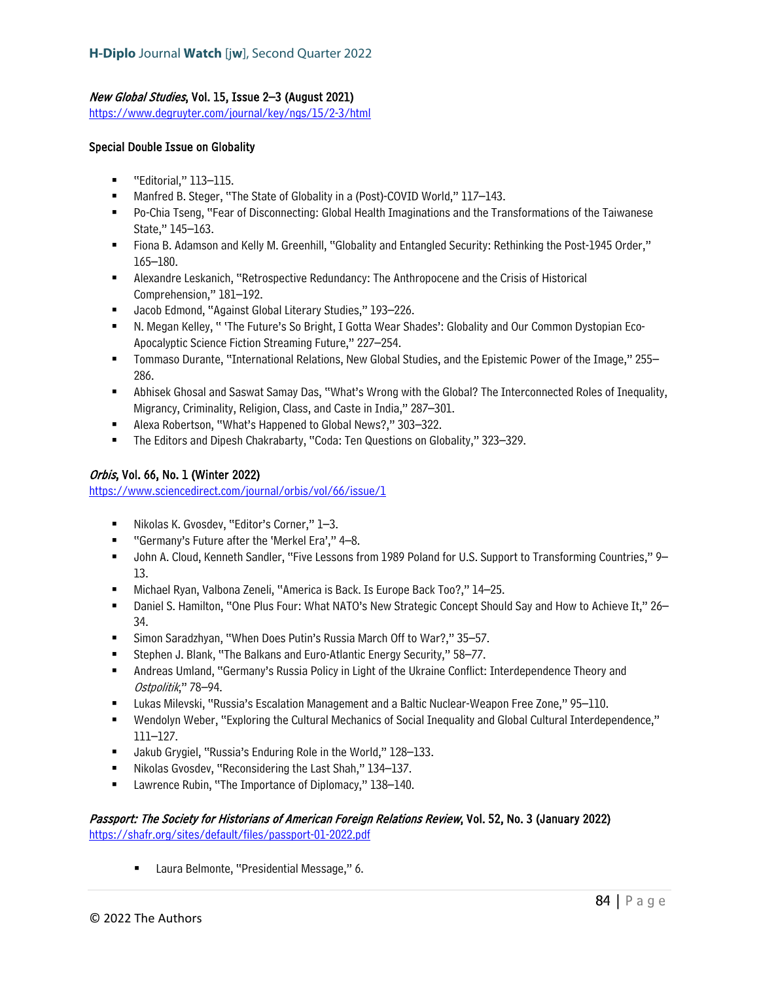## New Global Studies, Vol. 15, Issue 2–3 (August 2021)

<https://www.degruyter.com/journal/key/ngs/15/2-3/html>

### Special Double Issue on Globality

- "Editorial," 113–115.
- Manfred B. Steger, "The State of Globality in a (Post)-COVID World," 117–143.
- Po-Chia Tseng, "Fear of Disconnecting: Global Health Imaginations and the Transformations of the Taiwanese State," 145–163.
- Fiona B. Adamson and Kelly M. Greenhill, "Globality and Entangled Security: Rethinking the Post-1945 Order," 165–180.
- Alexandre Leskanich, "Retrospective Redundancy: The Anthropocene and the Crisis of Historical Comprehension," 181–192.
- Jacob Edmond, "Against Global Literary Studies," 193–226.
- N. Megan Kelley, " 'The Future's So Bright, I Gotta Wear Shades': Globality and Our Common Dystopian Eco-Apocalyptic Science Fiction Streaming Future," 227–254.
- Tommaso Durante, "International Relations, New Global Studies, and the Epistemic Power of the Image," 255– 286.
- Abhisek Ghosal and Saswat Samay Das, "What's Wrong with the Global? The Interconnected Roles of Inequality, Migrancy, Criminality, Religion, Class, and Caste in India," 287–301.
- Alexa Robertson, "What's Happened to Global News?," 303–322.
- The Editors and Dipesh Chakrabarty, "Coda: Ten Questions on Globality," 323–329.

## Orbis, Vol. 66, No. 1 (Winter 2022)

<https://www.sciencedirect.com/journal/orbis/vol/66/issue/1>

- Nikolas K. Gvosdev, "Editor's Corner," 1-3.
- "Germany's Future after the 'Merkel Era'," 4-8.
- John A. Cloud, Kenneth Sandler, "Five Lessons from 1989 Poland for U.S. Support to Transforming Countries," 9– 13.
- Michael Ryan, Valbona Zeneli, "America is Back. Is Europe Back Too?," 14–25.
- Daniel S. Hamilton, "One Plus Four: What NATO's New Strategic Concept Should Say and How to Achieve It," 26– 34.
- Simon Saradzhyan, "When Does Putin's Russia March Off to War?," 35–57.
- Stephen J. Blank, "The Balkans and Euro-Atlantic Energy Security," 58–77.
- Andreas Umland, "Germany's Russia Policy in Light of the Ukraine Conflict: Interdependence Theory and Ostpolitik," 78–94.
- Lukas Milevski, "Russia's Escalation Management and a Baltic Nuclear-Weapon Free Zone," 95–110.
- Wendolyn Weber, "Exploring the Cultural Mechanics of Social Inequality and Global Cultural Interdependence," 111–127.
- Jakub Grygiel, "Russia's Enduring Role in the World," 128–133.
- Nikolas Gvosdev, "Reconsidering the Last Shah," 134–137.
- Lawrence Rubin, "The Importance of Diplomacy," 138–140.

### Passport: The Society for Historians of American Foreign Relations Review, Vol. 52, No. 3 (January 2022) <https://shafr.org/sites/default/files/passport-01-2022.pdf>

■ Laura Belmonte, "Presidential Message," 6.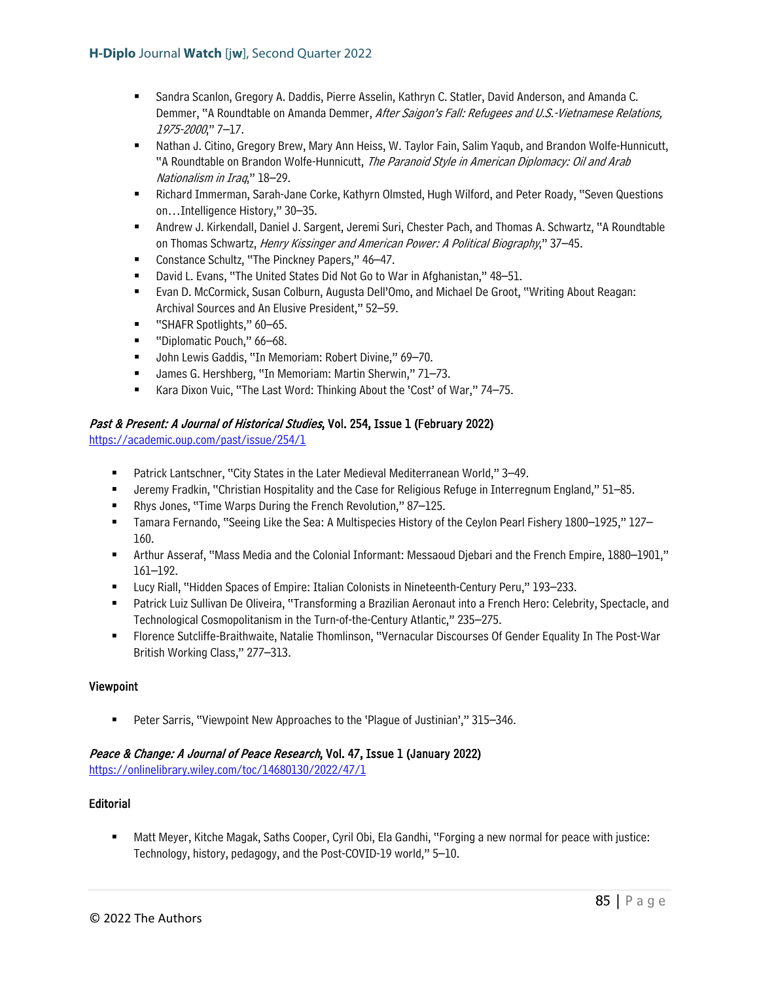- Sandra Scanlon, Gregory A. Daddis, Pierre Asselin, Kathryn C. Statler, David Anderson, and Amanda C. Demmer, "A Roundtable on Amanda Demmer, After Saigon's Fall: Refugees and U.S.-Vietnamese Relations, 1975-2000," 7–17.
- Nathan J. Citino, Gregory Brew, Mary Ann Heiss, W. Taylor Fain, Salim Yaqub, and Brandon Wolfe-Hunnicutt, "A Roundtable on Brandon Wolfe-Hunnicutt, The Paranoid Style in American Diplomacy: Oil and Arab Nationalism in Iraq," 18–29.
- **EXECT And Amage IMM** Sarah-Jane Corke, Kathyrn Olmsted, Hugh Wilford, and Peter Roady, "Seven Questions on…Intelligence History," 30–35.
- Andrew J. Kirkendall, Daniel J. Sargent, Jeremi Suri, Chester Pach, and Thomas A. Schwartz, "A Roundtable on Thomas Schwartz, Henry Kissinger and American Power: A Political Biography," 37-45.
- Constance Schultz, "The Pinckney Papers," 46–47.
- David L. Evans, "The United States Did Not Go to War in Afghanistan," 48–51.
- Evan D. McCormick, Susan Colburn, Augusta Dell'Omo, and Michael De Groot, "Writing About Reagan: Archival Sources and An Elusive President," 52–59.
- "SHAFR Spotlights," 60–65.
- "Diplomatic Pouch," 66–68.
- John Lewis Gaddis, "In Memoriam: Robert Divine," 69-70.
- James G. Hershberg, "In Memoriam: Martin Sherwin," 71–73.
- Kara Dixon Vuic, "The Last Word: Thinking About the 'Cost' of War," 74–75.

# Past & Present: A Journal of Historical Studies, Vol. 254, Issue 1 (February 2022)

<https://academic.oup.com/past/issue/254/1>

- Patrick Lantschner, "City States in the Later Medieval Mediterranean World," 3–49.
- Jeremy Fradkin, "Christian Hospitality and the Case for Religious Refuge in Interregnum England," 51–85.
- Rhys Jones, "Time Warps During the French Revolution," 87–125.
- Tamara Fernando, "Seeing Like the Sea: A Multispecies History of the Ceylon Pearl Fishery 1800–1925," 127– 160.
- Arthur Asseraf, "Mass Media and the Colonial Informant: Messaoud Djebari and the French Empire, 1880–1901," 161–192.
- Lucy Riall, "Hidden Spaces of Empire: Italian Colonists in Nineteenth-Century Peru," 193–233.
- Patrick Luiz Sullivan De Oliveira, "Transforming a Brazilian Aeronaut into a French Hero: Celebrity, Spectacle, and Technological Cosmopolitanism in the Turn-of-the-Century Atlantic," 235–275.
- Florence Sutcliffe-Braithwaite, Natalie Thomlinson, "Vernacular Discourses Of Gender Equality In The Post-War British Working Class," 277–313.

## Viewpoint

Peter Sarris, "Viewpoint New Approaches to the 'Plague of Justinian'," 315–346.

# Peace & Change: A Journal of Peace Research, Vol. 47, Issue 1 (January 2022)

<https://onlinelibrary.wiley.com/toc/14680130/2022/47/1>

## Editorial

 Matt Meyer, Kitche Magak, Saths Cooper, Cyril Obi, Ela Gandhi, "Forging a new normal for peace with justice: Technology, history, pedagogy, and the Post-COVID-19 world," 5–10.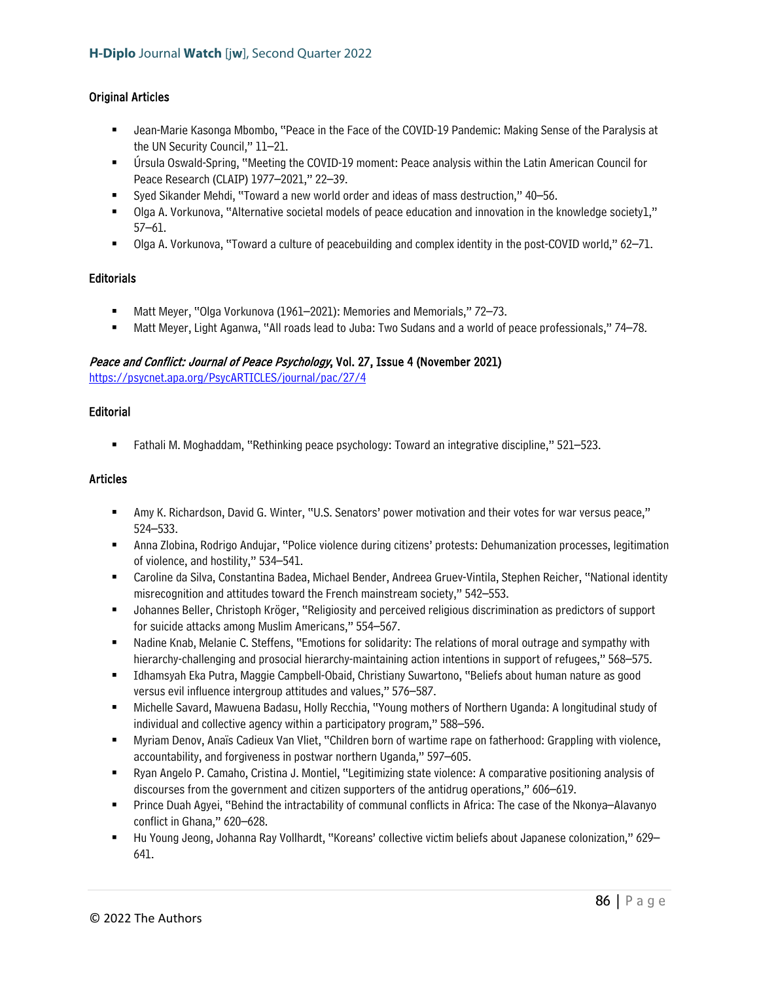## Original Articles

- Jean-Marie Kasonga Mbombo, "Peace in the Face of the COVID-19 Pandemic: Making Sense of the Paralysis at the UN Security Council," 11–21.
- Úrsula Oswald-Spring, "Meeting the COVID-19 moment: Peace analysis within the Latin American Council for Peace Research (CLAIP) 1977–2021," 22–39.
- Syed Sikander Mehdi, "Toward a new world order and ideas of mass destruction," 40–56.
- Olga A. Vorkunova, "Alternative societal models of peace education and innovation in the knowledge society1," 57–61.
- Olga A. Vorkunova, "Toward a culture of peacebuilding and complex identity in the post-COVID world," 62–71.

### **Editorials**

- Matt Meyer, "Olga Vorkunova (1961–2021): Memories and Memorials," 72–73.
- Matt Meyer, Light Aganwa, "All roads lead to Juba: Two Sudans and a world of peace professionals," 74–78.

## Peace and Conflict: Journal of Peace Psychology, Vol. 27, Issue 4 (November 2021)

<https://psycnet.apa.org/PsycARTICLES/journal/pac/27/4>

#### Editorial

Fathali M. Moghaddam, "Rethinking peace psychology: Toward an integrative discipline," 521–523.

### Articles

- Amy K. Richardson, David G. Winter, "U.S. Senators' power motivation and their votes for war versus peace," 524–533.
- Anna Zlobina, Rodrigo Andujar, "Police violence during citizens' protests: Dehumanization processes, legitimation of violence, and hostility," 534–541.
- Caroline da Silva, Constantina Badea, Michael Bender, Andreea Gruev-Vintila, Stephen Reicher, "National identity misrecognition and attitudes toward the French mainstream society," 542–553.
- Johannes Beller, Christoph Kröger, "Religiosity and perceived religious discrimination as predictors of support for suicide attacks among Muslim Americans," 554–567.
- Nadine Knab, Melanie C. Steffens, "Emotions for solidarity: The relations of moral outrage and sympathy with hierarchy-challenging and prosocial hierarchy-maintaining action intentions in support of refugees," 568–575.
- Idhamsyah Eka Putra, Maggie Campbell-Obaid, Christiany Suwartono, "Beliefs about human nature as good versus evil influence intergroup attitudes and values," 576–587.
- Michelle Savard, Mawuena Badasu, Holly Recchia, "Young mothers of Northern Uganda: A longitudinal study of individual and collective agency within a participatory program," 588–596.
- Myriam Denov, Anaïs Cadieux Van Vliet, "Children born of wartime rape on fatherhood: Grappling with violence, accountability, and forgiveness in postwar northern Uganda," 597–605.
- Ryan Angelo P. Camaho, Cristina J. Montiel, "Legitimizing state violence: A comparative positioning analysis of discourses from the government and citizen supporters of the antidrug operations," 606–619.
- Prince Duah Agyei, "Behind the intractability of communal conflicts in Africa: The case of the Nkonya–Alavanyo conflict in Ghana," 620–628.
- Hu Young Jeong, Johanna Ray Vollhardt, "Koreans' collective victim beliefs about Japanese colonization," 629– 641.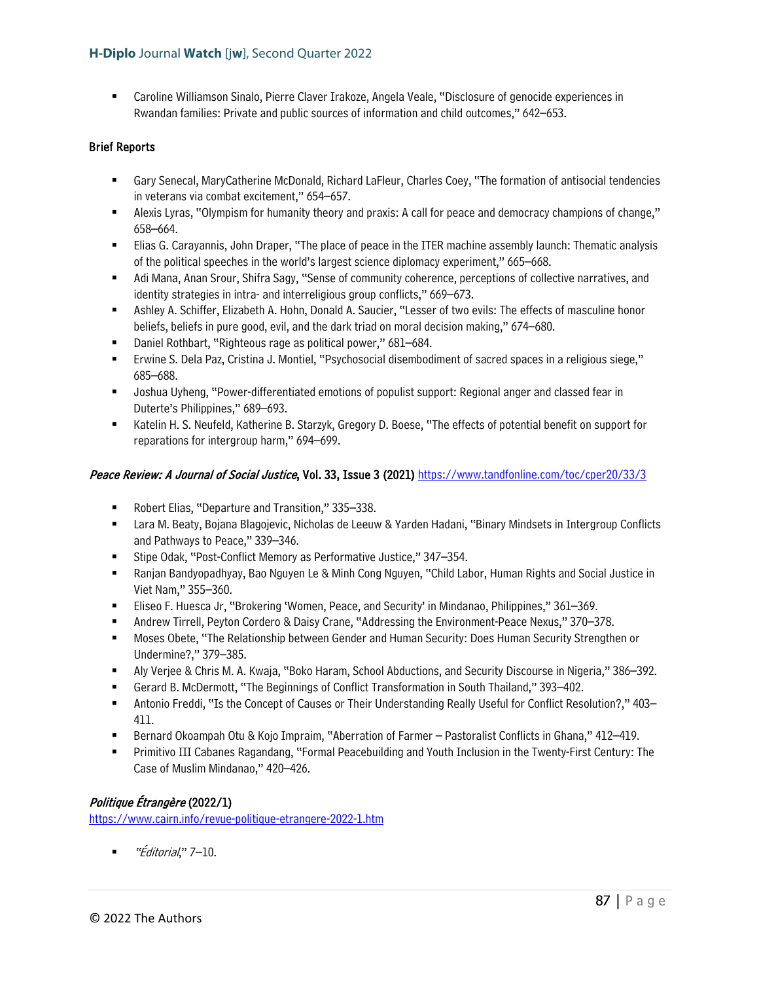Caroline Williamson Sinalo, Pierre Claver Irakoze, Angela Veale, "Disclosure of genocide experiences in Rwandan families: Private and public sources of information and child outcomes," 642–653.

## Brief Reports

- Gary Senecal, MaryCatherine McDonald, Richard LaFleur, Charles Coey, "The formation of antisocial tendencies in veterans via combat excitement," 654–657.
- Alexis Lyras, "Olympism for humanity theory and praxis: A call for peace and democracy champions of change," 658–664.
- Elias G. Carayannis, John Draper, "The place of peace in the ITER machine assembly launch: Thematic analysis of the political speeches in the world's largest science diplomacy experiment," 665–668.
- Adi Mana, Anan Srour, Shifra Sagy, "Sense of community coherence, perceptions of collective narratives, and identity strategies in intra- and interreligious group conflicts," 669–673.
- Ashley A. Schiffer, Elizabeth A. Hohn, Donald A. Saucier, "Lesser of two evils: The effects of masculine honor beliefs, beliefs in pure good, evil, and the dark triad on moral decision making," 674–680.
- Daniel Rothbart, "Righteous rage as political power," 681–684.
- Erwine S. Dela Paz, Cristina J. Montiel, "Psychosocial disembodiment of sacred spaces in a religious siege," 685–688.
- Joshua Uyheng, "Power-differentiated emotions of populist support: Regional anger and classed fear in Duterte's Philippines," 689–693.
- **EXECT H. S. Neufeld, Katherine B. Starzyk, Gregory D. Boese, "The effects of potential benefit on support for** reparations for intergroup harm," 694–699.

### Peace Review: A Journal of Social Justice, Vol. 33, Issue 3 (2021) https://www.tandfonline.com/toc/cper20/33/3

- Robert Elias, "Departure and Transition," 335–338.
- Lara M. Beaty, Bojana Blagojevic, Nicholas de Leeuw & Yarden Hadani, "Binary Mindsets in Intergroup Conflicts and Pathways to Peace," 339–346.
- Stipe Odak, "Post-Conflict Memory as Performative Justice," 347–354.
- Ranjan Bandyopadhyay, Bao Nguyen Le & Minh Cong Nguyen, "Child Labor, Human Rights and Social Justice in Viet Nam," 355–360.
- Eliseo F. Huesca Jr, "Brokering 'Women, Peace, and Security' in Mindanao, Philippines," 361–369.
- Andrew Tirrell, Peyton Cordero & Daisy Crane, "Addressing the Environment-Peace Nexus," 370–378.
- Moses Obete, "The Relationship between Gender and Human Security: Does Human Security Strengthen or Undermine?," 379–385.
- Aly Verjee & Chris M. A. Kwaja, "Boko Haram, School Abductions, and Security Discourse in Nigeria," 386–392.
- Gerard B. McDermott, "The Beginnings of Conflict Transformation in South Thailand," 393–402.
- Antonio Freddi, "Is the Concept of Causes or Their Understanding Really Useful for Conflict Resolution?," 403– 411.
- Bernard Okoampah Otu & Kojo Impraim, "Aberration of Farmer Pastoralist Conflicts in Ghana," 412–419.
- Primitivo III Cabanes Ragandang, "Formal Peacebuilding and Youth Inclusion in the Twenty-First Century: The Case of Muslim Mindanao," 420–426.

## Politique Étrangère (2022/1)

<https://www.cairn.info/revue-politique-etrangere-2022-1.htm>

 $\blacksquare$  "Éditorial," 7–10.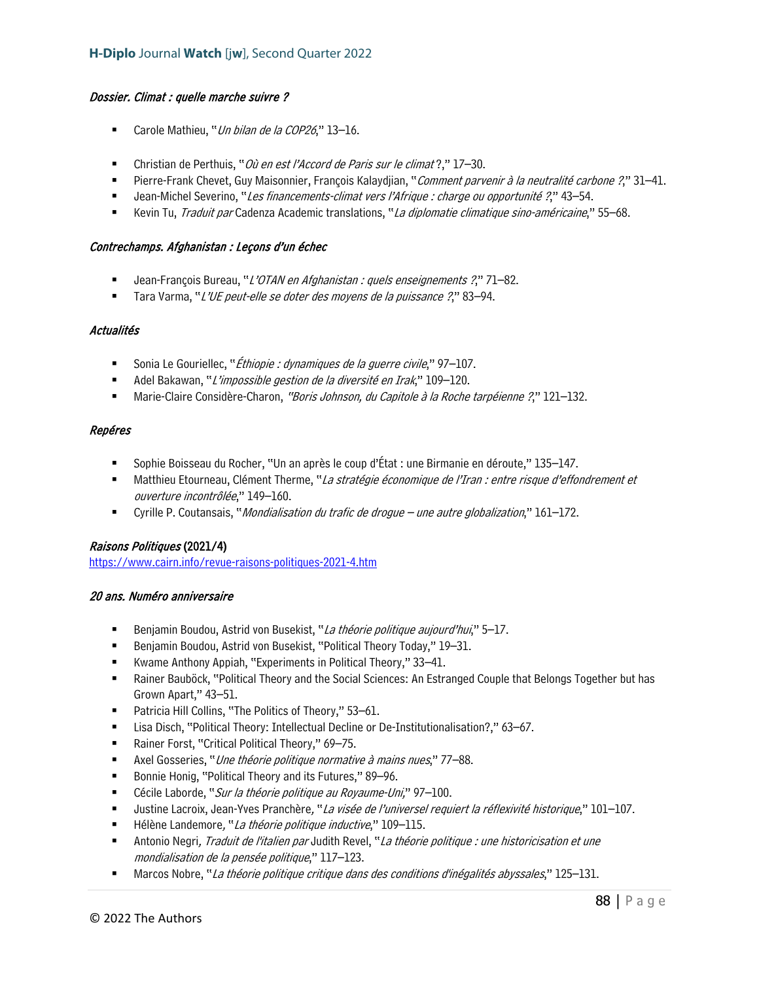### Dossier. Climat : quelle marche suivre ?

- Carole Mathieu, "Un bilan de la COP26," 13-16.
- Christian de Perthuis, "Où en est l'Accord de Paris sur le climat?," 17–30.
- Pierre-Frank Chevet, Guy Maisonnier, François Kalaydjian, "Comment parvenir à la neutralité carbone ?," 31–41.
- Jean-Michel Severino, "Les financements-climat vers l'Afrique : charge ou opportunité ?," 43–54.
- Kevin Tu, Traduit par Cadenza Academic translations, "La diplomatie climatique sino-américaine," 55–68.

#### Contrechamps. Afghanistan : Leçons d'un échec

- Jean-François Bureau, "L'OTAN en Afghanistan : quels enseignements ?," 71-82.
- Tara Varma, "L'UE peut-elle se doter des moyens de la puissance ?," 83–94.

### Actualités

- Sonia Le Gouriellec, "*Éthiopie : dynamiques de la guerre civile*," 97–107.
- Adel Bakawan, "L'impossible gestion de la diversité en Irak," 109-120.
- Marie-Claire Considère-Charon, "Boris Johnson, du Capitole à la Roche tarpéienne ?," 121–132.

### Repéres

- Sophie Boisseau du Rocher, "Un an après le coup d'État : une Birmanie en déroute," 135–147.
- Matthieu Etourneau, Clément Therme, "La stratégie économique de l'Iran : entre risque d'effondrement et ouverture incontrôlée," 149–160.
- Cyrille P. Coutansais, "*Mondialisation du trafic de drogue une autre globalization*," 161–172.

## Raisons Politiques (2021/4)

<https://www.cairn.info/revue-raisons-politiques-2021-4.htm>

## 20 ans. Numéro anniversaire

- Benjamin Boudou, Astrid von Busekist, "La théorie politique aujourd'hui," 5–17.
- Benjamin Boudou, Astrid von Busekist, "Political Theory Today," 19–31.
- Kwame Anthony Appiah, "Experiments in Political Theory," 33–41.
- Rainer Bauböck, "Political Theory and the Social Sciences: An Estranged Couple that Belongs Together but has Grown Apart," 43–51.
- Patricia Hill Collins, "The Politics of Theory," 53–61.
- Lisa Disch, "Political Theory: Intellectual Decline or De-Institutionalisation?," 63–67.
- Rainer Forst, "Critical Political Theory," 69-75.
- Axel Gosseries, "Une théorie politique normative à mains nues," 77-88.
- Bonnie Honig, "Political Theory and its Futures," 89-96.
- Cécile Laborde, "Sur la théorie politique au Royaume-Uni," 97-100.
- Uustine Lacroix, Jean-Yves Pranchère, "La visée de l'universel requiert la réflexivité historique," 101–107.
- Hélène Landemore, "La théorie politique inductive," 109–115.
- **Antonio Negri,** *Traduit de l'italien par* **Judith Revel**, "La théorie politique : une historicisation et une mondialisation de la pensée politique," 117–123.
- Marcos Nobre, "La théorie politique critique dans des conditions d'inégalités abyssales," 125–131.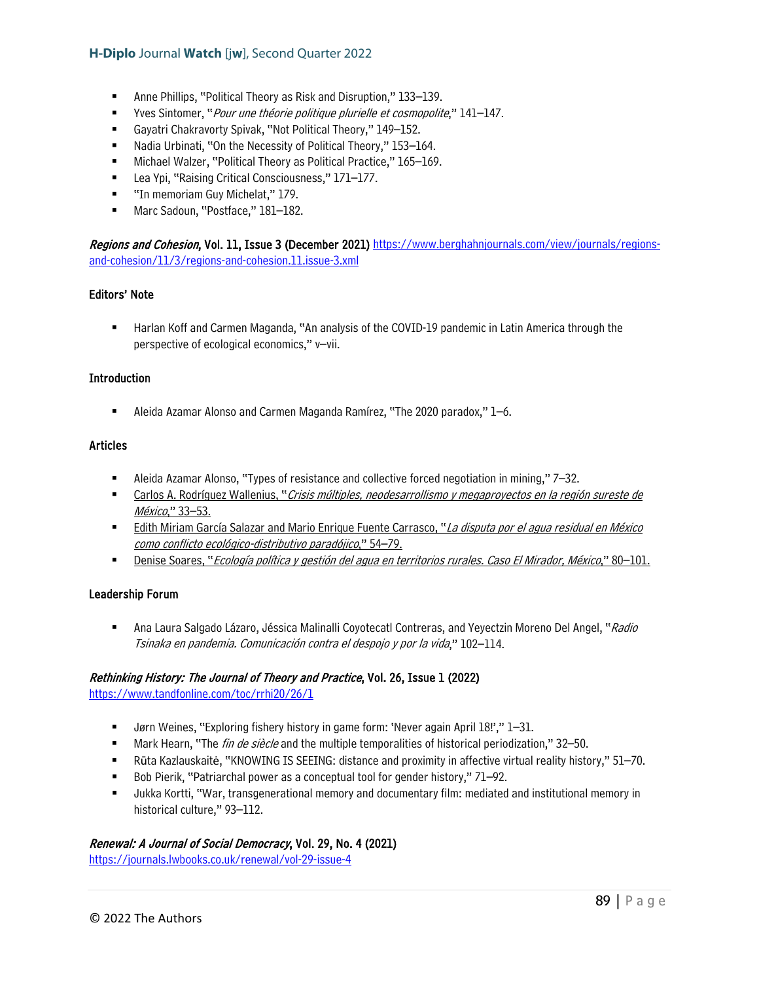- Anne Phillips, "Political Theory as Risk and Disruption," 133–139.
- Yves Sintomer, "*Pour une théorie politique plurielle et cosmopolite*," 141–147.
- Gayatri Chakravorty Spivak, "Not Political Theory," 149–152.
- Nadia Urbinati, "On the Necessity of Political Theory," 153–164.
- Michael Walzer, "Political Theory as Political Practice," 165–169.
- Lea Ypi, "Raising Critical Consciousness," 171–177.
- **"** "In memoriam Guy Michelat," 179.
- Marc Sadoun, "Postface," 181-182.

Regions and Cohesion, Vol. 11, Issue 3 (December 2021) [https://www.berghahnjournals.com/view/journals/regions](https://www.berghahnjournals.com/view/journals/regions-and-cohesion/11/3/regions-and-cohesion.11.issue-3.xml)[and-cohesion/11/3/regions-and-cohesion.11.issue-3.xml](https://www.berghahnjournals.com/view/journals/regions-and-cohesion/11/3/regions-and-cohesion.11.issue-3.xml) 

#### Editors' Note

**Harlan Koff and Carmen Maganda, "An analysis of the COVID-19 pandemic in Latin America through the** perspective of ecological economics," v–vii.

#### **Introduction**

Aleida Azamar Alonso and Carmen Maganda Ramírez, "The 2020 paradox," 1–6.

#### Articles

- Aleida Azamar Alonso, "Types of resistance and collective forced negotiation in mining," 7–32.
- **EXEC** Carlos A. Rodríguez Wallenius, "Crisis múltiples, neodesarrollismo y megaproyectos en la región sureste de México," 33–53.
- **Edith Miriam García Salazar and Mario Enrique Fuente Carrasco, "La disputa por el agua residual en México** como conflicto ecológico-distributivo paradójico," 54–79.
- Denise Soares, "*Ecología política y gestión del agua en territorios rurales. Caso El Mirador, México*," 80–101.

#### Leadership Forum

Ana Laura Salgado Lázaro, Jéssica Malinalli Coyotecatl Contreras, and Yeyectzin Moreno Del Angel, "Radio Tsinaka en pandemia. Comunicación contra el despojo y por la vida," 102–114.

#### Rethinking History: The Journal of Theory and Practice, Vol. 26, Issue 1 (2022)

<https://www.tandfonline.com/toc/rrhi20/26/1>

- Jørn Weines, "Exploring fishery history in game form: 'Never again April 18!'," 1–31.
- Mark Hearn, "The *fin de siècle* and the multiple temporalities of historical periodization," 32–50.
- Rūta Kazlauskaitė, "KNOWING IS SEEING: distance and proximity in affective virtual reality history," 51–70.
- Bob Pierik, "Patriarchal power as a conceptual tool for gender history," 71–92.
- Jukka Kortti, "War, transgenerational memory and documentary film: mediated and institutional memory in historical culture," 93-112.

#### Renewal: A Journal of Social Democracy, Vol. 29, No. 4 (2021)

<https://journals.lwbooks.co.uk/renewal/vol-29-issue-4>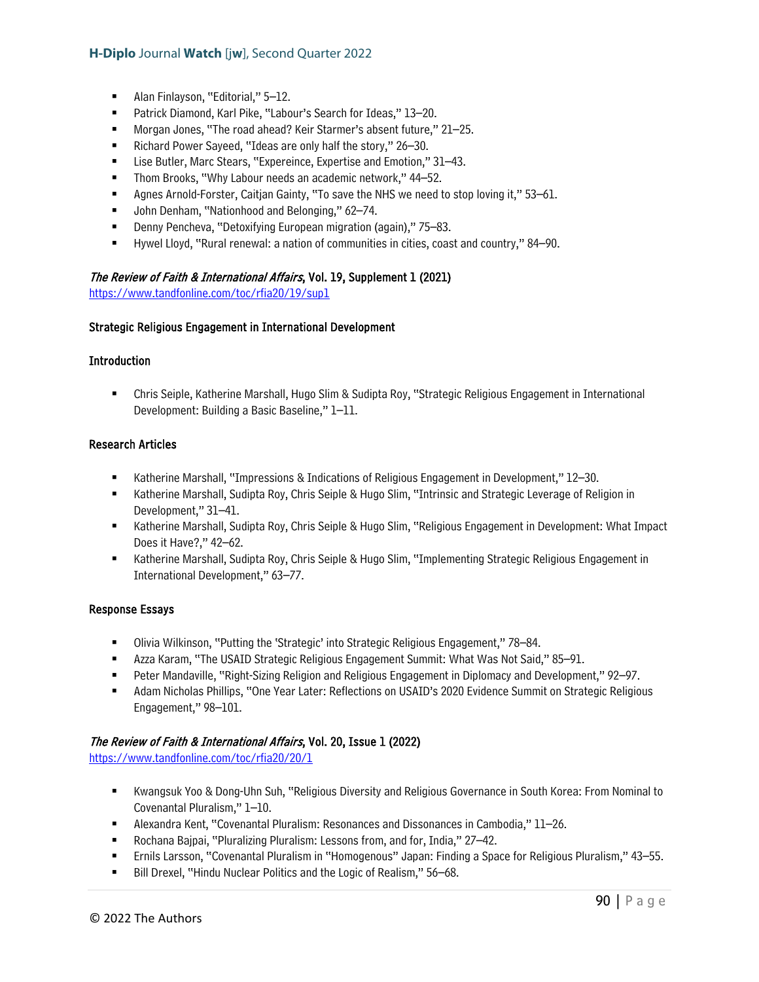- Alan Finlayson, "Editorial," 5–12.
- Patrick Diamond, Karl Pike, "Labour's Search for Ideas," 13-20.
- Morgan Jones, "The road ahead? Keir Starmer's absent future," 21–25.
- Richard Power Sayeed, "Ideas are only half the story," 26–30.
- Lise Butler, Marc Stears, "Expereince, Expertise and Emotion," 31–43.
- Thom Brooks, "Why Labour needs an academic network," 44–52.
- Agnes Arnold-Forster, Caitjan Gainty, "To save the NHS we need to stop loving it," 53–61.
- John Denham, "Nationhood and Belonging," 62-74.
- Denny Pencheva, "Detoxifying European migration (again)," 75–83.
- Hywel Lloyd, "Rural renewal: a nation of communities in cities, coast and country," 84–90.

#### The Review of Faith & International Affairs, Vol. 19, Supplement 1 (2021)

<https://www.tandfonline.com/toc/rfia20/19/sup1>

#### Strategic Religious Engagement in International Development

#### **Introduction**

 Chris Seiple, Katherine Marshall, Hugo Slim & Sudipta Roy, "Strategic Religious Engagement in International Development: Building a Basic Baseline," 1–11.

#### Research Articles

- Katherine Marshall, "Impressions & Indications of Religious Engagement in Development," 12–30.
- Katherine Marshall, Sudipta Roy, Chris Seiple & Hugo Slim, "Intrinsic and Strategic Leverage of Religion in Development," 31–41.
- **Katherine Marshall, Sudipta Roy, Chris Seiple & Hugo Slim, "Religious Engagement in Development: What Impact 4** Does it Have?," 42–62.
- **Katherine Marshall, Sudipta Roy, Chris Seiple & Hugo Slim, "Implementing Strategic Religious Engagement in** International Development," 63–77.

#### Response Essays

- Olivia Wilkinson, "Putting the 'Strategic' into Strategic Religious Engagement," 78–84.
- Azza Karam, "The USAID Strategic Religious Engagement Summit: What Was Not Said," 85–91.
- Peter Mandaville, "Right-Sizing Religion and Religious Engagement in Diplomacy and Development," 92–97.
- Adam Nicholas Phillips, "One Year Later: Reflections on USAID's 2020 Evidence Summit on Strategic Religious Engagement," 98–101.

### The Review of Faith & International Affairs, Vol. 20, Issue 1 (2022)

<https://www.tandfonline.com/toc/rfia20/20/1>

- Kwangsuk Yoo & Dong-Uhn Suh, "Religious Diversity and Religious Governance in South Korea: From Nominal to Covenantal Pluralism," 1–10.
- Alexandra Kent, "Covenantal Pluralism: Resonances and Dissonances in Cambodia," 11–26.
- Rochana Bajpai, "Pluralizing Pluralism: Lessons from, and for, India," 27–42.
- Ernils Larsson, "Covenantal Pluralism in "Homogenous" Japan: Finding a Space for Religious Pluralism," 43–55.
- Bill Drexel, "Hindu Nuclear Politics and the Logic of Realism," 56–68.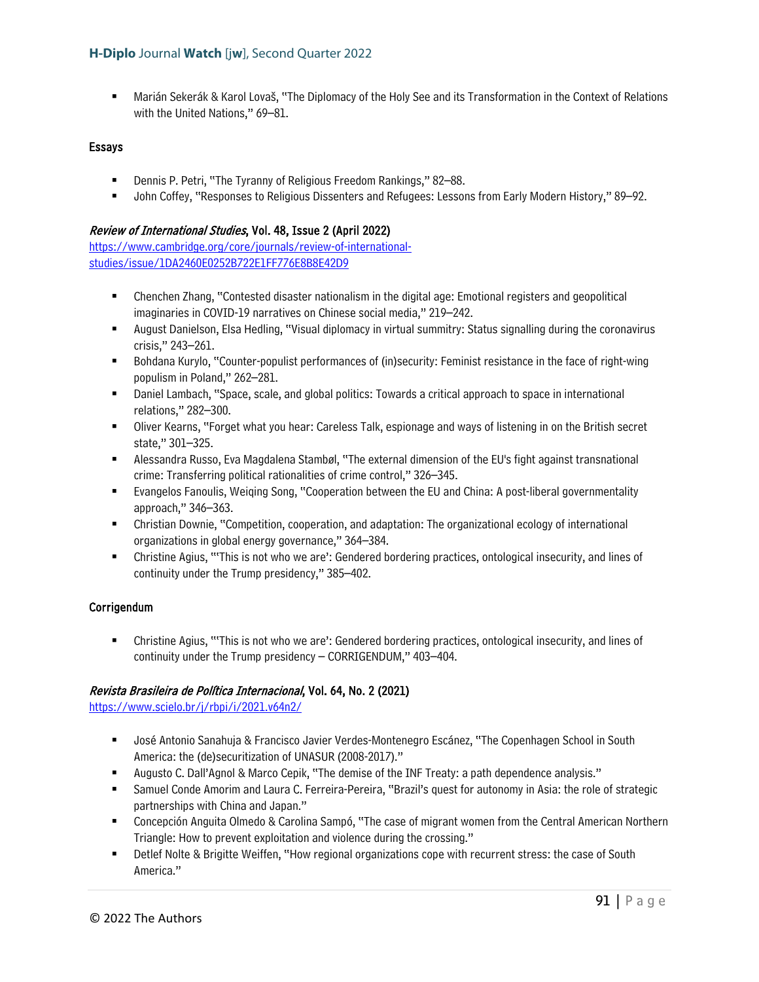Marián Sekerák & Karol Lovaš, "The Diplomacy of the Holy See and its Transformation in the Context of Relations with the United Nations," 69–81.

### Essays

- Dennis P. Petri, "The Tyranny of Religious Freedom Rankings," 82–88.
- John Coffey, "Responses to Religious Dissenters and Refugees: Lessons from Early Modern History," 89–92.

### Review of International Studies, Vol. 48, Issue 2 (April 2022)

[https://www.cambridge.org/core/journals/review-of-international](https://www.cambridge.org/core/journals/review-of-international-studies/issue/1DA2460E0252B722E1FF776E8B8E42D9)[studies/issue/1DA2460E0252B722E1FF776E8B8E42D9](https://www.cambridge.org/core/journals/review-of-international-studies/issue/1DA2460E0252B722E1FF776E8B8E42D9) 

- Chenchen Zhang, "Contested disaster nationalism in the digital age: Emotional registers and geopolitical imaginaries in COVID-19 narratives on Chinese social media," 219–242.
- August Danielson, Elsa Hedling, "Visual diplomacy in virtual summitry: Status signalling during the coronavirus crisis," 243–261.
- Bohdana Kurylo, "Counter-populist performances of (in)security: Feminist resistance in the face of right-wing populism in Poland," 262–281.
- **Daniel Lambach, "Space, scale, and global politics: Towards a critical approach to space in international** relations," 282–300.
- Oliver Kearns, "Forget what you hear: Careless Talk, espionage and ways of listening in on the British secret state," 301–325.
- Alessandra Russo, Eva Magdalena Stambøl, "The external dimension of the EU's fight against transnational crime: Transferring political rationalities of crime control," 326–345.
- Evangelos Fanoulis, Weiqing Song, "Cooperation between the EU and China: A post-liberal governmentality approach," 346–363.
- Christian Downie, "Competition, cooperation, and adaptation: The organizational ecology of international organizations in global energy governance," 364–384.
- Christine Agius, "'This is not who we are': Gendered bordering practices, ontological insecurity, and lines of continuity under the Trump presidency," 385–402.

## Corrigendum

 Christine Agius, "'This is not who we are': Gendered bordering practices, ontological insecurity, and lines of continuity under the Trump presidency – CORRIGENDUM," 403–404.

## Revista Brasileira de Política Internacional, Vol. 64, No. 2 (2021)

<https://www.scielo.br/j/rbpi/i/2021.v64n2/>

- José Antonio Sanahuja & Francisco Javier Verdes-Montenegro Escánez, "The Copenhagen School in South America: the (de)securitization of UNASUR (2008-2017)."
- Augusto C. Dall'Agnol & Marco Cepik, "The demise of the INF Treaty: a path dependence analysis."
- Samuel Conde Amorim and Laura C. Ferreira-Pereira, "Brazil's quest for autonomy in Asia: the role of strategic partnerships with China and Japan."
- Concepción Anguita Olmedo & Carolina Sampó, "The case of migrant women from the Central American Northern Triangle: How to prevent exploitation and violence during the crossing."
- Detlef Nolte & Brigitte Weiffen, "How regional organizations cope with recurrent stress: the case of South America."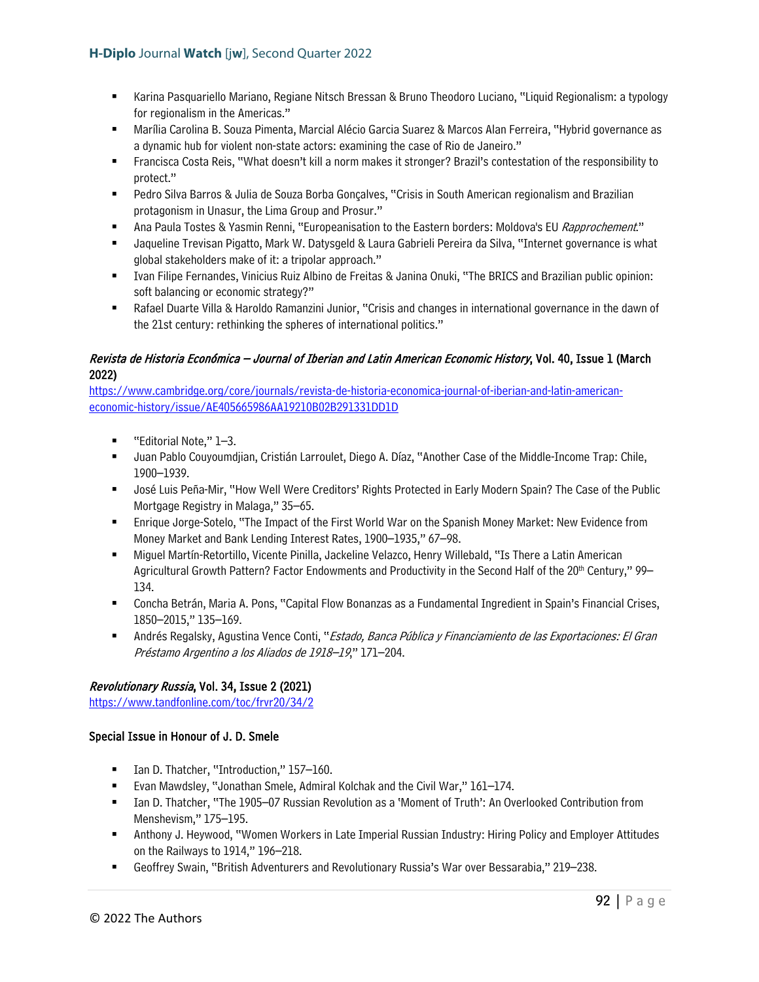- Karina Pasquariello Mariano, Regiane Nitsch Bressan & Bruno Theodoro Luciano, "Liquid Regionalism: a typology for regionalism in the Americas."
- Marília Carolina B. Souza Pimenta, Marcial Alécio Garcia Suarez & Marcos Alan Ferreira, "Hybrid governance as a dynamic hub for violent non-state actors: examining the case of Rio de Janeiro."
- Francisca Costa Reis, "What doesn't kill a norm makes it stronger? Brazil's contestation of the responsibility to protect."
- Pedro Silva Barros & Julia de Souza Borba Gonçalves, "Crisis in South American regionalism and Brazilian protagonism in Unasur, the Lima Group and Prosur."
- Ana Paula Tostes & Yasmin Renni, "Europeanisation to the Eastern borders: Moldova's EU Rapprochement."
- Jaqueline Trevisan Pigatto, Mark W. Datysgeld & Laura Gabrieli Pereira da Silva, "Internet governance is what global stakeholders make of it: a tripolar approach."
- Ivan Filipe Fernandes, Vinicius Ruiz Albino de Freitas & Janina Onuki, "The BRICS and Brazilian public opinion: soft balancing or economic strategy?"
- Rafael Duarte Villa & Haroldo Ramanzini Junior, "Crisis and changes in international governance in the dawn of the 21st century: rethinking the spheres of international politics."

# Revista de Historia Económica – Journal of Iberian and Latin American Economic History, Vol. 40, Issue 1 (March 2022)

[https://www.cambridge.org/core/journals/revista-de-historia-economica-journal-of-iberian-and-latin-american](https://www.cambridge.org/core/journals/revista-de-historia-economica-journal-of-iberian-and-latin-american-economic-history/issue/AE405665986AA19210B02B291331DD1D)[economic-history/issue/AE405665986AA19210B02B291331DD1D](https://www.cambridge.org/core/journals/revista-de-historia-economica-journal-of-iberian-and-latin-american-economic-history/issue/AE405665986AA19210B02B291331DD1D) 

- "Editorial Note," 1–3.
- Juan Pablo Couyoumdjian, Cristián Larroulet, Diego A. Díaz, "Another Case of the Middle-Income Trap: Chile, 1900–1939.
- José Luis Peña-Mir, "How Well Were Creditors' Rights Protected in Early Modern Spain? The Case of the Public Mortgage Registry in Malaga," 35–65.
- Enrique Jorge-Sotelo, "The Impact of the First World War on the Spanish Money Market: New Evidence from Money Market and Bank Lending Interest Rates, 1900–1935," 67–98.
- Miguel Martín-Retortillo, Vicente Pinilla, Jackeline Velazco, Henry Willebald, "Is There a Latin American Agricultural Growth Pattern? Factor Endowments and Productivity in the Second Half of the 20<sup>th</sup> Century," 99– 134.
- Concha Betrán, Maria A. Pons, "Capital Flow Bonanzas as a Fundamental Ingredient in Spain's Financial Crises, 1850–2015," 135–169.
- Andrés Regalsky, Agustina Vence Conti, "*Estado, Banca Pública y Financiamiento de las Exportaciones: El Gran* Préstamo Argentino a los Aliados de 1918–19," 171–204.

# Revolutionary Russia, Vol. 34, Issue 2 (2021)

<https://www.tandfonline.com/toc/frvr20/34/2>

## Special Issue in Honour of J. D. Smele

- Ian D. Thatcher, "Introduction," 157–160.
- Evan Mawdsley, "Jonathan Smele, Admiral Kolchak and the Civil War," 161–174.
- Ian D. Thatcher, "The 1905–07 Russian Revolution as a 'Moment of Truth': An Overlooked Contribution from Menshevism," 175–195.
- Anthony J. Heywood, "Women Workers in Late Imperial Russian Industry: Hiring Policy and Employer Attitudes on the Railways to 1914," 196–218.
- Geoffrey Swain, "British Adventurers and Revolutionary Russia's War over Bessarabia," 219–238.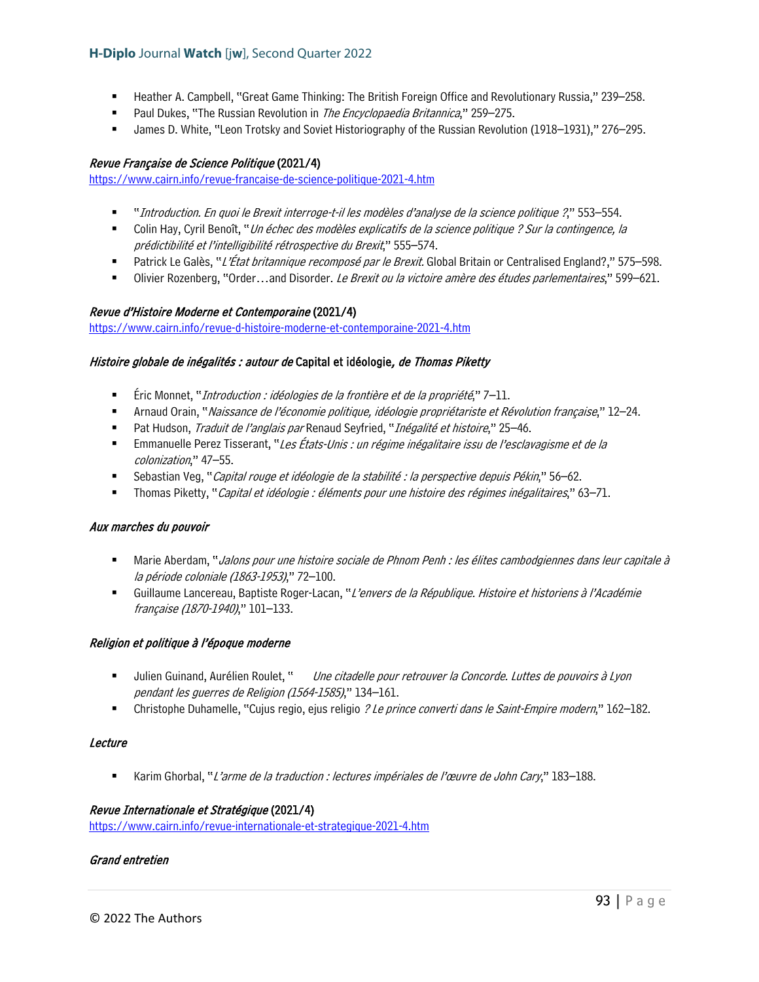- Heather A. Campbell, "Great Game Thinking: The British Foreign Office and Revolutionary Russia," 239–258.
- **Paul Dukes, "The Russian Revolution in The Encyclopaedia Britannica," 259–275.**
- James D. White, "Leon Trotsky and Soviet Historiography of the Russian Revolution (1918–1931)," 276–295.

#### Revue Française de Science Politique (2021/4)

<https://www.cairn.info/revue-francaise-de-science-politique-2021-4.htm>

- "Introduction. En quoi le Brexit interroge-t-il les modèles d'analyse de la science politique ?," 553–554.
- Colin Hay, Cyril Benoît, "*Un échec des modèles explicatifs de la science politique ? Sur la contingence, la* prédictibilité et l'intelligibilité rétrospective du Brexit," 555–574.
- Patrick Le Galès, "L'État britannique recomposé par le Brexit. Global Britain or Centralised England?," 575–598.
- Olivier Rozenberg, "Order...and Disorder. Le Brexit ou la victoire amère des études parlementaires," 599–621.

#### Revue d'Histoire Moderne et Contemporaine (2021/4)

<https://www.cairn.info/revue-d-histoire-moderne-et-contemporaine-2021-4.htm>

### Histoire globale de inégalités : autour de Capital et idéologie, de Thomas Piketty

- Éric Monnet, "*Introduction : idéologies de la frontière et de la propriété*," 7–11.
- Arnaud Orain, "Naissance de l'économie politique, idéologie propriétariste et Révolution française," 12–24.
- Pat Hudson, *Traduit de l'anglais par* Renaud Seyfried, "*Inégalité et histoire*," 25–46.
- **Emmanuelle Perez Tisserant, "Les États-Unis : un régime inégalitaire issu de l'esclavagisme et de la** colonization," 47–55.
- Sebastian Veg, "Capital rouge et idéologie de la stabilité : la perspective depuis Pékin," 56–62.
- Thomas Piketty, "Capital et idéologie : éléments pour une histoire des régimes inégalitaires," 63–71.

#### Aux marches du pouvoir

- Marie Aberdam, "Jalons pour une histoire sociale de Phnom Penh : les élites cambodgiennes dans leur capitale à la période coloniale (1863-1953)," 72–100.
- Guillaume Lancereau, Baptiste Roger-Lacan, "L'envers de la République. Histoire et historiens à l'Académie française (1870-1940)," 101–133.

#### Religion et politique à l'époque moderne

- Julien Guinand, Aurélien Roulet, " Une citadelle pour retrouver la Concorde. Luttes de pouvoirs à Lyon pendant les guerres de Religion (1564-1585)," 134–161.
- Christophe Duhamelle, "Cujus regio, ejus religio *? Le prince converti dans le Saint-Empire modern*," 162–182.

#### **Lecture**

■ Karim Ghorbal, "L'arme de la traduction : lectures impériales de l'œuvre de John Cary," 183–188.

#### Revue Internationale et Stratégique (2021/4)

<https://www.cairn.info/revue-internationale-et-strategique-2021-4.htm>

#### Grand entretien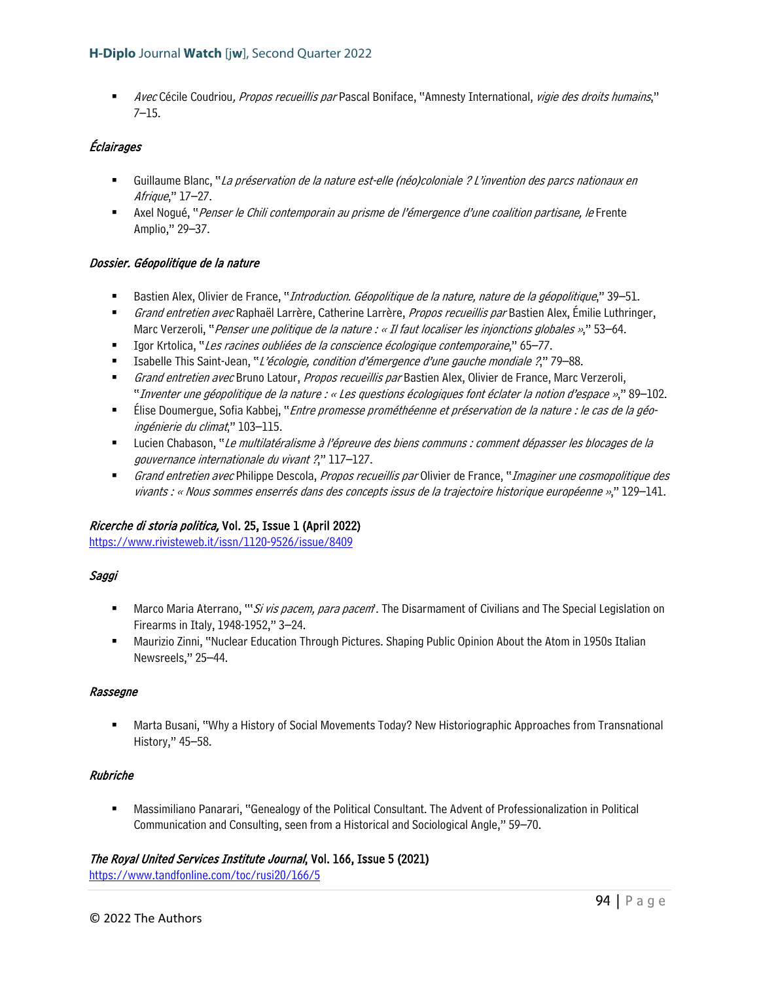**Avec Cécile Coudriou, Propos recueillis par Pascal Boniface, "Amnesty International, vigie des droits humains,"** 7–15.

# Éclairages

- Guillaume Blanc, "La préservation de la nature est-elle (néo)coloniale ? L'invention des parcs nationaux en Afrique," 17–27.
- Axel Nogué, "*Penser le Chili contemporain au prisme de l'émergence d'une coalition partisane, le* Frente Amplio," 29–37.

## Dossier. Géopolitique de la nature

- Bastien Alex, Olivier de France, "*Introduction. Géopolitique de la nature, nature de la géopolitique*," 39–51.
- Grand entretien avec Raphaël Larrère, Catherine Larrère, Propos recueillis par Bastien Alex, Émilie Luthringer, Marc Verzeroli, "Penser une politique de la nature : « Il faut localiser les injonctions globales »," 53–64.
- Igor Krtolica, "Les racines oubliées de la conscience écologique contemporaine," 65–77.
- Isabelle This Saint-Jean, "L'écologie, condition d'émergence d'une gauche mondiale ?," 79–88.
- Grand entretien avec Bruno Latour, Propos recueillis par Bastien Alex, Olivier de France, Marc Verzeroli, "Inventer une géopolitique de la nature : « Les questions écologiques font éclater la notion d'espace »," 89–102.
- Élise Doumergue, Sofia Kabbej, "Entre promesse prométhéenne et préservation de la nature : le cas de la géoingénierie du climat," 103–115.
- **Lucien Chabason, "Le multilatéralisme à l'épreuve des biens communs : comment dépasser les blocages de la** gouvernance internationale du vivant ?," 117–127.
- Grand entretien avec Philippe Descola, Propos recueillis par Olivier de France, "Imaginer une cosmopolitique des vivants : « Nous sommes enserrés dans des concepts issus de la trajectoire historique européenne »," 129–141.

## Ricerche di storia politica, Vol. 25, Issue 1 (April 2022)

<https://www.rivisteweb.it/issn/1120-9526/issue/8409>

## Saggi

- Marco Maria Aterrano, "'Si vis pacem, para pacem'. The Disarmament of Civilians and The Special Legislation on Firearms in Italy, 1948-1952," 3–24.
- Maurizio Zinni, "Nuclear Education Through Pictures. Shaping Public Opinion About the Atom in 1950s Italian Newsreels," 25–44.

## Rassegne

 Marta Busani, "Why a History of Social Movements Today? New Historiographic Approaches from Transnational History," 45–58.

## Rubriche

 Massimiliano Panarari, "Genealogy of the Political Consultant. The Advent of Professionalization in Political Communication and Consulting, seen from a Historical and Sociological Angle," 59–70.

## The Royal United Services Institute Journal, Vol. 166, Issue 5 (2021)

<https://www.tandfonline.com/toc/rusi20/166/5>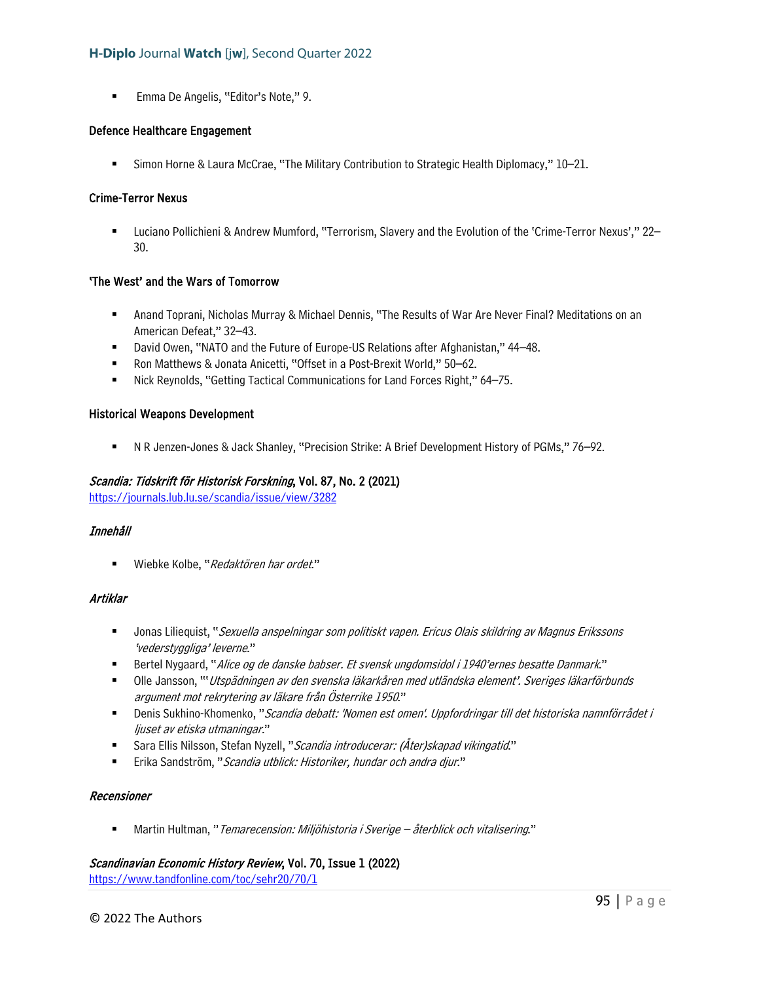**Emma De Angelis, "Editor's Note," 9.** 

### Defence Healthcare Engagement

Simon Horne & Laura McCrae, "The Military Contribution to Strategic Health Diplomacy," 10–21.

## Crime-Terror Nexus

 Luciano Pollichieni & Andrew Mumford, "Terrorism, Slavery and the Evolution of the 'Crime-Terror Nexus'," 22– 30.

## 'The West' and the Wars of Tomorrow

- Anand Toprani, Nicholas Murray & Michael Dennis, "The Results of War Are Never Final? Meditations on an American Defeat," 32–43.
- David Owen, "NATO and the Future of Europe-US Relations after Afghanistan," 44–48.
- Ron Matthews & Jonata Anicetti, "Offset in a Post-Brexit World," 50-62.
- Nick Reynolds, "Getting Tactical Communications for Land Forces Right," 64–75.

#### Historical Weapons Development

N R Jenzen-Jones & Jack Shanley, "Precision Strike: A Brief Development History of PGMs," 76–92.

### Scandia: Tidskrift för Historisk Forskning, Vol. 87, No. 2 (2021)

<https://journals.lub.lu.se/scandia/issue/view/3282>

## Innehåll

■ Wiebke Kolbe, "Redaktören har ordet."

## Artiklar

- **Jonas Liliequist, "Sexuella anspelningar som politiskt vapen. Ericus Olais skildring av Magnus Erikssons** 'vederstyggliga' leverne."
- **Bertel Nygaard, "Alice og de danske babser. Et svensk ungdomsidol i 1940'ernes besatte Danmark."**
- **Ulle Jansson, "'Utspädningen av den svenska läkarkåren med utländska element'. Sveriges läkarförbunds** argument mot rekrytering av läkare från Österrike 1950."
- Denis Sukhino-Khomenko, "Scandia debatt: 'Nomen est omen'. Uppfordringar till det historiska namnförrådet i ljuset av etiska utmaningar."
- Sara Ellis Nilsson, Stefan Nyzell, "Scandia introducerar: (Åter)skapad vikingatid."
- Erika Sandström, "Scandia utblick: Historiker, hundar och andra djur."

## Recensioner

Martin Hultman, "Temarecension: Miljöhistoria i Sverige – återblick och vitalisering."

## Scandinavian Economic History Review, Vol. 70, Issue 1 (2022)

<https://www.tandfonline.com/toc/sehr20/70/1>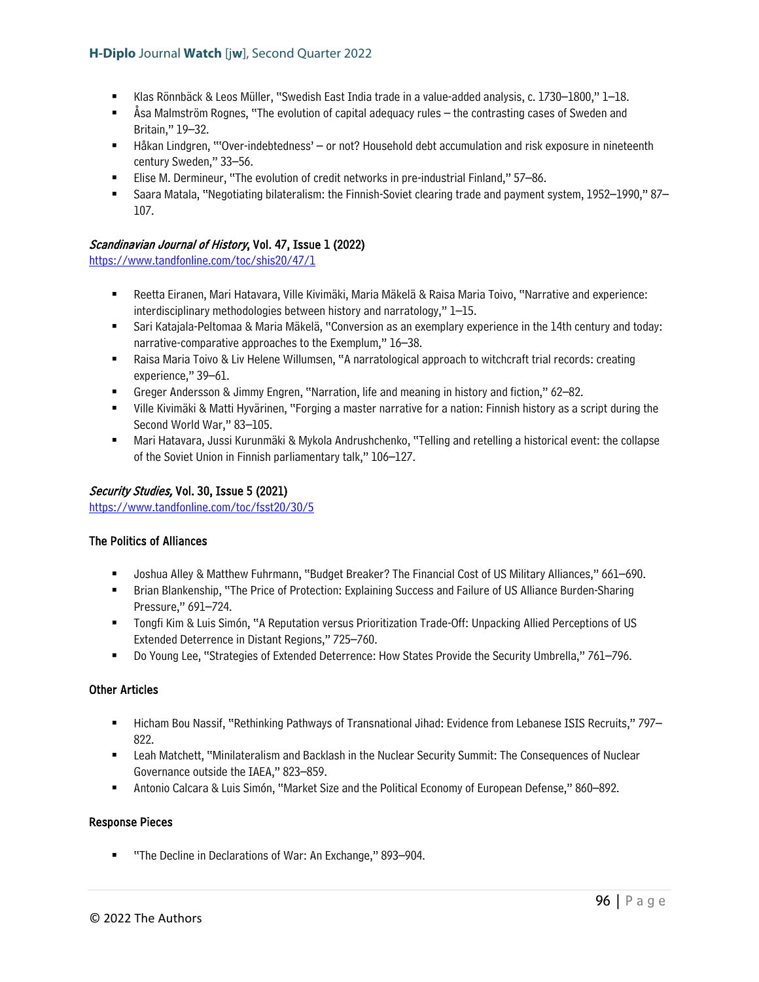- Klas Rönnbäck & Leos Müller, "Swedish East India trade in a value-added analysis, c. 1730–1800," 1–18.
- Åsa Malmström Rognes, "The evolution of capital adequacy rules the contrasting cases of Sweden and Britain," 19–32.
- Håkan Lindgren, "'Over-indebtedness' or not? Household debt accumulation and risk exposure in nineteenth century Sweden," 33–56.
- Elise M. Dermineur, "The evolution of credit networks in pre-industrial Finland," 57–86.
- Saara Matala, "Negotiating bilateralism: the Finnish-Soviet clearing trade and payment system, 1952–1990," 87– 107.

### Scandinavian Journal of History, Vol. 47, Issue 1 (2022)

<https://www.tandfonline.com/toc/shis20/47/1>

- Reetta Eiranen, Mari Hatavara, Ville Kivimäki, Maria Mäkelä & Raisa Maria Toivo, "Narrative and experience: interdisciplinary methodologies between history and narratology," 1–15.
- Sari Katajala-Peltomaa & Maria Mäkelä, "Conversion as an exemplary experience in the 14th century and today: narrative-comparative approaches to the Exemplum," 16–38.
- Raisa Maria Toivo & Liv Helene Willumsen, "A narratological approach to witchcraft trial records: creating experience," 39–61.
- Greger Andersson & Jimmy Engren, "Narration, life and meaning in history and fiction," 62–82.
- Ville Kivimäki & Matti Hyvärinen, "Forging a master narrative for a nation: Finnish history as a script during the Second World War," 83–105.
- Mari Hatavara, Jussi Kurunmäki & Mykola Andrushchenko, "Telling and retelling a historical event: the collapse of the Soviet Union in Finnish parliamentary talk," 106–127.

### Security Studies, Vol. 30, Issue 5 (2021)

<https://www.tandfonline.com/toc/fsst20/30/5>

#### The Politics of Alliances

- Joshua Alley & Matthew Fuhrmann, "Budget Breaker? The Financial Cost of US Military Alliances," 661–690.
- Brian Blankenship, "The Price of Protection: Explaining Success and Failure of US Alliance Burden-Sharing Pressure," 691–724.
- Tongfi Kim & Luis Simón, "A Reputation versus Prioritization Trade-Off: Unpacking Allied Perceptions of US Extended Deterrence in Distant Regions," 725–760.
- Do Young Lee, "Strategies of Extended Deterrence: How States Provide the Security Umbrella," 761–796.

#### Other Articles

- Hicham Bou Nassif, "Rethinking Pathways of Transnational Jihad: Evidence from Lebanese ISIS Recruits," 797– 822.
- Leah Matchett, "Minilateralism and Backlash in the Nuclear Security Summit: The Consequences of Nuclear Governance outside the IAEA," 823–859.
- Antonio Calcara & Luis Simón, "Market Size and the Political Economy of European Defense," 860–892.

#### Response Pieces

■ "The Decline in Declarations of War: An Exchange," 893–904.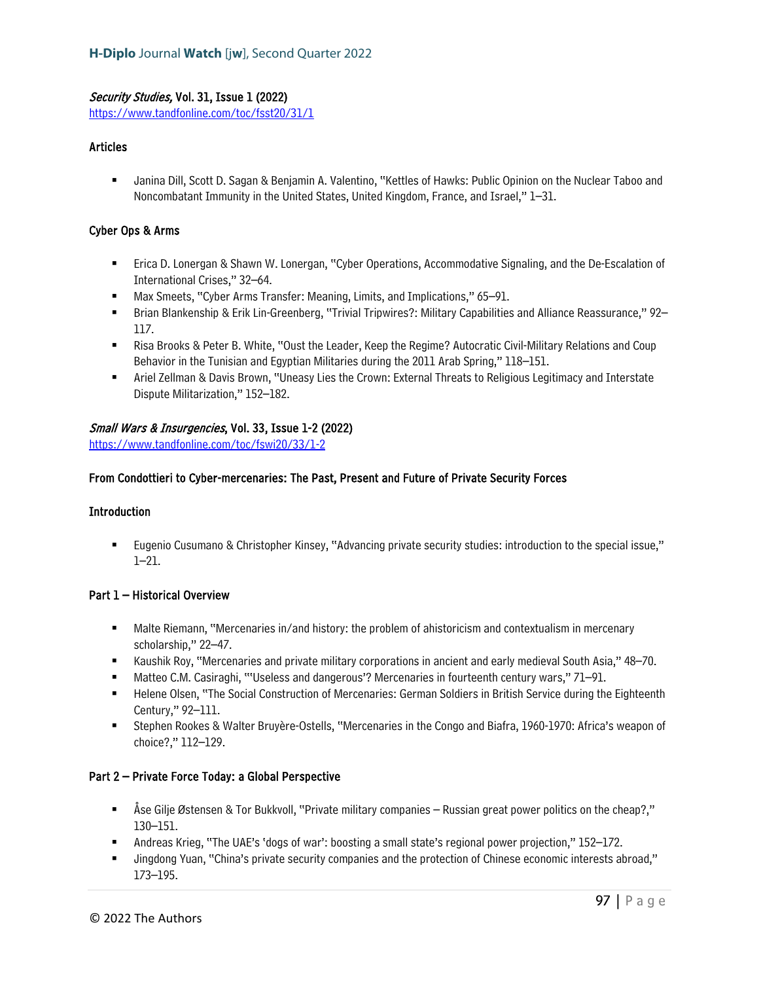## Security Studies, Vol. 31, Issue 1 (2022)

<https://www.tandfonline.com/toc/fsst20/31/1>

### Articles

 Janina Dill, Scott D. Sagan & Benjamin A. Valentino, "Kettles of Hawks: Public Opinion on the Nuclear Taboo and Noncombatant Immunity in the United States, United Kingdom, France, and Israel," 1–31.

### Cyber Ops & Arms

- Erica D. Lonergan & Shawn W. Lonergan, "Cyber Operations, Accommodative Signaling, and the De-Escalation of International Crises," 32–64.
- Max Smeets, "Cyber Arms Transfer: Meaning, Limits, and Implications," 65–91.
- Brian Blankenship & Erik Lin-Greenberg, "Trivial Tripwires?: Military Capabilities and Alliance Reassurance," 92– 117.
- Risa Brooks & Peter B. White, "Oust the Leader, Keep the Regime? Autocratic Civil-Military Relations and Coup Behavior in the Tunisian and Egyptian Militaries during the 2011 Arab Spring," 118–151.
- Ariel Zellman & Davis Brown, "Uneasy Lies the Crown: External Threats to Religious Legitimacy and Interstate Dispute Militarization," 152–182.

### Small Wars & Insurgencies, Vol. 33, Issue 1-2 (2022)

<https://www.tandfonline.com/toc/fswi20/33/1-2>

### From Condottieri to Cyber-mercenaries: The Past, Present and Future of Private Security Forces

### **Introduction**

 Eugenio Cusumano & Christopher Kinsey, "Advancing private security studies: introduction to the special issue," 1–21.

#### Part 1 – Historical Overview

- **Malte Riemann, "Mercenaries in/and history: the problem of ahistoricism and contextualism in mercenary** scholarship," 22–47.
- Kaushik Roy, "Mercenaries and private military corporations in ancient and early medieval South Asia," 48–70.
- Matteo C.M. Casiraghi, "'Useless and dangerous'? Mercenaries in fourteenth century wars," 71–91.
- Helene Olsen, "The Social Construction of Mercenaries: German Soldiers in British Service during the Eighteenth Century," 92–111.
- Stephen Rookes & Walter Bruyère-Ostells, "Mercenaries in the Congo and Biafra, 1960-1970: Africa's weapon of choice?," 112–129.

#### Part 2 – Private Force Today: a Global Perspective

- Åse Gilje Østensen & Tor Bukkvoll, "Private military companies Russian great power politics on the cheap?," 130–151.
- Andreas Krieg, "The UAE's 'dogs of war': boosting a small state's regional power projection," 152–172.
- Jingdong Yuan, "China's private security companies and the protection of Chinese economic interests abroad," 173–195.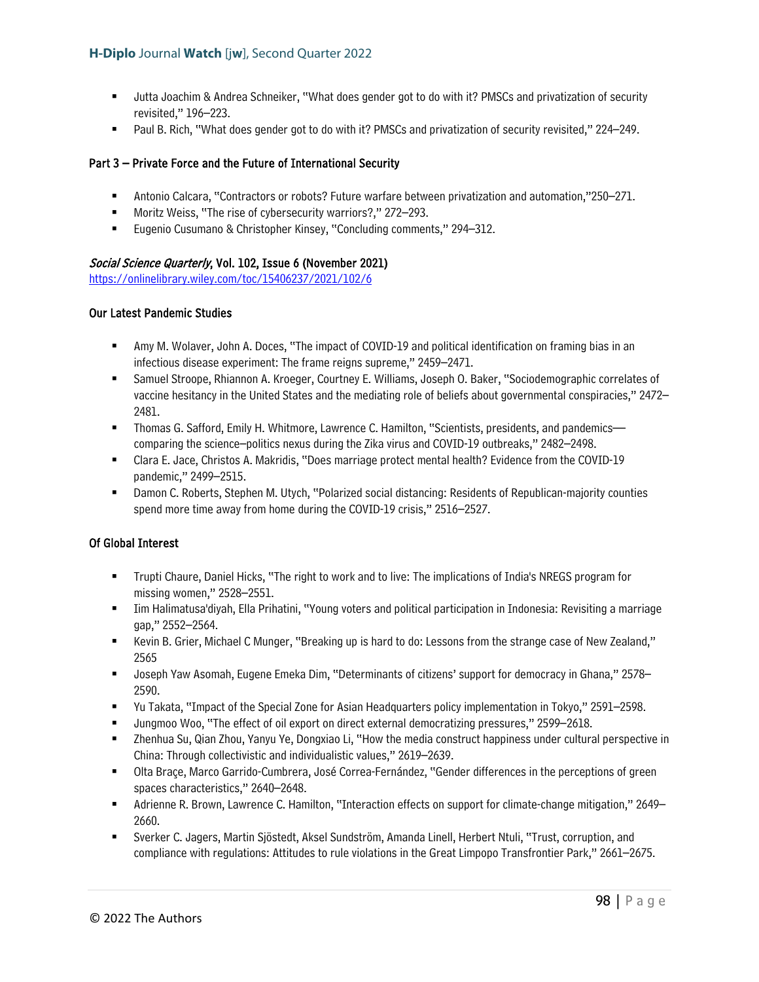- Jutta Joachim & Andrea Schneiker, "What does gender got to do with it? PMSCs and privatization of security revisited," 196–223.
- Paul B. Rich, "What does gender got to do with it? PMSCs and privatization of security revisited," 224–249.

## Part 3 – Private Force and the Future of International Security

- Antonio Calcara, "Contractors or robots? Future warfare between privatization and automation,"250–271.
- Moritz Weiss, "The rise of cybersecurity warriors?," 272–293.
- Eugenio Cusumano & Christopher Kinsey, "Concluding comments," 294–312.

#### Social Science Quarterly, Vol. 102, Issue 6 (November 2021)

<https://onlinelibrary.wiley.com/toc/15406237/2021/102/6>

### Our Latest Pandemic Studies

- Amy M. Wolaver, John A. Doces, "The impact of COVID-19 and political identification on framing bias in an infectious disease experiment: The frame reigns supreme," 2459–2471.
- Samuel Stroope, Rhiannon A. Kroeger, Courtney E. Williams, Joseph O. Baker, "Sociodemographic correlates of vaccine hesitancy in the United States and the mediating role of beliefs about governmental conspiracies," 2472– 2481.
- Thomas G. Safford, Emily H. Whitmore, Lawrence C. Hamilton, "Scientists, presidents, and pandemics comparing the science–politics nexus during the Zika virus and COVID-19 outbreaks," 2482–2498.
- Clara E. Jace, Christos A. Makridis, "Does marriage protect mental health? Evidence from the COVID-19 pandemic," 2499–2515.
- Damon C. Roberts, Stephen M. Utych, "Polarized social distancing: Residents of Republican-majority counties spend more time away from home during the COVID-19 crisis," 2516–2527.

#### Of Global Interest

- Trupti Chaure, Daniel Hicks, "The right to work and to live: The implications of India's NREGS program for missing women," 2528–2551.
- Iim Halimatusa'diyah, Ella Prihatini, "Young voters and political participation in Indonesia: Revisiting a marriage gap," 2552–2564.
- "Kevin B. Grier, Michael C Munger, "Breaking up is hard to do: Lessons from the strange case of New Zealand," 2565
- Joseph Yaw Asomah, Eugene Emeka Dim, "Determinants of citizens' support for democracy in Ghana," 2578– 2590.
- Yu Takata, "Impact of the Special Zone for Asian Headquarters policy implementation in Tokyo," 2591–2598.
- Jungmoo Woo, "The effect of oil export on direct external democratizing pressures," 2599–2618.
- Zhenhua Su, Qian Zhou, Yanyu Ye, Dongxiao Li, "How the media construct happiness under cultural perspective in China: Through collectivistic and individualistic values," 2619–2639.
- Olta Braçe, Marco Garrido-Cumbrera, José Correa-Fernández, "Gender differences in the perceptions of green spaces characteristics," 2640–2648.
- Adrienne R. Brown, Lawrence C. Hamilton, "Interaction effects on support for climate-change mitigation," 2649– 2660.
- Sverker C. Jagers, Martin Sjöstedt, Aksel Sundström, Amanda Linell, Herbert Ntuli, "Trust, corruption, and compliance with regulations: Attitudes to rule violations in the Great Limpopo Transfrontier Park," 2661–2675.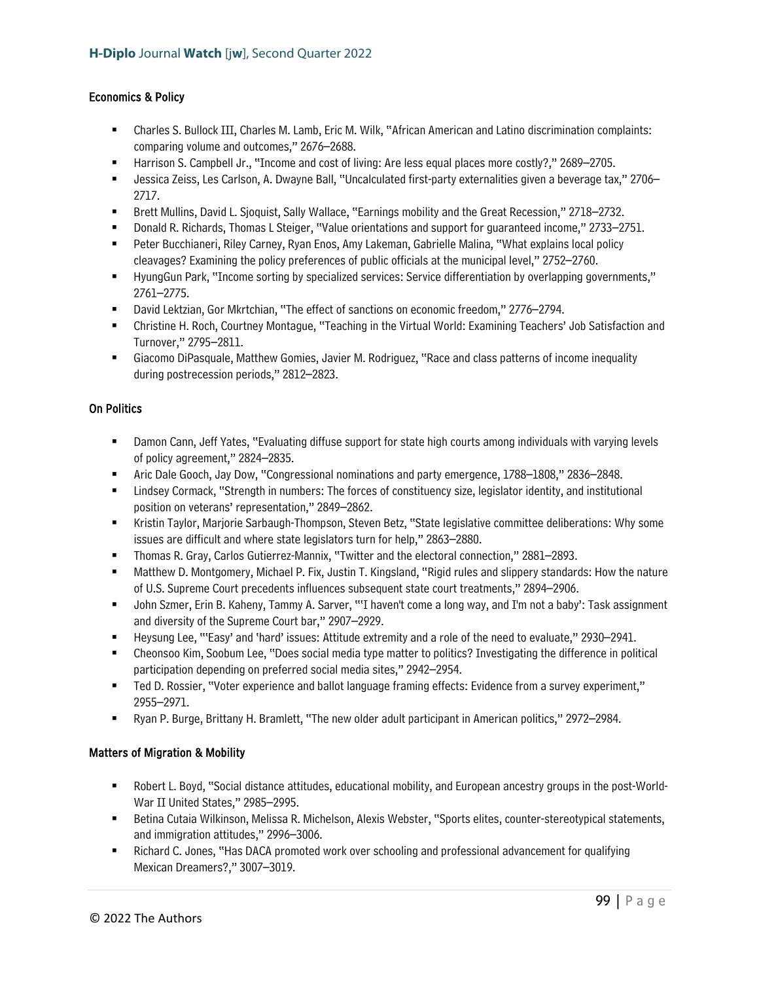### Economics & Policy

- Charles S. Bullock III, Charles M. Lamb, Eric M. Wilk, "African American and Latino discrimination complaints: comparing volume and outcomes," 2676–2688.
- Harrison S. Campbell Jr., "Income and cost of living: Are less equal places more costly?," 2689–2705.
- Jessica Zeiss, Les Carlson, A. Dwayne Ball, "Uncalculated first-party externalities given a beverage tax," 2706– 2717.
- Brett Mullins, David L. Sjoquist, Sally Wallace, "Earnings mobility and the Great Recession," 2718–2732.
- Donald R. Richards, Thomas L Steiger, "Value orientations and support for guaranteed income," 2733–2751.
- Peter Bucchianeri, Riley Carney, Ryan Enos, Amy Lakeman, Gabrielle Malina, "What explains local policy cleavages? Examining the policy preferences of public officials at the municipal level," 2752–2760.
- HyungGun Park, "Income sorting by specialized services: Service differentiation by overlapping governments," 2761–2775.
- David Lektzian, Gor Mkrtchian, "The effect of sanctions on economic freedom," 2776–2794.
- Christine H. Roch, Courtney Montague, "Teaching in the Virtual World: Examining Teachers' Job Satisfaction and Turnover," 2795–2811.
- Giacomo DiPasquale, Matthew Gomies, Javier M. Rodriguez, "Race and class patterns of income inequality during postrecession periods," 2812–2823.

### On Politics

- Damon Cann, Jeff Yates, "Evaluating diffuse support for state high courts among individuals with varying levels of policy agreement," 2824–2835.
- Aric Dale Gooch, Jay Dow, "Congressional nominations and party emergence, 1788–1808," 2836–2848.
- Lindsey Cormack, "Strength in numbers: The forces of constituency size, legislator identity, and institutional position on veterans' representation," 2849–2862.
- **Kristin Taylor, Marjorie Sarbaugh-Thompson, Steven Betz, "State legislative committee deliberations: Why some** issues are difficult and where state legislators turn for help," 2863–2880.
- Thomas R. Gray, Carlos Gutierrez-Mannix, "Twitter and the electoral connection," 2881–2893.
- Matthew D. Montgomery, Michael P. Fix, Justin T. Kingsland, "Rigid rules and slippery standards: How the nature of U.S. Supreme Court precedents influences subsequent state court treatments," 2894–2906.
- John Szmer, Erin B. Kaheny, Tammy A. Sarver, "'I haven't come a long way, and I'm not a baby': Task assignment and diversity of the Supreme Court bar," 2907–2929.
- Heysung Lee, "'Easy' and 'hard' issues: Attitude extremity and a role of the need to evaluate," 2930–2941.
- Cheonsoo Kim, Soobum Lee, "Does social media type matter to politics? Investigating the difference in political participation depending on preferred social media sites," 2942–2954.
- Ted D. Rossier, "Voter experience and ballot language framing effects: Evidence from a survey experiment," 2955–2971.
- Ryan P. Burge, Brittany H. Bramlett, "The new older adult participant in American politics," 2972–2984.

## Matters of Migration & Mobility

- Robert L. Boyd, "Social distance attitudes, educational mobility, and European ancestry groups in the post-World-War II United States," 2985–2995.
- Betina Cutaia Wilkinson, Melissa R. Michelson, Alexis Webster, "Sports elites, counter-stereotypical statements, and immigration attitudes," 2996–3006.
- **EXECT** Richard C. Jones, "Has DACA promoted work over schooling and professional advancement for qualifying Mexican Dreamers?," 3007–3019.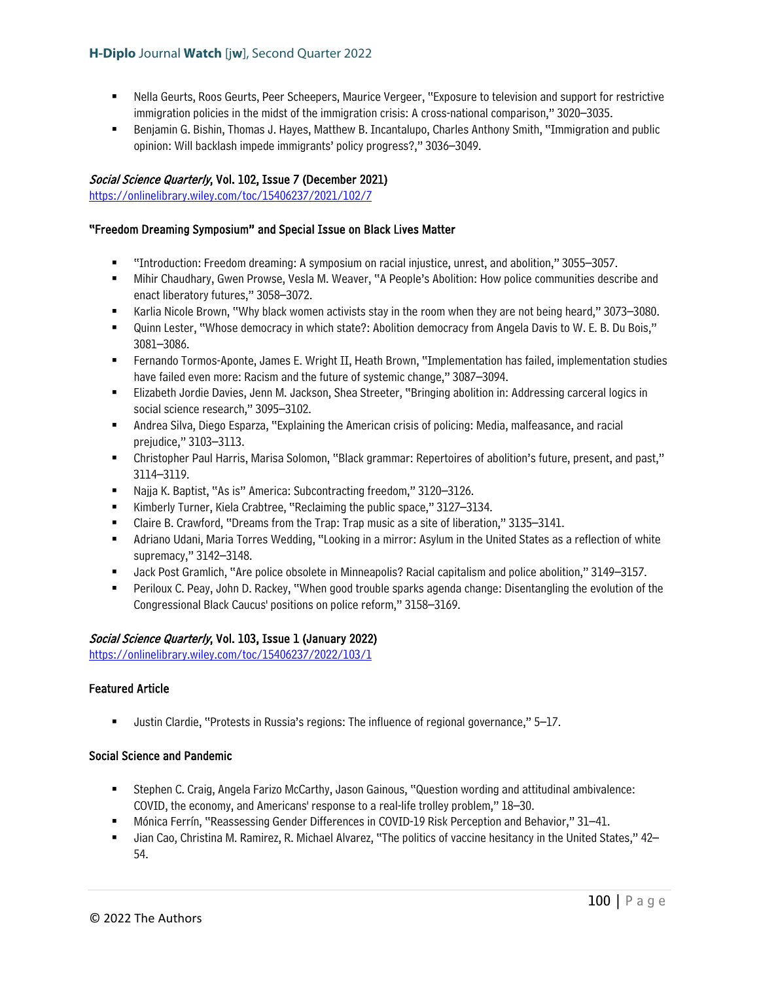- Nella Geurts, Roos Geurts, Peer Scheepers, Maurice Vergeer, "Exposure to television and support for restrictive immigration policies in the midst of the immigration crisis: A cross-national comparison," 3020–3035.
- **Benjamin G. Bishin, Thomas J. Hayes, Matthew B. Incantalupo, Charles Anthony Smith, "Immigration and public 4** opinion: Will backlash impede immigrants' policy progress?," 3036–3049.

## Social Science Quarterly, Vol. 102, Issue 7 (December 2021)

<https://onlinelibrary.wiley.com/toc/15406237/2021/102/7>

## "Freedom Dreaming Symposium" and Special Issue on Black Lives Matter

- "Introduction: Freedom dreaming: A symposium on racial injustice, unrest, and abolition," 3055–3057.
- Mihir Chaudhary, Gwen Prowse, Vesla M. Weaver, "A People's Abolition: How police communities describe and enact liberatory futures," 3058–3072.
- Karlia Nicole Brown, "Why black women activists stay in the room when they are not being heard," 3073–3080.
- Quinn Lester, "Whose democracy in which state?: Abolition democracy from Angela Davis to W. E. B. Du Bois," 3081–3086.
- Fernando Tormos-Aponte, James E. Wright II, Heath Brown, "Implementation has failed, implementation studies have failed even more: Racism and the future of systemic change," 3087–3094.
- Elizabeth Jordie Davies, Jenn M. Jackson, Shea Streeter, "Bringing abolition in: Addressing carceral logics in social science research," 3095-3102.
- Andrea Silva, Diego Esparza, "Explaining the American crisis of policing: Media, malfeasance, and racial prejudice," 3103–3113.
- Christopher Paul Harris, Marisa Solomon, "Black grammar: Repertoires of abolition's future, present, and past," 3114–3119.
- Najja K. Baptist, "As is" America: Subcontracting freedom," 3120–3126.
- Kimberly Turner, Kiela Crabtree, "Reclaiming the public space," 3127–3134.
- Claire B. Crawford, "Dreams from the Trap: Trap music as a site of liberation," 3135–3141.
- Adriano Udani, Maria Torres Wedding, "Looking in a mirror: Asylum in the United States as a reflection of white supremacy," 3142–3148.
- Jack Post Gramlich, "Are police obsolete in Minneapolis? Racial capitalism and police abolition," 3149–3157.
- Periloux C. Peay, John D. Rackey, "When good trouble sparks agenda change: Disentangling the evolution of the Congressional Black Caucus' positions on police reform," 3158–3169.

## Social Science Quarterly, Vol. 103, Issue 1 (January 2022)

<https://onlinelibrary.wiley.com/toc/15406237/2022/103/1>

## Featured Article

Justin Clardie, "Protests in Russia's regions: The influence of regional governance," 5–17.

## Social Science and Pandemic

- Stephen C. Craig, Angela Farizo McCarthy, Jason Gainous, "Question wording and attitudinal ambivalence: COVID, the economy, and Americans' response to a real-life trolley problem," 18–30.
- Mónica Ferrín, "Reassessing Gender Differences in COVID-19 Risk Perception and Behavior," 31–41.
- Jian Cao, Christina M. Ramirez, R. Michael Alvarez, "The politics of vaccine hesitancy in the United States," 42– 54.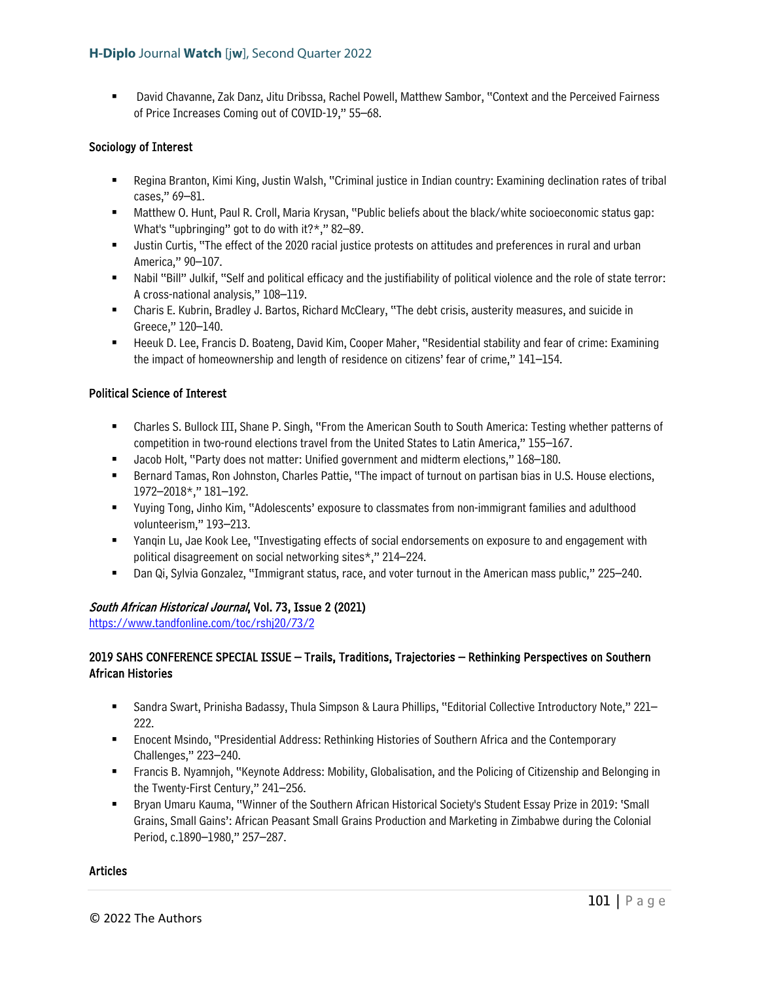David Chavanne, Zak Danz, Jitu Dribssa, Rachel Powell, Matthew Sambor, "Context and the Perceived Fairness of Price Increases Coming out of COVID-19," 55–68.

## Sociology of Interest

- **Regina Branton, Kimi King, Justin Walsh, "Criminal justice in Indian country: Examining declination rates of tribal** cases," 69–81.
- Matthew O. Hunt, Paul R. Croll, Maria Krysan, "Public beliefs about the black/white socioeconomic status gap: What's "upbringing" got to do with it?\*," 82–89.
- Justin Curtis, "The effect of the 2020 racial justice protests on attitudes and preferences in rural and urban America," 90–107.
- Nabil "Bill" Julkif, "Self and political efficacy and the justifiability of political violence and the role of state terror: A cross-national analysis," 108–119.
- Charis E. Kubrin, Bradley J. Bartos, Richard McCleary, "The debt crisis, austerity measures, and suicide in Greece," 120–140.
- Heeuk D. Lee, Francis D. Boateng, David Kim, Cooper Maher, "Residential stability and fear of crime: Examining the impact of homeownership and length of residence on citizens' fear of crime," 141–154.

### Political Science of Interest

- Charles S. Bullock III, Shane P. Singh, "From the American South to South America: Testing whether patterns of competition in two-round elections travel from the United States to Latin America," 155–167.
- Jacob Holt, "Party does not matter: Unified government and midterm elections," 168–180.
- **Bernard Tamas, Ron Johnston, Charles Pattie, "The impact of turnout on partisan bias in U.S. House elections,** 1972–2018\*," 181–192.
- Yuying Tong, Jinho Kim, "Adolescents' exposure to classmates from non-immigrant families and adulthood volunteerism," 193–213.
- Yanqin Lu, Jae Kook Lee, "Investigating effects of social endorsements on exposure to and engagement with political disagreement on social networking sites\*," 214–224.
- Dan Qi, Sylvia Gonzalez, "Immigrant status, race, and voter turnout in the American mass public," 225–240.

## South African Historical Journal, Vol. 73, Issue 2 (2021)

<https://www.tandfonline.com/toc/rshj20/73/2>

## 2019 SAHS CONFERENCE SPECIAL ISSUE – Trails, Traditions, Trajectories – Rethinking Perspectives on Southern African Histories

- Sandra Swart, Prinisha Badassy, Thula Simpson & Laura Phillips, "Editorial Collective Introductory Note," 221– 222.
- Enocent Msindo, "Presidential Address: Rethinking Histories of Southern Africa and the Contemporary Challenges," 223–240.
- Francis B. Nyamnjoh, "Keynote Address: Mobility, Globalisation, and the Policing of Citizenship and Belonging in the Twenty-First Century," 241–256.
- Bryan Umaru Kauma, "Winner of the Southern African Historical Society's Student Essay Prize in 2019: 'Small Grains, Small Gains': African Peasant Small Grains Production and Marketing in Zimbabwe during the Colonial Period, c.1890–1980," 257–287.

#### **Articles**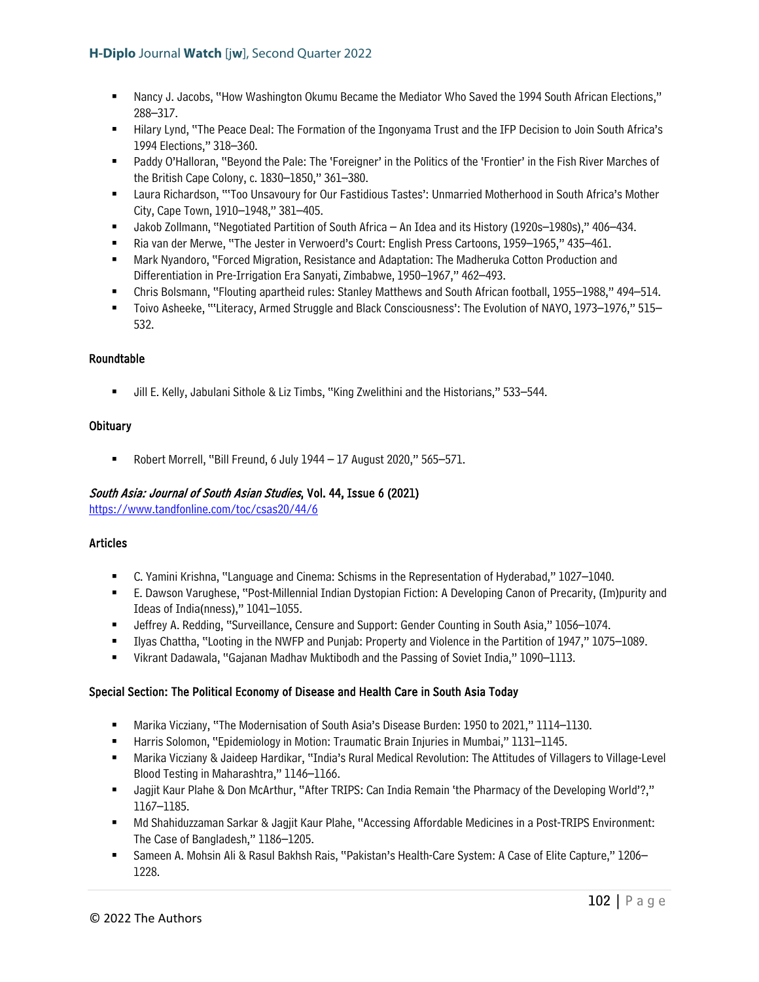- Nancy J. Jacobs, "How Washington Okumu Became the Mediator Who Saved the 1994 South African Elections," 288–317.
- "Hilary Lynd, "The Peace Deal: The Formation of the Ingonyama Trust and the IFP Decision to Join South Africa's 1994 Elections," 318–360.
- Paddy O'Halloran, "Beyond the Pale: The 'Foreigner' in the Politics of the 'Frontier' in the Fish River Marches of the British Cape Colony, c. 1830–1850," 361–380.
- Laura Richardson, "'Too Unsavoury for Our Fastidious Tastes': Unmarried Motherhood in South Africa's Mother City, Cape Town, 1910–1948," 381–405.
- Jakob Zollmann, "Negotiated Partition of South Africa An Idea and its History (1920s–1980s)," 406–434.
- Ria van der Merwe, "The Jester in Verwoerd's Court: English Press Cartoons, 1959–1965," 435–461.
- Mark Nyandoro, "Forced Migration, Resistance and Adaptation: The Madheruka Cotton Production and Differentiation in Pre-Irrigation Era Sanyati, Zimbabwe, 1950–1967," 462–493.
- Chris Bolsmann, "Flouting apartheid rules: Stanley Matthews and South African football, 1955–1988," 494–514.
- Toivo Asheeke, "'Literacy, Armed Struggle and Black Consciousness': The Evolution of NAYO, 1973–1976," 515– 532.

## Roundtable

Jill E. Kelly, Jabulani Sithole & Liz Timbs, "King Zwelithini and the Historians," 533–544.

### **Obituary**

Robert Morrell, "Bill Freund, 6 July 1944 – 17 August 2020," 565–571.

## South Asia: Journal of South Asian Studies, Vol. 44, Issue 6 (2021)

<https://www.tandfonline.com/toc/csas20/44/6>

## Articles

- C. Yamini Krishna, "Language and Cinema: Schisms in the Representation of Hyderabad," 1027–1040.
- E. Dawson Varughese, "Post-Millennial Indian Dystopian Fiction: A Developing Canon of Precarity, (Im)purity and Ideas of India(nness)," 1041–1055.
- **ULERT A. Redding, "Surveillance, Censure and Support: Gender Counting in South Asia," 1056–1074.**
- Ilyas Chattha, "Looting in the NWFP and Punjab: Property and Violence in the Partition of 1947," 1075–1089.
- Vikrant Dadawala, "Gajanan Madhav Muktibodh and the Passing of Soviet India," 1090–1113.

## Special Section: The Political Economy of Disease and Health Care in South Asia Today

- Marika Vicziany, "The Modernisation of South Asia's Disease Burden: 1950 to 2021," 1114–1130.
- **Harris Solomon, "Epidemiology in Motion: Traumatic Brain Injuries in Mumbai," 1131–1145.**
- Marika Vicziany & Jaideep Hardikar, "India's Rural Medical Revolution: The Attitudes of Villagers to Village-Level Blood Testing in Maharashtra," 1146–1166.
- Jagjit Kaur Plahe & Don McArthur, "After TRIPS: Can India Remain 'the Pharmacy of the Developing World'?," 1167–1185.
- Md Shahiduzzaman Sarkar & Jagjit Kaur Plahe, "Accessing Affordable Medicines in a Post-TRIPS Environment: The Case of Bangladesh," 1186–1205.
- Sameen A. Mohsin Ali & Rasul Bakhsh Rais, "Pakistan's Health-Care System: A Case of Elite Capture," 1206– 1228.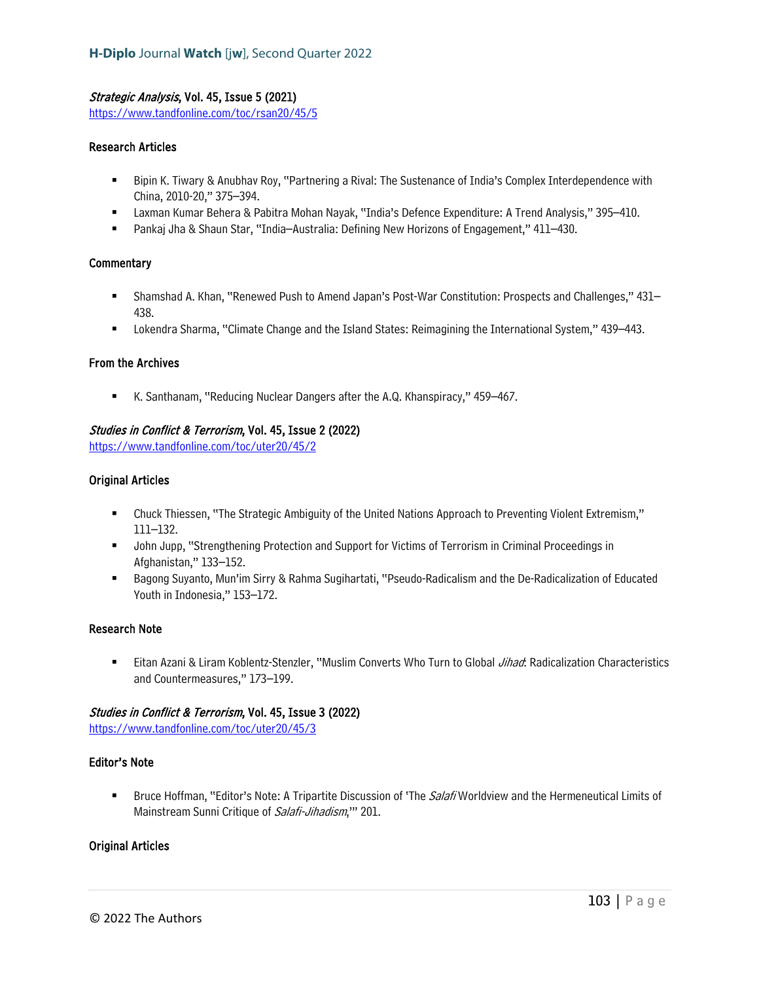### Strategic Analysis, Vol. 45, Issue 5 (2021)

<https://www.tandfonline.com/toc/rsan20/45/5>

### Research Articles

- Bipin K. Tiwary & Anubhav Roy, "Partnering a Rival: The Sustenance of India's Complex Interdependence with China, 2010-20," 375–394.
- Laxman Kumar Behera & Pabitra Mohan Nayak, "India's Defence Expenditure: A Trend Analysis," 395–410.
- Pankaj Jha & Shaun Star, "India–Australia: Defining New Horizons of Engagement," 411–430.

#### **Commentary**

- Shamshad A. Khan, "Renewed Push to Amend Japan's Post-War Constitution: Prospects and Challenges," 431– 438.
- Lokendra Sharma, "Climate Change and the Island States: Reimagining the International System," 439–443.

### From the Archives

K. Santhanam, "Reducing Nuclear Dangers after the A.Q. Khanspiracy," 459–467.

## Studies in Conflict & Terrorism, Vol. 45, Issue 2 (2022)

<https://www.tandfonline.com/toc/uter20/45/2>

### Original Articles

- Chuck Thiessen, "The Strategic Ambiguity of the United Nations Approach to Preventing Violent Extremism," 111–132.
- John Jupp, "Strengthening Protection and Support for Victims of Terrorism in Criminal Proceedings in Afghanistan," 133–152.
- Bagong Suyanto, Mun'im Sirry & Rahma Sugihartati, "Pseudo-Radicalism and the De-Radicalization of Educated Youth in Indonesia," 153–172.

#### Research Note

**Eitan Azani & Liram Koblentz-Stenzler, "Muslim Converts Who Turn to Global** *Jihad***: Radicalization Characteristics** and Countermeasures," 173–199.

#### Studies in Conflict & Terrorism, Vol. 45, Issue 3 (2022)

<https://www.tandfonline.com/toc/uter20/45/3>

#### Editor's Note

**Bruce Hoffman, "Editor's Note: A Tripartite Discussion of 'The Salafi Worldview and the Hermeneutical Limits of** Mainstream Sunni Critique of Salafi-Jihadism," 201.

### Original Articles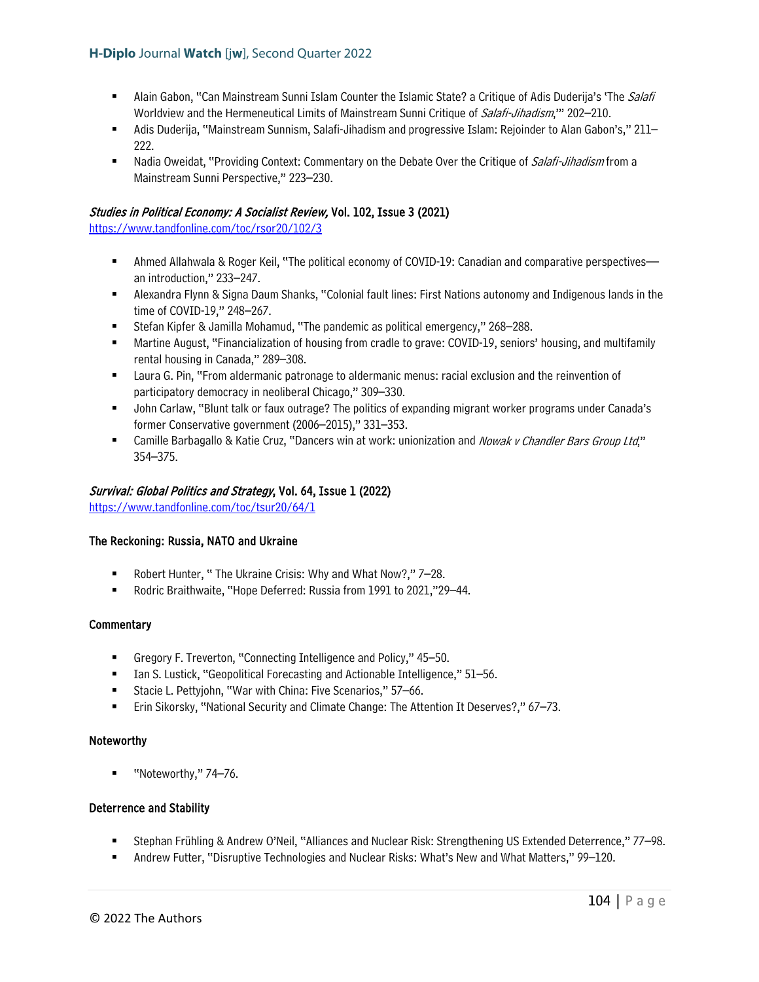- Alain Gabon, "Can Mainstream Sunni Islam Counter the Islamic State? a Critique of Adis Duderija's 'The Salafi' Worldview and the Hermeneutical Limits of Mainstream Sunni Critique of *Salafi-Jihadism*," 202–210.
- Adis Duderija, "Mainstream Sunnism, Salafi-Jihadism and progressive Islam: Rejoinder to Alan Gabon's," 211– 222.
- Nadia Oweidat, "Providing Context: Commentary on the Debate Over the Critique of Salafi-Jihadism from a Mainstream Sunni Perspective," 223–230.

## Studies in Political Economy: A Socialist Review, Vol. 102, Issue 3 (2021)

<https://www.tandfonline.com/toc/rsor20/102/3>

- Ahmed Allahwala & Roger Keil, "The political economy of COVID-19: Canadian and comparative perspectives an introduction," 233–247.
- Alexandra Flynn & Signa Daum Shanks, "Colonial fault lines: First Nations autonomy and Indigenous lands in the time of COVID-19," 248–267.
- Stefan Kipfer & Jamilla Mohamud, "The pandemic as political emergency," 268–288.
- Martine August, "Financialization of housing from cradle to grave: COVID-19, seniors' housing, and multifamily rental housing in Canada," 289–308.
- **EXECT ADDET ADDET IT ADDET IT ADDET** Laura G. Pinness Laura G. Pinness: racial exclusion and the reinvention of participatory democracy in neoliberal Chicago," 309–330.
- John Carlaw, "Blunt talk or faux outrage? The politics of expanding migrant worker programs under Canada's former Conservative government (2006–2015)," 331–353.
- Camille Barbagallo & Katie Cruz, "Dancers win at work: unionization and *Nowak v Chandler Bars Group Ltd*," 354–375.

### Survival: Global Politics and Strategy, Vol. 64, Issue 1 (2022)

<https://www.tandfonline.com/toc/tsur20/64/1>

#### The Reckoning: Russia, NATO and Ukraine

- Robert Hunter, "The Ukraine Crisis: Why and What Now?," 7–28.
- Rodric Braithwaite, "Hope Deferred: Russia from 1991 to 2021,"29-44.

#### **Commentary**

- Gregory F. Treverton, "Connecting Intelligence and Policy," 45–50.
- Ian S. Lustick, "Geopolitical Forecasting and Actionable Intelligence," 51–56.
- Stacie L. Pettyjohn, "War with China: Five Scenarios," 57–66.
- Erin Sikorsky, "National Security and Climate Change: The Attention It Deserves?," 67–73.

#### Noteworthy

■ "Noteworthy," 74–76.

#### Deterrence and Stability

- Stephan Frühling & Andrew O'Neil, "Alliances and Nuclear Risk: Strengthening US Extended Deterrence," 77–98.
- Andrew Futter, "Disruptive Technologies and Nuclear Risks: What's New and What Matters," 99–120.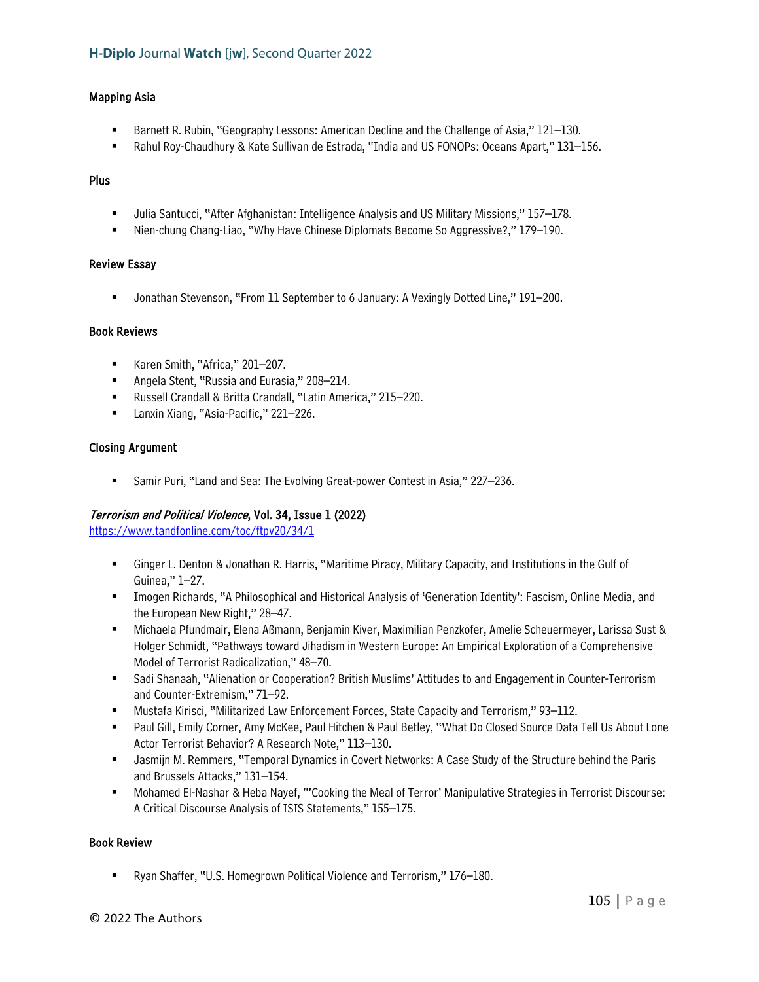#### Mapping Asia

- Barnett R. Rubin, "Geography Lessons: American Decline and the Challenge of Asia," 121–130.
- Rahul Roy-Chaudhury & Kate Sullivan de Estrada, "India and US FONOPs: Oceans Apart," 131–156.

#### Plus

- Julia Santucci, "After Afghanistan: Intelligence Analysis and US Military Missions," 157–178.
- Nien-chung Chang-Liao, "Why Have Chinese Diplomats Become So Aggressive?," 179–190.

#### Review Essay

■ Jonathan Stevenson, "From 11 September to 6 January: A Vexingly Dotted Line," 191–200.

### Book Reviews

- Karen Smith, "Africa," 201-207.
- **Angela Stent, "Russia and Eurasia," 208-214.**
- Russell Crandall & Britta Crandall, "Latin America," 215–220.
- Lanxin Xiang, "Asia-Pacific," 221–226.

### Closing Argument

Samir Puri, "Land and Sea: The Evolving Great-power Contest in Asia," 227–236.

#### Terrorism and Political Violence, Vol. 34, Issue 1 (2022)

<https://www.tandfonline.com/toc/ftpv20/34/1>

- Ginger L. Denton & Jonathan R. Harris, "Maritime Piracy, Military Capacity, and Institutions in the Gulf of Guinea," 1–27.
- Imogen Richards, "A Philosophical and Historical Analysis of 'Generation Identity': Fascism, Online Media, and the European New Right," 28–47.
- Michaela Pfundmair, Elena Aßmann, Benjamin Kiver, Maximilian Penzkofer, Amelie Scheuermeyer, Larissa Sust & Holger Schmidt, "Pathways toward Jihadism in Western Europe: An Empirical Exploration of a Comprehensive Model of Terrorist Radicalization," 48–70.
- Sadi Shanaah, "Alienation or Cooperation? British Muslims' Attitudes to and Engagement in Counter-Terrorism and Counter-Extremism," 71–92.
- Mustafa Kirisci, "Militarized Law Enforcement Forces, State Capacity and Terrorism," 93–112.
- Paul Gill, Emily Corner, Amy McKee, Paul Hitchen & Paul Betley, "What Do Closed Source Data Tell Us About Lone Actor Terrorist Behavior? A Research Note," 113–130.
- Jasmijn M. Remmers, "Temporal Dynamics in Covert Networks: A Case Study of the Structure behind the Paris and Brussels Attacks," 131–154.
- Mohamed El-Nashar & Heba Nayef, "'Cooking the Meal of Terror' Manipulative Strategies in Terrorist Discourse: A Critical Discourse Analysis of ISIS Statements," 155–175.

## Book Review

■ Ryan Shaffer, "U.S. Homegrown Political Violence and Terrorism," 176–180.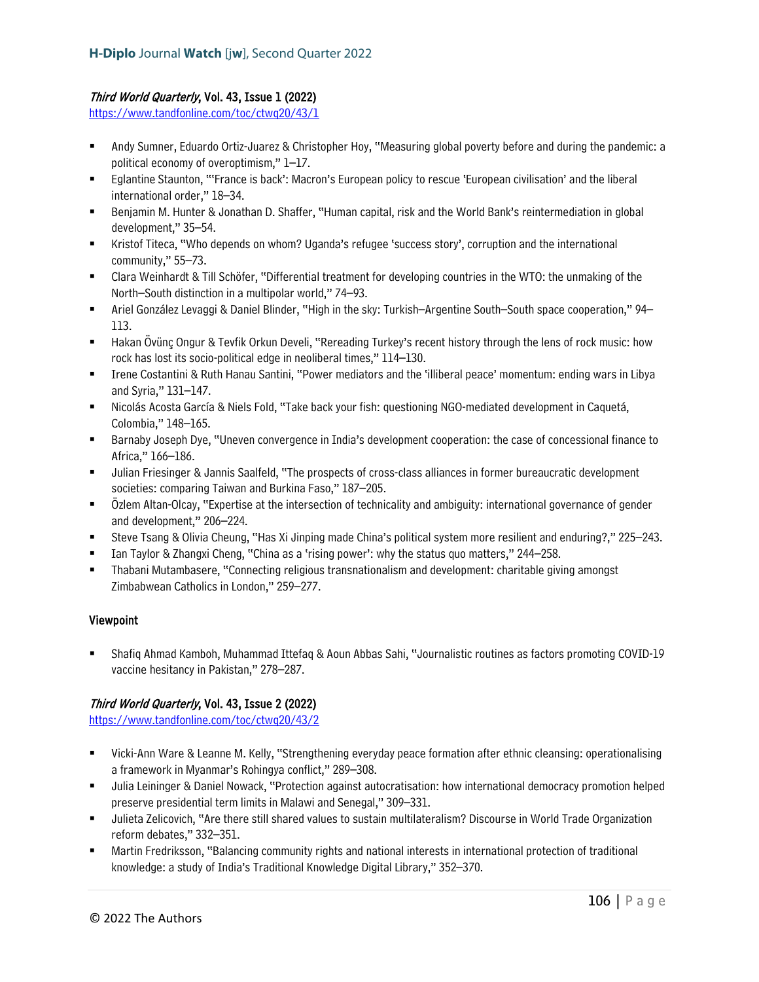# Third World Quarterly, Vol. 43, Issue 1 (2022)

<https://www.tandfonline.com/toc/ctwq20/43/1>

- Andy Sumner, Eduardo Ortiz-Juarez & Christopher Hoy, "Measuring global poverty before and during the pandemic: a political economy of overoptimism," 1–17.
- Eglantine Staunton, "'France is back': Macron's European policy to rescue 'European civilisation' and the liberal international order," 18–34.
- Benjamin M. Hunter & Jonathan D. Shaffer, "Human capital, risk and the World Bank's reintermediation in global development," 35–54.
- Kristof Titeca, "Who depends on whom? Uganda's refugee 'success story', corruption and the international community," 55–73.
- Clara Weinhardt & Till Schöfer, "Differential treatment for developing countries in the WTO: the unmaking of the North–South distinction in a multipolar world," 74–93.
- Ariel González Levaggi & Daniel Blinder, "High in the sky: Turkish–Argentine South–South space cooperation," 94– 113.
- Hakan Övünç Ongur & Tevfik Orkun Develi, "Rereading Turkey's recent history through the lens of rock music: how rock has lost its socio-political edge in neoliberal times," 114–130.
- Irene Costantini & Ruth Hanau Santini, "Power mediators and the 'illiberal peace' momentum: ending wars in Libya and Syria," 131–147.
- Nicolás Acosta García & Niels Fold, "Take back your fish: questioning NGO-mediated development in Caquetá, Colombia," 148–165.
- Barnaby Joseph Dye, "Uneven convergence in India's development cooperation: the case of concessional finance to Africa," 166–186.
- Julian Friesinger & Jannis Saalfeld, "The prospects of cross-class alliances in former bureaucratic development societies: comparing Taiwan and Burkina Faso," 187–205.
- Özlem Altan-Olcay, "Expertise at the intersection of technicality and ambiguity: international governance of gender and development," 206–224.
- Steve Tsang & Olivia Cheung, "Has Xi Jinping made China's political system more resilient and enduring?," 225–243.
- Ian Taylor & Zhangxi Cheng, "China as a 'rising power': why the status quo matters," 244–258.
- Thabani Mutambasere, "Connecting religious transnationalism and development: charitable giving amongst Zimbabwean Catholics in London," 259–277.

## Viewpoint

 Shafiq Ahmad Kamboh, Muhammad Ittefaq & Aoun Abbas Sahi, "Journalistic routines as factors promoting COVID-19 vaccine hesitancy in Pakistan," 278–287.

## Third World Quarterly, Vol. 43, Issue 2 (2022)

<https://www.tandfonline.com/toc/ctwq20/43/2>

- Vicki-Ann Ware & Leanne M. Kelly, "Strengthening everyday peace formation after ethnic cleansing: operationalising a framework in Myanmar's Rohingya conflict," 289–308.
- Julia Leininger & Daniel Nowack, "Protection against autocratisation: how international democracy promotion helped preserve presidential term limits in Malawi and Senegal," 309–331.
- Julieta Zelicovich, "Are there still shared values to sustain multilateralism? Discourse in World Trade Organization reform debates," 332–351.
- Martin Fredriksson, "Balancing community rights and national interests in international protection of traditional knowledge: a study of India's Traditional Knowledge Digital Library," 352–370.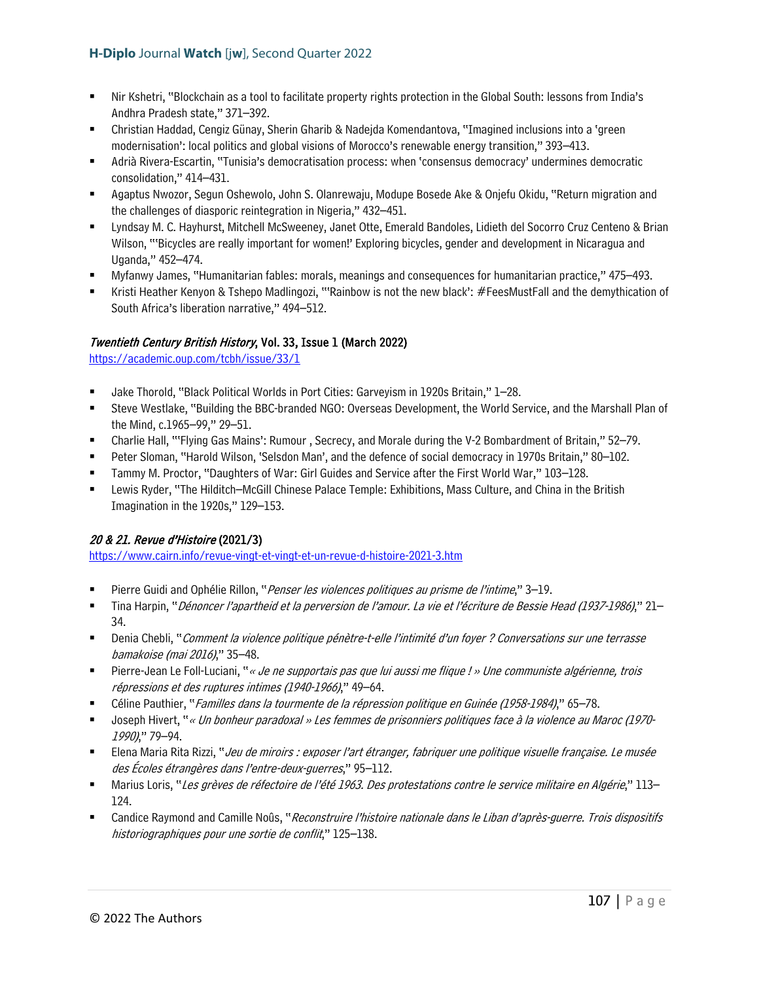- Nir Kshetri, "Blockchain as a tool to facilitate property rights protection in the Global South: lessons from India's Andhra Pradesh state," 371–392.
- Christian Haddad, Cengiz Günay, Sherin Gharib & Nadejda Komendantova, "Imagined inclusions into a 'green modernisation': local politics and global visions of Morocco's renewable energy transition," 393–413.
- Adrià Rivera-Escartin, "Tunisia's democratisation process: when 'consensus democracy' undermines democratic consolidation," 414–431.
- Agaptus Nwozor, Segun Oshewolo, John S. Olanrewaju, Modupe Bosede Ake & Onjefu Okidu, "Return migration and the challenges of diasporic reintegration in Nigeria," 432–451.
- Lyndsay M. C. Hayhurst, Mitchell McSweeney, Janet Otte, Emerald Bandoles, Lidieth del Socorro Cruz Centeno & Brian Wilson, "'Bicycles are really important for women!' Exploring bicycles, gender and development in Nicaragua and Uganda," 452–474.
- Myfanwy James, "Humanitarian fables: morals, meanings and consequences for humanitarian practice," 475–493.
- Kristi Heather Kenyon & Tshepo Madlingozi, "'Rainbow is not the new black': #FeesMustFall and the demythication of South Africa's liberation narrative," 494–512.

# Twentieth Century British History, Vol. 33, Issue 1 (March 2022)

<https://academic.oup.com/tcbh/issue/33/1>

- Jake Thorold, "Black Political Worlds in Port Cities: Garveyism in 1920s Britain," 1–28.
- Steve Westlake, "Building the BBC-branded NGO: Overseas Development, the World Service, and the Marshall Plan of the Mind, c.1965–99," 29–51.
- Charlie Hall, "'Flying Gas Mains': Rumour , Secrecy, and Morale during the V-2 Bombardment of Britain," 52–79.
- Peter Sloman, "Harold Wilson, 'Selsdon Man', and the defence of social democracy in 1970s Britain," 80–102.
- Tammy M. Proctor, "Daughters of War: Girl Guides and Service after the First World War," 103–128.
- Lewis Ryder, "The Hilditch–McGill Chinese Palace Temple: Exhibitions, Mass Culture, and China in the British Imagination in the 1920s," 129–153.

# 20 & 21. Revue d'Histoire (2021/3)

<https://www.cairn.info/revue-vingt-et-vingt-et-un-revue-d-histoire-2021-3.htm>

- Pierre Guidi and Ophélie Rillon, "Penser les violences politiques au prisme de l'intime," 3–19.
- Tina Harpin, "Dénoncer l'apartheid et la perversion de l'amour. La vie et l'écriture de Bessie Head (1937-1986)," 21– 34.
- Denia Chebli, "Comment la violence politique pénètre-t-elle l'intimité d'un foyer ? Conversations sur une terrasse bamakoise (mai 2016)," 35–48.
- **Pierre-Jean Le Foll-Luciani, "**« *Je ne supportais pas que lui aussi me flique ! » Une communiste algérienne, trois* répressions et des ruptures intimes (1940-1966)," 49–64.
- Céline Pauthier, "Familles dans la tourmente de la répression politique en Guinée (1958-1984)," 65–78.
- Joseph Hivert, "« Un bonheur paradoxal » Les femmes de prisonniers politiques face à la violence au Maroc (1970- 1990)," 79–94.
- Elena Maria Rita Rizzi, "Jeu de miroirs : exposer l'art étranger, fabriquer une politique visuelle française. Le musée des Écoles étrangères dans l'entre-deux-guerres," 95–112.
- Marius Loris, "Les grèves de réfectoire de l'été 1963. Des protestations contre le service militaire en Algérie," 113– 124.
- Candice Raymond and Camille Noûs, "Reconstruire l'histoire nationale dans le Liban d'après-guerre. Trois dispositifs historiographiques pour une sortie de conflit," 125–138.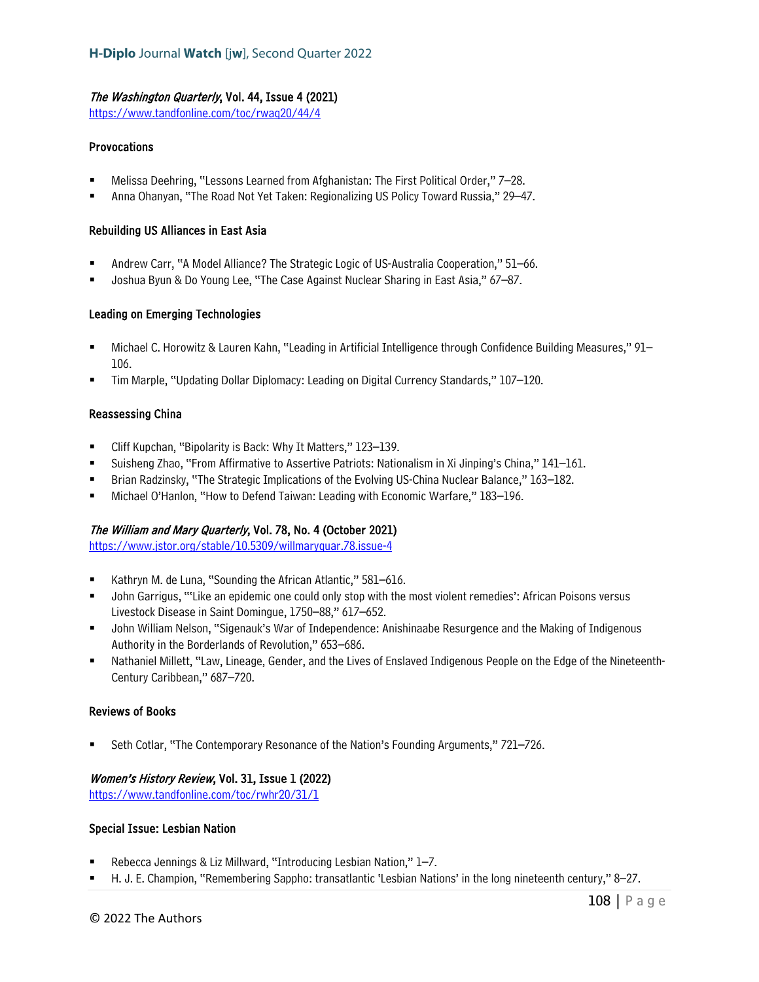## The Washington Quarterly, Vol. 44, Issue 4 (2021)

<https://www.tandfonline.com/toc/rwaq20/44/4>

### Provocations

- Melissa Deehring, "Lessons Learned from Afghanistan: The First Political Order," 7–28.
- Anna Ohanyan, "The Road Not Yet Taken: Regionalizing US Policy Toward Russia," 29–47.

### Rebuilding US Alliances in East Asia

- Andrew Carr, "A Model Alliance? The Strategic Logic of US-Australia Cooperation," 51–66.
- Joshua Byun & Do Young Lee, "The Case Against Nuclear Sharing in East Asia," 67–87.

### Leading on Emerging Technologies

- Michael C. Horowitz & Lauren Kahn, "Leading in Artificial Intelligence through Confidence Building Measures," 91– 106.
- Tim Marple, "Updating Dollar Diplomacy: Leading on Digital Currency Standards," 107–120.

#### Reassessing China

- Cliff Kupchan, "Bipolarity is Back: Why It Matters," 123–139.
- Suisheng Zhao, "From Affirmative to Assertive Patriots: Nationalism in Xi Jinping's China," 141–161.
- **Brian Radzinsky, "The Strategic Implications of the Evolving US-China Nuclear Balance," 163–182.**
- Michael O'Hanlon, "How to Defend Taiwan: Leading with Economic Warfare," 183–196.

## The William and Mary Quarterly, Vol. 78, No. 4 (October 2021)

<https://www.jstor.org/stable/10.5309/willmaryquar.78.issue-4>

- Kathryn M. de Luna, "Sounding the African Atlantic," 581–616.
- John Garrigus, "'Like an epidemic one could only stop with the most violent remedies': African Poisons versus Livestock Disease in Saint Domingue, 1750–88," 617–652.
- John William Nelson, "Sigenauk's War of Independence: Anishinaabe Resurgence and the Making of Indigenous Authority in the Borderlands of Revolution," 653–686.
- Nathaniel Millett, "Law, Lineage, Gender, and the Lives of Enslaved Indigenous People on the Edge of the Nineteenth-Century Caribbean," 687–720.

#### Reviews of Books

Seth Cotlar, "The Contemporary Resonance of the Nation's Founding Arguments," 721–726.

## Women's History Review, Vol. 31, Issue 1 (2022)

<https://www.tandfonline.com/toc/rwhr20/31/1>

#### Special Issue: Lesbian Nation

- Rebecca Jennings & Liz Millward, "Introducing Lesbian Nation," 1–7.
- H. J. E. Champion, "Remembering Sappho: transatlantic 'Lesbian Nations' in the long nineteenth century," 8–27.